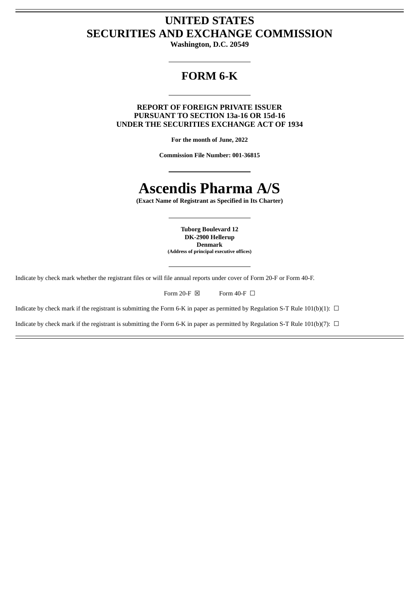# **UNITED STATES SECURITIES AND EXCHANGE COMMISSION**

**Washington, D.C. 20549**

# **FORM 6-K**

**REPORT OF FOREIGN PRIVATE ISSUER PURSUANT TO SECTION 13a-16 OR 15d-16 UNDER THE SECURITIES EXCHANGE ACT OF 1934**

**For the month of June, 2022**

**Commission File Number: 001-36815**

# **Ascendis Pharma A/S**

**(Exact Name of Registrant as Specified in Its Charter)**

**Tuborg Boulevard 12 DK-2900 Hellerup Denmark (Address of principal executive offices)**

Indicate by check mark whether the registrant files or will file annual reports under cover of Form 20-F or Form 40-F.

| Form 20-F $\boxtimes$ | Form 40-F $\Box$ |  |
|-----------------------|------------------|--|
|                       |                  |  |

Indicate by check mark if the registrant is submitting the Form 6-K in paper as permitted by Regulation S-T Rule 101(b)(1):  $\Box$ 

Indicate by check mark if the registrant is submitting the Form 6-K in paper as permitted by Regulation S-T Rule 101(b)(7):  $\Box$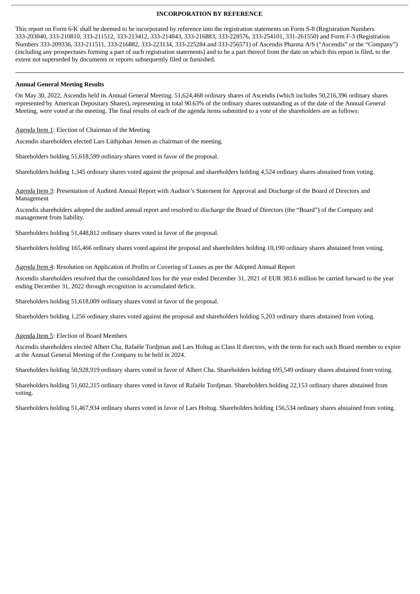#### **INCORPORATION BY REFERENCE**

This report on Form 6-K shall be deemed to be incorporated by reference into the registration statements on Form S-8 (Registration Numbers 333-203040, 333-210810, 333-211512, 333-213412, 333-214843, 333-216883, 333-228576, 333-254101, 331-261550) and Form F-3 (Registration Numbers 333-209336, 333-211511, 333-216882, 333-223134, 333-225284 and 333-256571) of Ascendis Pharma A/S ("Ascendis" or the "Company") (including any prospectuses forming a part of such registration statements) and to be a part thereof from the date on which this report is filed, to the extent not superseded by documents or reports subsequently filed or furnished.

# **Annual General Meeting Results**

On May 30, 2022, Ascendis held its Annual General Meeting. 51,624,468 ordinary shares of Ascendis (which includes 50,216,396 ordinary shares represented by American Depositary Shares), representing in total 90.63% of the ordinary shares outstanding as of the date of the Annual General Meeting, were voted at the meeting. The final results of each of the agenda items submitted to a vote of the shareholders are as follows:

Agenda Item 1: Election of Chairman of the Meeting

Ascendis shareholders elected Lars Lüthjohan Jensen as chairman of the meeting.

Shareholders holding 51,618,599 ordinary shares voted in favor of the proposal.

Shareholders holding 1,345 ordinary shares voted against the proposal and shareholders holding 4,524 ordinary shares abstained from voting.

Agenda Item 3: Presentation of Audited Annual Report with Auditor's Statement for Approval and Discharge of the Board of Directors and Management

Ascendis shareholders adopted the audited annual report and resolved to discharge the Board of Directors (the "Board") of the Company and management from liability.

Shareholders holding 51,448,812 ordinary shares voted in favor of the proposal.

Shareholders holding 165,466 ordinary shares voted against the proposal and shareholders holding 10,190 ordinary shares abstained from voting.

Agenda Item 4: Resolution on Application of Profits or Covering of Losses as per the Adopted Annual Report

Ascendis shareholders resolved that the consolidated loss for the year ended December 31, 2021 of EUR 383.6 million be carried forward to the year ending December 31, 2022 through recognition in accumulated deficit.

Shareholders holding 51,618,009 ordinary shares voted in favor of the proposal.

Shareholders holding 1,256 ordinary shares voted against the proposal and shareholders holding 5,203 ordinary shares abstained from voting.

Agenda Item 5: Election of Board Members

Ascendis shareholders elected Albert Cha, Rafaèle Tordjman and Lars Holtug as Class II directors, with the term for each such Board member to expire at the Annual General Meeting of the Company to be held in 2024.

Shareholders holding 50,928,919 ordinary shares voted in favor of Albert Cha. Shareholders holding 695,549 ordinary shares abstained from voting.

Shareholders holding 51,602,315 ordinary shares voted in favor of Rafaèle Tordjman. Shareholders holding 22,153 ordinary shares abstained from voting.

Shareholders holding 51,467,934 ordinary shares voted in favor of Lars Holtug. Shareholders holding 156,534 ordinary shares abstained from voting.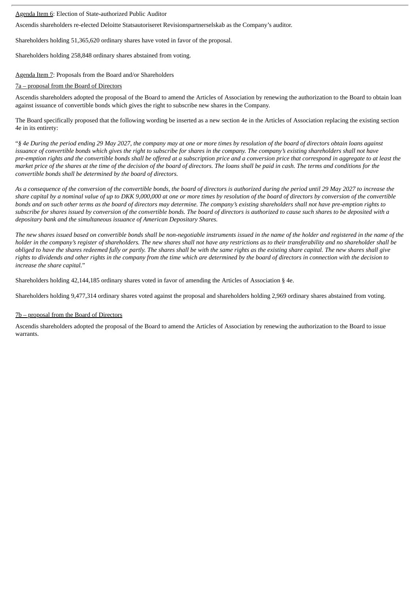# Agenda Item 6: Election of State-authorized Public Auditor

Ascendis shareholders re-elected Deloitte Statsautoriseret Revisionspartnerselskab as the Company's auditor.

Shareholders holding 51,365,620 ordinary shares have voted in favor of the proposal.

Shareholders holding 258,848 ordinary shares abstained from voting.

Agenda Item 7: Proposals from the Board and/or Shareholders

### 7a – proposal from the Board of Directors

Ascendis shareholders adopted the proposal of the Board to amend the Articles of Association by renewing the authorization to the Board to obtain loan against issuance of convertible bonds which gives the right to subscribe new shares in the Company.

The Board specifically proposed that the following wording be inserted as a new section 4e in the Articles of Association replacing the existing section 4e in its entirety:

"§ 4e During the period ending 29 May 2027, the company may at one or more times by resolution of the board of directors obtain loans against issuance of convertible bonds which gives the right to subscribe for shares in the company. The company's existing shareholders shall not have pre-emption rights and the convertible bonds shall be offered at a subscription price and a conversion price that correspond in aggregate to at least the market price of the shares at the time of the decision of the board of directors. The loans shall be paid in cash. The terms and conditions for the *convertible bonds shall be determined by the board of directors.*

As a consequence of the conversion of the convertible bonds, the board of directors is authorized during the period until 29 May 2027 to increase the share capital by a nominal value of up to DKK 9,000,000 at one or more times by resolution of the board of directors by conversion of the convertible bonds and on such other terms as the board of directors may determine. The company's existing shareholders shall not have pre-emption rights to subscribe for shares issued by conversion of the convertible bonds. The board of directors is authorized to cause such shares to be deposited with a *depositary bank and the simultaneous issuance of American Depositary Shares.*

The new shares issued based on convertible bonds shall be non-negotiable instruments issued in the name of the holder and registered in the name of the holder in the company's register of shareholders. The new shares shall not have any restrictions as to their transferability and no shareholder shall be obliged to have the shares redeemed fully or partly. The shares shall be with the same rights as the existing share capital. The new shares shall give rights to dividends and other rights in the company from the time which are determined by the board of directors in connection with the decision to *increase the share capital.*"

Shareholders holding 42,144,185 ordinary shares voted in favor of amending the Articles of Association § 4e.

Shareholders holding 9,477,314 ordinary shares voted against the proposal and shareholders holding 2,969 ordinary shares abstained from voting.

# 7b – proposal from the Board of Directors

Ascendis shareholders adopted the proposal of the Board to amend the Articles of Association by renewing the authorization to the Board to issue warrants.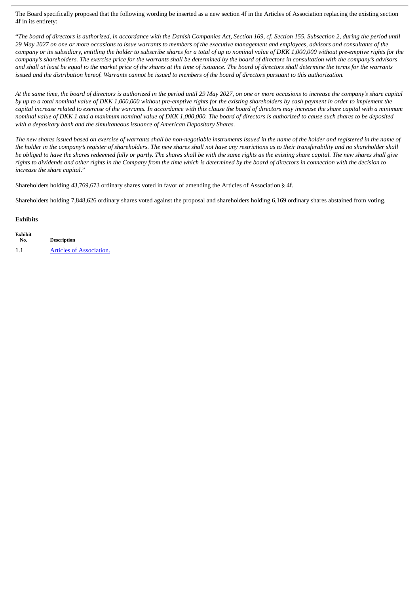The Board specifically proposed that the following wording be inserted as a new section 4f in the Articles of Association replacing the existing section 4f in its entirety:

"The board of directors is authorized, in accordance with the Danish Companies Act, Section 169, cf. Section 155, Subsection 2, durina the period until 29 May 2027 on one or more occasions to issue warrants to members of the executive management and employees, advisors and consultants of the company or its subsidiary, entitling the holder to subscribe shares for a total of up to nominal value of DKK 1,000,000 without pre-emptive rights for the company's shareholders. The exercise price for the warrants shall be determined by the board of directors in consultation with the company's advisors and shall at least be equal to the market price of the shares at the time of issuance. The board of directors shall determine the terms for the warrants issued and the distribution hereof. Warrants cannot be issued to members of the board of directors pursuant to this authorization.

At the same time, the board of directors is authorized in the period until 29 May 2027, on one or more occasions to increase the company's share capital by up to a total nominal value of DKK 1,000,000 without pre-emptive rights for the existing shareholders by cash payment in order to implement the capital increase related to exercise of the warrants. In accordance with this clause the board of directors may increase the share capital with a minimum nominal value of DKK 1 and a maximum nominal value of DKK 1,000,000. The board of directors is authorized to cause such shares to be deposited *with a depositary bank and the simultaneous issuance of American Depositary Shares.*

The new shares issued based on exercise of warrants shall be non-negotiable instruments issued in the name of the holder and registered in the name of the holder in the company's register of shareholders. The new shares shall not have any restrictions as to their transferability and no shareholder shall be obliged to have the shares redeemed fully or partly. The shares shall be with the same rights as the existing share capital. The new shares shall give rights to dividends and other rights in the Company from the time which is determined by the board of directors in connection with the decision to *increase the share capital*."

Shareholders holding 43,769,673 ordinary shares voted in favor of amending the Articles of Association § 4f.

Shareholders holding 7,848,626 ordinary shares voted against the proposal and shareholders holding 6,169 ordinary shares abstained from voting.

# **Exhibits**

**Exhibit**

| ехнил<br>No. | <b>Description</b>              |
|--------------|---------------------------------|
| 1.1          | <b>Articles of Association.</b> |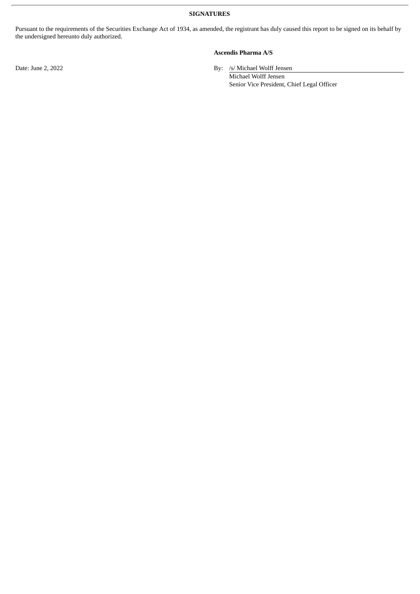**SIGNATURES**

Pursuant to the requirements of the Securities Exchange Act of 1934, as amended, the registrant has duly caused this report to be signed on its behalf by the undersigned hereunto duly authorized.

# **Ascendis Pharma A/S**

Date: June 2, 2022 By: /s/ Michael Wolff Jensen

Michael Wolff Jensen Senior Vice President, Chief Legal Officer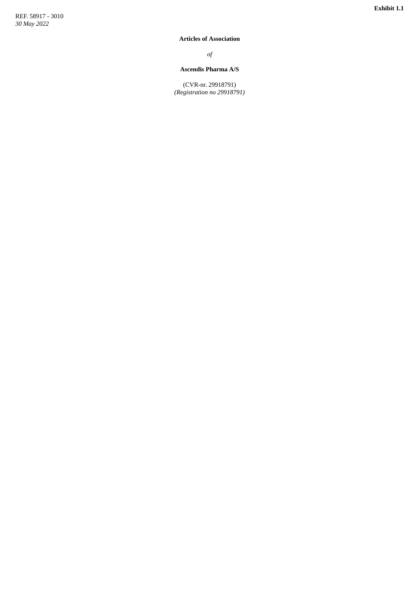#### <span id="page-5-0"></span>**Articles of Association**

*o f*

#### Ascendis Pharma A/S

(CVR-nr. 29918791) (Registration no 29918791)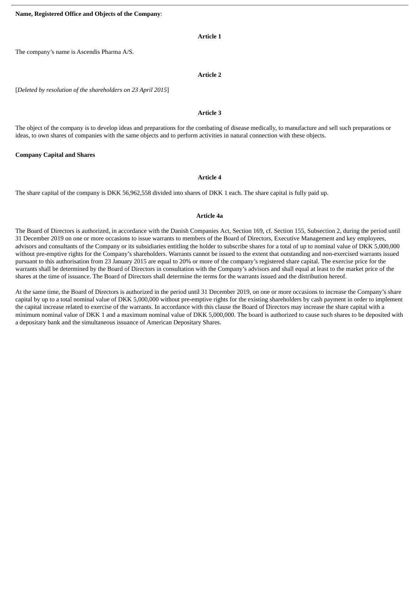# **Article 1**

The company's name is Ascendis Pharma A/S.

#### **Article 2**

[*Deleted by resolution of the shareholders on 23 April 2015*]

# **Article 3**

The object of the company is to develop ideas and preparations for the combating of disease medically, to manufacture and sell such preparations or ideas, to own shares of companies with the same objects and to perform activities in natural connection with these objects.

#### **Company Capital and Shares**

#### **Article 4**

The share capital of the company is DKK 56,962,558 divided into shares of DKK 1 each. The share capital is fully paid up.

# **Article 4a**

The Board of Directors is authorized, in accordance with the Danish Companies Act, Section 169, cf. Section 155, Subsection 2, during the period until 31 December 2019 on one or more occasions to issue warrants to members of the Board of Directors, Executive Management and key employees, advisors and consultants of the Company or its subsidiaries entitling the holder to subscribe shares for a total of up to nominal value of DKK 5,000,000 without pre-emptive rights for the Company's shareholders. Warrants cannot be issued to the extent that outstanding and non-exercised warrants issued pursuant to this authorisation from 23 January 2015 are equal to 20% or more of the company's registered share capital. The exercise price for the warrants shall be determined by the Board of Directors in consultation with the Company's advisors and shall equal at least to the market price of the shares at the time of issuance. The Board of Directors shall determine the terms for the warrants issued and the distribution hereof.

At the same time, the Board of Directors is authorized in the period until 31 December 2019, on one or more occasions to increase the Company's share capital by up to a total nominal value of DKK 5,000,000 without pre-emptive rights for the existing shareholders by cash payment in order to implement the capital increase related to exercise of the warrants. In accordance with this clause the Board of Directors may increase the share capital with a minimum nominal value of DKK 1 and a maximum nominal value of DKK 5,000,000. The board is authorized to cause such shares to be deposited with a depositary bank and the simultaneous issuance of American Depositary Shares.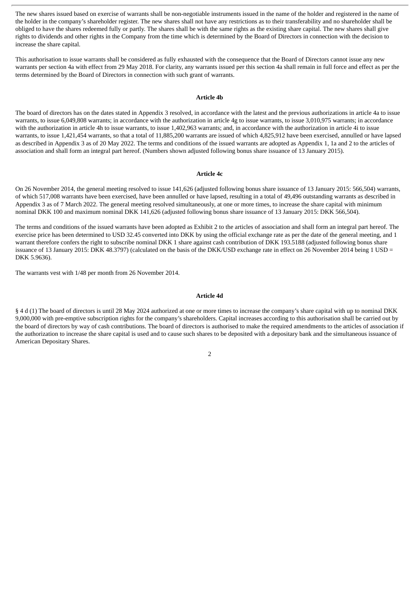The new shares issued based on exercise of warrants shall be non-negotiable instruments issued in the name of the holder and registered in the name of the holder in the company's shareholder register. The new shares shall not have any restrictions as to their transferability and no shareholder shall be obliged to have the shares redeemed fully or partly. The shares shall be with the same rights as the existing share capital. The new shares shall give rights to dividends and other rights in the Company from the time which is determined by the Board of Directors in connection with the decision to increase the share capital.

This authorisation to issue warrants shall be considered as fully exhausted with the consequence that the Board of Directors cannot issue any new warrants per section 4a with effect from 29 May 2018. For clarity, any warrants issued per this section 4a shall remain in full force and effect as per the terms determined by the Board of Directors in connection with such grant of warrants.

#### **Article 4b**

The board of directors has on the dates stated in Appendix 3 resolved, in accordance with the latest and the previous authorizations in article 4a to issue warrants, to issue 6,049,808 warrants; in accordance with the authorization in article 4g to issue warrants, to issue 3,010,975 warrants; in accordance with the authorization in article 4h to issue warrants, to issue 1,402,963 warrants; and, in accordance with the authorization in article 4i to issue warrants, to issue 1,421,454 warrants, so that a total of 11,885,200 warrants are issued of which 4,825,912 have been exercised, annulled or have lapsed as described in Appendix 3 as of 20 May 2022. The terms and conditions of the issued warrants are adopted as Appendix 1, 1a and 2 to the articles of association and shall form an integral part hereof. (Numbers shown adjusted following bonus share issuance of 13 January 2015).

#### **Article 4c**

On 26 November 2014, the general meeting resolved to issue 141,626 (adjusted following bonus share issuance of 13 January 2015: 566,504) warrants, of which 517,008 warrants have been exercised, have been annulled or have lapsed, resulting in a total of 49,496 outstanding warrants as described in Appendix 3 as of 7 March 2022. The general meeting resolved simultaneously, at one or more times, to increase the share capital with minimum nominal DKK 100 and maximum nominal DKK 141,626 (adjusted following bonus share issuance of 13 January 2015: DKK 566,504).

The terms and conditions of the issued warrants have been adopted as Exhibit 2 to the articles of association and shall form an integral part hereof. The exercise price has been determined to USD 32.45 converted into DKK by using the official exchange rate as per the date of the general meeting, and 1 warrant therefore confers the right to subscribe nominal DKK 1 share against cash contribution of DKK 193.5188 (adjusted following bonus share issuance of 13 January 2015: DKK 48.3797) (calculated on the basis of the DKK/USD exchange rate in effect on 26 November 2014 being 1 USD = DKK 5.9636).

The warrants vest with 1/48 per month from 26 November 2014.

#### **Article 4d**

§ 4 d (1) The board of directors is until 28 May 2024 authorized at one or more times to increase the company's share capital with up to nominal DKK 9,000,000 with pre-emptive subscription rights for the company's shareholders. Capital increases according to this authorisation shall be carried out by the board of directors by way of cash contributions. The board of directors is authorised to make the required amendments to the articles of association if the authorization to increase the share capital is used and to cause such shares to be deposited with a depositary bank and the simultaneous issuance of American Depositary Shares.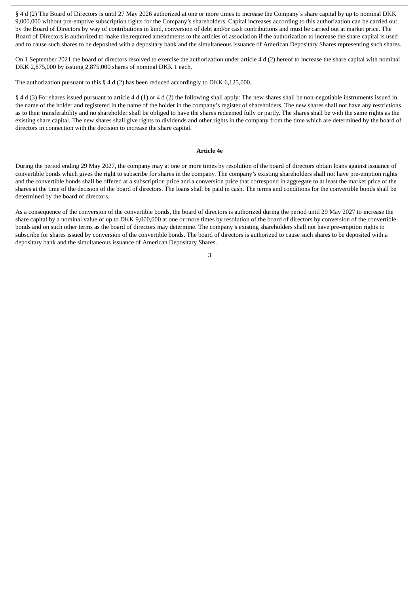§ 4 d (2) The Board of Directors is until 27 May 2026 authorized at one or more times to increase the Company's share capital by up to nominal DKK 9,000,000 without pre-emptive subscription rights for the Company's shareholders. Capital increases according to this authorization can be carried out by the Board of Directors by way of contributions in kind, conversion of debt and/or cash contributions and must be carried out at market price. The Board of Directors is authorized to make the required amendments to the articles of association if the authorization to increase the share capital is used and to cause such shares to be deposited with a depositary bank and the simultaneous issuance of American Depositary Shares representing such shares.

On 1 September 2021 the board of directors resolved to exercise the authorization under article 4 d (2) hereof to increase the share capital with nominal DKK 2,875,000 by issuing 2,875,000 shares of nominal DKK 1 each.

The authorization pursuant to this § 4 d (2) has been reduced accordingly to DKK 6,125,000.

§ 4 d (3) For shares issued pursuant to article 4 d (1) or 4 d (2) the following shall apply: The new shares shall be non-negotiable instruments issued in the name of the holder and registered in the name of the holder in the company's register of shareholders. The new shares shall not have any restrictions as to their transferability and no shareholder shall be obliged to have the shares redeemed fully or partly. The shares shall be with the same rights as the existing share capital. The new shares shall give rights to dividends and other rights in the company from the time which are determined by the board of directors in connection with the decision to increase the share capital.

#### **Article 4e**

During the period ending 29 May 2027, the company may at one or more times by resolution of the board of directors obtain loans against issuance of convertible bonds which gives the right to subscribe for shares in the company. The company's existing shareholders shall not have pre-emption rights and the convertible bonds shall be offered at a subscription price and a conversion price that correspond in aggregate to at least the market price of the shares at the time of the decision of the board of directors. The loans shall be paid in cash. The terms and conditions for the convertible bonds shall be determined by the board of directors.

As a consequence of the conversion of the convertible bonds, the board of directors is authorized during the period until 29 May 2027 to increase the share capital by a nominal value of up to DKK 9,000,000 at one or more times by resolution of the board of directors by conversion of the convertible bonds and on such other terms as the board of directors may determine. The company's existing shareholders shall not have pre-emption rights to subscribe for shares issued by conversion of the convertible bonds. The board of directors is authorized to cause such shares to be deposited with a depositary bank and the simultaneous issuance of American Depositary Shares.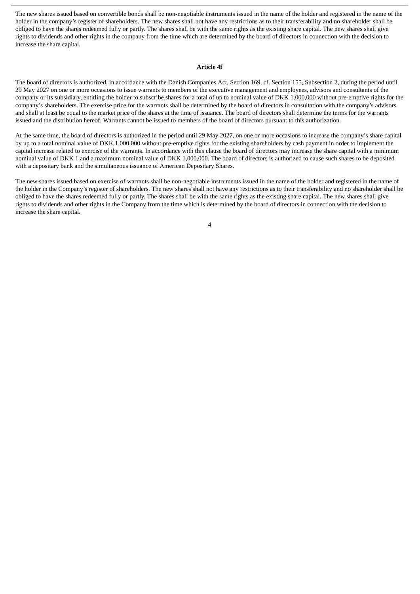The new shares issued based on convertible bonds shall be non-negotiable instruments issued in the name of the holder and registered in the name of the holder in the company's register of shareholders. The new shares shall not have any restrictions as to their transferability and no shareholder shall be obliged to have the shares redeemed fully or partly. The shares shall be with the same rights as the existing share capital. The new shares shall give rights to dividends and other rights in the company from the time which are determined by the board of directors in connection with the decision to increase the share capital.

#### **Article 4f**

The board of directors is authorized, in accordance with the Danish Companies Act, Section 169, cf. Section 155, Subsection 2, during the period until 29 May 2027 on one or more occasions to issue warrants to members of the executive management and employees, advisors and consultants of the company or its subsidiary, entitling the holder to subscribe shares for a total of up to nominal value of DKK 1,000,000 without pre-emptive rights for the company's shareholders. The exercise price for the warrants shall be determined by the board of directors in consultation with the company's advisors and shall at least be equal to the market price of the shares at the time of issuance. The board of directors shall determine the terms for the warrants issued and the distribution hereof. Warrants cannot be issued to members of the board of directors pursuant to this authorization.

At the same time, the board of directors is authorized in the period until 29 May 2027, on one or more occasions to increase the company's share capital by up to a total nominal value of DKK 1,000,000 without pre-emptive rights for the existing shareholders by cash payment in order to implement the capital increase related to exercise of the warrants. In accordance with this clause the board of directors may increase the share capital with a minimum nominal value of DKK 1 and a maximum nominal value of DKK 1,000,000. The board of directors is authorized to cause such shares to be deposited with a depositary bank and the simultaneous issuance of American Depositary Shares.

The new shares issued based on exercise of warrants shall be non-negotiable instruments issued in the name of the holder and registered in the name of the holder in the Company's register of shareholders. The new shares shall not have any restrictions as to their transferability and no shareholder shall be obliged to have the shares redeemed fully or partly. The shares shall be with the same rights as the existing share capital. The new shares shall give rights to dividends and other rights in the Company from the time which is determined by the board of directors in connection with the decision to increase the share capital.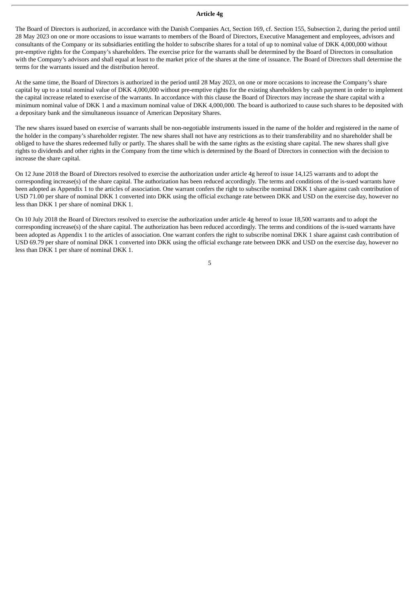#### **Article 4g**

The Board of Directors is authorized, in accordance with the Danish Companies Act, Section 169, cf. Section 155, Subsection 2, during the period until 28 May 2023 on one or more occasions to issue warrants to members of the Board of Directors, Executive Management and employees, advisors and consultants of the Company or its subsidiaries entitling the holder to subscribe shares for a total of up to nominal value of DKK 4,000,000 without pre-emptive rights for the Company's shareholders. The exercise price for the warrants shall be determined by the Board of Directors in consultation with the Company's advisors and shall equal at least to the market price of the shares at the time of issuance. The Board of Directors shall determine the terms for the warrants issued and the distribution hereof.

At the same time, the Board of Directors is authorized in the period until 28 May 2023, on one or more occasions to increase the Company's share capital by up to a total nominal value of DKK 4,000,000 without pre-emptive rights for the existing shareholders by cash payment in order to implement the capital increase related to exercise of the warrants. In accordance with this clause the Board of Directors may increase the share capital with a minimum nominal value of DKK 1 and a maximum nominal value of DKK 4,000,000. The board is authorized to cause such shares to be deposited with a depositary bank and the simultaneous issuance of American Depositary Shares.

The new shares issued based on exercise of warrants shall be non-negotiable instruments issued in the name of the holder and registered in the name of the holder in the company's shareholder register. The new shares shall not have any restrictions as to their transferability and no shareholder shall be obliged to have the shares redeemed fully or partly. The shares shall be with the same rights as the existing share capital. The new shares shall give rights to dividends and other rights in the Company from the time which is determined by the Board of Directors in connection with the decision to increase the share capital.

On 12 June 2018 the Board of Directors resolved to exercise the authorization under article 4g hereof to issue 14,125 warrants and to adopt the corresponding increase(s) of the share capital. The authorization has been reduced accordingly. The terms and conditions of the is-sued warrants have been adopted as Appendix 1 to the articles of association. One warrant confers the right to subscribe nominal DKK 1 share against cash contribution of USD 71.00 per share of nominal DKK 1 converted into DKK using the official exchange rate between DKK and USD on the exercise day, however no less than DKK 1 per share of nominal DKK 1.

On 10 July 2018 the Board of Directors resolved to exercise the authorization under article 4g hereof to issue 18,500 warrants and to adopt the corresponding increase(s) of the share capital. The authorization has been reduced accordingly. The terms and conditions of the is-sued warrants have been adopted as Appendix 1 to the articles of association. One warrant confers the right to subscribe nominal DKK 1 share against cash contribution of USD 69.79 per share of nominal DKK 1 converted into DKK using the official exchange rate between DKK and USD on the exercise day, however no less than DKK 1 per share of nominal DKK 1.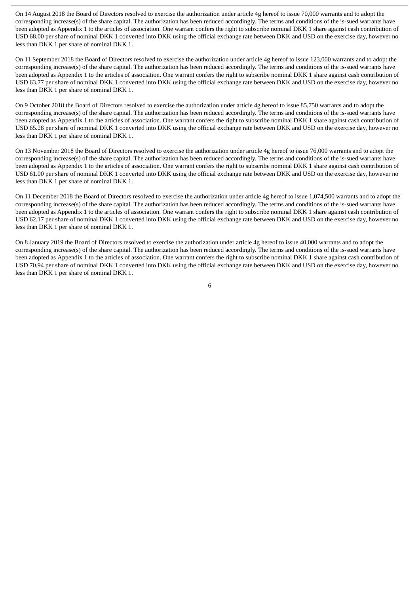On 14 August 2018 the Board of Directors resolved to exercise the authorization under article 4g hereof to issue 70,000 warrants and to adopt the corresponding increase(s) of the share capital. The authorization has been reduced accordingly. The terms and conditions of the is-sued warrants have been adopted as Appendix 1 to the articles of association. One warrant confers the right to subscribe nominal DKK 1 share against cash contribution of USD 68.00 per share of nominal DKK 1 converted into DKK using the official exchange rate between DKK and USD on the exercise day, however no less than DKK 1 per share of nominal DKK 1.

On 11 September 2018 the Board of Directors resolved to exercise the authorization under article 4g hereof to issue 123,000 warrants and to adopt the corresponding increase(s) of the share capital. The authorization has been reduced accordingly. The terms and conditions of the is-sued warrants have been adopted as Appendix 1 to the articles of association. One warrant confers the right to subscribe nominal DKK 1 share against cash contribution of USD 63.77 per share of nominal DKK 1 converted into DKK using the official exchange rate between DKK and USD on the exercise day, however no less than DKK 1 per share of nominal DKK 1.

On 9 October 2018 the Board of Directors resolved to exercise the authorization under article 4g hereof to issue 85,750 warrants and to adopt the corresponding increase(s) of the share capital. The authorization has been reduced accordingly. The terms and conditions of the is-sued warrants have been adopted as Appendix 1 to the articles of association. One warrant confers the right to subscribe nominal DKK 1 share against cash contribution of USD 65.28 per share of nominal DKK 1 converted into DKK using the official exchange rate between DKK and USD on the exercise day, however no less than DKK 1 per share of nominal DKK 1.

On 13 November 2018 the Board of Directors resolved to exercise the authorization under article 4g hereof to issue 76,000 warrants and to adopt the corresponding increase(s) of the share capital. The authorization has been reduced accordingly. The terms and conditions of the is-sued warrants have been adopted as Appendix 1 to the articles of association. One warrant confers the right to subscribe nominal DKK 1 share against cash contribution of USD 61.00 per share of nominal DKK 1 converted into DKK using the official exchange rate between DKK and USD on the exercise day, however no less than DKK 1 per share of nominal DKK 1.

On 11 December 2018 the Board of Directors resolved to exercise the authorization under article 4g hereof to issue 1,074,500 warrants and to adopt the corresponding increase(s) of the share capital. The authorization has been reduced accordingly. The terms and conditions of the is-sued warrants have been adopted as Appendix 1 to the articles of association. One warrant confers the right to subscribe nominal DKK 1 share against cash contribution of USD 62.17 per share of nominal DKK 1 converted into DKK using the official exchange rate between DKK and USD on the exercise day, however no less than DKK 1 per share of nominal DKK 1.

On 8 January 2019 the Board of Directors resolved to exercise the authorization under article 4g hereof to issue 40,000 warrants and to adopt the corresponding increase(s) of the share capital. The authorization has been reduced accordingly. The terms and conditions of the is-sued warrants have been adopted as Appendix 1 to the articles of association. One warrant confers the right to subscribe nominal DKK 1 share against cash contribution of USD 70.94 per share of nominal DKK 1 converted into DKK using the official exchange rate between DKK and USD on the exercise day, however no less than DKK 1 per share of nominal DKK 1.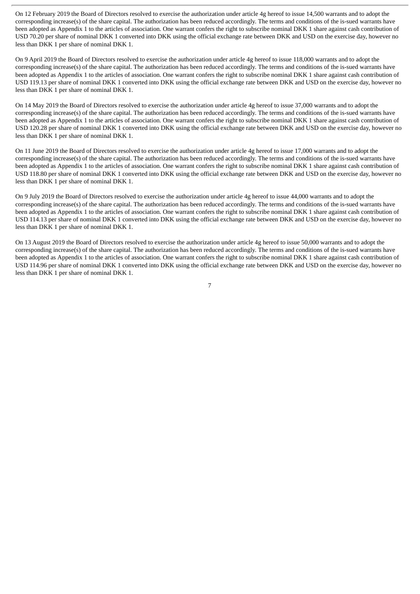On 12 February 2019 the Board of Directors resolved to exercise the authorization under article 4g hereof to issue 14,500 warrants and to adopt the corresponding increase(s) of the share capital. The authorization has been reduced accordingly. The terms and conditions of the is-sued warrants have been adopted as Appendix 1 to the articles of association. One warrant confers the right to subscribe nominal DKK 1 share against cash contribution of USD 70.20 per share of nominal DKK 1 converted into DKK using the official exchange rate between DKK and USD on the exercise day, however no less than DKK 1 per share of nominal DKK 1.

On 9 April 2019 the Board of Directors resolved to exercise the authorization under article 4g hereof to issue 118,000 warrants and to adopt the corresponding increase(s) of the share capital. The authorization has been reduced accordingly. The terms and conditions of the is-sued warrants have been adopted as Appendix 1 to the articles of association. One warrant confers the right to subscribe nominal DKK 1 share against cash contribution of USD 119.13 per share of nominal DKK 1 converted into DKK using the official exchange rate between DKK and USD on the exercise day, however no less than DKK 1 per share of nominal DKK 1.

On 14 May 2019 the Board of Directors resolved to exercise the authorization under article 4g hereof to issue 37,000 warrants and to adopt the corresponding increase(s) of the share capital. The authorization has been reduced accordingly. The terms and conditions of the is-sued warrants have been adopted as Appendix 1 to the articles of association. One warrant confers the right to subscribe nominal DKK 1 share against cash contribution of USD 120.28 per share of nominal DKK 1 converted into DKK using the official exchange rate between DKK and USD on the exercise day, however no less than DKK 1 per share of nominal DKK 1.

On 11 June 2019 the Board of Directors resolved to exercise the authorization under article 4g hereof to issue 17,000 warrants and to adopt the corresponding increase(s) of the share capital. The authorization has been reduced accordingly. The terms and conditions of the is-sued warrants have been adopted as Appendix 1 to the articles of association. One warrant confers the right to subscribe nominal DKK 1 share against cash contribution of USD 118.80 per share of nominal DKK 1 converted into DKK using the official exchange rate between DKK and USD on the exercise day, however no less than DKK 1 per share of nominal DKK 1.

On 9 July 2019 the Board of Directors resolved to exercise the authorization under article 4g hereof to issue 44,000 warrants and to adopt the corresponding increase(s) of the share capital. The authorization has been reduced accordingly. The terms and conditions of the is-sued warrants have been adopted as Appendix 1 to the articles of association. One warrant confers the right to subscribe nominal DKK 1 share against cash contribution of USD 114.13 per share of nominal DKK 1 converted into DKK using the official exchange rate between DKK and USD on the exercise day, however no less than DKK 1 per share of nominal DKK 1.

On 13 August 2019 the Board of Directors resolved to exercise the authorization under article 4g hereof to issue 50,000 warrants and to adopt the corresponding increase(s) of the share capital. The authorization has been reduced accordingly. The terms and conditions of the is-sued warrants have been adopted as Appendix 1 to the articles of association. One warrant confers the right to subscribe nominal DKK 1 share against cash contribution of USD 114.96 per share of nominal DKK 1 converted into DKK using the official exchange rate between DKK and USD on the exercise day, however no less than DKK 1 per share of nominal DKK 1.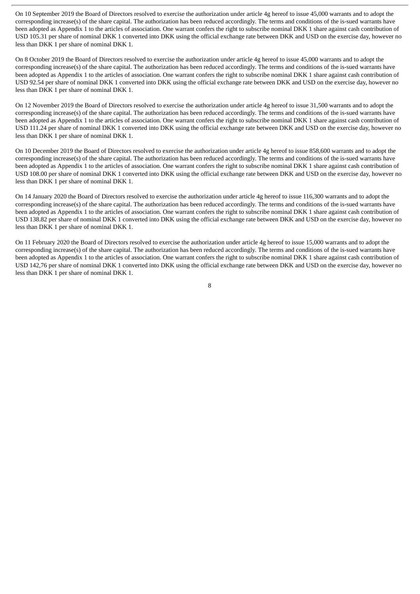On 10 September 2019 the Board of Directors resolved to exercise the authorization under article 4g hereof to issue 45,000 warrants and to adopt the corresponding increase(s) of the share capital. The authorization has been reduced accordingly. The terms and conditions of the is-sued warrants have been adopted as Appendix 1 to the articles of association. One warrant confers the right to subscribe nominal DKK 1 share against cash contribution of USD 105.31 per share of nominal DKK 1 converted into DKK using the official exchange rate between DKK and USD on the exercise day, however no less than DKK 1 per share of nominal DKK 1.

On 8 October 2019 the Board of Directors resolved to exercise the authorization under article 4g hereof to issue 45,000 warrants and to adopt the corresponding increase(s) of the share capital. The authorization has been reduced accordingly. The terms and conditions of the is-sued warrants have been adopted as Appendix 1 to the articles of association. One warrant confers the right to subscribe nominal DKK 1 share against cash contribution of USD 92.54 per share of nominal DKK 1 converted into DKK using the official exchange rate between DKK and USD on the exercise day, however no less than DKK 1 per share of nominal DKK 1.

On 12 November 2019 the Board of Directors resolved to exercise the authorization under article 4g hereof to issue 31,500 warrants and to adopt the corresponding increase(s) of the share capital. The authorization has been reduced accordingly. The terms and conditions of the is-sued warrants have been adopted as Appendix 1 to the articles of association. One warrant confers the right to subscribe nominal DKK 1 share against cash contribution of USD 111.24 per share of nominal DKK 1 converted into DKK using the official exchange rate between DKK and USD on the exercise day, however no less than DKK 1 per share of nominal DKK 1.

On 10 December 2019 the Board of Directors resolved to exercise the authorization under article 4g hereof to issue 858,600 warrants and to adopt the corresponding increase(s) of the share capital. The authorization has been reduced accordingly. The terms and conditions of the is-sued warrants have been adopted as Appendix 1 to the articles of association. One warrant confers the right to subscribe nominal DKK 1 share against cash contribution of USD 108.00 per share of nominal DKK 1 converted into DKK using the official exchange rate between DKK and USD on the exercise day, however no less than DKK 1 per share of nominal DKK 1.

On 14 January 2020 the Board of Directors resolved to exercise the authorization under article 4g hereof to issue 116,300 warrants and to adopt the corresponding increase(s) of the share capital. The authorization has been reduced accordingly. The terms and conditions of the is-sued warrants have been adopted as Appendix 1 to the articles of association. One warrant confers the right to subscribe nominal DKK 1 share against cash contribution of USD 138.82 per share of nominal DKK 1 converted into DKK using the official exchange rate between DKK and USD on the exercise day, however no less than DKK 1 per share of nominal DKK 1.

On 11 February 2020 the Board of Directors resolved to exercise the authorization under article 4g hereof to issue 15,000 warrants and to adopt the corresponding increase(s) of the share capital. The authorization has been reduced accordingly. The terms and conditions of the is-sued warrants have been adopted as Appendix 1 to the articles of association. One warrant confers the right to subscribe nominal DKK 1 share against cash contribution of USD 142,76 per share of nominal DKK 1 converted into DKK using the official exchange rate between DKK and USD on the exercise day, however no less than DKK 1 per share of nominal DKK 1.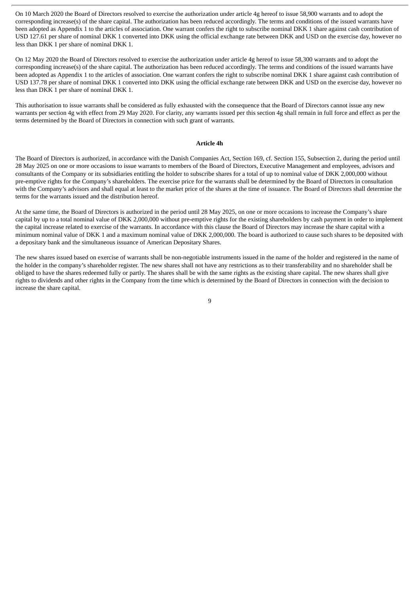On 10 March 2020 the Board of Directors resolved to exercise the authorization under article 4g hereof to issue 58,900 warrants and to adopt the corresponding increase(s) of the share capital. The authorization has been reduced accordingly. The terms and conditions of the issued warrants have been adopted as Appendix 1 to the articles of association. One warrant confers the right to subscribe nominal DKK 1 share against cash contribution of USD 127.61 per share of nominal DKK 1 converted into DKK using the official exchange rate between DKK and USD on the exercise day, however no less than DKK 1 per share of nominal DKK 1.

On 12 May 2020 the Board of Directors resolved to exercise the authorization under article 4g hereof to issue 58,300 warrants and to adopt the corresponding increase(s) of the share capital. The authorization has been reduced accordingly. The terms and conditions of the issued warrants have been adopted as Appendix 1 to the articles of association. One warrant confers the right to subscribe nominal DKK 1 share against cash contribution of USD 137.78 per share of nominal DKK 1 converted into DKK using the official exchange rate between DKK and USD on the exercise day, however no less than DKK 1 per share of nominal DKK 1.

This authorisation to issue warrants shall be considered as fully exhausted with the consequence that the Board of Directors cannot issue any new warrants per section 4g with effect from 29 May 2020. For clarity, any warrants issued per this section 4g shall remain in full force and effect as per the terms determined by the Board of Directors in connection with such grant of warrants.

#### **Article 4h**

The Board of Directors is authorized, in accordance with the Danish Companies Act, Section 169, cf. Section 155, Subsection 2, during the period until 28 May 2025 on one or more occasions to issue warrants to members of the Board of Directors, Executive Management and employees, advisors and consultants of the Company or its subsidiaries entitling the holder to subscribe shares for a total of up to nominal value of DKK 2,000,000 without pre-emptive rights for the Company's shareholders. The exercise price for the warrants shall be determined by the Board of Directors in consultation with the Company's advisors and shall equal at least to the market price of the shares at the time of issuance. The Board of Directors shall determine the terms for the warrants issued and the distribution hereof.

At the same time, the Board of Directors is authorized in the period until 28 May 2025, on one or more occasions to increase the Company's share capital by up to a total nominal value of DKK 2,000,000 without pre-emptive rights for the existing shareholders by cash payment in order to implement the capital increase related to exercise of the warrants. In accordance with this clause the Board of Directors may increase the share capital with a minimum nominal value of DKK 1 and a maximum nominal value of DKK 2,000,000. The board is authorized to cause such shares to be deposited with a depositary bank and the simultaneous issuance of American Depositary Shares.

The new shares issued based on exercise of warrants shall be non-negotiable instruments issued in the name of the holder and registered in the name of the holder in the company's shareholder register. The new shares shall not have any restrictions as to their transferability and no shareholder shall be obliged to have the shares redeemed fully or partly. The shares shall be with the same rights as the existing share capital. The new shares shall give rights to dividends and other rights in the Company from the time which is determined by the Board of Directors in connection with the decision to increase the share capital.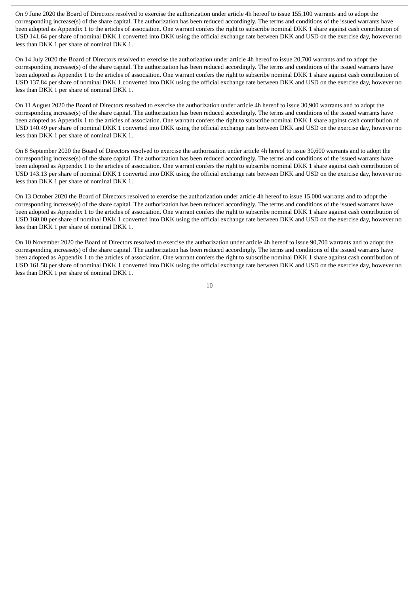On 9 June 2020 the Board of Directors resolved to exercise the authorization under article 4h hereof to issue 155,100 warrants and to adopt the corresponding increase(s) of the share capital. The authorization has been reduced accordingly. The terms and conditions of the issued warrants have been adopted as Appendix 1 to the articles of association. One warrant confers the right to subscribe nominal DKK 1 share against cash contribution of USD 141.64 per share of nominal DKK 1 converted into DKK using the official exchange rate between DKK and USD on the exercise day, however no less than DKK 1 per share of nominal DKK 1.

On 14 July 2020 the Board of Directors resolved to exercise the authorization under article 4h hereof to issue 20,700 warrants and to adopt the corresponding increase(s) of the share capital. The authorization has been reduced accordingly. The terms and conditions of the issued warrants have been adopted as Appendix 1 to the articles of association. One warrant confers the right to subscribe nominal DKK 1 share against cash contribution of USD 137.84 per share of nominal DKK 1 converted into DKK using the official exchange rate between DKK and USD on the exercise day, however no less than DKK 1 per share of nominal DKK 1.

On 11 August 2020 the Board of Directors resolved to exercise the authorization under article 4h hereof to issue 30,900 warrants and to adopt the corresponding increase(s) of the share capital. The authorization has been reduced accordingly. The terms and conditions of the issued warrants have been adopted as Appendix 1 to the articles of association. One warrant confers the right to subscribe nominal DKK 1 share against cash contribution of USD 140.49 per share of nominal DKK 1 converted into DKK using the official exchange rate between DKK and USD on the exercise day, however no less than DKK 1 per share of nominal DKK 1.

On 8 September 2020 the Board of Directors resolved to exercise the authorization under article 4h hereof to issue 30,600 warrants and to adopt the corresponding increase(s) of the share capital. The authorization has been reduced accordingly. The terms and conditions of the issued warrants have been adopted as Appendix 1 to the articles of association. One warrant confers the right to subscribe nominal DKK 1 share against cash contribution of USD 143.13 per share of nominal DKK 1 converted into DKK using the official exchange rate between DKK and USD on the exercise day, however no less than DKK 1 per share of nominal DKK 1.

On 13 October 2020 the Board of Directors resolved to exercise the authorization under article 4h hereof to issue 15,000 warrants and to adopt the corresponding increase(s) of the share capital. The authorization has been reduced accordingly. The terms and conditions of the issued warrants have been adopted as Appendix 1 to the articles of association. One warrant confers the right to subscribe nominal DKK 1 share against cash contribution of USD 160.00 per share of nominal DKK 1 converted into DKK using the official exchange rate between DKK and USD on the exercise day, however no less than DKK 1 per share of nominal DKK 1.

On 10 November 2020 the Board of Directors resolved to exercise the authorization under article 4h hereof to issue 90,700 warrants and to adopt the corresponding increase(s) of the share capital. The authorization has been reduced accordingly. The terms and conditions of the issued warrants have been adopted as Appendix 1 to the articles of association. One warrant confers the right to subscribe nominal DKK 1 share against cash contribution of USD 161.58 per share of nominal DKK 1 converted into DKK using the official exchange rate between DKK and USD on the exercise day, however no less than DKK 1 per share of nominal DKK 1.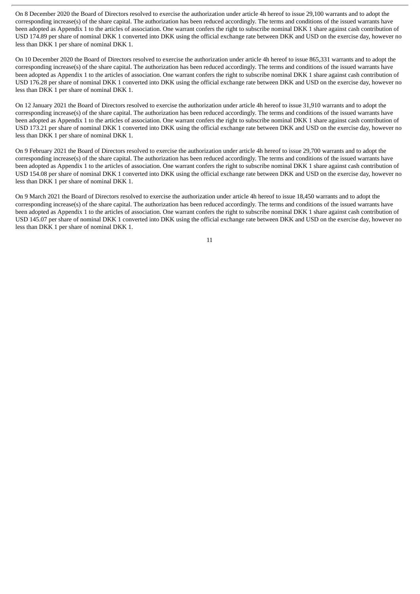On 8 December 2020 the Board of Directors resolved to exercise the authorization under article 4h hereof to issue 29,100 warrants and to adopt the corresponding increase(s) of the share capital. The authorization has been reduced accordingly. The terms and conditions of the issued warrants have been adopted as Appendix 1 to the articles of association. One warrant confers the right to subscribe nominal DKK 1 share against cash contribution of USD 174.89 per share of nominal DKK 1 converted into DKK using the official exchange rate between DKK and USD on the exercise day, however no less than DKK 1 per share of nominal DKK 1.

On 10 December 2020 the Board of Directors resolved to exercise the authorization under article 4h hereof to issue 865,331 warrants and to adopt the corresponding increase(s) of the share capital. The authorization has been reduced accordingly. The terms and conditions of the issued warrants have been adopted as Appendix 1 to the articles of association. One warrant confers the right to subscribe nominal DKK 1 share against cash contribution of USD 176.28 per share of nominal DKK 1 converted into DKK using the official exchange rate between DKK and USD on the exercise day, however no less than DKK 1 per share of nominal DKK 1.

On 12 January 2021 the Board of Directors resolved to exercise the authorization under article 4h hereof to issue 31,910 warrants and to adopt the corresponding increase(s) of the share capital. The authorization has been reduced accordingly. The terms and conditions of the issued warrants have been adopted as Appendix 1 to the articles of association. One warrant confers the right to subscribe nominal DKK 1 share against cash contribution of USD 173.21 per share of nominal DKK 1 converted into DKK using the official exchange rate between DKK and USD on the exercise day, however no less than DKK 1 per share of nominal DKK 1.

On 9 February 2021 the Board of Directors resolved to exercise the authorization under article 4h hereof to issue 29,700 warrants and to adopt the corresponding increase(s) of the share capital. The authorization has been reduced accordingly. The terms and conditions of the issued warrants have been adopted as Appendix 1 to the articles of association. One warrant confers the right to subscribe nominal DKK 1 share against cash contribution of USD 154.08 per share of nominal DKK 1 converted into DKK using the official exchange rate between DKK and USD on the exercise day, however no less than DKK 1 per share of nominal DKK 1.

On 9 March 2021 the Board of Directors resolved to exercise the authorization under article 4h hereof to issue 18,450 warrants and to adopt the corresponding increase(s) of the share capital. The authorization has been reduced accordingly. The terms and conditions of the issued warrants have been adopted as Appendix 1 to the articles of association. One warrant confers the right to subscribe nominal DKK 1 share against cash contribution of USD 145.07 per share of nominal DKK 1 converted into DKK using the official exchange rate between DKK and USD on the exercise day, however no less than DKK 1 per share of nominal DKK 1.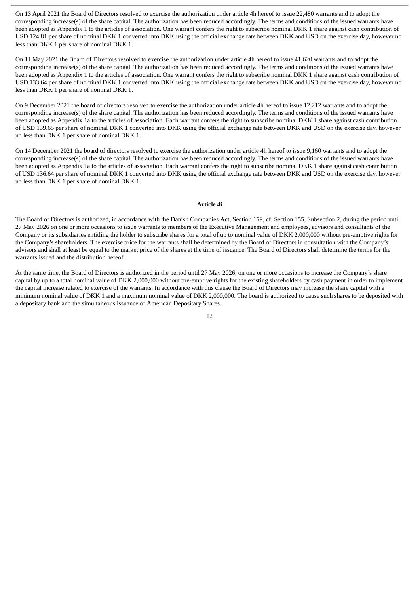On 13 April 2021 the Board of Directors resolved to exercise the authorization under article 4h hereof to issue 22,480 warrants and to adopt the corresponding increase(s) of the share capital. The authorization has been reduced accordingly. The terms and conditions of the issued warrants have been adopted as Appendix 1 to the articles of association. One warrant confers the right to subscribe nominal DKK 1 share against cash contribution of USD 124.81 per share of nominal DKK 1 converted into DKK using the official exchange rate between DKK and USD on the exercise day, however no less than DKK 1 per share of nominal DKK 1.

On 11 May 2021 the Board of Directors resolved to exercise the authorization under article 4h hereof to issue 41,620 warrants and to adopt the corresponding increase(s) of the share capital. The authorization has been reduced accordingly. The terms and conditions of the issued warrants have been adopted as Appendix 1 to the articles of association. One warrant confers the right to subscribe nominal DKK 1 share against cash contribution of USD 133.64 per share of nominal DKK 1 converted into DKK using the official exchange rate between DKK and USD on the exercise day, however no less than DKK 1 per share of nominal DKK 1.

On 9 December 2021 the board of directors resolved to exercise the authorization under article 4h hereof to issue 12,212 warrants and to adopt the corresponding increase(s) of the share capital. The authorization has been reduced accordingly. The terms and conditions of the issued warrants have been adopted as Appendix 1a to the articles of association. Each warrant confers the right to subscribe nominal DKK 1 share against cash contribution of USD 139.65 per share of nominal DKK 1 converted into DKK using the official exchange rate between DKK and USD on the exercise day, however no less than DKK 1 per share of nominal DKK 1.

On 14 December 2021 the board of directors resolved to exercise the authorization under article 4h hereof to issue 9,160 warrants and to adopt the corresponding increase(s) of the share capital. The authorization has been reduced accordingly. The terms and conditions of the issued warrants have been adopted as Appendix 1a to the articles of association. Each warrant confers the right to subscribe nominal DKK 1 share against cash contribution of USD 136.64 per share of nominal DKK 1 converted into DKK using the official exchange rate between DKK and USD on the exercise day, however no less than DKK 1 per share of nominal DKK 1.

#### **Article 4i**

The Board of Directors is authorized, in accordance with the Danish Companies Act, Section 169, cf. Section 155, Subsection 2, during the period until 27 May 2026 on one or more occasions to issue warrants to members of the Executive Management and employees, advisors and consultants of the Company or its subsidiaries entitling the holder to subscribe shares for a total of up to nominal value of DKK 2,000,000 without pre-emptive rights for the Company's shareholders. The exercise price for the warrants shall be determined by the Board of Directors in consultation with the Company's advisors and shall at least be equal to the market price of the shares at the time of issuance. The Board of Directors shall determine the terms for the warrants issued and the distribution hereof.

At the same time, the Board of Directors is authorized in the period until 27 May 2026, on one or more occasions to increase the Company's share capital by up to a total nominal value of DKK 2,000,000 without pre-emptive rights for the existing shareholders by cash payment in order to implement the capital increase related to exercise of the warrants. In accordance with this clause the Board of Directors may increase the share capital with a minimum nominal value of DKK 1 and a maximum nominal value of DKK 2,000,000. The board is authorized to cause such shares to be deposited with a depositary bank and the simultaneous issuance of American Depositary Shares.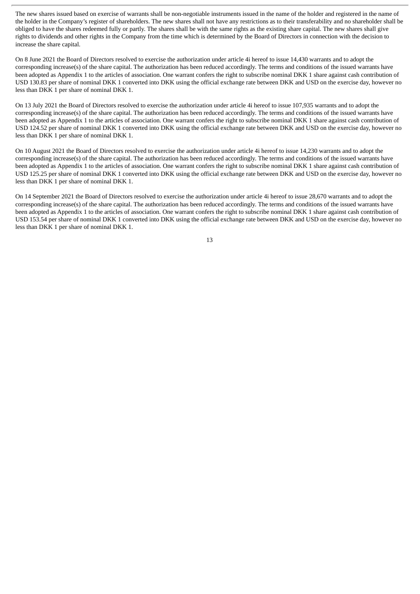The new shares issued based on exercise of warrants shall be non-negotiable instruments issued in the name of the holder and registered in the name of the holder in the Company's register of shareholders. The new shares shall not have any restrictions as to their transferability and no shareholder shall be obliged to have the shares redeemed fully or partly. The shares shall be with the same rights as the existing share capital. The new shares shall give rights to dividends and other rights in the Company from the time which is determined by the Board of Directors in connection with the decision to increase the share capital.

On 8 June 2021 the Board of Directors resolved to exercise the authorization under article 4i hereof to issue 14,430 warrants and to adopt the corresponding increase(s) of the share capital. The authorization has been reduced accordingly. The terms and conditions of the issued warrants have been adopted as Appendix 1 to the articles of association. One warrant confers the right to subscribe nominal DKK 1 share against cash contribution of USD 130.83 per share of nominal DKK 1 converted into DKK using the official exchange rate between DKK and USD on the exercise day, however no less than DKK 1 per share of nominal DKK 1.

On 13 July 2021 the Board of Directors resolved to exercise the authorization under article 4i hereof to issue 107,935 warrants and to adopt the corresponding increase(s) of the share capital. The authorization has been reduced accordingly. The terms and conditions of the issued warrants have been adopted as Appendix 1 to the articles of association. One warrant confers the right to subscribe nominal DKK 1 share against cash contribution of USD 124.52 per share of nominal DKK 1 converted into DKK using the official exchange rate between DKK and USD on the exercise day, however no less than DKK 1 per share of nominal DKK 1.

On 10 August 2021 the Board of Directors resolved to exercise the authorization under article 4i hereof to issue 14,230 warrants and to adopt the corresponding increase(s) of the share capital. The authorization has been reduced accordingly. The terms and conditions of the issued warrants have been adopted as Appendix 1 to the articles of association. One warrant confers the right to subscribe nominal DKK 1 share against cash contribution of USD 125.25 per share of nominal DKK 1 converted into DKK using the official exchange rate between DKK and USD on the exercise day, however no less than DKK 1 per share of nominal DKK 1.

On 14 September 2021 the Board of Directors resolved to exercise the authorization under article 4i hereof to issue 28,670 warrants and to adopt the corresponding increase(s) of the share capital. The authorization has been reduced accordingly. The terms and conditions of the issued warrants have been adopted as Appendix 1 to the articles of association. One warrant confers the right to subscribe nominal DKK 1 share against cash contribution of USD 153.54 per share of nominal DKK 1 converted into DKK using the official exchange rate between DKK and USD on the exercise day, however no less than DKK 1 per share of nominal DKK 1.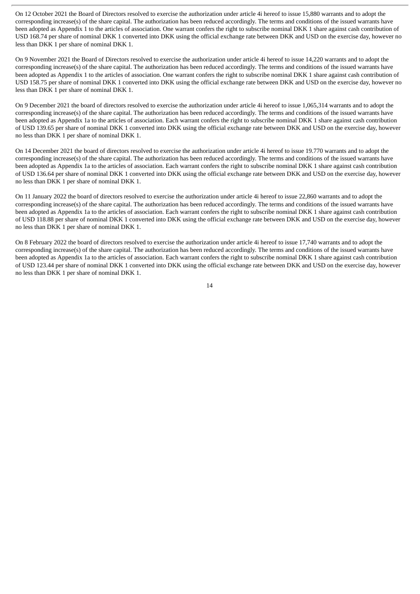On 12 October 2021 the Board of Directors resolved to exercise the authorization under article 4i hereof to issue 15,880 warrants and to adopt the corresponding increase(s) of the share capital. The authorization has been reduced accordingly. The terms and conditions of the issued warrants have been adopted as Appendix 1 to the articles of association. One warrant confers the right to subscribe nominal DKK 1 share against cash contribution of USD 168.74 per share of nominal DKK 1 converted into DKK using the official exchange rate between DKK and USD on the exercise day, however no less than DKK 1 per share of nominal DKK 1.

On 9 November 2021 the Board of Directors resolved to exercise the authorization under article 4i hereof to issue 14,220 warrants and to adopt the corresponding increase(s) of the share capital. The authorization has been reduced accordingly. The terms and conditions of the issued warrants have been adopted as Appendix 1 to the articles of association. One warrant confers the right to subscribe nominal DKK 1 share against cash contribution of USD 158.75 per share of nominal DKK 1 converted into DKK using the official exchange rate between DKK and USD on the exercise day, however no less than DKK 1 per share of nominal DKK 1.

On 9 December 2021 the board of directors resolved to exercise the authorization under article 4i hereof to issue 1,065,314 warrants and to adopt the corresponding increase(s) of the share capital. The authorization has been reduced accordingly. The terms and conditions of the issued warrants have been adopted as Appendix 1a to the articles of association. Each warrant confers the right to subscribe nominal DKK 1 share against cash contribution of USD 139.65 per share of nominal DKK 1 converted into DKK using the official exchange rate between DKK and USD on the exercise day, however no less than DKK 1 per share of nominal DKK 1.

On 14 December 2021 the board of directors resolved to exercise the authorization under article 4i hereof to issue 19.770 warrants and to adopt the corresponding increase(s) of the share capital. The authorization has been reduced accordingly. The terms and conditions of the issued warrants have been adopted as Appendix 1a to the articles of association. Each warrant confers the right to subscribe nominal DKK 1 share against cash contribution of USD 136.64 per share of nominal DKK 1 converted into DKK using the official exchange rate between DKK and USD on the exercise day, however no less than DKK 1 per share of nominal DKK 1.

On 11 January 2022 the board of directors resolved to exercise the authorization under article 4i hereof to issue 22,860 warrants and to adopt the corresponding increase(s) of the share capital. The authorization has been reduced accordingly. The terms and conditions of the issued warrants have been adopted as Appendix 1a to the articles of association. Each warrant confers the right to subscribe nominal DKK 1 share against cash contribution of USD 118.88 per share of nominal DKK 1 converted into DKK using the official exchange rate between DKK and USD on the exercise day, however no less than DKK 1 per share of nominal DKK 1.

On 8 February 2022 the board of directors resolved to exercise the authorization under article 4i hereof to issue 17,740 warrants and to adopt the corresponding increase(s) of the share capital. The authorization has been reduced accordingly. The terms and conditions of the issued warrants have been adopted as Appendix 1a to the articles of association. Each warrant confers the right to subscribe nominal DKK 1 share against cash contribution of USD 123.44 per share of nominal DKK 1 converted into DKK using the official exchange rate between DKK and USD on the exercise day, however no less than DKK 1 per share of nominal DKK 1.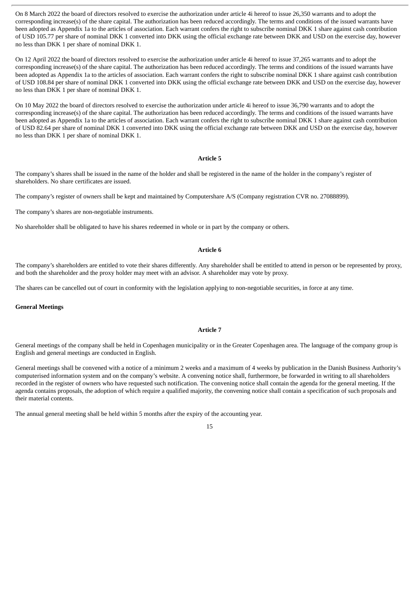On 8 March 2022 the board of directors resolved to exercise the authorization under article 4i hereof to issue 26,350 warrants and to adopt the corresponding increase(s) of the share capital. The authorization has been reduced accordingly. The terms and conditions of the issued warrants have been adopted as Appendix 1a to the articles of association. Each warrant confers the right to subscribe nominal DKK 1 share against cash contribution of USD 105.77 per share of nominal DKK 1 converted into DKK using the official exchange rate between DKK and USD on the exercise day, however no less than DKK 1 per share of nominal DKK 1.

On 12 April 2022 the board of directors resolved to exercise the authorization under article 4i hereof to issue 37,265 warrants and to adopt the corresponding increase(s) of the share capital. The authorization has been reduced accordingly. The terms and conditions of the issued warrants have been adopted as Appendix 1a to the articles of association. Each warrant confers the right to subscribe nominal DKK 1 share against cash contribution of USD 108.84 per share of nominal DKK 1 converted into DKK using the official exchange rate between DKK and USD on the exercise day, however no less than DKK 1 per share of nominal DKK 1.

On 10 May 2022 the board of directors resolved to exercise the authorization under article 4i hereof to issue 36,790 warrants and to adopt the corresponding increase(s) of the share capital. The authorization has been reduced accordingly. The terms and conditions of the issued warrants have been adopted as Appendix 1a to the articles of association. Each warrant confers the right to subscribe nominal DKK 1 share against cash contribution of USD 82.64 per share of nominal DKK 1 converted into DKK using the official exchange rate between DKK and USD on the exercise day, however no less than DKK 1 per share of nominal DKK 1.

#### **Article 5**

The company's shares shall be issued in the name of the holder and shall be registered in the name of the holder in the company's register of shareholders. No share certificates are issued.

The company's register of owners shall be kept and maintained by Computershare A/S (Company registration CVR no. 27088899).

The company's shares are non-negotiable instruments.

No shareholder shall be obligated to have his shares redeemed in whole or in part by the company or others.

# **Article 6**

The company's shareholders are entitled to vote their shares differently. Any shareholder shall be entitled to attend in person or be represented by proxy, and both the shareholder and the proxy holder may meet with an advisor. A shareholder may vote by proxy.

The shares can be cancelled out of court in conformity with the legislation applying to non-negotiable securities, in force at any time.

#### **General Meetings**

#### **Article 7**

General meetings of the company shall be held in Copenhagen municipality or in the Greater Copenhagen area. The language of the company group is English and general meetings are conducted in English.

General meetings shall be convened with a notice of a minimum 2 weeks and a maximum of 4 weeks by publication in the Danish Business Authority's computerised information system and on the company's website. A convening notice shall, furthermore, be forwarded in writing to all shareholders recorded in the register of owners who have requested such notification. The convening notice shall contain the agenda for the general meeting. If the agenda contains proposals, the adoption of which require a qualified majority, the convening notice shall contain a specification of such proposals and their material contents.

The annual general meeting shall be held within 5 months after the expiry of the accounting year.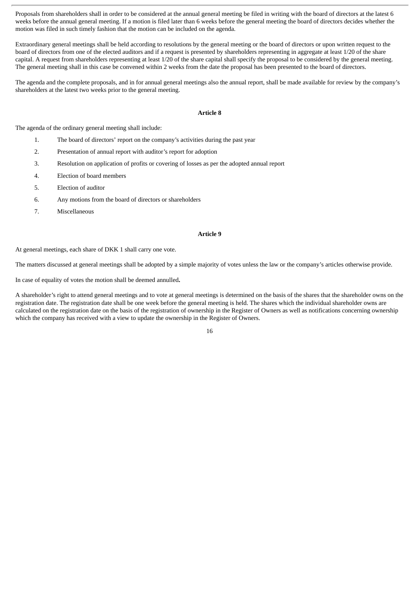Proposals from shareholders shall in order to be considered at the annual general meeting be filed in writing with the board of directors at the latest 6 weeks before the annual general meeting. If a motion is filed later than 6 weeks before the general meeting the board of directors decides whether the motion was filed in such timely fashion that the motion can be included on the agenda.

Extraordinary general meetings shall be held according to resolutions by the general meeting or the board of directors or upon written request to the board of directors from one of the elected auditors and if a request is presented by shareholders representing in aggregate at least 1/20 of the share capital. A request from shareholders representing at least 1/20 of the share capital shall specify the proposal to be considered by the general meeting. The general meeting shall in this case be convened within 2 weeks from the date the proposal has been presented to the board of directors.

The agenda and the complete proposals, and in for annual general meetings also the annual report, shall be made available for review by the company's shareholders at the latest two weeks prior to the general meeting.

#### **Article 8**

The agenda of the ordinary general meeting shall include:

- 1. The board of directors' report on the company's activities during the past year
- 2. Presentation of annual report with auditor's report for adoption
- 3. Resolution on application of profits or covering of losses as per the adopted annual report
- 4. Election of board members
- 5. Election of auditor
- 6. Any motions from the board of directors or shareholders
- 7. Miscellaneous

# **Article 9**

At general meetings, each share of DKK 1 shall carry one vote.

The matters discussed at general meetings shall be adopted by a simple majority of votes unless the law or the company's articles otherwise provide.

In case of equality of votes the motion shall be deemed annulled**.**

A shareholder's right to attend general meetings and to vote at general meetings is determined on the basis of the shares that the shareholder owns on the registration date. The registration date shall be one week before the general meeting is held. The shares which the individual shareholder owns are calculated on the registration date on the basis of the registration of ownership in the Register of Owners as well as notifications concerning ownership which the company has received with a view to update the ownership in the Register of Owners.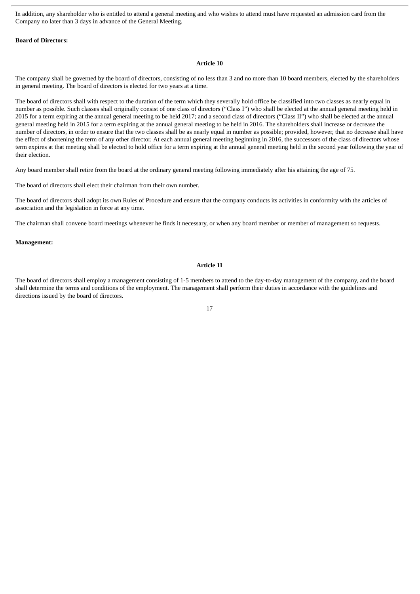In addition, any shareholder who is entitled to attend a general meeting and who wishes to attend must have requested an admission card from the Company no later than 3 days in advance of the General Meeting.

#### **Board of Directors:**

#### **Article 10**

The company shall be governed by the board of directors, consisting of no less than 3 and no more than 10 board members, elected by the shareholders in general meeting. The board of directors is elected for two years at a time.

The board of directors shall with respect to the duration of the term which they severally hold office be classified into two classes as nearly equal in number as possible. Such classes shall originally consist of one class of directors ("Class I") who shall be elected at the annual general meeting held in 2015 for a term expiring at the annual general meeting to be held 2017; and a second class of directors ("Class II") who shall be elected at the annual general meeting held in 2015 for a term expiring at the annual general meeting to be held in 2016. The shareholders shall increase or decrease the number of directors, in order to ensure that the two classes shall be as nearly equal in number as possible; provided, however, that no decrease shall have the effect of shortening the term of any other director. At each annual general meeting beginning in 2016, the successors of the class of directors whose term expires at that meeting shall be elected to hold office for a term expiring at the annual general meeting held in the second year following the year of their election.

Any board member shall retire from the board at the ordinary general meeting following immediately after his attaining the age of 75.

The board of directors shall elect their chairman from their own number.

The board of directors shall adopt its own Rules of Procedure and ensure that the company conducts its activities in conformity with the articles of association and the legislation in force at any time.

The chairman shall convene board meetings whenever he finds it necessary, or when any board member or member of management so requests.

### **Management:**

## **Article 11**

The board of directors shall employ a management consisting of 1-5 members to attend to the day-to-day management of the company, and the board shall determine the terms and conditions of the employment. The management shall perform their duties in accordance with the guidelines and directions issued by the board of directors.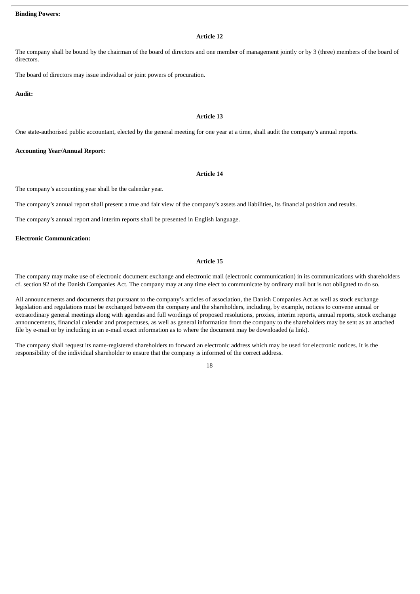# **Article 12**

The company shall be bound by the chairman of the board of directors and one member of management jointly or by 3 (three) members of the board of directors.

The board of directors may issue individual or joint powers of procuration.

**Audit:**

#### **Article 13**

One state-authorised public accountant, elected by the general meeting for one year at a time, shall audit the company's annual reports.

# **Accounting Year/Annual Report:**

#### **Article 14**

The company's accounting year shall be the calendar year.

The company's annual report shall present a true and fair view of the company's assets and liabilities, its financial position and results.

The company's annual report and interim reports shall be presented in English language.

# **Electronic Communication:**

# **Article 15**

The company may make use of electronic document exchange and electronic mail (electronic communication) in its communications with shareholders cf. section 92 of the Danish Companies Act. The company may at any time elect to communicate by ordinary mail but is not obligated to do so.

All announcements and documents that pursuant to the company's articles of association, the Danish Companies Act as well as stock exchange legislation and regulations must be exchanged between the company and the shareholders, including, by example, notices to convene annual or extraordinary general meetings along with agendas and full wordings of proposed resolutions, proxies, interim reports, annual reports, stock exchange announcements, financial calendar and prospectuses, as well as general information from the company to the shareholders may be sent as an attached file by e-mail or by including in an e-mail exact information as to where the document may be downloaded (a link).

The company shall request its name-registered shareholders to forward an electronic address which may be used for electronic notices. It is the responsibility of the individual shareholder to ensure that the company is informed of the correct address.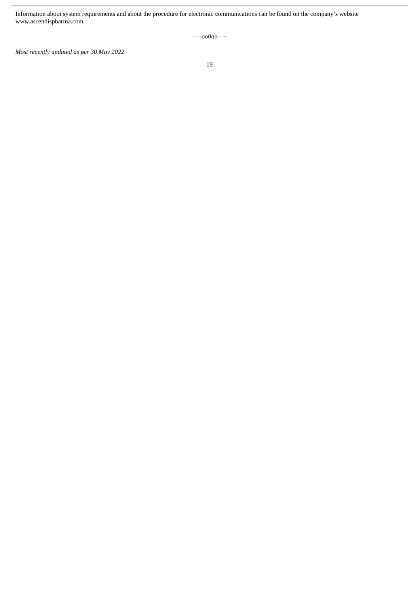Information about system requirements and about the procedure for electronic communications can be found on the company's website www.ascendispharma.com.

—-oo0oo—-

*Most recently updated as per 30 May 2022*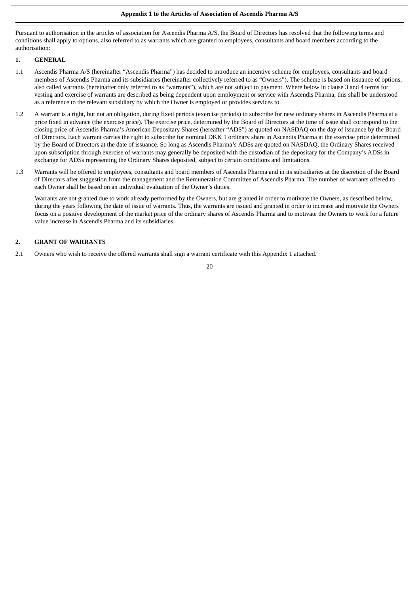Pursuant to authorisation in the articles of association for Ascendis Pharma A/S, the Board of Directors has resolved that the following terms and conditions shall apply to options, also referred to as warrants which are granted to employees, consultants and board members according to the authorisation:

# **1. GENERAL**

- 1.1 Ascendis Pharma A/S (hereinafter "Ascendis Pharma") has decided to introduce an incentive scheme for employees, consultants and board members of Ascendis Pharma and its subsidiaries (hereinafter collectively referred to as "Owners"). The scheme is based on issuance of options, also called warrants (hereinafter only referred to as "warrants"), which are not subject to payment. Where below in clause 3 and 4 terms for vesting and exercise of warrants are described as being dependent upon employment or service with Ascendis Pharma, this shall be understood as a reference to the relevant subsidiary by which the Owner is employed or provides services to.
- 1.2 A warrant is a right, but not an obligation, during fixed periods (exercise periods) to subscribe for new ordinary shares in Ascendis Pharma at a price fixed in advance (the exercise price). The exercise price, determined by the Board of Directors at the time of issue shall correspond to the closing price of Ascendis Pharma's American Depositary Shares (hereafter "ADS") as quoted on NASDAQ on the day of issuance by the Board of Directors. Each warrant carries the right to subscribe for nominal DKK 1 ordinary share in Ascendis Pharma at the exercise price determined by the Board of Directors at the date of issuance. So long as Ascendis Pharma's ADSs are quoted on NASDAQ, the Ordinary Shares received upon subscription through exercise of warrants may generally be deposited with the custodian of the depositary for the Company's ADSs in exchange for ADSs representing the Ordinary Shares deposited, subject to certain conditions and limitations.
- 1.3 Warrants will be offered to employees, consultants and board members of Ascendis Pharma and in its subsidiaries at the discretion of the Board of Directors after suggestion from the management and the Remuneration Committee of Ascendis Pharma. The number of warrants offered to each Owner shall be based on an individual evaluation of the Owner's duties.

Warrants are not granted due to work already performed by the Owners, but are granted in order to motivate the Owners, as described below, during the years following the date of issue of warrants. Thus, the warrants are issued and granted in order to increase and motivate the Owners' focus on a positive development of the market price of the ordinary shares of Ascendis Pharma and to motivate the Owners to work for a future value increase in Ascendis Pharma and its subsidiaries.

#### **2. GRANT OF WARRANTS**

2.1 Owners who wish to receive the offered warrants shall sign a warrant certificate with this Appendix 1 attached.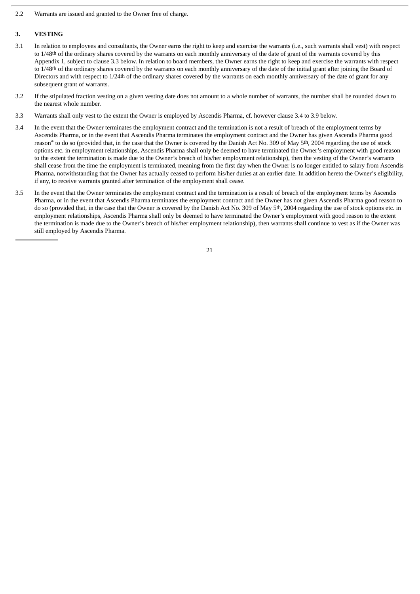2.2 Warrants are issued and granted to the Owner free of charge.

#### **3. VESTING**

- 3.1 In relation to employees and consultants, the Owner earns the right to keep and exercise the warrants (i.e., such warrants shall vest) with respect to 1/48th of the ordinary shares covered by the warrants on each monthly anniversary of the date of grant of the warrants covered by this Appendix 1, subject to clause 3.3 below. In relation to board members, the Owner earns the right to keep and exercise the warrants with respect to 1/48<sup>th</sup> of the ordinary shares covered by the warrants on each monthly anniversary of the date of the initial grant after joining the Board of Directors and with respect to 1/24<sup>th</sup> of the ordinary shares covered by the warrants on each monthly anniversary of the date of grant for any subsequent grant of warrants.
- 3.2 If the stipulated fraction vesting on a given vesting date does not amount to a whole number of warrants, the number shall be rounded down to the nearest whole number.
- 3.3 Warrants shall only vest to the extent the Owner is employed by Ascendis Pharma, cf. however clause 3.4 to 3.9 below.
- 3.4 In the event that the Owner terminates the employment contract and the termination is not a result of breach of the employment terms by Ascendis Pharma, or in the event that Ascendis Pharma terminates the employment contract and the Owner has given Ascendis Pharma good reason<sup>\*</sup> to do so (provided that, in the case that the Owner is covered by the Danish Act No. 309 of May 5<sup>th</sup>, 2004 regarding the use of stock options etc. in employment relationships, Ascendis Pharma shall only be deemed to have terminated the Owner's employment with good reason to the extent the termination is made due to the Owner's breach of his/her employment relationship), then the vesting of the Owner's warrants shall cease from the time the employment is terminated, meaning from the first day when the Owner is no longer entitled to salary from Ascendis Pharma, notwithstanding that the Owner has actually ceased to perform his/her duties at an earlier date. In addition hereto the Owner's eligibility, if any, to receive warrants granted after termination of the employment shall cease.
- 3.5 In the event that the Owner terminates the employment contract and the termination is a result of breach of the employment terms by Ascendis Pharma, or in the event that Ascendis Pharma terminates the employment contract and the Owner has not given Ascendis Pharma good reason to do so (provided that, in the case that the Owner is covered by the Danish Act No. 309 of May 5<sup>th</sup>, 2004 regarding the use of stock options etc. in employment relationships, Ascendis Pharma shall only be deemed to have terminated the Owner's employment with good reason to the extent the termination is made due to the Owner's breach of his/her employment relationship), then warrants shall continue to vest as if the Owner was still employed by Ascendis Pharma.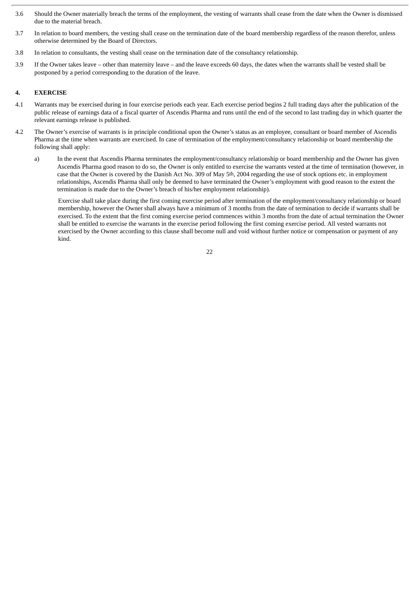- 3.6 Should the Owner materially breach the terms of the employment, the vesting of warrants shall cease from the date when the Owner is dismissed due to the material breach.
- 3.7 In relation to board members, the vesting shall cease on the termination date of the board membership regardless of the reason therefor, unless otherwise determined by the Board of Directors.
- 3.8 In relation to consultants, the vesting shall cease on the termination date of the consultancy relationship.
- 3.9 If the Owner takes leave other than maternity leave and the leave exceeds 60 days, the dates when the warrants shall be vested shall be postponed by a period corresponding to the duration of the leave.

# **4. EXERCISE**

- 4.1 Warrants may be exercised during in four exercise periods each year. Each exercise period begins 2 full trading days after the publication of the public release of earnings data of a fiscal quarter of Ascendis Pharma and runs until the end of the second to last trading day in which quarter the relevant earnings release is published.
- 4.2 The Owner's exercise of warrants is in principle conditional upon the Owner's status as an employee, consultant or board member of Ascendis Pharma at the time when warrants are exercised. In case of termination of the employment/consultancy relationship or board membership the following shall apply:
	- a) In the event that Ascendis Pharma terminates the employment/consultancy relationship or board membership and the Owner has given Ascendis Pharma good reason to do so, the Owner is only entitled to exercise the warrants vested at the time of termination (however, in case that the Owner is covered by the Danish Act No. 309 of May 5th, 2004 regarding the use of stock options etc. in employment relationships, Ascendis Pharma shall only be deemed to have terminated the Owner's employment with good reason to the extent the termination is made due to the Owner's breach of his/her employment relationship).

Exercise shall take place during the first coming exercise period after termination of the employment/consultancy relationship or board membership, however the Owner shall always have a minimum of 3 months from the date of termination to decide if warrants shall be exercised. To the extent that the first coming exercise period commences within 3 months from the date of actual termination the Owner shall be entitled to exercise the warrants in the exercise period following the first coming exercise period. All vested warrants not exercised by the Owner according to this clause shall become null and void without further notice or compensation or payment of any kind.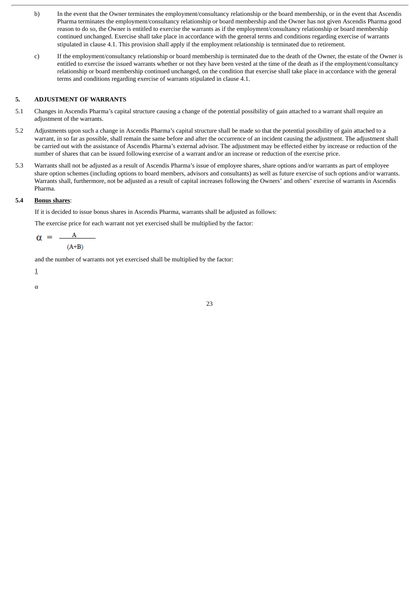- b) In the event that the Owner terminates the employment/consultancy relationship or the board membership, or in the event that Ascendis Pharma terminates the employment/consultancy relationship or board membership and the Owner has not given Ascendis Pharma good reason to do so, the Owner is entitled to exercise the warrants as if the employment/consultancy relationship or board membership continued unchanged. Exercise shall take place in accordance with the general terms and conditions regarding exercise of warrants stipulated in clause 4.1. This provision shall apply if the employment relationship is terminated due to retirement.
- c) If the employment/consultancy relationship or board membership is terminated due to the death of the Owner, the estate of the Owner is entitled to exercise the issued warrants whether or not they have been vested at the time of the death as if the employment/consultancy relationship or board membership continued unchanged, on the condition that exercise shall take place in accordance with the general terms and conditions regarding exercise of warrants stipulated in clause 4.1.

# **5. ADJUSTMENT OF WARRANTS**

- 5.1 Changes in Ascendis Pharma's capital structure causing a change of the potential possibility of gain attached to a warrant shall require an adjustment of the warrants.
- 5.2 Adjustments upon such a change in Ascendis Pharma's capital structure shall be made so that the potential possibility of gain attached to a warrant, in so far as possible, shall remain the same before and after the occurrence of an incident causing the adjustment. The adjustment shall be carried out with the assistance of Ascendis Pharma's external advisor. The adjustment may be effected either by increase or reduction of the number of shares that can be issued following exercise of a warrant and/or an increase or reduction of the exercise price.
- 5.3 Warrants shall not be adjusted as a result of Ascendis Pharma's issue of employee shares, share options and/or warrants as part of employee share option schemes (including options to board members, advisors and consultants) as well as future exercise of such options and/or warrants. Warrants shall, furthermore, not be adjusted as a result of capital increases following the Owners' and others' exercise of warrants in Ascendis Pharma.

# **5.4 Bonus shares**:

If it is decided to issue bonus shares in Ascendis Pharma, warrants shall be adjusted as follows:

The exercise price for each warrant not yet exercised shall be multiplied by the factor:

$$
\alpha = \frac{A}{(A+B)}
$$

and the number of warrants not yet exercised shall be multiplied by the factor:

1

α

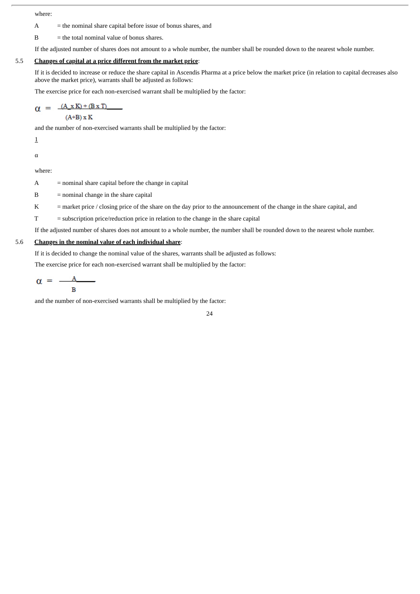where:

 $A =$  the nominal share capital before issue of bonus shares, and

 $B =$  the total nominal value of bonus shares.

If the adjusted number of shares does not amount to a whole number, the number shall be rounded down to the nearest whole number.

# 5.5 **Changes of capital at a price different from the market price**:

If it is decided to increase or reduce the share capital in Ascendis Pharma at a price below the market price (in relation to capital decreases also above the market price), warrants shall be adjusted as follows:

The exercise price for each non-exercised warrant shall be multiplied by the factor:

$$
\alpha = \frac{(A \times K) + (B \times T)}{}.
$$

$$
(A+B) \times K
$$

and the number of non-exercised warrants shall be multiplied by the factor:

1

α

where:

 $A =$  nominal share capital before the change in capital

- $B =$  nominal change in the share capital
- K = market price / closing price of the share on the day prior to the announcement of the change in the share capital, and
- T = subscription price/reduction price in relation to the change in the share capital

If the adjusted number of shares does not amount to a whole number, the number shall be rounded down to the nearest whole number.

# 5.6 **Changes in the nominal value of each individual share**:

If it is decided to change the nominal value of the shares, warrants shall be adjusted as follows:

The exercise price for each non-exercised warrant shall be multiplied by the factor:

$$
\alpha = \frac{A}{B}
$$

and the number of non-exercised warrants shall be multiplied by the factor:

24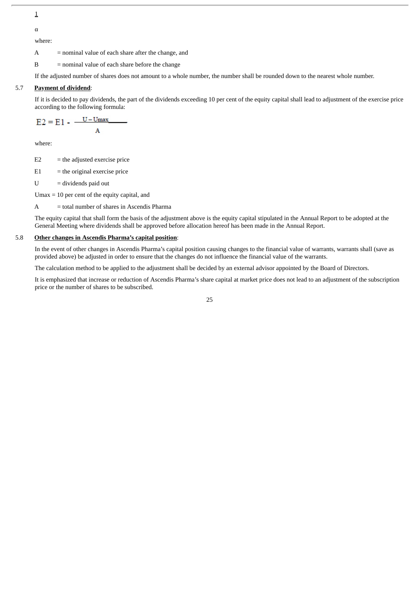1

α

where:

A = nominal value of each share after the change, and

B = nominal value of each share before the change

If the adjusted number of shares does not amount to a whole number, the number shall be rounded down to the nearest whole number.

# 5.7 **Payment of dividend**:

If it is decided to pay dividends, the part of the dividends exceeding 10 per cent of the equity capital shall lead to adjustment of the exercise price according to the following formula:

$$
E2 = E1 - \frac{U - U_{\text{max}}}{A}
$$

where:

 $E2 =$  the adjusted exercise price

 $E1$  = the original exercise price

 $U =$  dividends paid out

Umax = 10 per cent of the equity capital, and

A = total number of shares in Ascendis Pharma

The equity capital that shall form the basis of the adjustment above is the equity capital stipulated in the Annual Report to be adopted at the General Meeting where dividends shall be approved before allocation hereof has been made in the Annual Report.

# 5.8 **Other changes in Ascendis Pharma's capital position**:

In the event of other changes in Ascendis Pharma's capital position causing changes to the financial value of warrants, warrants shall (save as provided above) be adjusted in order to ensure that the changes do not influence the financial value of the warrants.

The calculation method to be applied to the adjustment shall be decided by an external advisor appointed by the Board of Directors.

It is emphasized that increase or reduction of Ascendis Pharma's share capital at market price does not lead to an adjustment of the subscription price or the number of shares to be subscribed.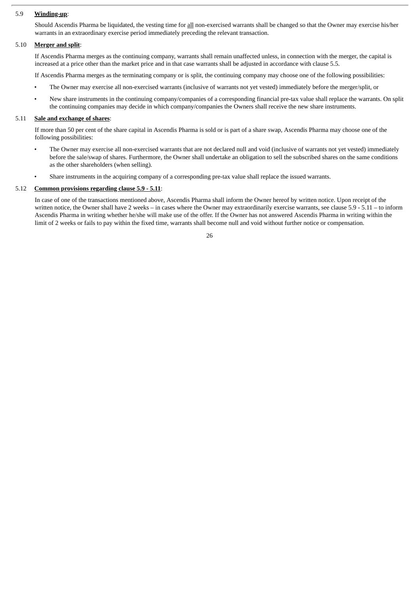# 5.9 **Winding-up**:

Should Ascendis Pharma be liquidated, the vesting time for all non-exercised warrants shall be changed so that the Owner may exercise his/her warrants in an extraordinary exercise period immediately preceding the relevant transaction.

#### 5.10 **Merger and split**:

If Ascendis Pharma merges as the continuing company, warrants shall remain unaffected unless, in connection with the merger, the capital is increased at a price other than the market price and in that case warrants shall be adjusted in accordance with clause 5.5.

If Ascendis Pharma merges as the terminating company or is split, the continuing company may choose one of the following possibilities:

- The Owner may exercise all non-exercised warrants (inclusive of warrants not yet vested) immediately before the merger/split, or
- New share instruments in the continuing company/companies of a corresponding financial pre-tax value shall replace the warrants. On split the continuing companies may decide in which company/companies the Owners shall receive the new share instruments.

#### 5.11 **Sale and exchange of shares**:

If more than 50 per cent of the share capital in Ascendis Pharma is sold or is part of a share swap, Ascendis Pharma may choose one of the following possibilities:

- The Owner may exercise all non-exercised warrants that are not declared null and void (inclusive of warrants not yet vested) immediately before the sale/swap of shares. Furthermore, the Owner shall undertake an obligation to sell the subscribed shares on the same conditions as the other shareholders (when selling).
- Share instruments in the acquiring company of a corresponding pre-tax value shall replace the issued warrants.

## 5.12 **Common provisions regarding clause 5.9 - 5.11**:

In case of one of the transactions mentioned above, Ascendis Pharma shall inform the Owner hereof by written notice. Upon receipt of the written notice, the Owner shall have 2 weeks – in cases where the Owner may extraordinarily exercise warrants, see clause 5.9 - 5.11 – to inform Ascendis Pharma in writing whether he/she will make use of the offer. If the Owner has not answered Ascendis Pharma in writing within the limit of 2 weeks or fails to pay within the fixed time, warrants shall become null and void without further notice or compensation.

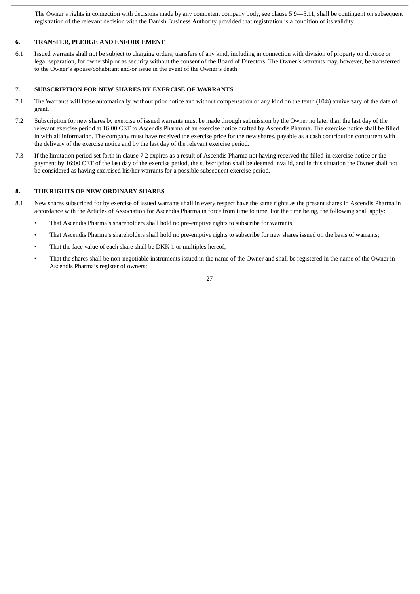The Owner's rights in connection with decisions made by any competent company body, see clause 5.9—5.11, shall be contingent on subsequent registration of the relevant decision with the Danish Business Authority provided that registration is a condition of its validity.

# **6. TRANSFER, PLEDGE AND ENFORCEMENT**

6.1 Issued warrants shall not be subject to charging orders, transfers of any kind, including in connection with division of property on divorce or legal separation, for ownership or as security without the consent of the Board of Directors. The Owner's warrants may, however, be transferred to the Owner's spouse/cohabitant and/or issue in the event of the Owner's death.

# **7. SUBSCRIPTION FOR NEW SHARES BY EXERCISE OF WARRANTS**

- 7.1 The Warrants will lapse automatically, without prior notice and without compensation of any kind on the tenth (10th) anniversary of the date of grant.
- 7.2 Subscription for new shares by exercise of issued warrants must be made through submission by the Owner no later than the last day of the relevant exercise period at 16:00 CET to Ascendis Pharma of an exercise notice drafted by Ascendis Pharma. The exercise notice shall be filled in with all information. The company must have received the exercise price for the new shares, payable as a cash contribution concurrent with the delivery of the exercise notice and by the last day of the relevant exercise period.
- 7.3 If the limitation period set forth in clause 7.2 expires as a result of Ascendis Pharma not having received the filled-in exercise notice or the payment by 16:00 CET of the last day of the exercise period, the subscription shall be deemed invalid, and in this situation the Owner shall not be considered as having exercised his/her warrants for a possible subsequent exercise period.

# **8. THE RIGHTS OF NEW ORDINARY SHARES**

- 8.1 New shares subscribed for by exercise of issued warrants shall in every respect have the same rights as the present shares in Ascendis Pharma in accordance with the Articles of Association for Ascendis Pharma in force from time to time. For the time being, the following shall apply:
	- That Ascendis Pharma's shareholders shall hold no pre-emptive rights to subscribe for warrants;
	- That Ascendis Pharma's shareholders shall hold no pre-emptive rights to subscribe for new shares issued on the basis of warrants;
	- That the face value of each share shall be DKK 1 or multiples hereof;
	- That the shares shall be non-negotiable instruments issued in the name of the Owner and shall be registered in the name of the Owner in Ascendis Pharma's register of owners;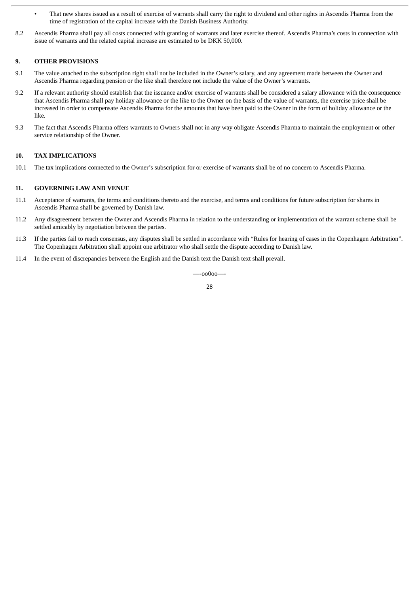- That new shares issued as a result of exercise of warrants shall carry the right to dividend and other rights in Ascendis Pharma from the time of registration of the capital increase with the Danish Business Authority.
- 8.2 Ascendis Pharma shall pay all costs connected with granting of warrants and later exercise thereof. Ascendis Pharma's costs in connection with issue of warrants and the related capital increase are estimated to be DKK 50,000.

# **9. OTHER PROVISIONS**

- 9.1 The value attached to the subscription right shall not be included in the Owner's salary, and any agreement made between the Owner and Ascendis Pharma regarding pension or the like shall therefore not include the value of the Owner's warrants.
- 9.2 If a relevant authority should establish that the issuance and/or exercise of warrants shall be considered a salary allowance with the consequence that Ascendis Pharma shall pay holiday allowance or the like to the Owner on the basis of the value of warrants, the exercise price shall be increased in order to compensate Ascendis Pharma for the amounts that have been paid to the Owner in the form of holiday allowance or the like.
- 9.3 The fact that Ascendis Pharma offers warrants to Owners shall not in any way obligate Ascendis Pharma to maintain the employment or other service relationship of the Owner.

# **10. TAX IMPLICATIONS**

10.1 The tax implications connected to the Owner's subscription for or exercise of warrants shall be of no concern to Ascendis Pharma.

#### **11. GOVERNING LAW AND VENUE**

- 11.1 Acceptance of warrants, the terms and conditions thereto and the exercise, and terms and conditions for future subscription for shares in Ascendis Pharma shall be governed by Danish law.
- 11.2 Any disagreement between the Owner and Ascendis Pharma in relation to the understanding or implementation of the warrant scheme shall be settled amicably by negotiation between the parties.
- 11.3 If the parties fail to reach consensus, any disputes shall be settled in accordance with "Rules for hearing of cases in the Copenhagen Arbitration". The Copenhagen Arbitration shall appoint one arbitrator who shall settle the dispute according to Danish law.
- 11.4 In the event of discrepancies between the English and the Danish text the Danish text shall prevail.

—-oo0oo—-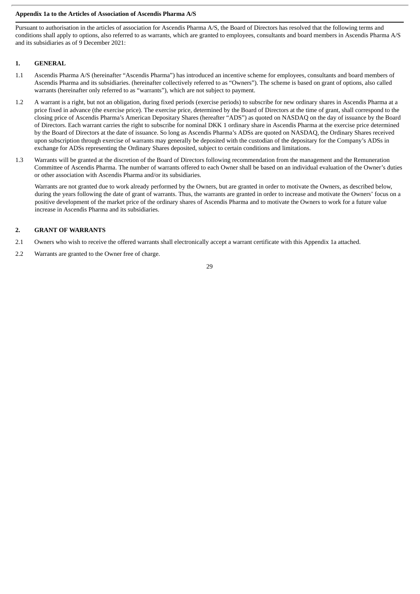# **Appendix 1a to the Articles of Association of Ascendis Pharma A/S**

Pursuant to authorisation in the articles of association for Ascendis Pharma A/S, the Board of Directors has resolved that the following terms and conditions shall apply to options, also referred to as warrants, which are granted to employees, consultants and board members in Ascendis Pharma A/S and its subsidiaries as of 9 December 2021:

# **1. GENERAL**

- 1.1 Ascendis Pharma A/S (hereinafter "Ascendis Pharma") has introduced an incentive scheme for employees, consultants and board members of Ascendis Pharma and its subsidiaries. (hereinafter collectively referred to as "Owners"). The scheme is based on grant of options, also called warrants (hereinafter only referred to as "warrants"), which are not subject to payment.
- 1.2 A warrant is a right, but not an obligation, during fixed periods (exercise periods) to subscribe for new ordinary shares in Ascendis Pharma at a price fixed in advance (the exercise price). The exercise price, determined by the Board of Directors at the time of grant, shall correspond to the closing price of Ascendis Pharma's American Depositary Shares (hereafter "ADS") as quoted on NASDAQ on the day of issuance by the Board of Directors. Each warrant carries the right to subscribe for nominal DKK 1 ordinary share in Ascendis Pharma at the exercise price determined by the Board of Directors at the date of issuance. So long as Ascendis Pharma's ADSs are quoted on NASDAQ, the Ordinary Shares received upon subscription through exercise of warrants may generally be deposited with the custodian of the depositary for the Company's ADSs in exchange for ADSs representing the Ordinary Shares deposited, subject to certain conditions and limitations.
- 1.3 Warrants will be granted at the discretion of the Board of Directors following recommendation from the management and the Remuneration Committee of Ascendis Pharma. The number of warrants offered to each Owner shall be based on an individual evaluation of the Owner's duties or other association with Ascendis Pharma and/or its subsidiaries.

Warrants are not granted due to work already performed by the Owners, but are granted in order to motivate the Owners, as described below, during the years following the date of grant of warrants. Thus, the warrants are granted in order to increase and motivate the Owners' focus on a positive development of the market price of the ordinary shares of Ascendis Pharma and to motivate the Owners to work for a future value increase in Ascendis Pharma and its subsidiaries.

# **2. GRANT OF WARRANTS**

- 2.1 Owners who wish to receive the offered warrants shall electronically accept a warrant certificate with this Appendix 1a attached.
- 2.2 Warrants are granted to the Owner free of charge.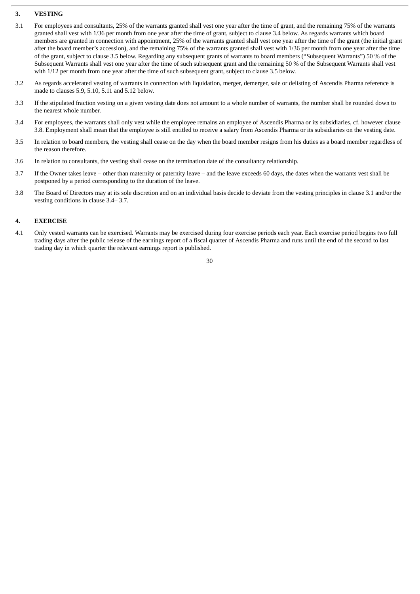# **3. VESTING**

- 3.1 For employees and consultants, 25% of the warrants granted shall vest one year after the time of grant, and the remaining 75% of the warrants granted shall vest with 1/36 per month from one year after the time of grant, subject to clause 3.4 below. As regards warrants which board members are granted in connection with appointment, 25% of the warrants granted shall vest one year after the time of the grant (the initial grant after the board member's accession), and the remaining 75% of the warrants granted shall vest with 1/36 per month from one year after the time of the grant, subject to clause 3.5 below. Regarding any subsequent grants of warrants to board members ("Subsequent Warrants") 50 % of the Subsequent Warrants shall vest one year after the time of such subsequent grant and the remaining 50 % of the Subsequent Warrants shall vest with 1/12 per month from one year after the time of such subsequent grant, subject to clause 3.5 below.
- 3.2 As regards accelerated vesting of warrants in connection with liquidation, merger, demerger, sale or delisting of Ascendis Pharma reference is made to clauses 5.9, 5.10, 5.11 and 5.12 below.
- 3.3 If the stipulated fraction vesting on a given vesting date does not amount to a whole number of warrants, the number shall be rounded down to the nearest whole number.
- 3.4 For employees, the warrants shall only vest while the employee remains an employee of Ascendis Pharma or its subsidiaries, cf. however clause 3.8. Employment shall mean that the employee is still entitled to receive a salary from Ascendis Pharma or its subsidiaries on the vesting date.
- 3.5 In relation to board members, the vesting shall cease on the day when the board member resigns from his duties as a board member regardless of the reason therefore.
- 3.6 In relation to consultants, the vesting shall cease on the termination date of the consultancy relationship.
- 3.7 If the Owner takes leave other than maternity or paternity leave and the leave exceeds 60 days, the dates when the warrants vest shall be postponed by a period corresponding to the duration of the leave.
- 3.8 The Board of Directors may at its sole discretion and on an individual basis decide to deviate from the vesting principles in clause 3.1 and/or the vesting conditions in clause 3.4– 3.7.

# **4. EXERCISE**

4.1 Only vested warrants can be exercised. Warrants may be exercised during four exercise periods each year. Each exercise period begins two full trading days after the public release of the earnings report of a fiscal quarter of Ascendis Pharma and runs until the end of the second to last trading day in which quarter the relevant earnings report is published.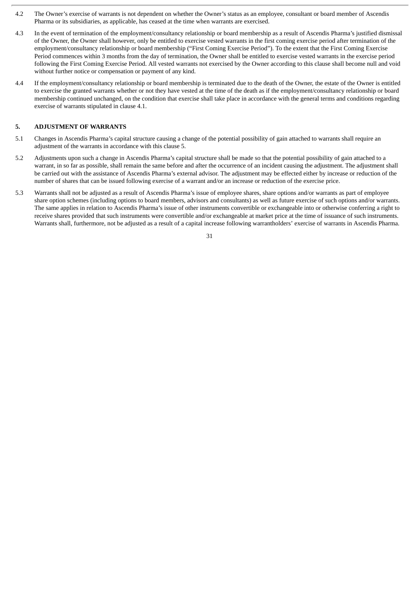- 4.2 The Owner's exercise of warrants is not dependent on whether the Owner's status as an employee, consultant or board member of Ascendis Pharma or its subsidiaries, as applicable, has ceased at the time when warrants are exercised.
- 4.3 In the event of termination of the employment/consultancy relationship or board membership as a result of Ascendis Pharma's justified dismissal of the Owner, the Owner shall however, only be entitled to exercise vested warrants in the first coming exercise period after termination of the employment/consultancy relationship or board membership ("First Coming Exercise Period"). To the extent that the First Coming Exercise Period commences within 3 months from the day of termination, the Owner shall be entitled to exercise vested warrants in the exercise period following the First Coming Exercise Period. All vested warrants not exercised by the Owner according to this clause shall become null and void without further notice or compensation or payment of any kind.
- 4.4 If the employment/consultancy relationship or board membership is terminated due to the death of the Owner, the estate of the Owner is entitled to exercise the granted warrants whether or not they have vested at the time of the death as if the employment/consultancy relationship or board membership continued unchanged, on the condition that exercise shall take place in accordance with the general terms and conditions regarding exercise of warrants stipulated in clause 4.1.

# **5. ADJUSTMENT OF WARRANTS**

- 5.1 Changes in Ascendis Pharma's capital structure causing a change of the potential possibility of gain attached to warrants shall require an adjustment of the warrants in accordance with this clause 5.
- 5.2 Adjustments upon such a change in Ascendis Pharma's capital structure shall be made so that the potential possibility of gain attached to a warrant, in so far as possible, shall remain the same before and after the occurrence of an incident causing the adjustment. The adjustment shall be carried out with the assistance of Ascendis Pharma's external advisor. The adjustment may be effected either by increase or reduction of the number of shares that can be issued following exercise of a warrant and/or an increase or reduction of the exercise price.
- 5.3 Warrants shall not be adjusted as a result of Ascendis Pharma's issue of employee shares, share options and/or warrants as part of employee share option schemes (including options to board members, advisors and consultants) as well as future exercise of such options and/or warrants. The same applies in relation to Ascendis Pharma's issue of other instruments convertible or exchangeable into or otherwise conferring a right to receive shares provided that such instruments were convertible and/or exchangeable at market price at the time of issuance of such instruments. Warrants shall, furthermore, not be adjusted as a result of a capital increase following warrantholders' exercise of warrants in Ascendis Pharma.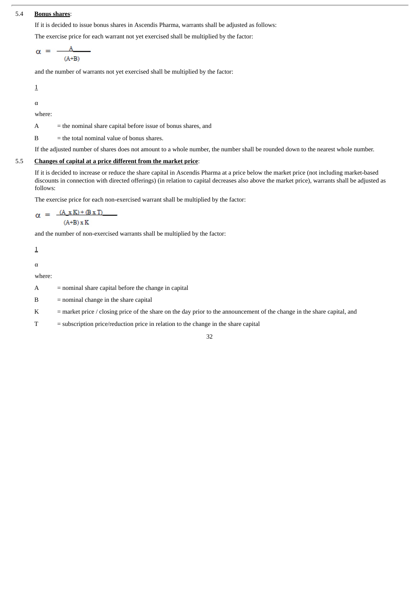# 5.4 **Bonus shares**:

If it is decided to issue bonus shares in Ascendis Pharma, warrants shall be adjusted as follows:

The exercise price for each warrant not yet exercised shall be multiplied by the factor:

$$
\alpha = \frac{A}{(A+B)}
$$

and the number of warrants not yet exercised shall be multiplied by the factor:

$$
\underline{1}
$$

α

where:

 $A =$  the nominal share capital before issue of bonus shares, and

 $B =$  the total nominal value of bonus shares.

If the adjusted number of shares does not amount to a whole number, the number shall be rounded down to the nearest whole number.

# 5.5 **Changes of capital at a price different from the market price**:

If it is decided to increase or reduce the share capital in Ascendis Pharma at a price below the market price (not including market-based discounts in connection with directed offerings) (in relation to capital decreases also above the market price), warrants shall be adjusted as follows:

The exercise price for each non-exercised warrant shall be multiplied by the factor:

$$
\alpha = \frac{(A_x K) + (B x T)}{(A+B) x K}
$$

and the number of non-exercised warrants shall be multiplied by the factor:

1

α

where:

- A = nominal share capital before the change in capital
- $B =$  nominal change in the share capital
- K = market price / closing price of the share on the day prior to the announcement of the change in the share capital, and
- T = subscription price/reduction price in relation to the change in the share capital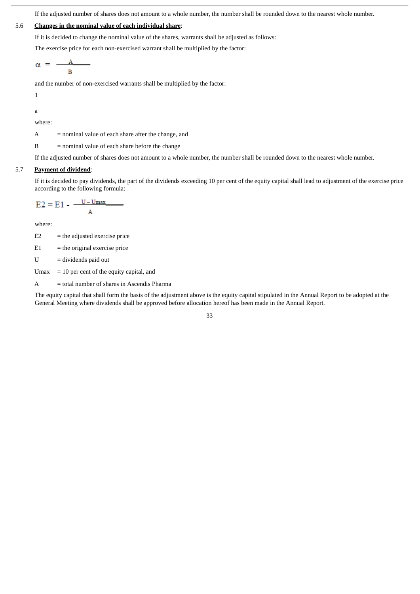If the adjusted number of shares does not amount to a whole number, the number shall be rounded down to the nearest whole number.

# 5.6 **Changes in the nominal value of each individual share**:

If it is decided to change the nominal value of the shares, warrants shall be adjusted as follows:

The exercise price for each non-exercised warrant shall be multiplied by the factor:

$$
\alpha = \frac{A}{B}
$$

and the number of non-exercised warrants shall be multiplied by the factor:

1

a

where:

A = nominal value of each share after the change, and

B = nominal value of each share before the change

If the adjusted number of shares does not amount to a whole number, the number shall be rounded down to the nearest whole number.

# 5.7 **Payment of dividend**:

If it is decided to pay dividends, the part of the dividends exceeding 10 per cent of the equity capital shall lead to adjustment of the exercise price according to the following formula:

$$
E2 = E1 - \frac{U - U_{\text{max}}}{A}
$$

where:

 $E2 =$  the adjusted exercise price

 $E1$  = the original exercise price

U = dividends paid out

Umax = 10 per cent of the equity capital, and

A = total number of shares in Ascendis Pharma

The equity capital that shall form the basis of the adjustment above is the equity capital stipulated in the Annual Report to be adopted at the General Meeting where dividends shall be approved before allocation hereof has been made in the Annual Report.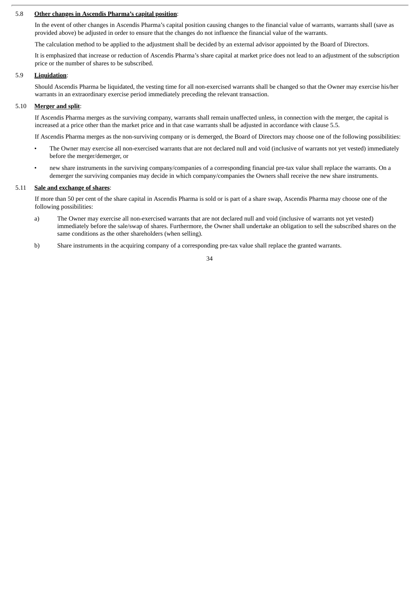### 5.8 **Other changes in Ascendis Pharma's capital position**:

In the event of other changes in Ascendis Pharma's capital position causing changes to the financial value of warrants, warrants shall (save as provided above) be adjusted in order to ensure that the changes do not influence the financial value of the warrants.

The calculation method to be applied to the adjustment shall be decided by an external advisor appointed by the Board of Directors.

It is emphasized that increase or reduction of Ascendis Pharma's share capital at market price does not lead to an adjustment of the subscription price or the number of shares to be subscribed.

# 5.9 **Liquidation**:

Should Ascendis Pharma be liquidated, the vesting time for all non-exercised warrants shall be changed so that the Owner may exercise his/her warrants in an extraordinary exercise period immediately preceding the relevant transaction.

#### 5.10 **Merger and split**:

If Ascendis Pharma merges as the surviving company, warrants shall remain unaffected unless, in connection with the merger, the capital is increased at a price other than the market price and in that case warrants shall be adjusted in accordance with clause 5.5.

If Ascendis Pharma merges as the non-surviving company or is demerged, the Board of Directors may choose one of the following possibilities:

- The Owner may exercise all non-exercised warrants that are not declared null and void (inclusive of warrants not yet vested) immediately before the merger/demerger, or
- new share instruments in the surviving company/companies of a corresponding financial pre-tax value shall replace the warrants. On a demerger the surviving companies may decide in which company/companies the Owners shall receive the new share instruments.

#### 5.11 **Sale and exchange of shares**:

If more than 50 per cent of the share capital in Ascendis Pharma is sold or is part of a share swap, Ascendis Pharma may choose one of the following possibilities:

- a) The Owner may exercise all non-exercised warrants that are not declared null and void (inclusive of warrants not yet vested) immediately before the sale/swap of shares. Furthermore, the Owner shall undertake an obligation to sell the subscribed shares on the same conditions as the other shareholders (when selling).
- b) Share instruments in the acquiring company of a corresponding pre-tax value shall replace the granted warrants.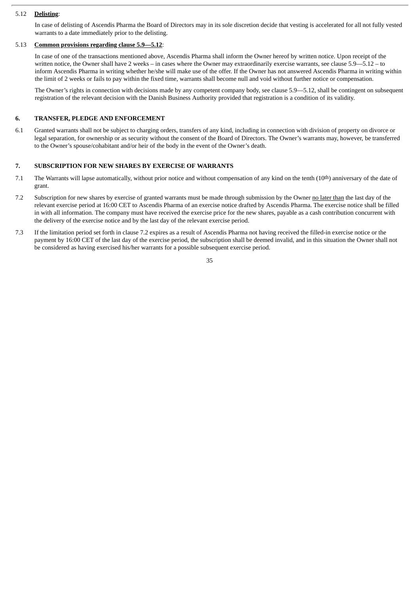## 5.12 **Delisting**:

In case of delisting of Ascendis Pharma the Board of Directors may in its sole discretion decide that vesting is accelerated for all not fully vested warrants to a date immediately prior to the delisting.

# 5.13 **Common provisions regarding clause 5.9—5.12**:

In case of one of the transactions mentioned above, Ascendis Pharma shall inform the Owner hereof by written notice. Upon receipt of the written notice, the Owner shall have 2 weeks – in cases where the Owner may extraordinarily exercise warrants, see clause 5.9–5.12 – to inform Ascendis Pharma in writing whether he/she will make use of the offer. If the Owner has not answered Ascendis Pharma in writing within the limit of 2 weeks or fails to pay within the fixed time, warrants shall become null and void without further notice or compensation.

The Owner's rights in connection with decisions made by any competent company body, see clause 5.9—5.12, shall be contingent on subsequent registration of the relevant decision with the Danish Business Authority provided that registration is a condition of its validity.

#### **6. TRANSFER, PLEDGE AND ENFORCEMENT**

6.1 Granted warrants shall not be subject to charging orders, transfers of any kind, including in connection with division of property on divorce or legal separation, for ownership or as security without the consent of the Board of Directors. The Owner's warrants may, however, be transferred to the Owner's spouse/cohabitant and/or heir of the body in the event of the Owner's death.

# **7. SUBSCRIPTION FOR NEW SHARES BY EXERCISE OF WARRANTS**

- 7.1 The Warrants will lapse automatically, without prior notice and without compensation of any kind on the tenth (10th) anniversary of the date of grant.
- 7.2 Subscription for new shares by exercise of granted warrants must be made through submission by the Owner no later than the last day of the relevant exercise period at 16:00 CET to Ascendis Pharma of an exercise notice drafted by Ascendis Pharma. The exercise notice shall be filled in with all information. The company must have received the exercise price for the new shares, payable as a cash contribution concurrent with the delivery of the exercise notice and by the last day of the relevant exercise period.
- 7.3 If the limitation period set forth in clause 7.2 expires as a result of Ascendis Pharma not having received the filled-in exercise notice or the payment by 16:00 CET of the last day of the exercise period, the subscription shall be deemed invalid, and in this situation the Owner shall not be considered as having exercised his/her warrants for a possible subsequent exercise period.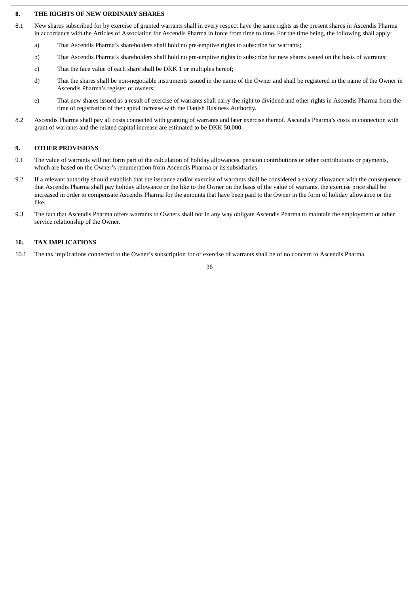### **8. THE RIGHTS OF NEW ORDINARY SHARES**

- 8.1 New shares subscribed for by exercise of granted warrants shall in every respect have the same rights as the present shares in Ascendis Pharma in accordance with the Articles of Association for Ascendis Pharma in force from time to time. For the time being, the following shall apply:
	- a) That Ascendis Pharma's shareholders shall hold no pre-emptive rights to subscribe for warrants;
	- b) That Ascendis Pharma's shareholders shall hold no pre-emptive rights to subscribe for new shares issued on the basis of warrants;
	- c) That the face value of each share shall be DKK 1 or multiples hereof;
	- d) That the shares shall be non-negotiable instruments issued in the name of the Owner and shall be registered in the name of the Owner in Ascendis Pharma's register of owners;
	- e) That new shares issued as a result of exercise of warrants shall carry the right to dividend and other rights in Ascendis Pharma from the time of registration of the capital increase with the Danish Business Authority.
- 8.2 Ascendis Pharma shall pay all costs connected with granting of warrants and later exercise thereof. Ascendis Pharma's costs in connection with grant of warrants and the related capital increase are estimated to be DKK 50,000.

#### **9. OTHER PROVISIONS**

- 9.1 The value of warrants will not form part of the calculation of holiday allowances, pension contributions or other contributions or payments, which are based on the Owner's renumeration from Ascendis Pharma or its subsidiaries.
- 9.2 If a relevant authority should establish that the issuance and/or exercise of warrants shall be considered a salary allowance with the consequence that Ascendis Pharma shall pay holiday allowance or the like to the Owner on the basis of the value of warrants, the exercise price shall be increased in order to compensate Ascendis Pharma for the amounts that have been paid to the Owner in the form of holiday allowance or the like.
- 9.3 The fact that Ascendis Pharma offers warrants to Owners shall not in any way obligate Ascendis Pharma to maintain the employment or other service relationship of the Owner.

### **10. TAX IMPLICATIONS**

10.1 The tax implications connected to the Owner's subscription for or exercise of warrants shall be of no concern to Ascendis Pharma.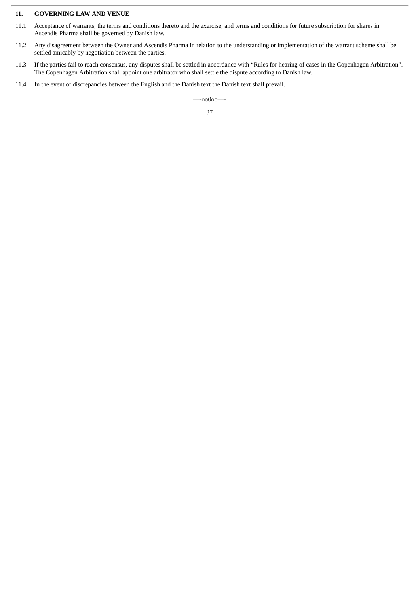# **11. GOVERNING LAW AND VENUE**

- 11.1 Acceptance of warrants, the terms and conditions thereto and the exercise, and terms and conditions for future subscription for shares in Ascendis Pharma shall be governed by Danish law.
- 11.2 Any disagreement between the Owner and Ascendis Pharma in relation to the understanding or implementation of the warrant scheme shall be settled amicably by negotiation between the parties.
- 11.3 If the parties fail to reach consensus, any disputes shall be settled in accordance with "Rules for hearing of cases in the Copenhagen Arbitration". The Copenhagen Arbitration shall appoint one arbitrator who shall settle the dispute according to Danish law.
- 11.4 In the event of discrepancies between the English and the Danish text the Danish text shall prevail.

—-oo0oo—-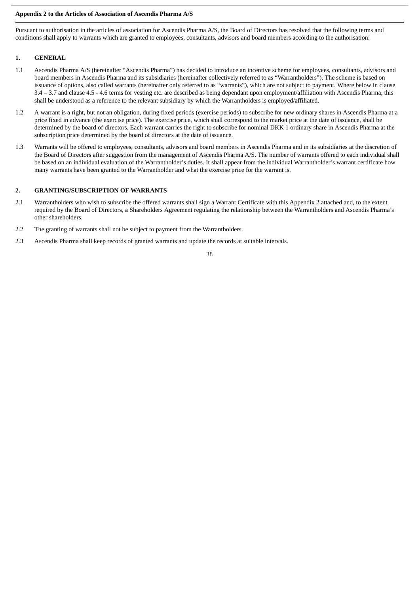# **Appendix 2 to the Articles of Association of Ascendis Pharma A/S**

Pursuant to authorisation in the articles of association for Ascendis Pharma A/S, the Board of Directors has resolved that the following terms and conditions shall apply to warrants which are granted to employees, consultants, advisors and board members according to the authorisation:

# **1. GENERAL**

- 1.1 Ascendis Pharma A/S (hereinafter "Ascendis Pharma") has decided to introduce an incentive scheme for employees, consultants, advisors and board members in Ascendis Pharma and its subsidiaries (hereinafter collectively referred to as "Warrantholders"). The scheme is based on issuance of options, also called warrants (hereinafter only referred to as "warrants"), which are not subject to payment. Where below in clause 3.4 – 3.7 and clause 4.5 - 4.6 terms for vesting etc. are described as being dependant upon employment/affiliation with Ascendis Pharma, this shall be understood as a reference to the relevant subsidiary by which the Warrantholders is employed/affiliated.
- 1.2 A warrant is a right, but not an obligation, during fixed periods (exercise periods) to subscribe for new ordinary shares in Ascendis Pharma at a price fixed in advance (the exercise price). The exercise price, which shall correspond to the market price at the date of issuance, shall be determined by the board of directors. Each warrant carries the right to subscribe for nominal DKK 1 ordinary share in Ascendis Pharma at the subscription price determined by the board of directors at the date of issuance.
- 1.3 Warrants will be offered to employees, consultants, advisors and board members in Ascendis Pharma and in its subsidiaries at the discretion of the Board of Directors after suggestion from the management of Ascendis Pharma A/S. The number of warrants offered to each individual shall be based on an individual evaluation of the Warrantholder's duties. It shall appear from the individual Warrantholder's warrant certificate how many warrants have been granted to the Warrantholder and what the exercise price for the warrant is.

# **2. GRANTING/SUBSCRIPTION OF WARRANTS**

- 2.1 Warrantholders who wish to subscribe the offered warrants shall sign a Warrant Certificate with this Appendix 2 attached and, to the extent required by the Board of Directors, a Shareholders Agreement regulating the relationship between the Warrantholders and Ascendis Pharma's other shareholders.
- 2.2 The granting of warrants shall not be subject to payment from the Warrantholders.
- 2.3 Ascendis Pharma shall keep records of granted warrants and update the records at suitable intervals.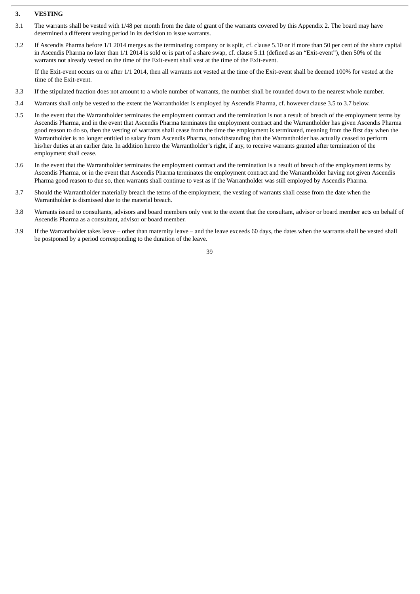# **3. VESTING**

- 3.1 The warrants shall be vested with 1/48 per month from the date of grant of the warrants covered by this Appendix 2. The board may have determined a different vesting period in its decision to issue warrants.
- 3.2 If Ascendis Pharma before 1/1 2014 merges as the terminating company or is split, cf. clause 5.10 or if more than 50 per cent of the share capital in Ascendis Pharma no later than 1/1 2014 is sold or is part of a share swap, cf. clause 5.11 (defined as an "Exit-event"), then 50% of the warrants not already vested on the time of the Exit-event shall vest at the time of the Exit-event.

If the Exit-event occurs on or after 1/1 2014, then all warrants not vested at the time of the Exit-event shall be deemed 100% for vested at the time of the Exit-event.

- 3.3 If the stipulated fraction does not amount to a whole number of warrants, the number shall be rounded down to the nearest whole number.
- 3.4 Warrants shall only be vested to the extent the Warrantholder is employed by Ascendis Pharma, cf. however clause 3.5 to 3.7 below.
- 3.5 In the event that the Warrantholder terminates the employment contract and the termination is not a result of breach of the employment terms by Ascendis Pharma, and in the event that Ascendis Pharma terminates the employment contract and the Warrantholder has given Ascendis Pharma good reason to do so, then the vesting of warrants shall cease from the time the employment is terminated, meaning from the first day when the Warrantholder is no longer entitled to salary from Ascendis Pharma, notwithstanding that the Warrantholder has actually ceased to perform his/her duties at an earlier date. In addition hereto the Warrantholder's right, if any, to receive warrants granted after termination of the employment shall cease.
- 3.6 In the event that the Warrantholder terminates the employment contract and the termination is a result of breach of the employment terms by Ascendis Pharma, or in the event that Ascendis Pharma terminates the employment contract and the Warrantholder having not given Ascendis Pharma good reason to due so, then warrants shall continue to vest as if the Warrantholder was still employed by Ascendis Pharma.
- 3.7 Should the Warrantholder materially breach the terms of the employment, the vesting of warrants shall cease from the date when the Warrantholder is dismissed due to the material breach.
- 3.8 Warrants issued to consultants, advisors and board members only vest to the extent that the consultant, advisor or board member acts on behalf of Ascendis Pharma as a consultant, advisor or board member.
- 3.9 If the Warrantholder takes leave other than maternity leave and the leave exceeds 60 days, the dates when the warrants shall be vested shall be postponed by a period corresponding to the duration of the leave.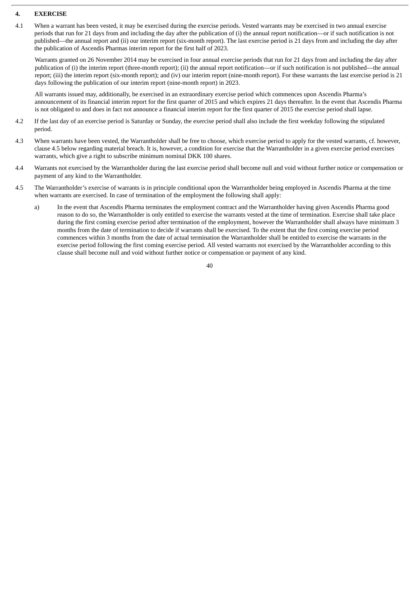## **4. EXERCISE**

4.1 When a warrant has been vested, it may be exercised during the exercise periods. Vested warrants may be exercised in two annual exercise periods that run for 21 days from and including the day after the publication of (i) the annual report notification—or if such notification is not published—the annual report and (ii) our interim report (six-month report). The last exercise period is 21 days from and including the day after the publication of Ascendis Pharmas interim report for the first half of 2023.

Warrants granted on 26 November 2014 may be exercised in four annual exercise periods that run for 21 days from and including the day after publication of (i) the interim report (three-month report); (ii) the annual report notification—or if such notification is not published—the annual report; (iii) the interim report (six-month report); and (iv) our interim report (nine-month report). For these warrants the last exercise period is 21 days following the publication of our interim report (nine-month report) in 2023.

All warrants issued may, additionally, be exercised in an extraordinary exercise period which commences upon Ascendis Pharma's announcement of its financial interim report for the first quarter of 2015 and which expires 21 days thereafter. In the event that Ascendis Pharma is not obligated to and does in fact not announce a financial interim report for the first quarter of 2015 the exercise period shall lapse.

- 4.2 If the last day of an exercise period is Saturday or Sunday, the exercise period shall also include the first weekday following the stipulated period.
- 4.3 When warrants have been vested, the Warrantholder shall be free to choose, which exercise period to apply for the vested warrants, cf. however, clause 4.5 below regarding material breach. It is, however, a condition for exercise that the Warrantholder in a given exercise period exercises warrants, which give a right to subscribe minimum nominal DKK 100 shares.
- 4.4 Warrants not exercised by the Warrantholder during the last exercise period shall become null and void without further notice or compensation or payment of any kind to the Warrantholder.
- 4.5 The Warrantholder's exercise of warrants is in principle conditional upon the Warrantholder being employed in Ascendis Pharma at the time when warrants are exercised. In case of termination of the employment the following shall apply:
	- a) In the event that Ascendis Pharma terminates the employment contract and the Warrantholder having given Ascendis Pharma good reason to do so, the Warrantholder is only entitled to exercise the warrants vested at the time of termination. Exercise shall take place during the first coming exercise period after termination of the employment, however the Warrantholder shall always have minimum 3 months from the date of termination to decide if warrants shall be exercised. To the extent that the first coming exercise period commences within 3 months from the date of actual termination the Warrantholder shall be entitled to exercise the warrants in the exercise period following the first coming exercise period. All vested warrants not exercised by the Warrantholder according to this clause shall become null and void without further notice or compensation or payment of any kind.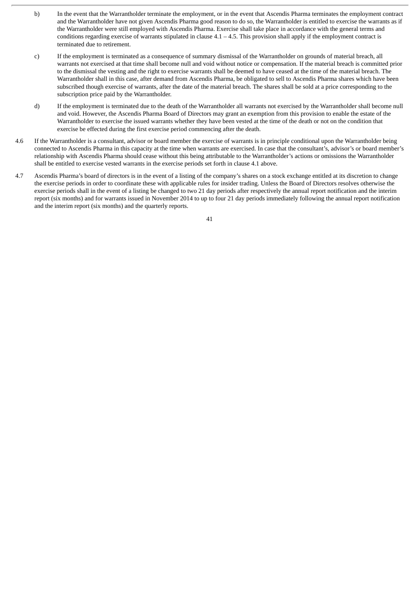- b) In the event that the Warrantholder terminate the employment, or in the event that Ascendis Pharma terminates the employment contract and the Warrantholder have not given Ascendis Pharma good reason to do so, the Warrantholder is entitled to exercise the warrants as if the Warrantholder were still employed with Ascendis Pharma. Exercise shall take place in accordance with the general terms and conditions regarding exercise of warrants stipulated in clause  $4.1 - 4.5$ . This provision shall apply if the employment contract is terminated due to retirement.
- c) If the employment is terminated as a consequence of summary dismissal of the Warrantholder on grounds of material breach, all warrants not exercised at that time shall become null and void without notice or compensation. If the material breach is committed prior to the dismissal the vesting and the right to exercise warrants shall be deemed to have ceased at the time of the material breach. The Warrantholder shall in this case, after demand from Ascendis Pharma, be obligated to sell to Ascendis Pharma shares which have been subscribed though exercise of warrants, after the date of the material breach. The shares shall be sold at a price corresponding to the subscription price paid by the Warrantholder.
- d) If the employment is terminated due to the death of the Warrantholder all warrants not exercised by the Warrantholder shall become null and void. However, the Ascendis Pharma Board of Directors may grant an exemption from this provision to enable the estate of the Warrantholder to exercise the issued warrants whether they have been vested at the time of the death or not on the condition that exercise be effected during the first exercise period commencing after the death.
- 4.6 If the Warrantholder is a consultant, advisor or board member the exercise of warrants is in principle conditional upon the Warrantholder being connected to Ascendis Pharma in this capacity at the time when warrants are exercised. In case that the consultant's, advisor's or board member's relationship with Ascendis Pharma should cease without this being attributable to the Warrantholder's actions or omissions the Warrantholder shall be entitled to exercise vested warrants in the exercise periods set forth in clause 4.1 above.
- 4.7 Ascendis Pharma's board of directors is in the event of a listing of the company's shares on a stock exchange entitled at its discretion to change the exercise periods in order to coordinate these with applicable rules for insider trading. Unless the Board of Directors resolves otherwise the exercise periods shall in the event of a listing be changed to two 21 day periods after respectively the annual report notification and the interim report (six months) and for warrants issued in November 2014 to up to four 21 day periods immediately following the annual report notification and the interim report (six months) and the quarterly reports.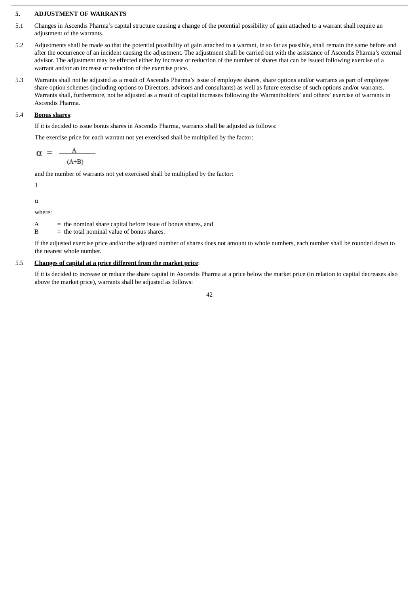# **5. ADJUSTMENT OF WARRANTS**

- 5.1 Changes in Ascendis Pharma's capital structure causing a change of the potential possibility of gain attached to a warrant shall require an adjustment of the warrants.
- 5.2 Adjustments shall be made so that the potential possibility of gain attached to a warrant, in so far as possible, shall remain the same before and after the occurrence of an incident causing the adjustment. The adjustment shall be carried out with the assistance of Ascendis Pharma's external advisor. The adjustment may be effected either by increase or reduction of the number of shares that can be issued following exercise of a warrant and/or an increase or reduction of the exercise price.
- 5.3 Warrants shall not be adjusted as a result of Ascendis Pharma's issue of employee shares, share options and/or warrants as part of employee share option schemes (including options to Directors, advisors and consultants) as well as future exercise of such options and/or warrants. Warrants shall, furthermore, not be adjusted as a result of capital increases following the Warrantholders' and others' exercise of warrants in Ascendis Pharma.

# 5.4 **Bonus shares**:

If it is decided to issue bonus shares in Ascendis Pharma, warrants shall be adjusted as follows:

The exercise price for each warrant not yet exercised shall be multiplied by the factor:

$$
\alpha = \frac{A}{(A+B)}
$$

and the number of warrants not yet exercised shall be multiplied by the factor:

$$
\underline{\mathbf{1}}
$$

α

where:

 $A =$  the nominal share capital before issue of bonus shares, and

 $B =$  the total nominal value of bonus shares.

If the adjusted exercise price and/or the adjusted number of shares does not amount to whole numbers, each number shall be rounded down to the nearest whole number.

#### 5.5 **Changes of capital at a price different from the market price**:

If it is decided to increase or reduce the share capital in Ascendis Pharma at a price below the market price (in relation to capital decreases also above the market price), warrants shall be adjusted as follows: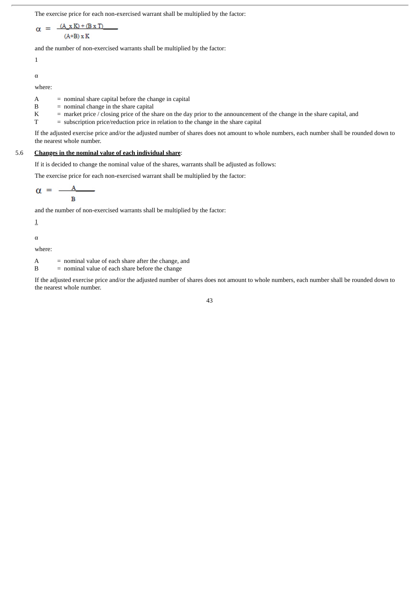The exercise price for each non-exercised warrant shall be multiplied by the factor:

$$
\alpha = \frac{(A_x K) + (B x T)}{(A+B) x K}
$$

and the number of non-exercised warrants shall be multiplied by the factor:

1

α

where:

 $A =$  nominal share capital before the change in capital

- $B =$  nominal change in the share capital
- K = market price / closing price of the share on the day prior to the announcement of the change in the share capital, and
- $T =$  subscription price/reduction price in relation to the change in the share capital

If the adjusted exercise price and/or the adjusted number of shares does not amount to whole numbers, each number shall be rounded down to the nearest whole number.

# 5.6 **Changes in the nominal value of each individual share**:

If it is decided to change the nominal value of the shares, warrants shall be adjusted as follows:

The exercise price for each non-exercised warrant shall be multiplied by the factor:

$$
\alpha = \frac{A}{B}
$$

and the number of non-exercised warrants shall be multiplied by the factor:

1

α

where:

 $A =$  nominal value of each share after the change, and

B = nominal value of each share before the change

If the adjusted exercise price and/or the adjusted number of shares does not amount to whole numbers, each number shall be rounded down to the nearest whole number.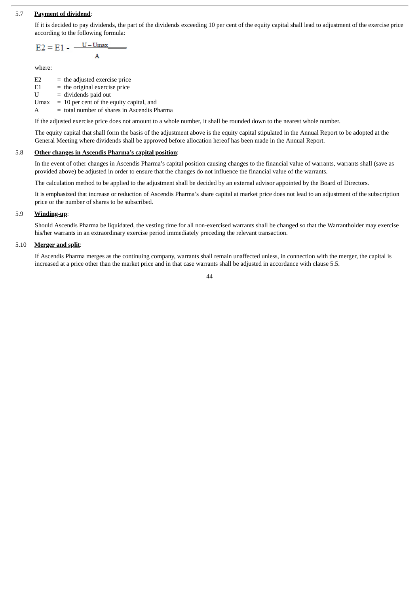# 5.7 **Payment of dividend**:

If it is decided to pay dividends, the part of the dividends exceeding 10 per cent of the equity capital shall lead to adjustment of the exercise price according to the following formula:

$$
E2 = E1 - \frac{U - Umax}{A}
$$

where:

 $E2 =$  the adjusted exercise price  $E1$  = the original exercise price  $U =$  dividends paid out Umax  $= 10$  per cent of the equity capital, and

A = total number of shares in Ascendis Pharma

If the adjusted exercise price does not amount to a whole number, it shall be rounded down to the nearest whole number.

The equity capital that shall form the basis of the adjustment above is the equity capital stipulated in the Annual Report to be adopted at the General Meeting where dividends shall be approved before allocation hereof has been made in the Annual Report.

### 5.8 **Other changes in Ascendis Pharma's capital position**:

In the event of other changes in Ascendis Pharma's capital position causing changes to the financial value of warrants, warrants shall (save as provided above) be adjusted in order to ensure that the changes do not influence the financial value of the warrants.

The calculation method to be applied to the adjustment shall be decided by an external advisor appointed by the Board of Directors.

It is emphasized that increase or reduction of Ascendis Pharma's share capital at market price does not lead to an adjustment of the subscription price or the number of shares to be subscribed.

### 5.9 **Winding-up**:

Should Ascendis Pharma be liquidated, the vesting time for all non-exercised warrants shall be changed so that the Warrantholder may exercise his/her warrants in an extraordinary exercise period immediately preceding the relevant transaction.

#### 5.10 **Merger and split**:

If Ascendis Pharma merges as the continuing company, warrants shall remain unaffected unless, in connection with the merger, the capital is increased at a price other than the market price and in that case warrants shall be adjusted in accordance with clause 5.5.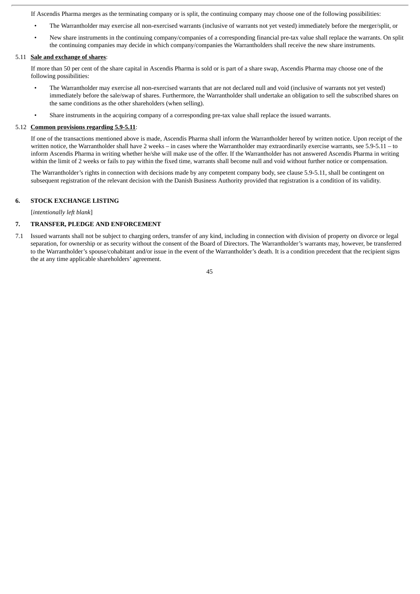If Ascendis Pharma merges as the terminating company or is split, the continuing company may choose one of the following possibilities:

- The Warrantholder may exercise all non-exercised warrants (inclusive of warrants not yet vested) immediately before the merger/split, or
- New share instruments in the continuing company/companies of a corresponding financial pre-tax value shall replace the warrants. On split the continuing companies may decide in which company/companies the Warrantholders shall receive the new share instruments.

# 5.11 **Sale and exchange of shares**:

If more than 50 per cent of the share capital in Ascendis Pharma is sold or is part of a share swap, Ascendis Pharma may choose one of the following possibilities:

- The Warrantholder may exercise all non-exercised warrants that are not declared null and void (inclusive of warrants not yet vested) immediately before the sale/swap of shares. Furthermore, the Warrantholder shall undertake an obligation to sell the subscribed shares on the same conditions as the other shareholders (when selling).
- Share instruments in the acquiring company of a corresponding pre-tax value shall replace the issued warrants.

### 5.12 **Common provisions regarding 5.9-5.11**:

If one of the transactions mentioned above is made, Ascendis Pharma shall inform the Warrantholder hereof by written notice. Upon receipt of the written notice, the Warrantholder shall have 2 weeks – in cases where the Warrantholder may extraordinarily exercise warrants, see 5.9-5.11 – to inform Ascendis Pharma in writing whether he/she will make use of the offer. If the Warrantholder has not answered Ascendis Pharma in writing within the limit of 2 weeks or fails to pay within the fixed time, warrants shall become null and void without further notice or compensation.

The Warrantholder's rights in connection with decisions made by any competent company body, see clause 5.9-5.11, shall be contingent on subsequent registration of the relevant decision with the Danish Business Authority provided that registration is a condition of its validity.

# **6. STOCK EXCHANGE LISTING**

[*intentionally left blank*]

# **7. TRANSFER, PLEDGE AND ENFORCEMENT**

7.1 Issued warrants shall not be subject to charging orders, transfer of any kind, including in connection with division of property on divorce or legal separation, for ownership or as security without the consent of the Board of Directors. The Warrantholder's warrants may, however, be transferred to the Warrantholder's spouse/cohabitant and/or issue in the event of the Warrantholder's death. It is a condition precedent that the recipient signs the at any time applicable shareholders' agreement.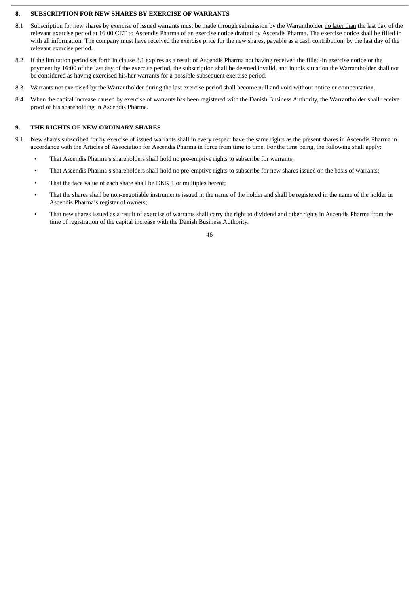# **8. SUBSCRIPTION FOR NEW SHARES BY EXERCISE OF WARRANTS**

- 8.1 Subscription for new shares by exercise of issued warrants must be made through submission by the Warrantholder no later than the last day of the relevant exercise period at 16:00 CET to Ascendis Pharma of an exercise notice drafted by Ascendis Pharma. The exercise notice shall be filled in with all information. The company must have received the exercise price for the new shares, payable as a cash contribution, by the last day of the relevant exercise period.
- 8.2 If the limitation period set forth in clause 8.1 expires as a result of Ascendis Pharma not having received the filled-in exercise notice or the payment by 16:00 of the last day of the exercise period, the subscription shall be deemed invalid, and in this situation the Warrantholder shall not be considered as having exercised his/her warrants for a possible subsequent exercise period.
- 8.3 Warrants not exercised by the Warrantholder during the last exercise period shall become null and void without notice or compensation.
- 8.4 When the capital increase caused by exercise of warrants has been registered with the Danish Business Authority, the Warrantholder shall receive proof of his shareholding in Ascendis Pharma.

# **9. THE RIGHTS OF NEW ORDINARY SHARES**

- 9.1 New shares subscribed for by exercise of issued warrants shall in every respect have the same rights as the present shares in Ascendis Pharma in accordance with the Articles of Association for Ascendis Pharma in force from time to time. For the time being, the following shall apply:
	- That Ascendis Pharma's shareholders shall hold no pre-emptive rights to subscribe for warrants;
	- That Ascendis Pharma's shareholders shall hold no pre-emptive rights to subscribe for new shares issued on the basis of warrants;
	- That the face value of each share shall be DKK 1 or multiples hereof;
	- That the shares shall be non-negotiable instruments issued in the name of the holder and shall be registered in the name of the holder in Ascendis Pharma's register of owners;
	- That new shares issued as a result of exercise of warrants shall carry the right to dividend and other rights in Ascendis Pharma from the time of registration of the capital increase with the Danish Business Authority.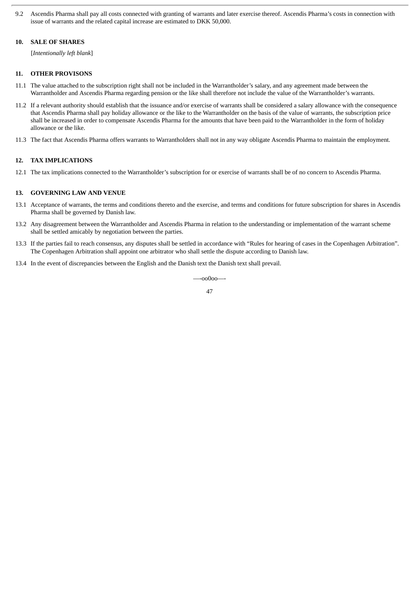9.2 Ascendis Pharma shall pay all costs connected with granting of warrants and later exercise thereof. Ascendis Pharma's costs in connection with issue of warrants and the related capital increase are estimated to DKK 50,000.

# **10. SALE OF SHARES**

[*Intentionally left blank*]

# **11. OTHER PROVISONS**

- 11.1 The value attached to the subscription right shall not be included in the Warrantholder's salary, and any agreement made between the Warrantholder and Ascendis Pharma regarding pension or the like shall therefore not include the value of the Warrantholder's warrants.
- 11.2 If a relevant authority should establish that the issuance and/or exercise of warrants shall be considered a salary allowance with the consequence that Ascendis Pharma shall pay holiday allowance or the like to the Warrantholder on the basis of the value of warrants, the subscription price shall be increased in order to compensate Ascendis Pharma for the amounts that have been paid to the Warrantholder in the form of holiday allowance or the like.
- 11.3 The fact that Ascendis Pharma offers warrants to Warrantholders shall not in any way obligate Ascendis Pharma to maintain the employment.

## **12. TAX IMPLICATIONS**

12.1 The tax implications connected to the Warrantholder's subscription for or exercise of warrants shall be of no concern to Ascendis Pharma.

### **13. GOVERNING LAW AND VENUE**

- 13.1 Acceptance of warrants, the terms and conditions thereto and the exercise, and terms and conditions for future subscription for shares in Ascendis Pharma shall be governed by Danish law.
- 13.2 Any disagreement between the Warrantholder and Ascendis Pharma in relation to the understanding or implementation of the warrant scheme shall be settled amicably by negotiation between the parties.
- 13.3 If the parties fail to reach consensus, any disputes shall be settled in accordance with "Rules for hearing of cases in the Copenhagen Arbitration". The Copenhagen Arbitration shall appoint one arbitrator who shall settle the dispute according to Danish law.
- 13.4 In the event of discrepancies between the English and the Danish text the Danish text shall prevail.

—-oo0oo—-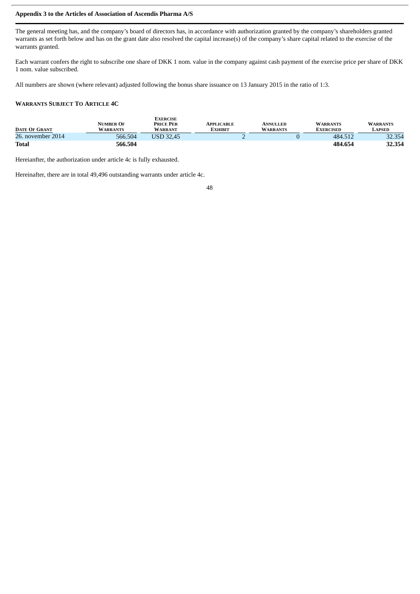# **Appendix 3 to the Articles of Association of Ascendis Pharma A/S**

The general meeting has, and the company's board of directors has, in accordance with authorization granted by the company's shareholders granted warrants as set forth below and has on the grant date also resolved the capital increase(s) of the company's share capital related to the exercise of the warrants granted.

Each warrant confers the right to subscribe one share of DKK 1 nom. value in the company against cash payment of the exercise price per share of DKK 1 nom. value subscribed.

All numbers are shown (where relevant) adjusted following the bonus share issuance on 13 January 2015 in the ratio of 1:3.

# **WARRANTS SUBJECT TO ARTICLE 4C**

| <b>DATE OF GRANT</b> | <b>NUMBER OF</b><br><b>WARRANTS</b> | <b>EXERCISE</b><br><b>PRICE PER</b><br><b>WARRANT</b> | APPLICABLE<br>EXHIBIT | <b>ANNULLED</b><br><b>WARRANTS</b> | <b>WARRANTS</b><br><b>EXERCISED</b> | <b>WARRANTS</b><br>LAPSED |
|----------------------|-------------------------------------|-------------------------------------------------------|-----------------------|------------------------------------|-------------------------------------|---------------------------|
| 26. november 2014    | 566.504                             | USD 32.45                                             |                       |                                    | 484.512                             | 32.354                    |
| <b>Total</b>         | 566.504                             |                                                       |                       |                                    | 484.654                             | 32.354                    |

Hereianfter, the authorization under article 4c is fully exhausted.

Hereinafter, there are in total 49,496 outstanding warrants under article 4c.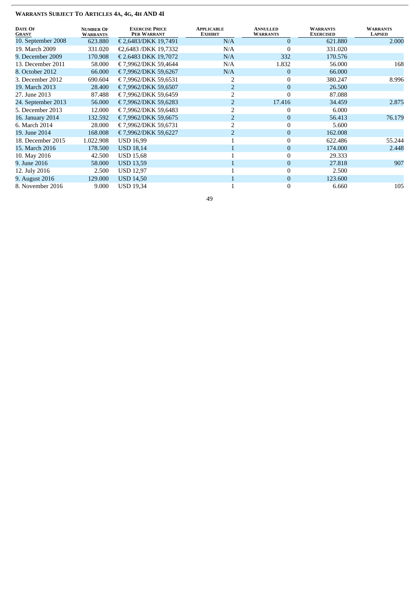| <b>DATE OF</b><br><b>GRANT</b> | <b>NUMBER OF</b><br><b>WARRANTS</b> | <b>EXERCISE PRICE</b><br>PER WARRANT | <b>APPLICABLE</b><br><b>EXHIBIT</b> | <b>ANNULLED</b><br><b>WARRANTS</b> | <b>WARRANTS</b><br><b>EXERCISED</b> | <b>WARRANTS</b><br><b>LAPSED</b> |
|--------------------------------|-------------------------------------|--------------------------------------|-------------------------------------|------------------------------------|-------------------------------------|----------------------------------|
| 10. September 2008             | 623.880                             | € 2,6483/DKK 19,7491                 | N/A                                 | $\mathbf{0}$                       | 621.880                             | 2.000                            |
| 19. March 2009                 | 331.020                             | €2,6483 /DKK 19,7332                 | N/A                                 | $\theta$                           | 331.020                             |                                  |
| 9. December 2009               | 170.908                             | € 2.6483 DKK 19,7072                 | N/A                                 | 332                                | 170.576                             |                                  |
| 13. December 2011              | 58.000                              | € 7,9962/DKK 59,4644                 | N/A                                 | 1.832                              | 56.000                              | 168                              |
| 8. October 2012                | 66.000                              | €7,9962/DKK 59,6267                  | N/A                                 | $\mathbf{0}$                       | 66.000                              |                                  |
| 3. December 2012               | 690.604                             | €7.9962/DKK 59.6531                  |                                     | $\mathbf{0}$                       | 380.247                             | 8.996                            |
| 19. March 2013                 | 28.400                              | € 7,9962/DKK 59,6507                 |                                     | $\overline{0}$                     | 26.500                              |                                  |
| 27. June 2013                  | 87.488                              | €7,9962/DKK 59,6459                  |                                     | $\mathbf{0}$                       | 87.088                              |                                  |
| 24. September 2013             | 56.000                              | €7,9962/DKK 59,6283                  |                                     | 17.416                             | 34.459                              | 2.875                            |
| 5. December 2013               | 12.000                              | €7,9962/DKK 59,6483                  |                                     | $\bf{0}$                           | 6.000                               |                                  |
| 16. January 2014               | 132.592                             | €7,9962/DKK 59,6675                  | $\overline{\mathcal{L}}$            | $\mathbf{0}$                       | 56.413                              | 76.179                           |
| 6. March 2014                  | 28.000                              | €7,9962/DKK 59,6731                  |                                     | $\mathbf{0}$                       | 5.600                               |                                  |
| 19. June 2014                  | 168.008                             | €7,9962/DKK 59,6227                  |                                     | $\mathbf{0}$                       | 162.008                             |                                  |
| 18. December 2015              | 1.022.908                           | <b>USD 16,99</b>                     |                                     | $\theta$                           | 622.486                             | 55.244                           |
| 15. March 2016                 | 178.500                             | <b>USD 18,14</b>                     |                                     | $\mathbf{0}$                       | 174.000                             | 2.448                            |
| 10. May 2016                   | 42.500                              | <b>USD 15,68</b>                     |                                     | $\mathbf{0}$                       | 29.333                              |                                  |
| 9. June 2016                   | 58.000                              | <b>USD 13,59</b>                     |                                     | $\mathbf{0}$                       | 27.818                              | 907                              |
| 12. July 2016                  | 2.500                               | <b>USD 12,97</b>                     |                                     | $\Omega$                           | 2.500                               |                                  |
| 9. August 2016                 | 129.000                             | <b>USD 14,50</b>                     |                                     | $\mathbf{0}$                       | 123.600                             |                                  |
| 8. November 2016               | 9.000                               | <b>USD 19,34</b>                     |                                     | $\boldsymbol{0}$                   | 6.660                               | 105                              |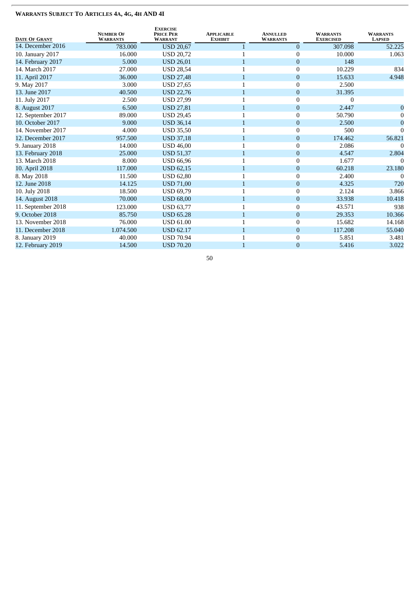| <b>DATE OF GRANT</b> | <b>NUMBER OF</b><br><b>WARRANTS</b> | <b>EXERCISE</b><br><b>PRICE PER</b><br><b>WARRANT</b> | <b>APPLICABLE</b><br><b>EXHIBIT</b> | <b>ANNULLED</b><br><b>WARRANTS</b> | <b>WARRANTS</b><br><b>EXERCISED</b> | <b>WARRANTS</b><br><b>LAPSED</b> |
|----------------------|-------------------------------------|-------------------------------------------------------|-------------------------------------|------------------------------------|-------------------------------------|----------------------------------|
| 14. December 2016    | 783.000                             | <b>USD 20,67</b>                                      |                                     | $\overline{0}$                     | 307.098                             | 52.225                           |
| 10. January 2017     | 16.000                              | <b>USD 20,72</b>                                      |                                     | $\boldsymbol{0}$                   | 10.000                              | 1.063                            |
| 14. February 2017    | 5.000                               | <b>USD 26,01</b>                                      |                                     | $\mathbf{0}$                       | 148                                 |                                  |
| 14. March 2017       | 27.000                              | <b>USD 28,54</b>                                      |                                     | $\mathbf{0}$                       | 10.229                              | 834                              |
| 11. April 2017       | 36.000                              | <b>USD 27,48</b>                                      |                                     | $\mathbf{0}$                       | 15.633                              | 4.948                            |
| 9. May 2017          | 3.000                               | <b>USD 27,65</b>                                      | 1                                   | $\boldsymbol{0}$                   | 2.500                               |                                  |
| 13. June 2017        | 40.500                              | <b>USD 22,76</b>                                      | $\mathbf{1}$                        | $\mathbf{0}$                       | 31.395                              |                                  |
| 11. July 2017        | 2.500                               | <b>USD 27,99</b>                                      | 1                                   | $\mathbf{0}$                       | $\Omega$                            |                                  |
| 8. August 2017       | 6.500                               | <b>USD 27,81</b>                                      | $\mathbf{1}$                        | $\boldsymbol{0}$                   | 2.447                               | $\Omega$                         |
| 12. September 2017   | 89.000                              | <b>USD 29,45</b>                                      |                                     | $\boldsymbol{0}$                   | 50.790                              | 0                                |
| 10. October 2017     | 9.000                               | <b>USD 36,14</b>                                      | $\mathbf{1}$                        | $\mathbf{0}$                       | 2.500                               | $\overline{0}$                   |
| 14. November 2017    | 4.000                               | <b>USD 35,50</b>                                      |                                     | $\mathbf{0}$                       | 500                                 | $\Omega$                         |
| 12. December 2017    | 957.500                             | <b>USD 37,18</b>                                      | 1                                   | $\mathbf{0}$                       | 174.462                             | 56.821                           |
| 9. January 2018      | 14.000                              | <b>USD 46,00</b>                                      |                                     | $\boldsymbol{0}$                   | 2.086                               | $\Omega$                         |
| 13. February 2018    | 25.000                              | <b>USD 51,37</b>                                      |                                     | $\mathbf{0}$                       | 4.547                               | 2.804                            |
| 13. March 2018       | 8.000                               | <b>USD 66,96</b>                                      |                                     | $\overline{0}$                     | 1.677                               |                                  |
| 10. April 2018       | 117.000                             | <b>USD 62,15</b>                                      |                                     | $\boldsymbol{0}$                   | 60.218                              | 23.180                           |
| 8. May 2018          | 11.500                              | <b>USD 62,80</b>                                      |                                     | $\mathbf{0}$                       | 2.400                               |                                  |
| 12. June 2018        | 14.125                              | <b>USD 71,00</b>                                      |                                     | $\boldsymbol{0}$                   | 4.325                               | 720                              |
| 10. July 2018        | 18.500                              | <b>USD 69,79</b>                                      |                                     | $\mathbf{0}$                       | 2.124                               | 3.866                            |
| 14. August 2018      | 70.000                              | <b>USD 68,00</b>                                      | $\mathbf{1}$                        | $\mathbf{0}$                       | 33.938                              | 10.418                           |
| 11. September 2018   | 123.000                             | <b>USD 63,77</b>                                      |                                     | $\boldsymbol{0}$                   | 43.571                              | 938                              |
| 9. October 2018      | 85.750                              | <b>USD 65.28</b>                                      |                                     | $\boldsymbol{0}$                   | 29.353                              | 10.366                           |
| 13. November 2018    | 76.000                              | <b>USD 61.00</b>                                      | 1                                   | $\boldsymbol{0}$                   | 15.682                              | 14.168                           |
| 11. December 2018    | 1.074.500                           | <b>USD 62.17</b>                                      |                                     | $\mathbf{0}$                       | 117.208                             | 55.040                           |
| 8. January 2019      | 40.000                              | <b>USD 70.94</b>                                      |                                     | $\boldsymbol{0}$                   | 5.851                               | 3.481                            |
| 12. February 2019    | 14.500                              | <b>USD 70.20</b>                                      | 1                                   | $\mathbf{0}$                       | 5.416                               | 3.022                            |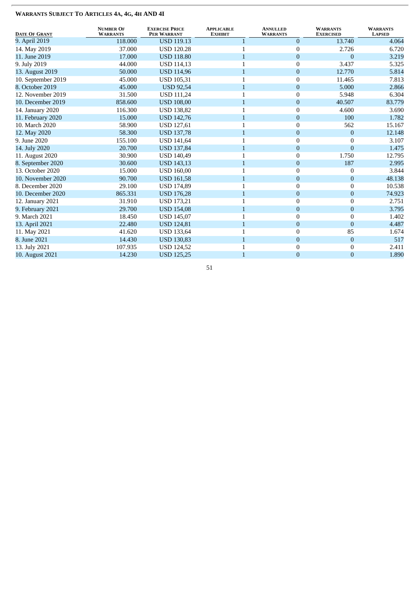| <b>DATE OF GRANT</b> | <b>NUMBER OF</b><br><b>WARRANTS</b> | <b>EXERCISE PRICE</b><br>PER WARRANT | <b>APPLICABLE</b><br><b>EXHIBIT</b> | <b>ANNULLED</b><br><b>WARRANTS</b> | <b>WARRANTS</b><br><b>EXERCISED</b> | <b>WARRANTS</b><br><b>LAPSED</b> |
|----------------------|-------------------------------------|--------------------------------------|-------------------------------------|------------------------------------|-------------------------------------|----------------------------------|
| 9. April 2019        | 118.000                             | <b>USD 119.13</b>                    |                                     | $\mathbf{0}$                       | 13.740                              | 4.064                            |
| 14. May 2019         | 37.000                              | <b>USD 120.28</b>                    |                                     | $\boldsymbol{0}$                   | 2.726                               | 6.720                            |
| 11. June 2019        | 17.000                              | <b>USD 118.80</b>                    | $\mathbf{1}$                        | $\mathbf{0}$                       | $\overline{0}$                      | 3.219                            |
| 9. July 2019         | 44.000                              | <b>USD 114,13</b>                    |                                     | $\mathbf{0}$                       | 3.437                               | 5.325                            |
| 13. August 2019      | 50.000                              | <b>USD 114,96</b>                    | 1                                   | $\mathbf{0}$                       | 12.770                              | 5.814                            |
| 10. September 2019   | 45.000                              | <b>USD 105,31</b>                    | 1                                   | $\boldsymbol{0}$                   | 11.465                              | 7.813                            |
| 8. October 2019      | 45.000                              | <b>USD 92,54</b>                     | 1                                   | $\pmb{0}$                          | 5.000                               | 2.866                            |
| 12. November 2019    | 31.500                              | <b>USD 111,24</b>                    |                                     | $\mathbf{0}$                       | 5.948                               | 6.304                            |
| 10. December 2019    | 858.600                             | <b>USD 108,00</b>                    | 1                                   | $\mathbf{0}$                       | 40.507                              | 83.779                           |
| 14. January 2020     | 116.300                             | <b>USD 138,82</b>                    | 1                                   | $\boldsymbol{0}$                   | 4.600                               | 3.690                            |
| 11. February 2020    | 15.000                              | <b>USD 142,76</b>                    | 1                                   | $\mathbf{0}$                       | 100                                 | 1.782                            |
| 10. March 2020       | 58.900                              | USD 127,61                           |                                     | $\boldsymbol{0}$                   | 562                                 | 15.167                           |
| 12. May 2020         | 58.300                              | <b>USD 137,78</b>                    |                                     | $\mathbf{0}$                       | $\overline{0}$                      | 12.148                           |
| 9. June 2020         | 155.100                             | <b>USD 141,64</b>                    |                                     | $\mathbf{0}$                       | $\mathbf{0}$                        | 3.107                            |
| 14. July 2020        | 20.700                              | <b>USD 137,84</b>                    | 1                                   | $\mathbf{0}$                       | $\overline{0}$                      | 1.475                            |
| 11. August 2020      | 30.900                              | <b>USD 140,49</b>                    | 1                                   | $\boldsymbol{0}$                   | 1.750                               | 12.795                           |
| 8. September 2020    | 30.600                              | <b>USD 143,13</b>                    | $\mathbf{1}$                        | $\boldsymbol{0}$                   | 187                                 | 2.995                            |
| 13. October 2020     | 15.000                              | <b>USD 160,00</b>                    | 1                                   | $\mathbf{0}$                       | $\mathbf{0}$                        | 3.844                            |
| 10. November 2020    | 90.700                              | <b>USD 161,58</b>                    | $\mathbf{1}$                        | $\mathbf{0}$                       | $\overline{0}$                      | 48.138                           |
| 8. December 2020     | 29.100                              | <b>USD 174,89</b>                    |                                     | $\boldsymbol{0}$                   | $\theta$                            | 10.538                           |
| 10. December 2020    | 865.331                             | <b>USD 176,28</b>                    | $\mathbf{1}$                        | $\pmb{0}$                          | $\mathbf{0}$                        | 74.923                           |
| 12. January 2021     | 31.910                              | <b>USD 173,21</b>                    |                                     | $\mathbf{0}$                       | $\theta$                            | 2.751                            |
| 9. February 2021     | 29.700                              | <b>USD 154,08</b>                    |                                     | $\mathbf{0}$                       | $\overline{0}$                      | 3.795                            |
| 9. March 2021        | 18.450                              | <b>USD 145,07</b>                    |                                     | $\mathbf{0}$                       | $\theta$                            | 1.402                            |
| 13. April 2021       | 22.480                              | <b>USD 124,81</b>                    | 1                                   | $\boldsymbol{0}$                   | $\overline{0}$                      | 4.487                            |
| 11. May 2021         | 41.620                              | USD 133,64                           | 1                                   | $\boldsymbol{0}$                   | 85                                  | 1.674                            |
| 8. June 2021         | 14.430                              | <b>USD 130,83</b>                    | $\mathbf{1}$                        | $\pmb{0}$                          | $\mathbf{0}$                        | 517                              |
| 13. July 2021        | 107.935                             | <b>USD 124,52</b>                    | 1                                   | $\boldsymbol{0}$                   | $\theta$                            | 2.411                            |
| 10. August 2021      | 14.230                              | <b>USD 125,25</b>                    |                                     | $\pmb{0}$                          | $\overline{0}$                      | 1.890                            |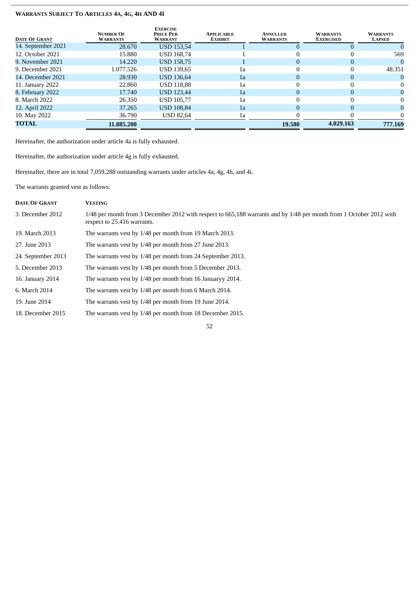| <b>DATE OF GRANT</b> | <b>NUMBER OF</b><br><b>WARRANTS</b> | <b>EXERCISE</b><br><b>PRICE PER</b><br><b>WARRANT</b> | APPLICABLE<br><b>EXHIBIT</b> | <b>ANNULLED</b><br><b>WARRANTS</b> | <b>WARRANTS</b><br><b>EXERCISED</b> | <b>WARRANTS</b><br><b>LAPSED</b> |
|----------------------|-------------------------------------|-------------------------------------------------------|------------------------------|------------------------------------|-------------------------------------|----------------------------------|
| 14. September 2021   | 28.670                              | <b>USD 153,54</b>                                     |                              |                                    |                                     |                                  |
| 12. October 2021     | 15.880                              | <b>USD 168,74</b>                                     |                              |                                    |                                     | 569                              |
| 9. November 2021     | 14.220                              | <b>USD 158,75</b>                                     |                              | $\Omega$                           |                                     |                                  |
| 9. December 2021     | 1.077.526                           | <b>USD 139,65</b>                                     | 1a                           |                                    |                                     | 48.351                           |
| 14. December 2021    | 28.930                              | <b>USD 136,64</b>                                     | 1a                           | $\Omega$                           |                                     |                                  |
| 11. January 2022     | 22.860                              | <b>USD 118.88</b>                                     | 1a                           | 0                                  |                                     |                                  |
| 8. February 2022     | 17.740                              | <b>USD 123,44</b>                                     | 1a                           | $\Omega$                           |                                     | $\Omega$                         |
| 8. March 2022        | 26.350                              | <b>USD 105.77</b>                                     | 1a                           |                                    |                                     |                                  |
| 12. April 2022       | 37.265                              | <b>USD 108,84</b>                                     | 1a                           | $\Omega$                           |                                     |                                  |
| 10. May 2022         | 36.790                              | <b>USD 82,64</b>                                      | 1a                           | 0                                  |                                     |                                  |
| <b>TOTAL</b>         | 11.885.200                          |                                                       |                              | 19.580                             | 4.029.163                           | 777.169                          |

Hereinafter, the authorization under article 4a is fully exhausted.

Hereinafter, the authorization under article 4g is fully exhausted.

Hereinafter, there are in total 7,059,288 outstanding warrants under articles 4a, 4g, 4h, and 4i.

The warrants granted vest as follows:

| <b>DATE OF GRANT</b> | <b>VESTING</b>                                                                                                                                     |
|----------------------|----------------------------------------------------------------------------------------------------------------------------------------------------|
| 3. December 2012     | 1/48 per month from 3 December 2012 with respect to 665,188 warrants and by 1/48 per month from 1 October 2012 with<br>respect to 25.416 warrants. |
| 19. March 2013       | The warrants vest by 1/48 per month from 19 March 2013.                                                                                            |
| 27. June 2013        | The warrants vest by 1/48 per month from 27 June 2013.                                                                                             |
| 24. September 2013   | The warrants vest by 1/48 per month from 24 September 2013.                                                                                        |
| 5. December 2013     | The warrants vest by 1/48 per month from 5 December 2013.                                                                                          |
| 16. January 2014     | The warrants vest by 1/48 per month from 16 Januaryy 2014.                                                                                         |
| 6. March 2014        | The warrants vest by 1/48 per month from 6 March 2014.                                                                                             |
| 19. June 2014        | The warrants vest by 1/48 per month from 19 June 2014.                                                                                             |
| 18. December 2015    | The warrants vest by 1/48 per month from 18 December 2015.                                                                                         |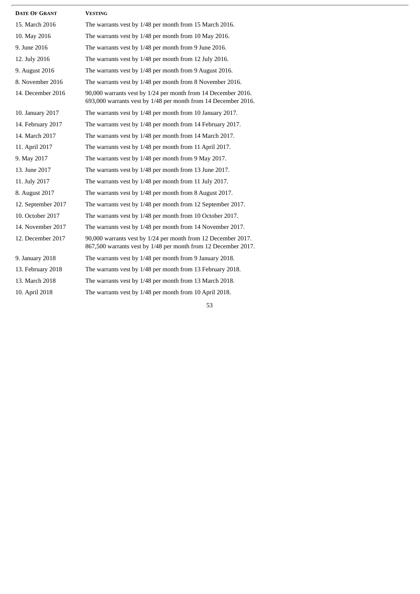| <b>DATE OF GRANT</b> | <b>VESTING</b>                                                                                                                  |
|----------------------|---------------------------------------------------------------------------------------------------------------------------------|
| 15. March 2016       | The warrants vest by 1/48 per month from 15 March 2016.                                                                         |
| 10. May 2016         | The warrants vest by 1/48 per month from 10 May 2016.                                                                           |
| 9. June 2016         | The warrants vest by 1/48 per month from 9 June 2016.                                                                           |
| 12. July 2016        | The warrants vest by 1/48 per month from 12 July 2016.                                                                          |
| 9. August 2016       | The warrants vest by 1/48 per month from 9 August 2016.                                                                         |
| 8. November 2016     | The warrants vest by 1/48 per month from 8 November 2016.                                                                       |
| 14. December 2016    | 90,000 warrants vest by 1/24 per month from 14 December 2016.<br>693,000 warrants vest by 1/48 per month from 14 December 2016. |
| 10. January 2017     | The warrants vest by 1/48 per month from 10 January 2017.                                                                       |
| 14. February 2017    | The warrants vest by 1/48 per month from 14 February 2017.                                                                      |
| 14. March 2017       | The warrants vest by 1/48 per month from 14 March 2017.                                                                         |
| 11. April 2017       | The warrants vest by 1/48 per month from 11 April 2017.                                                                         |
| 9. May 2017          | The warrants vest by 1/48 per month from 9 May 2017.                                                                            |
| 13. June 2017        | The warrants vest by 1/48 per month from 13 June 2017.                                                                          |
| 11. July 2017        | The warrants vest by 1/48 per month from 11 July 2017.                                                                          |
| 8. August 2017       | The warrants vest by 1/48 per month from 8 August 2017.                                                                         |
| 12. September 2017   | The warrants vest by 1/48 per month from 12 September 2017.                                                                     |
| 10. October 2017     | The warrants vest by 1/48 per month from 10 October 2017.                                                                       |
| 14. November 2017    | The warrants vest by 1/48 per month from 14 November 2017.                                                                      |
| 12. December 2017    | 90,000 warrants vest by 1/24 per month from 12 December 2017.<br>867,500 warrants vest by 1/48 per month from 12 December 2017. |
| 9. January 2018      | The warrants vest by 1/48 per month from 9 January 2018.                                                                        |
| 13. February 2018    | The warrants vest by 1/48 per month from 13 February 2018.                                                                      |
| 13. March 2018       | The warrants vest by 1/48 per month from 13 March 2018.                                                                         |
| 10. April 2018       | The warrants vest by 1/48 per month from 10 April 2018.                                                                         |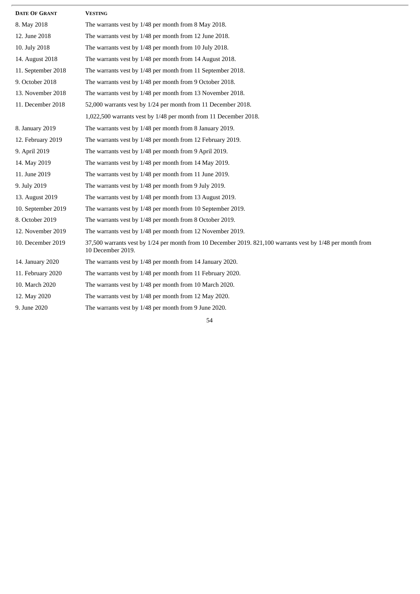| <b>DATE OF GRANT</b> | <b>VESTING</b>                                                                                                                  |
|----------------------|---------------------------------------------------------------------------------------------------------------------------------|
| 8. May 2018          | The warrants vest by 1/48 per month from 8 May 2018.                                                                            |
| 12. June 2018        | The warrants vest by 1/48 per month from 12 June 2018.                                                                          |
| 10. July 2018        | The warrants vest by 1/48 per month from 10 July 2018.                                                                          |
| 14. August 2018      | The warrants vest by 1/48 per month from 14 August 2018.                                                                        |
| 11. September 2018   | The warrants vest by 1/48 per month from 11 September 2018.                                                                     |
| 9. October 2018      | The warrants vest by 1/48 per month from 9 October 2018.                                                                        |
| 13. November 2018    | The warrants vest by 1/48 per month from 13 November 2018.                                                                      |
| 11. December 2018    | 52,000 warrants vest by 1/24 per month from 11 December 2018.                                                                   |
|                      | 1,022,500 warrants vest by 1/48 per month from 11 December 2018.                                                                |
| 8. January 2019      | The warrants vest by 1/48 per month from 8 January 2019.                                                                        |
| 12. February 2019    | The warrants vest by 1/48 per month from 12 February 2019.                                                                      |
| 9. April 2019        | The warrants vest by 1/48 per month from 9 April 2019.                                                                          |
| 14. May 2019         | The warrants vest by 1/48 per month from 14 May 2019.                                                                           |
| 11. June 2019        | The warrants vest by 1/48 per month from 11 June 2019.                                                                          |
| 9. July 2019         | The warrants vest by 1/48 per month from 9 July 2019.                                                                           |
| 13. August 2019      | The warrants vest by 1/48 per month from 13 August 2019.                                                                        |
| 10. September 2019   | The warrants vest by 1/48 per month from 10 September 2019.                                                                     |
| 8. October 2019      | The warrants vest by 1/48 per month from 8 October 2019.                                                                        |
| 12. November 2019    | The warrants vest by 1/48 per month from 12 November 2019.                                                                      |
| 10. December 2019    | 37,500 warrants vest by 1/24 per month from 10 December 2019. 821,100 warrants vest by 1/48 per month from<br>10 December 2019. |
| 14. January 2020     | The warrants vest by 1/48 per month from 14 January 2020.                                                                       |
| 11. February 2020    | The warrants vest by 1/48 per month from 11 February 2020.                                                                      |
| 10. March 2020       | The warrants vest by 1/48 per month from 10 March 2020.                                                                         |
| 12. May 2020         | The warrants vest by 1/48 per month from 12 May 2020.                                                                           |
| 9. June 2020         | The warrants vest by 1/48 per month from 9 June 2020.                                                                           |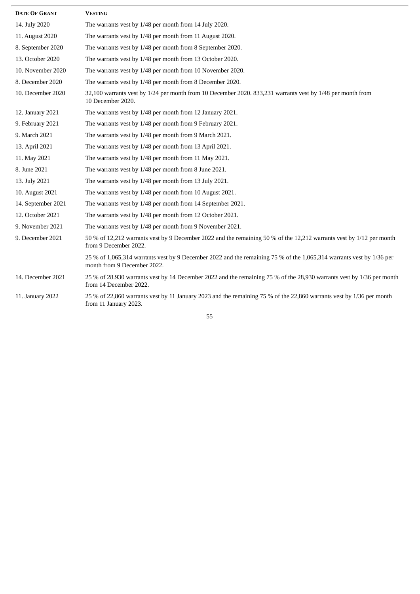| <b>DATE OF GRANT</b> | <b>VESTING</b>                                                                                                                                      |
|----------------------|-----------------------------------------------------------------------------------------------------------------------------------------------------|
| 14. July 2020        | The warrants vest by 1/48 per month from 14 July 2020.                                                                                              |
| 11. August 2020      | The warrants vest by 1/48 per month from 11 August 2020.                                                                                            |
| 8. September 2020    | The warrants vest by 1/48 per month from 8 September 2020.                                                                                          |
| 13. October 2020     | The warrants vest by 1/48 per month from 13 October 2020.                                                                                           |
| 10. November 2020    | The warrants vest by 1/48 per month from 10 November 2020.                                                                                          |
| 8. December 2020     | The warrants vest by 1/48 per month from 8 December 2020.                                                                                           |
| 10. December 2020    | 32,100 warrants vest by 1/24 per month from 10 December 2020. 833,231 warrants vest by 1/48 per month from<br>10 December 2020.                     |
| 12. January 2021     | The warrants vest by 1/48 per month from 12 January 2021.                                                                                           |
| 9. February 2021     | The warrants vest by 1/48 per month from 9 February 2021.                                                                                           |
| 9. March 2021        | The warrants vest by 1/48 per month from 9 March 2021.                                                                                              |
| 13. April 2021       | The warrants vest by 1/48 per month from 13 April 2021.                                                                                             |
| 11. May 2021         | The warrants vest by 1/48 per month from 11 May 2021.                                                                                               |
| 8. June 2021         | The warrants vest by 1/48 per month from 8 June 2021.                                                                                               |
| 13. July 2021        | The warrants vest by 1/48 per month from 13 July 2021.                                                                                              |
| 10. August 2021      | The warrants vest by 1/48 per month from 10 August 2021.                                                                                            |
| 14. September 2021   | The warrants vest by 1/48 per month from 14 September 2021.                                                                                         |
| 12. October 2021     | The warrants vest by 1/48 per month from 12 October 2021.                                                                                           |
| 9. November 2021     | The warrants vest by 1/48 per month from 9 November 2021.                                                                                           |
| 9. December 2021     | 50 % of 12,212 warrants vest by 9 December 2022 and the remaining 50 % of the 12,212 warrants vest by 1/12 per month<br>from 9 December 2022.       |
|                      | 25 % of 1,065,314 warrants vest by 9 December 2022 and the remaining 75 % of the 1,065,314 warrants vest by 1/36 per<br>month from 9 December 2022. |
| 14. December 2021    | 25 % of 28.930 warrants vest by 14 December 2022 and the remaining 75 % of the 28,930 warrants vest by 1/36 per month<br>from 14 December 2022.     |
| 11. January 2022     | 25 % of 22,860 warrants vest by 11 January 2023 and the remaining 75 % of the 22,860 warrants vest by 1/36 per month<br>from 11 January 2023.       |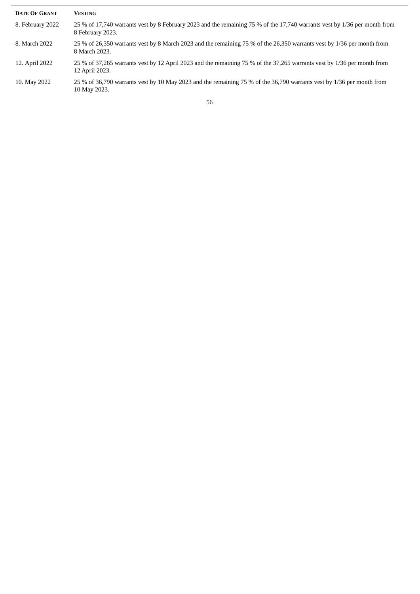| <b>DATE OF GRANT</b> | <b>VESTING</b>                                                                                                                                |
|----------------------|-----------------------------------------------------------------------------------------------------------------------------------------------|
| 8. February 2022     | 25 % of 17,740 warrants vest by 8 February 2023 and the remaining 75 % of the 17,740 warrants vest by 1/36 per month from<br>8 February 2023. |
| 8. March 2022        | 25 % of 26,350 warrants vest by 8 March 2023 and the remaining 75 % of the 26,350 warrants vest by 1/36 per month from<br>8 March 2023.       |
| 12. April 2022       | 25 % of 37,265 warrants vest by 12 April 2023 and the remaining 75 % of the 37,265 warrants vest by 1/36 per month from<br>12 April 2023.     |
| 10. May 2022         | 25 % of 36,790 warrants vest by 10 May 2023 and the remaining 75 % of the 36,790 warrants vest by 1/36 per month from<br>10 May 2023.         |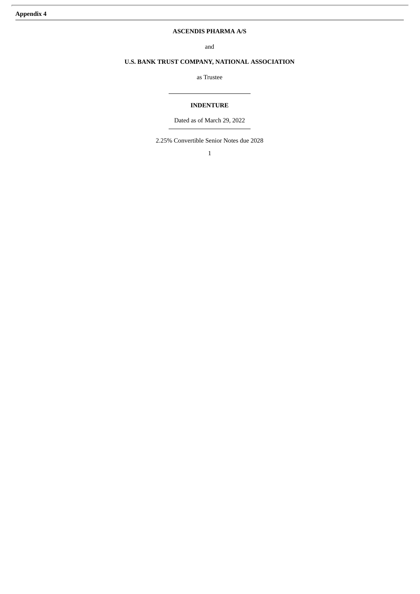# **ASCENDIS PHARMA A/S**

and

# **U.S. BANK TRUST COMPANY, NATIONAL ASSOCIATION**

as Trustee

# **INDENTURE**

Dated as of March 29, 2022

2.25% Convertible Senior Notes due 2028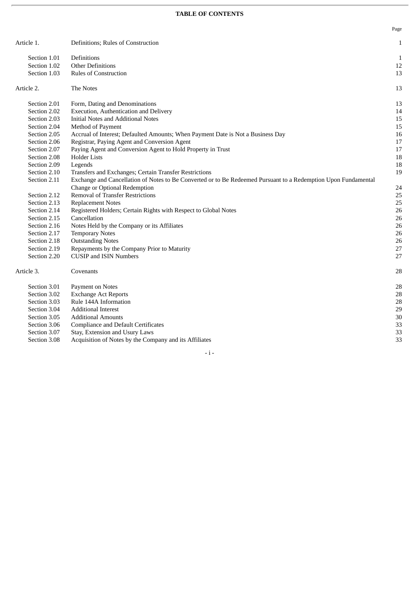# **TABLE OF CONTENTS**

|              |                                                                                                                | Page |
|--------------|----------------------------------------------------------------------------------------------------------------|------|
| Article 1.   | Definitions; Rules of Construction                                                                             | 1    |
| Section 1.01 | Definitions                                                                                                    | 1    |
| Section 1.02 | <b>Other Definitions</b>                                                                                       | 12   |
| Section 1.03 | <b>Rules of Construction</b>                                                                                   | 13   |
| Article 2.   | The Notes                                                                                                      | 13   |
| Section 2.01 | Form, Dating and Denominations                                                                                 | 13   |
| Section 2.02 | Execution, Authentication and Delivery                                                                         | 14   |
| Section 2.03 | <b>Initial Notes and Additional Notes</b>                                                                      | 15   |
| Section 2.04 | Method of Payment                                                                                              | 15   |
| Section 2.05 | Accrual of Interest; Defaulted Amounts; When Payment Date is Not a Business Day                                | 16   |
| Section 2.06 | Registrar, Paying Agent and Conversion Agent                                                                   | 17   |
| Section 2.07 | Paying Agent and Conversion Agent to Hold Property in Trust                                                    | 17   |
| Section 2.08 | <b>Holder Lists</b>                                                                                            | 18   |
| Section 2.09 | Legends                                                                                                        | 18   |
| Section 2.10 | Transfers and Exchanges; Certain Transfer Restrictions                                                         | 19   |
| Section 2.11 | Exchange and Cancellation of Notes to Be Converted or to Be Redeemed Pursuant to a Redemption Upon Fundamental |      |
|              | Change or Optional Redemption                                                                                  | 24   |
| Section 2.12 | <b>Removal of Transfer Restrictions</b>                                                                        | 25   |
| Section 2.13 | <b>Replacement Notes</b>                                                                                       | 25   |
| Section 2.14 | Registered Holders; Certain Rights with Respect to Global Notes                                                | 26   |
| Section 2.15 | Cancellation                                                                                                   | 26   |
| Section 2.16 | Notes Held by the Company or its Affiliates                                                                    | 26   |
| Section 2.17 | <b>Temporary Notes</b>                                                                                         | 26   |
| Section 2.18 | <b>Outstanding Notes</b>                                                                                       | 26   |
| Section 2.19 | Repayments by the Company Prior to Maturity                                                                    | 27   |
| Section 2.20 | <b>CUSIP and ISIN Numbers</b>                                                                                  | 27   |
| Article 3.   | Covenants                                                                                                      | 28   |
| Section 3.01 | Payment on Notes                                                                                               | 28   |
| Section 3.02 | <b>Exchange Act Reports</b>                                                                                    | 28   |
| Section 3.03 | Rule 144A Information                                                                                          | 28   |
| Section 3.04 | <b>Additional Interest</b>                                                                                     | 29   |
| Section 3.05 | <b>Additional Amounts</b>                                                                                      | 30   |
| Section 3.06 | <b>Compliance and Default Certificates</b>                                                                     | 33   |
| Section 3.07 | Stay, Extension and Usury Laws                                                                                 | 33   |
| Section 3.08 | Acquisition of Notes by the Company and its Affiliates                                                         | 33   |

- i -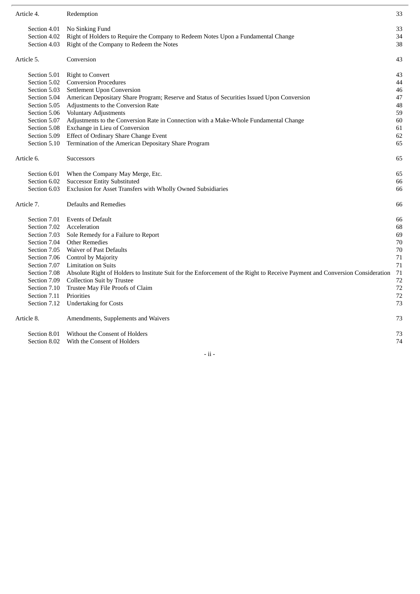| Article 4.   | Redemption                                                                                                                   | 33 |
|--------------|------------------------------------------------------------------------------------------------------------------------------|----|
| Section 4.01 | No Sinking Fund                                                                                                              | 33 |
| Section 4.02 | Right of Holders to Require the Company to Redeem Notes Upon a Fundamental Change                                            | 34 |
| Section 4.03 | Right of the Company to Redeem the Notes                                                                                     | 38 |
| Article 5.   | Conversion                                                                                                                   | 43 |
| Section 5.01 | <b>Right to Convert</b>                                                                                                      | 43 |
| Section 5.02 | <b>Conversion Procedures</b>                                                                                                 | 44 |
| Section 5.03 | <b>Settlement Upon Conversion</b>                                                                                            | 46 |
| Section 5.04 | American Depositary Share Program; Reserve and Status of Securities Issued Upon Conversion                                   | 47 |
| Section 5.05 | Adjustments to the Conversion Rate                                                                                           | 48 |
| Section 5.06 | <b>Voluntary Adjustments</b>                                                                                                 | 59 |
| Section 5.07 | Adjustments to the Conversion Rate in Connection with a Make-Whole Fundamental Change                                        | 60 |
| Section 5.08 | Exchange in Lieu of Conversion                                                                                               | 61 |
| Section 5.09 | Effect of Ordinary Share Change Event                                                                                        | 62 |
| Section 5.10 | Termination of the American Depositary Share Program                                                                         | 65 |
| Article 6.   | <b>Successors</b>                                                                                                            | 65 |
| Section 6.01 | When the Company May Merge, Etc.                                                                                             | 65 |
| Section 6.02 | <b>Successor Entity Substituted</b>                                                                                          | 66 |
| Section 6.03 | Exclusion for Asset Transfers with Wholly Owned Subsidiaries                                                                 | 66 |
| Article 7.   | Defaults and Remedies                                                                                                        | 66 |
| Section 7.01 | <b>Events of Default</b>                                                                                                     | 66 |
| Section 7.02 | Acceleration                                                                                                                 | 68 |
| Section 7.03 | Sole Remedy for a Failure to Report                                                                                          | 69 |
| Section 7.04 | <b>Other Remedies</b>                                                                                                        | 70 |
| Section 7.05 | <b>Waiver of Past Defaults</b>                                                                                               | 70 |
| Section 7.06 | Control by Majority                                                                                                          | 71 |
| Section 7.07 | <b>Limitation on Suits</b>                                                                                                   | 71 |
| Section 7.08 | Absolute Right of Holders to Institute Suit for the Enforcement of the Right to Receive Payment and Conversion Consideration | 71 |
| Section 7.09 | <b>Collection Suit by Trustee</b>                                                                                            | 72 |
| Section 7.10 | Trustee May File Proofs of Claim                                                                                             | 72 |
| Section 7.11 | Priorities                                                                                                                   | 72 |
| Section 7.12 | <b>Undertaking for Costs</b>                                                                                                 | 73 |
| Article 8.   | Amendments, Supplements and Waivers                                                                                          | 73 |
| Section 8.01 | Without the Consent of Holders                                                                                               | 73 |
|              | Section 8.02 With the Consent of Holders                                                                                     | 74 |
|              |                                                                                                                              |    |

- ii -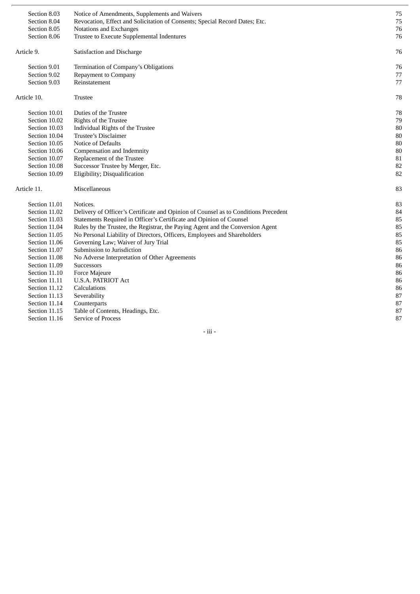| Section 8.03<br>Section 8.04<br>Section 8.05<br>Section 8.06 | Notice of Amendments, Supplements and Waivers<br>Revocation, Effect and Solicitation of Consents; Special Record Dates; Etc.<br>Notations and Exchanges<br>Trustee to Execute Supplemental Indentures | 75<br>75<br>76<br>76 |
|--------------------------------------------------------------|-------------------------------------------------------------------------------------------------------------------------------------------------------------------------------------------------------|----------------------|
| Article 9.                                                   | Satisfaction and Discharge                                                                                                                                                                            | 76                   |
| Section 9.01<br>Section 9.02<br>Section 9.03                 | Termination of Company's Obligations<br>Repayment to Company<br>Reinstatement                                                                                                                         | 76<br>77<br>77       |
| Article 10.                                                  | <b>Trustee</b>                                                                                                                                                                                        | 78                   |
| Section 10.01                                                | Duties of the Trustee                                                                                                                                                                                 | 78                   |
| Section 10.02                                                | <b>Rights of the Trustee</b>                                                                                                                                                                          | 79                   |
| Section 10.03                                                | Individual Rights of the Trustee                                                                                                                                                                      | 80                   |
| Section 10.04                                                | Trustee's Disclaimer                                                                                                                                                                                  | 80                   |
| Section 10.05                                                | <b>Notice of Defaults</b>                                                                                                                                                                             | 80                   |
| Section 10.06                                                | Compensation and Indemnity                                                                                                                                                                            | 80                   |
| Section 10.07                                                | Replacement of the Trustee                                                                                                                                                                            | 81                   |
| Section 10.08                                                | Successor Trustee by Merger, Etc.                                                                                                                                                                     | 82                   |
| Section 10.09                                                | Eligibility; Disqualification                                                                                                                                                                         | 82                   |
| Article 11.                                                  | Miscellaneous                                                                                                                                                                                         | 83                   |
| Section 11.01                                                | Notices.                                                                                                                                                                                              | 83                   |
| Section 11.02                                                | Delivery of Officer's Certificate and Opinion of Counsel as to Conditions Precedent                                                                                                                   | 84                   |
| Section 11.03                                                | Statements Required in Officer's Certificate and Opinion of Counsel                                                                                                                                   | 85                   |
| Section 11.04                                                | Rules by the Trustee, the Registrar, the Paying Agent and the Conversion Agent                                                                                                                        | 85                   |
| Section 11.05                                                | No Personal Liability of Directors, Officers, Employees and Shareholders                                                                                                                              | 85                   |
| Section 11.06                                                | Governing Law; Waiver of Jury Trial                                                                                                                                                                   | 85                   |
| Section 11.07                                                | Submission to Jurisdiction                                                                                                                                                                            | 86                   |
| Section 11.08                                                | No Adverse Interpretation of Other Agreements                                                                                                                                                         | 86                   |
| Section 11.09                                                | Successors                                                                                                                                                                                            | 86                   |
| Section 11.10                                                | Force Majeure                                                                                                                                                                                         | 86                   |
| Section 11.11                                                | <b>U.S.A. PATRIOT Act</b>                                                                                                                                                                             | 86                   |
| Section 11.12                                                | Calculations                                                                                                                                                                                          | 86                   |
| Section 11.13                                                | Severability                                                                                                                                                                                          | 87                   |
| Section 11.14                                                | Counterparts                                                                                                                                                                                          | 87                   |
| Section 11.15                                                | Table of Contents, Headings, Etc.                                                                                                                                                                     | 87                   |
| Section 11.16                                                | Service of Process                                                                                                                                                                                    | 87                   |

- iii -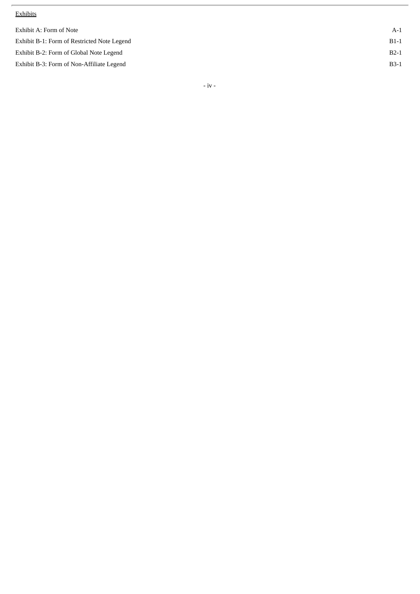#### **Exhibits**

| Exhibit A: Form of Note                     | $A-1$  |
|---------------------------------------------|--------|
| Exhibit B-1: Form of Restricted Note Legend | $B1-1$ |
| Exhibit B-2: Form of Global Note Legend     | $B2-1$ |
| Exhibit B-3: Form of Non-Affiliate Legend   | $B3-1$ |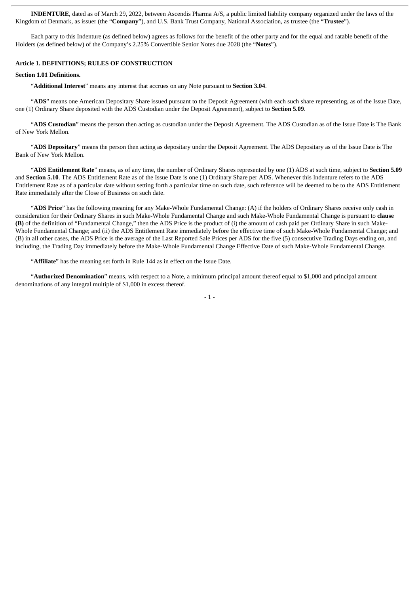**INDENTURE**, dated as of March 29, 2022, between Ascendis Pharma A/S, a public limited liability company organized under the laws of the Kingdom of Denmark, as issuer (the "**Company**"), and U.S. Bank Trust Company, National Association, as trustee (the "**Trustee**").

Each party to this Indenture (as defined below) agrees as follows for the benefit of the other party and for the equal and ratable benefit of the Holders (as defined below) of the Company's 2.25% Convertible Senior Notes due 2028 (the "**Notes**").

#### **Article 1. DEFINITIONS; RULES OF CONSTRUCTION**

#### **Section 1.01 Definitions.**

"**Additional Interest**" means any interest that accrues on any Note pursuant to **Section 3.04**.

"**ADS**" means one American Depositary Share issued pursuant to the Deposit Agreement (with each such share representing, as of the Issue Date, one (1) Ordinary Share deposited with the ADS Custodian under the Deposit Agreement), subject to **Section 5.09**.

"**ADS Custodian**" means the person then acting as custodian under the Deposit Agreement. The ADS Custodian as of the Issue Date is The Bank of New York Mellon.

"**ADS Depositary**" means the person then acting as depositary under the Deposit Agreement. The ADS Depositary as of the Issue Date is The Bank of New York Mellon.

"**ADS Entitlement Rate**" means, as of any time, the number of Ordinary Shares represented by one (1) ADS at such time, subject to **Section 5.09** and **Section 5.10**. The ADS Entitlement Rate as of the Issue Date is one (1) Ordinary Share per ADS. Whenever this Indenture refers to the ADS Entitlement Rate as of a particular date without setting forth a particular time on such date, such reference will be deemed to be to the ADS Entitlement Rate immediately after the Close of Business on such date.

"**ADS Price**" has the following meaning for any Make-Whole Fundamental Change: (A) if the holders of Ordinary Shares receive only cash in consideration for their Ordinary Shares in such Make-Whole Fundamental Change and such Make-Whole Fundamental Change is pursuant to **clause (B)** of the definition of "Fundamental Change," then the ADS Price is the product of (i) the amount of cash paid per Ordinary Share in such Make-Whole Fundamental Change; and (ii) the ADS Entitlement Rate immediately before the effective time of such Make-Whole Fundamental Change; and (B) in all other cases, the ADS Price is the average of the Last Reported Sale Prices per ADS for the five (5) consecutive Trading Days ending on, and including, the Trading Day immediately before the Make-Whole Fundamental Change Effective Date of such Make-Whole Fundamental Change.

"**Affiliate**" has the meaning set forth in Rule 144 as in effect on the Issue Date.

"**Authorized Denomination**" means, with respect to a Note, a minimum principal amount thereof equal to \$1,000 and principal amount denominations of any integral multiple of \$1,000 in excess thereof.

- 1 -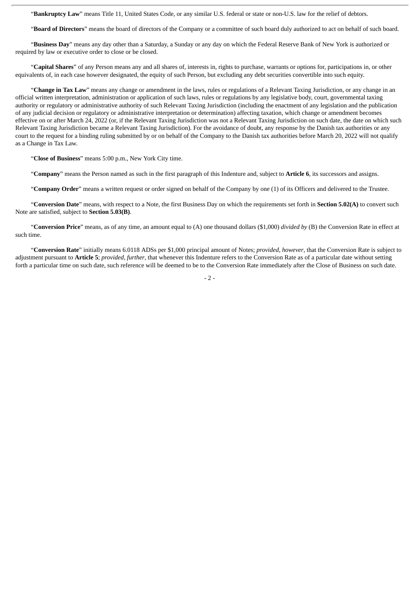"**Bankruptcy Law**" means Title 11, United States Code, or any similar U.S. federal or state or non-U.S. law for the relief of debtors.

"**Board of Directors**" means the board of directors of the Company or a committee of such board duly authorized to act on behalf of such board.

"**Business Day**" means any day other than a Saturday, a Sunday or any day on which the Federal Reserve Bank of New York is authorized or required by law or executive order to close or be closed.

"**Capital Shares**" of any Person means any and all shares of, interests in, rights to purchase, warrants or options for, participations in, or other equivalents of, in each case however designated, the equity of such Person, but excluding any debt securities convertible into such equity.

"**Change in Tax Law**" means any change or amendment in the laws, rules or regulations of a Relevant Taxing Jurisdiction, or any change in an official written interpretation, administration or application of such laws, rules or regulations by any legislative body, court, governmental taxing authority or regulatory or administrative authority of such Relevant Taxing Jurisdiction (including the enactment of any legislation and the publication of any judicial decision or regulatory or administrative interpretation or determination) affecting taxation, which change or amendment becomes effective on or after March 24, 2022 (or, if the Relevant Taxing Jurisdiction was not a Relevant Taxing Jurisdiction on such date, the date on which such Relevant Taxing Jurisdiction became a Relevant Taxing Jurisdiction). For the avoidance of doubt, any response by the Danish tax authorities or any court to the request for a binding ruling submitted by or on behalf of the Company to the Danish tax authorities before March 20, 2022 will not qualify as a Change in Tax Law.

"**Close of Business**" means 5:00 p.m., New York City time.

"**Company**" means the Person named as such in the first paragraph of this Indenture and, subject to **Article 6**, its successors and assigns.

"**Company Order**" means a written request or order signed on behalf of the Company by one (1) of its Officers and delivered to the Trustee.

"**Conversion Date**" means, with respect to a Note, the first Business Day on which the requirements set forth in **Section 5.02(A)** to convert such Note are satisfied, subject to **Section 5.03(B)**.

"**Conversion Price**" means, as of any time, an amount equal to (A) one thousand dollars (\$1,000) *divided by* (B) the Conversion Rate in effect at such time.

"**Conversion Rate**" initially means 6.0118 ADSs per \$1,000 principal amount of Notes; *provided*, *however*, that the Conversion Rate is subject to adjustment pursuant to **Article 5**; *provided*, *further*, that whenever this Indenture refers to the Conversion Rate as of a particular date without setting forth a particular time on such date, such reference will be deemed to be to the Conversion Rate immediately after the Close of Business on such date.

 $-2 -$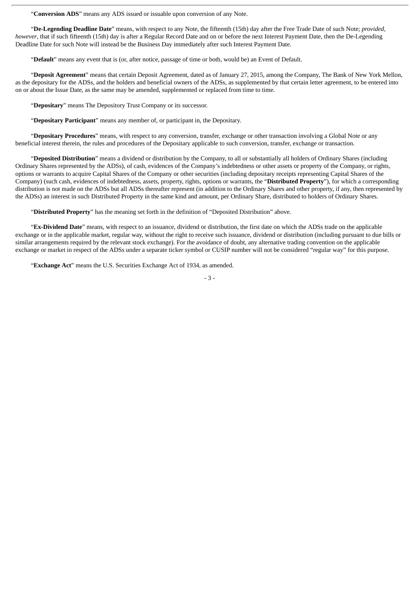"**Conversion ADS**" means any ADS issued or issuable upon conversion of any Note.

"**De-Legending Deadline Date**" means, with respect to any Note, the fifteenth (15th) day after the Free Trade Date of such Note; *provided*, *however*, that if such fifteenth (15th) day is after a Regular Record Date and on or before the next Interest Payment Date, then the De-Legending Deadline Date for such Note will instead be the Business Day immediately after such Interest Payment Date.

"**Default**" means any event that is (or, after notice, passage of time or both, would be) an Event of Default.

"**Deposit Agreement**" means that certain Deposit Agreement, dated as of January 27, 2015, among the Company, The Bank of New York Mellon, as the depositary for the ADSs, and the holders and beneficial owners of the ADSs, as supplemented by that certain letter agreement, to be entered into on or about the Issue Date, as the same may be amended, supplemented or replaced from time to time.

"**Depositary**" means The Depository Trust Company or its successor.

"**Depositary Participant**" means any member of, or participant in, the Depositary.

"**Depositary Procedures**" means, with respect to any conversion, transfer, exchange or other transaction involving a Global Note or any beneficial interest therein, the rules and procedures of the Depositary applicable to such conversion, transfer, exchange or transaction.

"**Deposited Distribution**" means a dividend or distribution by the Company, to all or substantially all holders of Ordinary Shares (including Ordinary Shares represented by the ADSs), of cash, evidences of the Company's indebtedness or other assets or property of the Company, or rights, options or warrants to acquire Capital Shares of the Company or other securities (including depositary receipts representing Capital Shares of the Company) (such cash, evidences of indebtedness, assets, property, rights, options or warrants, the "**Distributed Property**"), for which a corresponding distribution is not made on the ADSs but all ADSs thereafter represent (in addition to the Ordinary Shares and other property, if any, then represented by the ADSs) an interest in such Distributed Property in the same kind and amount, per Ordinary Share, distributed to holders of Ordinary Shares.

"**Distributed Property**" has the meaning set forth in the definition of "Deposited Distribution" above.

"**Ex-Dividend Date**" means, with respect to an issuance, dividend or distribution, the first date on which the ADSs trade on the applicable exchange or in the applicable market, regular way, without the right to receive such issuance, dividend or distribution (including pursuant to due bills or similar arrangements required by the relevant stock exchange). For the avoidance of doubt, any alternative trading convention on the applicable exchange or market in respect of the ADSs under a separate ticker symbol or CUSIP number will not be considered "regular way" for this purpose.

"**Exchange Act**" means the U.S. Securities Exchange Act of 1934, as amended.

<sup>-</sup> 3 -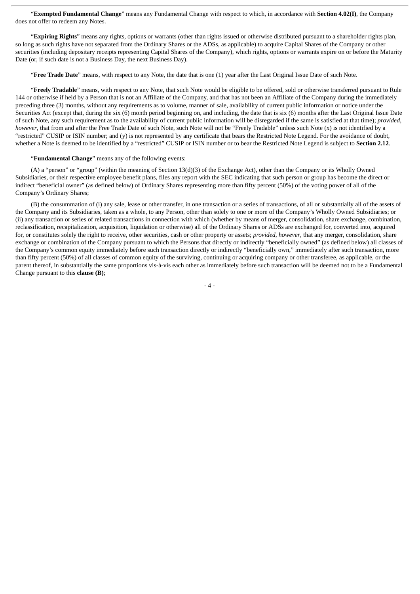"**Exempted Fundamental Change**" means any Fundamental Change with respect to which, in accordance with **Section 4.02(I)**, the Company does not offer to redeem any Notes.

"**Expiring Rights**" means any rights, options or warrants (other than rights issued or otherwise distributed pursuant to a shareholder rights plan, so long as such rights have not separated from the Ordinary Shares or the ADSs, as applicable) to acquire Capital Shares of the Company or other securities (including depositary receipts representing Capital Shares of the Company), which rights, options or warrants expire on or before the Maturity Date (or, if such date is not a Business Day, the next Business Day).

"**Free Trade Date**" means, with respect to any Note, the date that is one (1) year after the Last Original Issue Date of such Note.

"**Freely Tradable**" means, with respect to any Note, that such Note would be eligible to be offered, sold or otherwise transferred pursuant to Rule 144 or otherwise if held by a Person that is not an Affiliate of the Company, and that has not been an Affiliate of the Company during the immediately preceding three (3) months, without any requirements as to volume, manner of sale, availability of current public information or notice under the Securities Act (except that, during the six (6) month period beginning on, and including, the date that is six (6) months after the Last Original Issue Date of such Note, any such requirement as to the availability of current public information will be disregarded if the same is satisfied at that time); *provided*, *however*, that from and after the Free Trade Date of such Note, such Note will not be "Freely Tradable" unless such Note (x) is not identified by a "restricted" CUSIP or ISIN number; and (y) is not represented by any certificate that bears the Restricted Note Legend. For the avoidance of doubt, whether a Note is deemed to be identified by a "restricted" CUSIP or ISIN number or to bear the Restricted Note Legend is subject to **Section 2.12**.

#### "**Fundamental Change**" means any of the following events:

(A) a "person" or "group" (within the meaning of Section 13(d)(3) of the Exchange Act), other than the Company or its Wholly Owned Subsidiaries, or their respective employee benefit plans, files any report with the SEC indicating that such person or group has become the direct or indirect "beneficial owner" (as defined below) of Ordinary Shares representing more than fifty percent (50%) of the voting power of all of the Company's Ordinary Shares;

(B) the consummation of (i) any sale, lease or other transfer, in one transaction or a series of transactions, of all or substantially all of the assets of the Company and its Subsidiaries, taken as a whole, to any Person, other than solely to one or more of the Company's Wholly Owned Subsidiaries; or (ii) any transaction or series of related transactions in connection with which (whether by means of merger, consolidation, share exchange, combination, reclassification, recapitalization, acquisition, liquidation or otherwise) all of the Ordinary Shares or ADSs are exchanged for, converted into, acquired for, or constitutes solely the right to receive, other securities, cash or other property or assets; *provided*, *however*, that any merger, consolidation, share exchange or combination of the Company pursuant to which the Persons that directly or indirectly "beneficially owned" (as defined below) all classes of the Company's common equity immediately before such transaction directly or indirectly "beneficially own," immediately after such transaction, more than fifty percent (50%) of all classes of common equity of the surviving, continuing or acquiring company or other transferee, as applicable, or the parent thereof, in substantially the same proportions vis-à-vis each other as immediately before such transaction will be deemed not to be a Fundamental Change pursuant to this **clause (B)**;

 $-4-$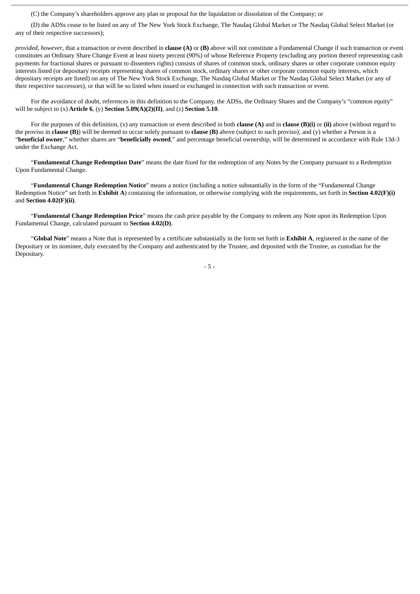(C) the Company's shareholders approve any plan or proposal for the liquidation or dissolution of the Company; or

(D) the ADSs cease to be listed on any of The New York Stock Exchange, The Nasdaq Global Market or The Nasdaq Global Select Market (or any of their respective successors);

*provided*, *however*, that a transaction or event described in **clause (A)** or **(B)** above will not constitute a Fundamental Change if such transaction or event constitutes an Ordinary Share Change Event at least ninety percent (90%) of whose Reference Property (excluding any portion thereof representing cash payments for fractional shares or pursuant to dissenters rights) consists of shares of common stock, ordinary shares or other corporate common equity interests listed (or depositary receipts representing shares of common stock, ordinary shares or other corporate common equity interests, which depositary receipts are listed) on any of The New York Stock Exchange, The Nasdaq Global Market or The Nasdaq Global Select Market (or any of their respective successors), or that will be so listed when issued or exchanged in connection with such transaction or event.

For the avoidance of doubt, references in this definition to the Company, the ADSs, the Ordinary Shares and the Company's "common equity" will be subject to (x) **Article 6**, (y) **Section 5.09(A)(2)(II)**, and (z) **Section 5.10**.

For the purposes of this definition, (x) any transaction or event described in both **clause (A)** and in **clause (B)(i)** or **(ii)** above (without regard to the proviso in **clause (B)**) will be deemed to occur solely pursuant to **clause (B)** above (subject to such proviso); and (y) whether a Person is a "**beneficial owner**," whether shares are "**beneficially owned**," and percentage beneficial ownership, will be determined in accordance with Rule 13d-3 under the Exchange Act.

"**Fundamental Change Redemption Date**" means the date fixed for the redemption of any Notes by the Company pursuant to a Redemption Upon Fundamental Change.

"**Fundamental Change Redemption Notice**" means a notice (including a notice substantially in the form of the "Fundamental Change Redemption Notice" set forth in **Exhibit A**) containing the information, or otherwise complying with the requirements, set forth in **Section 4.02(F)(i)** and **Section 4.02(F)(ii)**.

"**Fundamental Change Redemption Price**" means the cash price payable by the Company to redeem any Note upon its Redemption Upon Fundamental Change, calculated pursuant to **Section 4.02(D)**.

"**Global Note**" means a Note that is represented by a certificate substantially in the form set forth in **Exhibit A**, registered in the name of the Depositary or its nominee, duly executed by the Company and authenticated by the Trustee, and deposited with the Trustee, as custodian for the Depositary.

- 5 -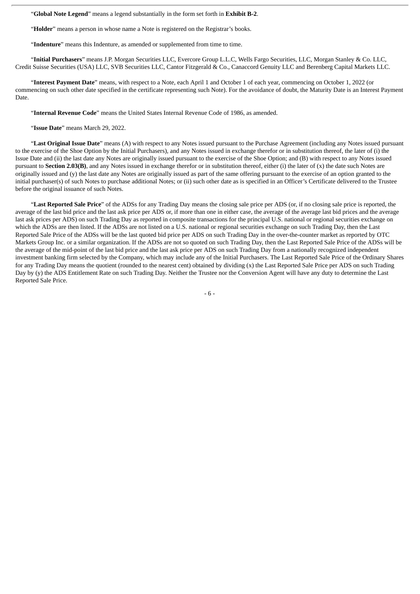"**Global Note Legend**" means a legend substantially in the form set forth in **Exhibit B-2**.

"**Holder**" means a person in whose name a Note is registered on the Registrar's books.

"**Indenture**" means this Indenture, as amended or supplemented from time to time.

"**Initial Purchasers**" means J.P. Morgan Securities LLC, Evercore Group L.L.C, Wells Fargo Securities, LLC, Morgan Stanley & Co. LLC, Credit Suisse Securities (USA) LLC, SVB Securities LLC, Cantor Fitzgerald & Co., Canaccord Genuity LLC and Berenberg Capital Markets LLC.

"**Interest Payment Date**" means, with respect to a Note, each April 1 and October 1 of each year, commencing on October 1, 2022 (or commencing on such other date specified in the certificate representing such Note). For the avoidance of doubt, the Maturity Date is an Interest Payment Date.

"**Internal Revenue Code**" means the United States Internal Revenue Code of 1986, as amended.

"**Issue Date**" means March 29, 2022.

"**Last Original Issue Date**" means (A) with respect to any Notes issued pursuant to the Purchase Agreement (including any Notes issued pursuant to the exercise of the Shoe Option by the Initial Purchasers), and any Notes issued in exchange therefor or in substitution thereof, the later of (i) the Issue Date and (ii) the last date any Notes are originally issued pursuant to the exercise of the Shoe Option; and (B) with respect to any Notes issued pursuant to **Section 2.03(B)**, and any Notes issued in exchange therefor or in substitution thereof, either (i) the later of (x) the date such Notes are originally issued and (y) the last date any Notes are originally issued as part of the same offering pursuant to the exercise of an option granted to the initial purchaser(s) of such Notes to purchase additional Notes; or (ii) such other date as is specified in an Officer's Certificate delivered to the Trustee before the original issuance of such Notes.

"**Last Reported Sale Price**" of the ADSs for any Trading Day means the closing sale price per ADS (or, if no closing sale price is reported, the average of the last bid price and the last ask price per ADS or, if more than one in either case, the average of the average last bid prices and the average last ask prices per ADS) on such Trading Day as reported in composite transactions for the principal U.S. national or regional securities exchange on which the ADSs are then listed. If the ADSs are not listed on a U.S. national or regional securities exchange on such Trading Day, then the Last Reported Sale Price of the ADSs will be the last quoted bid price per ADS on such Trading Day in the over-the-counter market as reported by OTC Markets Group Inc. or a similar organization. If the ADSs are not so quoted on such Trading Day, then the Last Reported Sale Price of the ADSs will be the average of the mid-point of the last bid price and the last ask price per ADS on such Trading Day from a nationally recognized independent investment banking firm selected by the Company, which may include any of the Initial Purchasers. The Last Reported Sale Price of the Ordinary Shares for any Trading Day means the quotient (rounded to the nearest cent) obtained by dividing (x) the Last Reported Sale Price per ADS on such Trading Day by (y) the ADS Entitlement Rate on such Trading Day. Neither the Trustee nor the Conversion Agent will have any duty to determine the Last Reported Sale Price.

- 6 -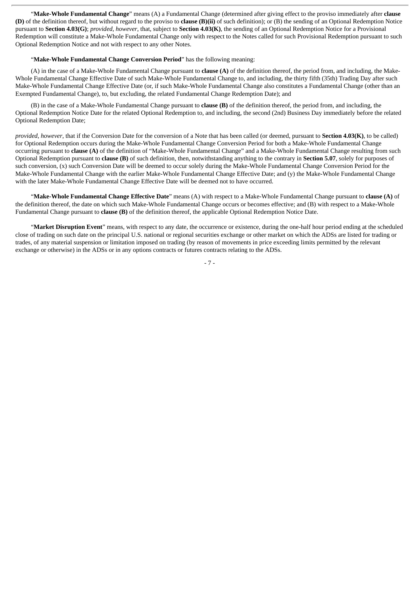"**Make-Whole Fundamental Change**" means (A) a Fundamental Change (determined after giving effect to the proviso immediately after **clause (D)** of the definition thereof, but without regard to the proviso to **clause (B)(ii)** of such definition); or (B) the sending of an Optional Redemption Notice pursuant to **Section 4.03(G)**; *provided*, *however*, that, subject to **Section 4.03(K)**, the sending of an Optional Redemption Notice for a Provisional Redemption will constitute a Make-Whole Fundamental Change only with respect to the Notes called for such Provisional Redemption pursuant to such Optional Redemption Notice and not with respect to any other Notes.

#### "**Make-Whole Fundamental Change Conversion Period**" has the following meaning:

(A) in the case of a Make-Whole Fundamental Change pursuant to **clause (A)** of the definition thereof, the period from, and including, the Make-Whole Fundamental Change Effective Date of such Make-Whole Fundamental Change to, and including, the thirty fifth (35th) Trading Day after such Make-Whole Fundamental Change Effective Date (or, if such Make-Whole Fundamental Change also constitutes a Fundamental Change (other than an Exempted Fundamental Change), to, but excluding, the related Fundamental Change Redemption Date); and

(B) in the case of a Make-Whole Fundamental Change pursuant to **clause (B)** of the definition thereof, the period from, and including, the Optional Redemption Notice Date for the related Optional Redemption to, and including, the second (2nd) Business Day immediately before the related Optional Redemption Date;

*provided*, *however*, that if the Conversion Date for the conversion of a Note that has been called (or deemed, pursuant to **Section 4.03(K)**, to be called) for Optional Redemption occurs during the Make-Whole Fundamental Change Conversion Period for both a Make-Whole Fundamental Change occurring pursuant to **clause (A)** of the definition of "Make-Whole Fundamental Change" and a Make-Whole Fundamental Change resulting from such Optional Redemption pursuant to **clause (B)** of such definition, then, notwithstanding anything to the contrary in **Section 5.07**, solely for purposes of such conversion, (x) such Conversion Date will be deemed to occur solely during the Make-Whole Fundamental Change Conversion Period for the Make-Whole Fundamental Change with the earlier Make-Whole Fundamental Change Effective Date; and (y) the Make-Whole Fundamental Change with the later Make-Whole Fundamental Change Effective Date will be deemed not to have occurred.

"**Make-Whole Fundamental Change Effective Date**" means (A) with respect to a Make-Whole Fundamental Change pursuant to **clause (A)** of the definition thereof, the date on which such Make-Whole Fundamental Change occurs or becomes effective; and (B) with respect to a Make-Whole Fundamental Change pursuant to **clause (B)** of the definition thereof, the applicable Optional Redemption Notice Date.

"**Market Disruption Event**" means, with respect to any date, the occurrence or existence, during the one-half hour period ending at the scheduled close of trading on such date on the principal U.S. national or regional securities exchange or other market on which the ADSs are listed for trading or trades, of any material suspension or limitation imposed on trading (by reason of movements in price exceeding limits permitted by the relevant exchange or otherwise) in the ADSs or in any options contracts or futures contracts relating to the ADSs.

- 7 -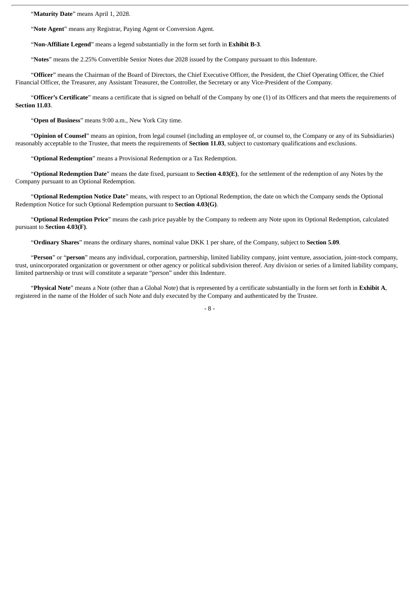"**Maturity Date**" means April 1, 2028.

"**Note Agent**" means any Registrar, Paying Agent or Conversion Agent.

"**Non-Affiliate Legend**" means a legend substantially in the form set forth in **Exhibit B-3**.

"**Notes**" means the 2.25% Convertible Senior Notes due 2028 issued by the Company pursuant to this Indenture.

"**Officer**" means the Chairman of the Board of Directors, the Chief Executive Officer, the President, the Chief Operating Officer, the Chief Financial Officer, the Treasurer, any Assistant Treasurer, the Controller, the Secretary or any Vice-President of the Company.

"**Officer's Certificate**" means a certificate that is signed on behalf of the Company by one (1) of its Officers and that meets the requirements of **Section 11.03**.

"**Open of Business**" means 9:00 a.m., New York City time.

"**Opinion of Counsel**" means an opinion, from legal counsel (including an employee of, or counsel to, the Company or any of its Subsidiaries) reasonably acceptable to the Trustee, that meets the requirements of **Section 11.03**, subject to customary qualifications and exclusions.

"**Optional Redemption**" means a Provisional Redemption or a Tax Redemption.

"**Optional Redemption Date**" means the date fixed, pursuant to **Section 4.03(E)**, for the settlement of the redemption of any Notes by the Company pursuant to an Optional Redemption.

"**Optional Redemption Notice Date**" means, with respect to an Optional Redemption, the date on which the Company sends the Optional Redemption Notice for such Optional Redemption pursuant to **Section 4.03(G)**.

"**Optional Redemption Price**" means the cash price payable by the Company to redeem any Note upon its Optional Redemption, calculated pursuant to **Section 4.03(F)**.

"**Ordinary Shares**" means the ordinary shares, nominal value DKK 1 per share, of the Company, subject to **Section 5.09**.

"**Person**" or "**person**" means any individual, corporation, partnership, limited liability company, joint venture, association, joint-stock company, trust, unincorporated organization or government or other agency or political subdivision thereof. Any division or series of a limited liability company, limited partnership or trust will constitute a separate "person" under this Indenture.

"**Physical Note**" means a Note (other than a Global Note) that is represented by a certificate substantially in the form set forth in **Exhibit A**, registered in the name of the Holder of such Note and duly executed by the Company and authenticated by the Trustee.

 $-$  8  $-$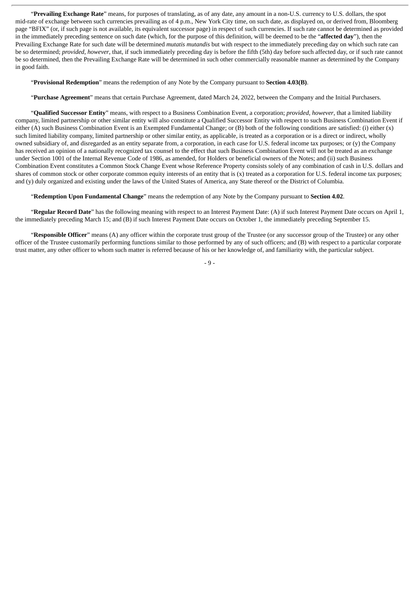"**Prevailing Exchange Rate**" means, for purposes of translating, as of any date, any amount in a non-U.S. currency to U.S. dollars, the spot mid-rate of exchange between such currencies prevailing as of 4 p.m., New York City time, on such date, as displayed on, or derived from, Bloomberg page "BFIX" (or, if such page is not available, its equivalent successor page) in respect of such currencies. If such rate cannot be determined as provided in the immediately preceding sentence on such date (which, for the purpose of this definition, will be deemed to be the "**affected day**"), then the Prevailing Exchange Rate for such date will be determined *mutatis mutandis* but with respect to the immediately preceding day on which such rate can be so determined; *provided*, *however*, that, if such immediately preceding day is before the fifth (5th) day before such affected day, or if such rate cannot be so determined, then the Prevailing Exchange Rate will be determined in such other commercially reasonable manner as determined by the Company in good faith.

"**Provisional Redemption**" means the redemption of any Note by the Company pursuant to **Section 4.03(B)**.

"**Purchase Agreement**" means that certain Purchase Agreement, dated March 24, 2022, between the Company and the Initial Purchasers.

"**Qualified Successor Entity**" means, with respect to a Business Combination Event, a corporation; *provided*, *however*, that a limited liability company, limited partnership or other similar entity will also constitute a Qualified Successor Entity with respect to such Business Combination Event if either (A) such Business Combination Event is an Exempted Fundamental Change; or (B) both of the following conditions are satisfied: (i) either (x) such limited liability company, limited partnership or other similar entity, as applicable, is treated as a corporation or is a direct or indirect, wholly owned subsidiary of, and disregarded as an entity separate from, a corporation, in each case for U.S. federal income tax purposes; or (y) the Company has received an opinion of a nationally recognized tax counsel to the effect that such Business Combination Event will not be treated as an exchange under Section 1001 of the Internal Revenue Code of 1986, as amended, for Holders or beneficial owners of the Notes; and (ii) such Business Combination Event constitutes a Common Stock Change Event whose Reference Property consists solely of any combination of cash in U.S. dollars and shares of common stock or other corporate common equity interests of an entity that is (x) treated as a corporation for U.S. federal income tax purposes; and (y) duly organized and existing under the laws of the United States of America, any State thereof or the District of Columbia.

"**Redemption Upon Fundamental Change**" means the redemption of any Note by the Company pursuant to **Section 4.02**.

"**Regular Record Date**" has the following meaning with respect to an Interest Payment Date: (A) if such Interest Payment Date occurs on April 1, the immediately preceding March 15; and (B) if such Interest Payment Date occurs on October 1, the immediately preceding September 15.

"**Responsible Officer**" means (A) any officer within the corporate trust group of the Trustee (or any successor group of the Trustee) or any other officer of the Trustee customarily performing functions similar to those performed by any of such officers; and (B) with respect to a particular corporate trust matter, any other officer to whom such matter is referred because of his or her knowledge of, and familiarity with, the particular subject.

- 9 -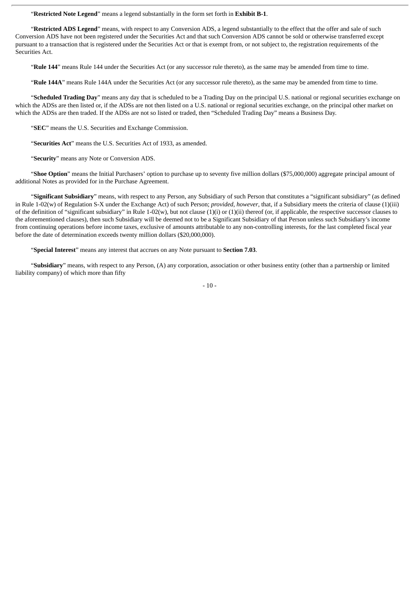"**Restricted Note Legend**" means a legend substantially in the form set forth in **Exhibit B-1**.

"**Restricted ADS Legend**" means, with respect to any Conversion ADS, a legend substantially to the effect that the offer and sale of such Conversion ADS have not been registered under the Securities Act and that such Conversion ADS cannot be sold or otherwise transferred except pursuant to a transaction that is registered under the Securities Act or that is exempt from, or not subject to, the registration requirements of the Securities Act.

"**Rule 144**" means Rule 144 under the Securities Act (or any successor rule thereto), as the same may be amended from time to time.

"**Rule 144A**" means Rule 144A under the Securities Act (or any successor rule thereto), as the same may be amended from time to time.

"**Scheduled Trading Day**" means any day that is scheduled to be a Trading Day on the principal U.S. national or regional securities exchange on which the ADSs are then listed or, if the ADSs are not then listed on a U.S. national or regional securities exchange, on the principal other market on which the ADSs are then traded. If the ADSs are not so listed or traded, then "Scheduled Trading Day" means a Business Day.

"**SEC**" means the U.S. Securities and Exchange Commission.

"**Securities Act**" means the U.S. Securities Act of 1933, as amended.

"**Security**" means any Note or Conversion ADS.

"**Shoe Option**" means the Initial Purchasers' option to purchase up to seventy five million dollars (\$75,000,000) aggregate principal amount of additional Notes as provided for in the Purchase Agreement.

"**Significant Subsidiary**" means, with respect to any Person, any Subsidiary of such Person that constitutes a "significant subsidiary" (as defined in Rule 1-02(w) of Regulation S-X under the Exchange Act) of such Person; *provided*, *however*, that, if a Subsidiary meets the criteria of clause (1)(iii) of the definition of "significant subsidiary" in Rule 1-02(w), but not clause  $(1)(i)$  or  $(1)(ii)$  thereof (or, if applicable, the respective successor clauses to the aforementioned clauses), then such Subsidiary will be deemed not to be a Significant Subsidiary of that Person unless such Subsidiary's income from continuing operations before income taxes, exclusive of amounts attributable to any non-controlling interests, for the last completed fiscal year before the date of determination exceeds twenty million dollars (\$20,000,000).

"**Special Interest**" means any interest that accrues on any Note pursuant to **Section 7.03**.

"**Subsidiary**" means, with respect to any Person, (A) any corporation, association or other business entity (other than a partnership or limited liability company) of which more than fifty

 $-10-$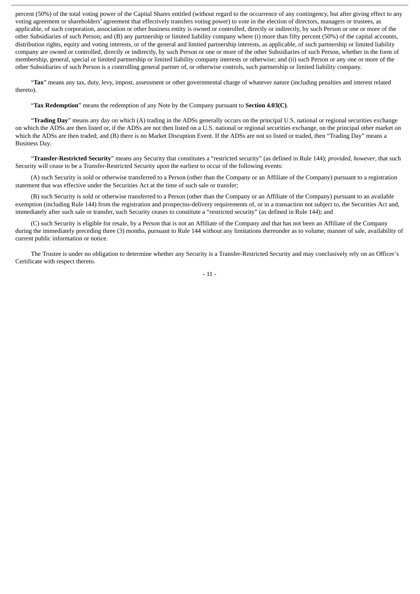percent (50%) of the total voting power of the Capital Shares entitled (without regard to the occurrence of any contingency, but after giving effect to any voting agreement or shareholders' agreement that effectively transfers voting power) to vote in the election of directors, managers or trustees, as applicable, of such corporation, association or other business entity is owned or controlled, directly or indirectly, by such Person or one or more of the other Subsidiaries of such Person; and (B) any partnership or limited liability company where (i) more than fifty percent (50%) of the capital accounts, distribution rights, equity and voting interests, or of the general and limited partnership interests, as applicable, of such partnership or limited liability company are owned or controlled, directly or indirectly, by such Person or one or more of the other Subsidiaries of such Person, whether in the form of membership, general, special or limited partnership or limited liability company interests or otherwise; and (ii) such Person or any one or more of the other Subsidiaries of such Person is a controlling general partner of, or otherwise controls, such partnership or limited liability company.

"**Tax**" means any tax, duty, levy, impost, assessment or other governmental charge of whatever nature (including penalties and interest related thereto).

"**Tax Redemption**" means the redemption of any Note by the Company pursuant to **Section 4.03(C)**.

"**Trading Day**" means any day on which (A) trading in the ADSs generally occurs on the principal U.S. national or regional securities exchange on which the ADSs are then listed or, if the ADSs are not then listed on a U.S. national or regional securities exchange, on the principal other market on which the ADSs are then traded; and (B) there is no Market Disruption Event. If the ADSs are not so listed or traded, then "Trading Day" means a Business Day.

"**Transfer-Restricted Security**" means any Security that constitutes a "restricted security" (as defined in Rule 144); *provided*, *however*, that such Security will cease to be a Transfer-Restricted Security upon the earliest to occur of the following events:

(A) such Security is sold or otherwise transferred to a Person (other than the Company or an Affiliate of the Company) pursuant to a registration statement that was effective under the Securities Act at the time of such sale or transfer;

(B) such Security is sold or otherwise transferred to a Person (other than the Company or an Affiliate of the Company) pursuant to an available exemption (including Rule 144) from the registration and prospectus-delivery requirements of, or in a transaction not subject to, the Securities Act and, immediately after such sale or transfer, such Security ceases to constitute a "restricted security" (as defined in Rule 144); and

(C) such Security is eligible for resale, by a Person that is not an Affiliate of the Company and that has not been an Affiliate of the Company during the immediately preceding three (3) months, pursuant to Rule 144 without any limitations thereunder as to volume, manner of sale, availability of current public information or notice.

The Trustee is under no obligation to determine whether any Security is a Transfer-Restricted Security and may conclusively rely on an Officer's Certificate with respect thereto.

- 11 -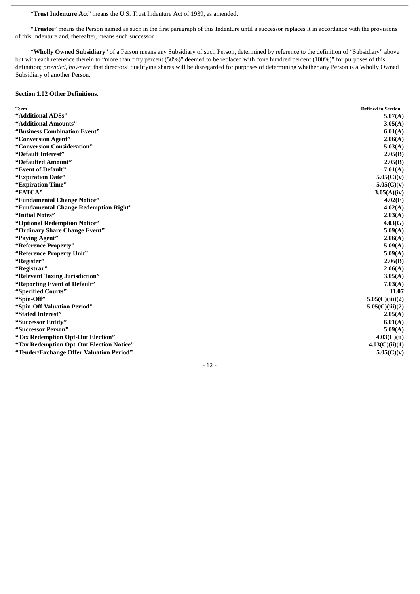"**Trust Indenture Act**" means the U.S. Trust Indenture Act of 1939, as amended.

"**Trustee**" means the Person named as such in the first paragraph of this Indenture until a successor replaces it in accordance with the provisions of this Indenture and, thereafter, means such successor.

"**Wholly Owned Subsidiary**" of a Person means any Subsidiary of such Person, determined by reference to the definition of "Subsidiary" above but with each reference therein to "more than fifty percent (50%)" deemed to be replaced with "one hundred percent (100%)" for purposes of this definition; *provided*, *however*, that directors' qualifying shares will be disregarded for purposes of determining whether any Person is a Wholly Owned Subsidiary of another Person.

# **Section 1.02 Other Definitions.**

| Term                                     | <b>Defined in Section</b> |
|------------------------------------------|---------------------------|
| "Additional ADSs"                        | 5.07(A)                   |
| "Additional Amounts"                     | 3.05(A)                   |
| "Business Combination Event"             | 6.01(A)                   |
| "Conversion Agent"                       | 2.06(A)                   |
| "Conversion Consideration"               | 5.03(A)                   |
| "Default Interest"                       | 2.05(B)                   |
| "Defaulted Amount"                       | 2.05(B)                   |
| "Event of Default"                       | 7.01(A)                   |
| "Expiration Date"                        | 5.05(C)(v)                |
| "Expiration Time"                        | 5.05(C)(v)                |
| "FATCA"                                  | 3.05(A)(iv)               |
| "Fundamental Change Notice"              | 4.02(E)                   |
| "Fundamental Change Redemption Right"    | 4.02(A)                   |
| "Initial Notes"                          | 2.03(A)                   |
| "Optional Redemption Notice"             | 4.03(G)                   |
| "Ordinary Share Change Event"            | 5.09(A)                   |
| "Paying Agent"                           | 2.06(A)                   |
| "Reference Property"                     | 5.09(A)                   |
| "Reference Property Unit"                | 5.09(A)                   |
| "Register"                               | 2.06(B)                   |
| "Registrar"                              | 2.06(A)                   |
| "Relevant Taxing Jurisdiction"           | 3.05(A)                   |
| "Reporting Event of Default"             | 7.03(A)                   |
| "Specified Courts"                       | 11.07                     |
| "Spin-Off"                               | 5.05(C)(iii)(2)           |
| "Spin-Off Valuation Period"              | 5.05(C)(iii)(2)           |
| "Stated Interest"                        | 2.05(A)                   |
| "Successor Entity"                       | 6.01(A)                   |
| "Successor Person"                       | 5.09(A)                   |
| "Tax Redemption Opt-Out Election"        | 4.03(C)(ii)               |
| "Tax Redemption Opt-Out Election Notice" | 4.03(C)(ii)(1)            |
| "Tender/Exchange Offer Valuation Period" | 5.05(C)(v)                |

- 12 -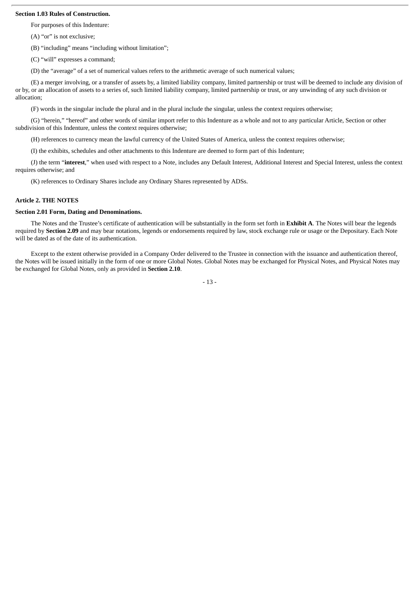## **Section 1.03 Rules of Construction.**

For purposes of this Indenture:

(A) "or" is not exclusive;

(B) "including" means "including without limitation";

(C) "will" expresses a command;

(D) the "average" of a set of numerical values refers to the arithmetic average of such numerical values;

(E) a merger involving, or a transfer of assets by, a limited liability company, limited partnership or trust will be deemed to include any division of or by, or an allocation of assets to a series of, such limited liability company, limited partnership or trust, or any unwinding of any such division or allocation;

(F) words in the singular include the plural and in the plural include the singular, unless the context requires otherwise;

(G) "herein," "hereof" and other words of similar import refer to this Indenture as a whole and not to any particular Article, Section or other subdivision of this Indenture, unless the context requires otherwise;

(H) references to currency mean the lawful currency of the United States of America, unless the context requires otherwise;

(I) the exhibits, schedules and other attachments to this Indenture are deemed to form part of this Indenture;

(J) the term "**interest**," when used with respect to a Note, includes any Default Interest, Additional Interest and Special Interest, unless the context requires otherwise; and

(K) references to Ordinary Shares include any Ordinary Shares represented by ADSs.

### **Article 2. THE NOTES**

### **Section 2.01 Form, Dating and Denominations.**

The Notes and the Trustee's certificate of authentication will be substantially in the form set forth in **Exhibit A**. The Notes will bear the legends required by **Section 2.09** and may bear notations, legends or endorsements required by law, stock exchange rule or usage or the Depositary. Each Note will be dated as of the date of its authentication.

Except to the extent otherwise provided in a Company Order delivered to the Trustee in connection with the issuance and authentication thereof, the Notes will be issued initially in the form of one or more Global Notes. Global Notes may be exchanged for Physical Notes, and Physical Notes may be exchanged for Global Notes, only as provided in **Section 2.10**.

- 13 -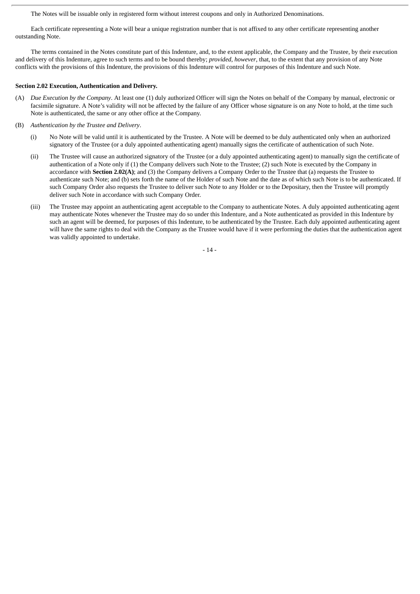The Notes will be issuable only in registered form without interest coupons and only in Authorized Denominations.

Each certificate representing a Note will bear a unique registration number that is not affixed to any other certificate representing another outstanding Note.

The terms contained in the Notes constitute part of this Indenture, and, to the extent applicable, the Company and the Trustee, by their execution and delivery of this Indenture, agree to such terms and to be bound thereby; *provided*, *however*, that, to the extent that any provision of any Note conflicts with the provisions of this Indenture, the provisions of this Indenture will control for purposes of this Indenture and such Note.

#### **Section 2.02 Execution, Authentication and Delivery.**

- (A) *Due Execution by the Company*. At least one (1) duly authorized Officer will sign the Notes on behalf of the Company by manual, electronic or facsimile signature. A Note's validity will not be affected by the failure of any Officer whose signature is on any Note to hold, at the time such Note is authenticated, the same or any other office at the Company.
- (B) *Authentication by the Trustee and Delivery*.
	- (i) No Note will be valid until it is authenticated by the Trustee. A Note will be deemed to be duly authenticated only when an authorized signatory of the Trustee (or a duly appointed authenticating agent) manually signs the certificate of authentication of such Note.
	- (ii) The Trustee will cause an authorized signatory of the Trustee (or a duly appointed authenticating agent) to manually sign the certificate of authentication of a Note only if (1) the Company delivers such Note to the Trustee; (2) such Note is executed by the Company in accordance with **Section 2.02(A)**; and (3) the Company delivers a Company Order to the Trustee that (a) requests the Trustee to authenticate such Note; and (b) sets forth the name of the Holder of such Note and the date as of which such Note is to be authenticated. If such Company Order also requests the Trustee to deliver such Note to any Holder or to the Depositary, then the Trustee will promptly deliver such Note in accordance with such Company Order.
	- (iii) The Trustee may appoint an authenticating agent acceptable to the Company to authenticate Notes. A duly appointed authenticating agent may authenticate Notes whenever the Trustee may do so under this Indenture, and a Note authenticated as provided in this Indenture by such an agent will be deemed, for purposes of this Indenture, to be authenticated by the Trustee. Each duly appointed authenticating agent will have the same rights to deal with the Company as the Trustee would have if it were performing the duties that the authentication agent was validly appointed to undertake.

- 14 -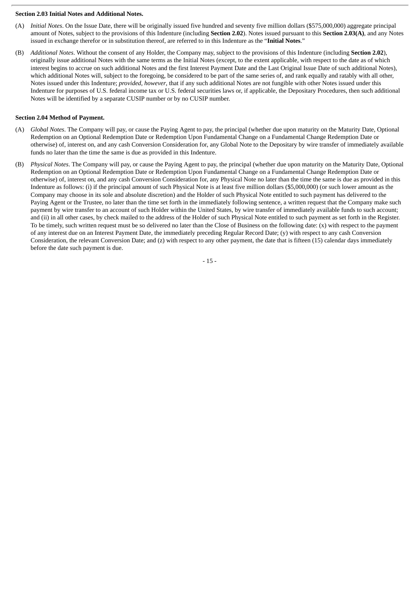#### **Section 2.03 Initial Notes and Additional Notes.**

- (A) *Initial Notes*. On the Issue Date, there will be originally issued five hundred and seventy five million dollars (\$575,000,000) aggregate principal amount of Notes, subject to the provisions of this Indenture (including **Section 2.02**). Notes issued pursuant to this **Section 2.03(A)**, and any Notes issued in exchange therefor or in substitution thereof, are referred to in this Indenture as the "**Initial Notes**."
- (B) *Additional Notes*. Without the consent of any Holder, the Company may, subject to the provisions of this Indenture (including **Section 2.02**), originally issue additional Notes with the same terms as the Initial Notes (except, to the extent applicable, with respect to the date as of which interest begins to accrue on such additional Notes and the first Interest Payment Date and the Last Original Issue Date of such additional Notes), which additional Notes will, subject to the foregoing, be considered to be part of the same series of, and rank equally and ratably with all other. Notes issued under this Indenture; *provided*, *however*, that if any such additional Notes are not fungible with other Notes issued under this Indenture for purposes of U.S. federal income tax or U.S. federal securities laws or, if applicable, the Depositary Procedures, then such additional Notes will be identified by a separate CUSIP number or by no CUSIP number.

## **Section 2.04 Method of Payment.**

- (A) *Global Notes*. The Company will pay, or cause the Paying Agent to pay, the principal (whether due upon maturity on the Maturity Date, Optional Redemption on an Optional Redemption Date or Redemption Upon Fundamental Change on a Fundamental Change Redemption Date or otherwise) of, interest on, and any cash Conversion Consideration for, any Global Note to the Depositary by wire transfer of immediately available funds no later than the time the same is due as provided in this Indenture.
- (B) *Physical Notes*. The Company will pay, or cause the Paying Agent to pay, the principal (whether due upon maturity on the Maturity Date, Optional Redemption on an Optional Redemption Date or Redemption Upon Fundamental Change on a Fundamental Change Redemption Date or otherwise) of, interest on, and any cash Conversion Consideration for, any Physical Note no later than the time the same is due as provided in this Indenture as follows: (i) if the principal amount of such Physical Note is at least five million dollars (\$5,000,000) (or such lower amount as the Company may choose in its sole and absolute discretion) and the Holder of such Physical Note entitled to such payment has delivered to the Paying Agent or the Trustee, no later than the time set forth in the immediately following sentence, a written request that the Company make such payment by wire transfer to an account of such Holder within the United States, by wire transfer of immediately available funds to such account; and (ii) in all other cases, by check mailed to the address of the Holder of such Physical Note entitled to such payment as set forth in the Register. To be timely, such written request must be so delivered no later than the Close of Business on the following date: (x) with respect to the payment of any interest due on an Interest Payment Date, the immediately preceding Regular Record Date; (y) with respect to any cash Conversion Consideration, the relevant Conversion Date; and (z) with respect to any other payment, the date that is fifteen (15) calendar days immediately before the date such payment is due.

- 15 -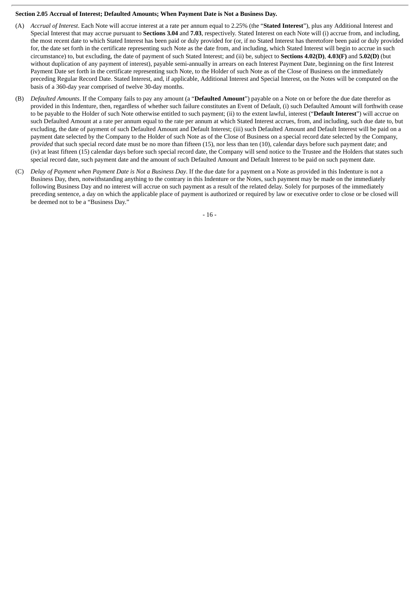## **Section 2.05 Accrual of Interest; Defaulted Amounts; When Payment Date is Not a Business Day.**

- (A) *Accrual of Interest*. Each Note will accrue interest at a rate per annum equal to 2.25% (the "**Stated Interest**"), plus any Additional Interest and Special Interest that may accrue pursuant to **Sections 3.04** and **7.03**, respectively. Stated Interest on each Note will (i) accrue from, and including, the most recent date to which Stated Interest has been paid or duly provided for (or, if no Stated Interest has theretofore been paid or duly provided for, the date set forth in the certificate representing such Note as the date from, and including, which Stated Interest will begin to accrue in such circumstance) to, but excluding, the date of payment of such Stated Interest; and (ii) be, subject to **Sections 4.02(D)**, **4.03(F)** and **5.02(D)** (but without duplication of any payment of interest), payable semi-annually in arrears on each Interest Payment Date, beginning on the first Interest Payment Date set forth in the certificate representing such Note, to the Holder of such Note as of the Close of Business on the immediately preceding Regular Record Date. Stated Interest, and, if applicable, Additional Interest and Special Interest, on the Notes will be computed on the basis of a 360-day year comprised of twelve 30-day months.
- (B) *Defaulted Amounts*. If the Company fails to pay any amount (a "**Defaulted Amount**") payable on a Note on or before the due date therefor as provided in this Indenture, then, regardless of whether such failure constitutes an Event of Default, (i) such Defaulted Amount will forthwith cease to be payable to the Holder of such Note otherwise entitled to such payment; (ii) to the extent lawful, interest ("**Default Interest**") will accrue on such Defaulted Amount at a rate per annum equal to the rate per annum at which Stated Interest accrues, from, and including, such due date to, but excluding, the date of payment of such Defaulted Amount and Default Interest; (iii) such Defaulted Amount and Default Interest will be paid on a payment date selected by the Company to the Holder of such Note as of the Close of Business on a special record date selected by the Company, *provided* that such special record date must be no more than fifteen (15), nor less than ten (10), calendar days before such payment date; and (iv) at least fifteen (15) calendar days before such special record date, the Company will send notice to the Trustee and the Holders that states such special record date, such payment date and the amount of such Defaulted Amount and Default Interest to be paid on such payment date.
- (C) *Delay of Payment when Payment Date is Not a Business Day*. If the due date for a payment on a Note as provided in this Indenture is not a Business Day, then, notwithstanding anything to the contrary in this Indenture or the Notes, such payment may be made on the immediately following Business Day and no interest will accrue on such payment as a result of the related delay. Solely for purposes of the immediately preceding sentence, a day on which the applicable place of payment is authorized or required by law or executive order to close or be closed will be deemed not to be a "Business Day."

- 16 -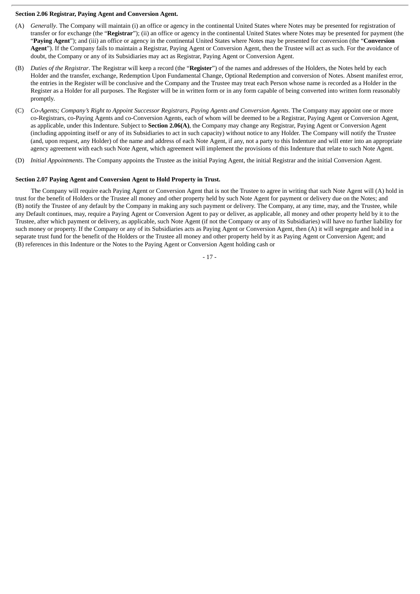## **Section 2.06 Registrar, Paying Agent and Conversion Agent.**

- (A) *Generally*. The Company will maintain (i) an office or agency in the continental United States where Notes may be presented for registration of transfer or for exchange (the "**Registrar**"); (ii) an office or agency in the continental United States where Notes may be presented for payment (the "**Paying Agent**"); and (iii) an office or agency in the continental United States where Notes may be presented for conversion (the "**Conversion Agent**"). If the Company fails to maintain a Registrar, Paying Agent or Conversion Agent, then the Trustee will act as such. For the avoidance of doubt, the Company or any of its Subsidiaries may act as Registrar, Paying Agent or Conversion Agent.
- (B) *Duties of the Registrar*. The Registrar will keep a record (the "**Register**") of the names and addresses of the Holders, the Notes held by each Holder and the transfer, exchange, Redemption Upon Fundamental Change, Optional Redemption and conversion of Notes. Absent manifest error, the entries in the Register will be conclusive and the Company and the Trustee may treat each Person whose name is recorded as a Holder in the Register as a Holder for all purposes. The Register will be in written form or in any form capable of being converted into written form reasonably promptly.
- (C) *Co-Agents; Company's Right to Appoint Successor Registrars, Paying Agents and Conversion Agents*. The Company may appoint one or more co-Registrars, co-Paying Agents and co-Conversion Agents, each of whom will be deemed to be a Registrar, Paying Agent or Conversion Agent, as applicable, under this Indenture. Subject to **Section 2.06(A)**, the Company may change any Registrar, Paying Agent or Conversion Agent (including appointing itself or any of its Subsidiaries to act in such capacity) without notice to any Holder. The Company will notify the Trustee (and, upon request, any Holder) of the name and address of each Note Agent, if any, not a party to this Indenture and will enter into an appropriate agency agreement with each such Note Agent, which agreement will implement the provisions of this Indenture that relate to such Note Agent.
- (D) *Initial Appointments*. The Company appoints the Trustee as the initial Paying Agent, the initial Registrar and the initial Conversion Agent.

### **Section 2.07 Paying Agent and Conversion Agent to Hold Property in Trust.**

The Company will require each Paying Agent or Conversion Agent that is not the Trustee to agree in writing that such Note Agent will (A) hold in trust for the benefit of Holders or the Trustee all money and other property held by such Note Agent for payment or delivery due on the Notes; and (B) notify the Trustee of any default by the Company in making any such payment or delivery. The Company, at any time, may, and the Trustee, while any Default continues, may, require a Paying Agent or Conversion Agent to pay or deliver, as applicable, all money and other property held by it to the Trustee, after which payment or delivery, as applicable, such Note Agent (if not the Company or any of its Subsidiaries) will have no further liability for such money or property. If the Company or any of its Subsidiaries acts as Paying Agent or Conversion Agent, then (A) it will segregate and hold in a separate trust fund for the benefit of the Holders or the Trustee all money and other property held by it as Paying Agent or Conversion Agent; and (B) references in this Indenture or the Notes to the Paying Agent or Conversion Agent holding cash or

- 17 -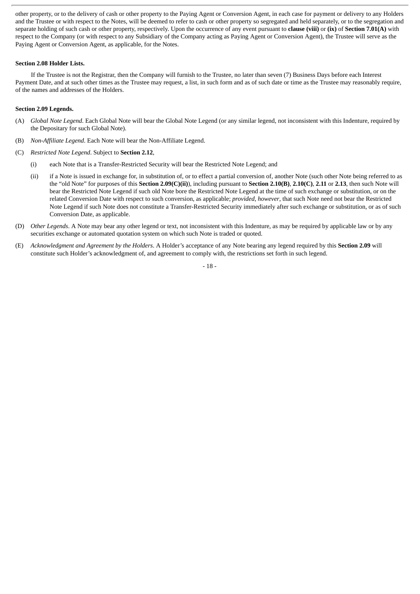other property, or to the delivery of cash or other property to the Paying Agent or Conversion Agent, in each case for payment or delivery to any Holders and the Trustee or with respect to the Notes, will be deemed to refer to cash or other property so segregated and held separately, or to the segregation and separate holding of such cash or other property, respectively. Upon the occurrence of any event pursuant to **clause (viii)** or **(ix)** of **Section 7.01(A)** with respect to the Company (or with respect to any Subsidiary of the Company acting as Paying Agent or Conversion Agent), the Trustee will serve as the Paying Agent or Conversion Agent, as applicable, for the Notes.

#### **Section 2.08 Holder Lists.**

If the Trustee is not the Registrar, then the Company will furnish to the Trustee, no later than seven (7) Business Days before each Interest Payment Date, and at such other times as the Trustee may request, a list, in such form and as of such date or time as the Trustee may reasonably require, of the names and addresses of the Holders.

## **Section 2.09 Legends.**

- (A) *Global Note Legend*. Each Global Note will bear the Global Note Legend (or any similar legend, not inconsistent with this Indenture, required by the Depositary for such Global Note).
- (B) *Non-Affiliate Legend*. Each Note will bear the Non-Affiliate Legend.
- (C) *Restricted Note Legend*. Subject to **Section 2.12**,
	- (i) each Note that is a Transfer-Restricted Security will bear the Restricted Note Legend; and
	- (ii) if a Note is issued in exchange for, in substitution of, or to effect a partial conversion of, another Note (such other Note being referred to as the "old Note" for purposes of this **Section 2.09(C)(ii)**), including pursuant to **Section 2.10(B)**, **2.10(C)**, **2.11** or **2.13**, then such Note will bear the Restricted Note Legend if such old Note bore the Restricted Note Legend at the time of such exchange or substitution, or on the related Conversion Date with respect to such conversion, as applicable; *provided*, *however*, that such Note need not bear the Restricted Note Legend if such Note does not constitute a Transfer-Restricted Security immediately after such exchange or substitution, or as of such Conversion Date, as applicable.
- (D) *Other Legends*. A Note may bear any other legend or text, not inconsistent with this Indenture, as may be required by applicable law or by any securities exchange or automated quotation system on which such Note is traded or quoted.
- (E) *Acknowledgment and Agreement by the Holders*. A Holder's acceptance of any Note bearing any legend required by this **Section 2.09** will constitute such Holder's acknowledgment of, and agreement to comply with, the restrictions set forth in such legend.

- 18 -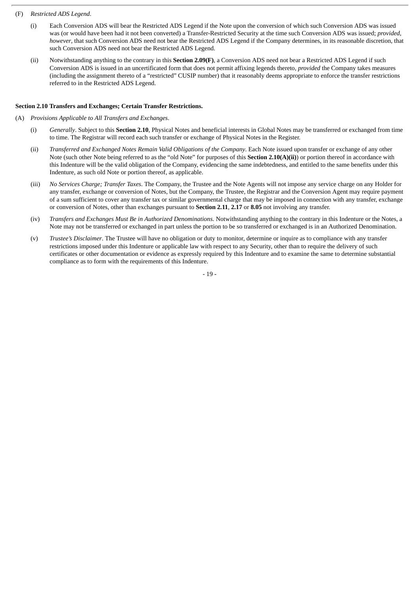#### (F) *Restricted ADS Legend*.

- (i) Each Conversion ADS will bear the Restricted ADS Legend if the Note upon the conversion of which such Conversion ADS was issued was (or would have been had it not been converted) a Transfer-Restricted Security at the time such Conversion ADS was issued; *provided*, *however*, that such Conversion ADS need not bear the Restricted ADS Legend if the Company determines, in its reasonable discretion, that such Conversion ADS need not bear the Restricted ADS Legend.
- (ii) Notwithstanding anything to the contrary in this **Section 2.09(F)**, a Conversion ADS need not bear a Restricted ADS Legend if such Conversion ADS is issued in an uncertificated form that does not permit affixing legends thereto, *provided* the Company takes measures (including the assignment thereto of a "restricted" CUSIP number) that it reasonably deems appropriate to enforce the transfer restrictions referred to in the Restricted ADS Legend.

## **Section 2.10 Transfers and Exchanges; Certain Transfer Restrictions.**

- (A) *Provisions Applicable to All Transfers and Exchanges*.
	- (i) *Generally*. Subject to this **Section 2.10**, Physical Notes and beneficial interests in Global Notes may be transferred or exchanged from time to time. The Registrar will record each such transfer or exchange of Physical Notes in the Register.
	- (ii) *Transferred and Exchanged Notes Remain Valid Obligations of the Company*. Each Note issued upon transfer or exchange of any other Note (such other Note being referred to as the "old Note" for purposes of this **Section 2.10(A)(ii)**) or portion thereof in accordance with this Indenture will be the valid obligation of the Company, evidencing the same indebtedness, and entitled to the same benefits under this Indenture, as such old Note or portion thereof, as applicable.
	- (iii) *No Services Charge; Transfer Taxes*. The Company, the Trustee and the Note Agents will not impose any service charge on any Holder for any transfer, exchange or conversion of Notes, but the Company, the Trustee, the Registrar and the Conversion Agent may require payment of a sum sufficient to cover any transfer tax or similar governmental charge that may be imposed in connection with any transfer, exchange or conversion of Notes, other than exchanges pursuant to **Section 2.11**, **2.17** or **8.05** not involving any transfer.
	- (iv) *Transfers and Exchanges Must Be in Authorized Denominations*. Notwithstanding anything to the contrary in this Indenture or the Notes, a Note may not be transferred or exchanged in part unless the portion to be so transferred or exchanged is in an Authorized Denomination.
	- (v) *Trustee's Disclaimer*. The Trustee will have no obligation or duty to monitor, determine or inquire as to compliance with any transfer restrictions imposed under this Indenture or applicable law with respect to any Security, other than to require the delivery of such certificates or other documentation or evidence as expressly required by this Indenture and to examine the same to determine substantial compliance as to form with the requirements of this Indenture.

- 19 -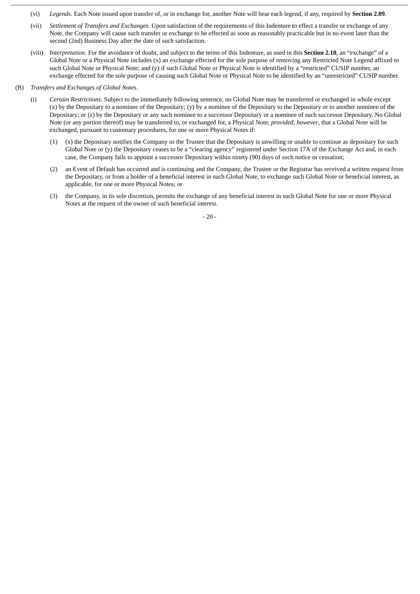- (vi) *Legends*. Each Note issued upon transfer of, or in exchange for, another Note will bear each legend, if any, required by **Section 2.09**.
- (vii) *Settlement of Transfers and Exchanges*. Upon satisfaction of the requirements of this Indenture to effect a transfer or exchange of any Note, the Company will cause such transfer or exchange to be effected as soon as reasonably practicable but in no event later than the second (2nd) Business Day after the date of such satisfaction.
- (viii) *Interpretation*. For the avoidance of doubt, and subject to the terms of this Indenture, as used in this **Section 2.10**, an "exchange" of a Global Note or a Physical Note includes (x) an exchange effected for the sole purpose of removing any Restricted Note Legend affixed to such Global Note or Physical Note; and (y) if such Global Note or Physical Note is identified by a "restricted" CUSIP number, an exchange effected for the sole purpose of causing such Global Note or Physical Note to be identified by an "unrestricted" CUSIP number.
- (B) *Transfers and Exchanges of Global Notes*.
	- (i) *Certain Restrictions*. Subject to the immediately following sentence, no Global Note may be transferred or exchanged in whole except (x) by the Depositary to a nominee of the Depositary; (y) by a nominee of the Depositary to the Depositary or to another nominee of the Depositary; or (z) by the Depositary or any such nominee to a successor Depositary or a nominee of such successor Depositary. No Global Note (or any portion thereof) may be transferred to, or exchanged for, a Physical Note; *provided*, *however*, that a Global Note will be exchanged, pursuant to customary procedures, for one or more Physical Notes if:
		- (1) (x) the Depositary notifies the Company or the Trustee that the Depositary is unwilling or unable to continue as depositary for such Global Note or (y) the Depositary ceases to be a "clearing agency" registered under Section 17A of the Exchange Act and, in each case, the Company fails to appoint a successor Depositary within ninety (90) days of such notice or cessation;
		- (2) an Event of Default has occurred and is continuing and the Company, the Trustee or the Registrar has received a written request from the Depositary, or from a holder of a beneficial interest in such Global Note, to exchange such Global Note or beneficial interest, as applicable, for one or more Physical Notes; or
		- (3) the Company, in its sole discretion, permits the exchange of any beneficial interest in such Global Note for one or more Physical Notes at the request of the owner of such beneficial interest.

- 20 -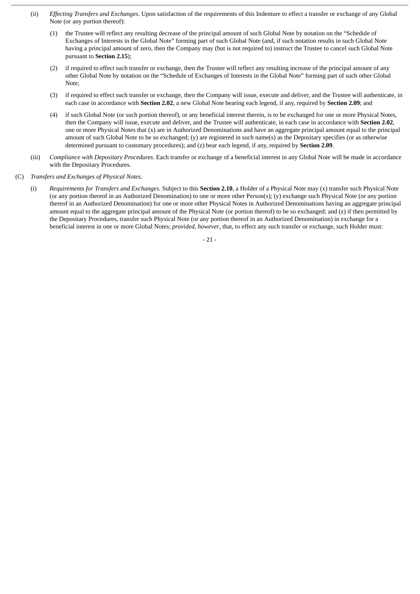- (ii) *Effecting Transfers and Exchanges*. Upon satisfaction of the requirements of this Indenture to effect a transfer or exchange of any Global Note (or any portion thereof):
	- (1) the Trustee will reflect any resulting decrease of the principal amount of such Global Note by notation on the "Schedule of Exchanges of Interests in the Global Note" forming part of such Global Note (and, if such notation results in such Global Note having a principal amount of zero, then the Company may (but is not required to) instruct the Trustee to cancel such Global Note pursuant to **Section 2.15**);
	- (2) if required to effect such transfer or exchange, then the Trustee will reflect any resulting increase of the principal amount of any other Global Note by notation on the "Schedule of Exchanges of Interests in the Global Note" forming part of such other Global Note;
	- (3) if required to effect such transfer or exchange, then the Company will issue, execute and deliver, and the Trustee will authenticate, in each case in accordance with **Section 2.02**, a new Global Note bearing each legend, if any, required by **Section 2.09**; and
	- (4) if such Global Note (or such portion thereof), or any beneficial interest therein, is to be exchanged for one or more Physical Notes, then the Company will issue, execute and deliver, and the Trustee will authenticate, in each case in accordance with **Section 2.02**, one or more Physical Notes that (x) are in Authorized Denominations and have an aggregate principal amount equal to the principal amount of such Global Note to be so exchanged; (y) are registered in such name(s) as the Depositary specifies (or as otherwise determined pursuant to customary procedures); and (z) bear each legend, if any, required by **Section 2.09**.
- (iii) *Compliance with Depositary Procedures*. Each transfer or exchange of a beneficial interest in any Global Note will be made in accordance with the Depositary Procedures.
- (C) *Transfers and Exchanges of Physical Notes*.
	- (i) *Requirements for Transfers and Exchanges*. Subject to this **Section 2.10**, a Holder of a Physical Note may (x) transfer such Physical Note (or any portion thereof in an Authorized Denomination) to one or more other Person(s); (y) exchange such Physical Note (or any portion thereof in an Authorized Denomination) for one or more other Physical Notes in Authorized Denominations having an aggregate principal amount equal to the aggregate principal amount of the Physical Note (or portion thereof) to be so exchanged; and (z) if then permitted by the Depositary Procedures, transfer such Physical Note (or any portion thereof in an Authorized Denomination) in exchange for a beneficial interest in one or more Global Notes; *provided*, *however*, that, to effect any such transfer or exchange, such Holder must:

- 21 -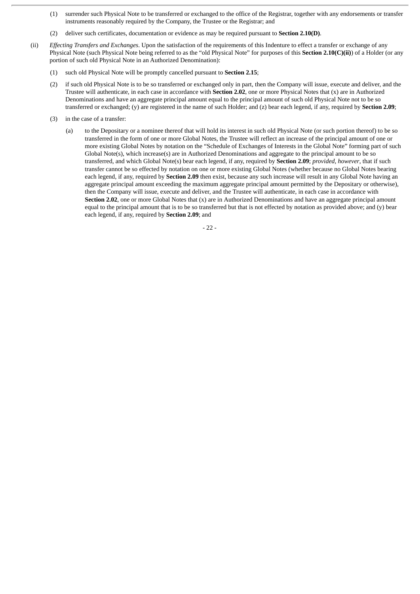- (1) surrender such Physical Note to be transferred or exchanged to the office of the Registrar, together with any endorsements or transfer instruments reasonably required by the Company, the Trustee or the Registrar; and
- (2) deliver such certificates, documentation or evidence as may be required pursuant to **Section 2.10(D)**.
- (ii) *Effecting Transfers and Exchanges*. Upon the satisfaction of the requirements of this Indenture to effect a transfer or exchange of any Physical Note (such Physical Note being referred to as the "old Physical Note" for purposes of this **Section 2.10(C)(ii)**) of a Holder (or any portion of such old Physical Note in an Authorized Denomination):
	- (1) such old Physical Note will be promptly cancelled pursuant to **Section 2.15**;
	- (2) if such old Physical Note is to be so transferred or exchanged only in part, then the Company will issue, execute and deliver, and the Trustee will authenticate, in each case in accordance with **Section 2.02**, one or more Physical Notes that (x) are in Authorized Denominations and have an aggregate principal amount equal to the principal amount of such old Physical Note not to be so transferred or exchanged; (y) are registered in the name of such Holder; and (z) bear each legend, if any, required by **Section 2.09**;
	- (3) in the case of a transfer:
		- (a) to the Depositary or a nominee thereof that will hold its interest in such old Physical Note (or such portion thereof) to be so transferred in the form of one or more Global Notes, the Trustee will reflect an increase of the principal amount of one or more existing Global Notes by notation on the "Schedule of Exchanges of Interests in the Global Note" forming part of such Global Note(s), which increase(s) are in Authorized Denominations and aggregate to the principal amount to be so transferred, and which Global Note(s) bear each legend, if any, required by **Section 2.09**; *provided*, *however*, that if such transfer cannot be so effected by notation on one or more existing Global Notes (whether because no Global Notes bearing each legend, if any, required by **Section 2.09** then exist, because any such increase will result in any Global Note having an aggregate principal amount exceeding the maximum aggregate principal amount permitted by the Depositary or otherwise), then the Company will issue, execute and deliver, and the Trustee will authenticate, in each case in accordance with **Section 2.02**, one or more Global Notes that (x) are in Authorized Denominations and have an aggregate principal amount equal to the principal amount that is to be so transferred but that is not effected by notation as provided above; and (y) bear each legend, if any, required by **Section 2.09**; and

- 22 -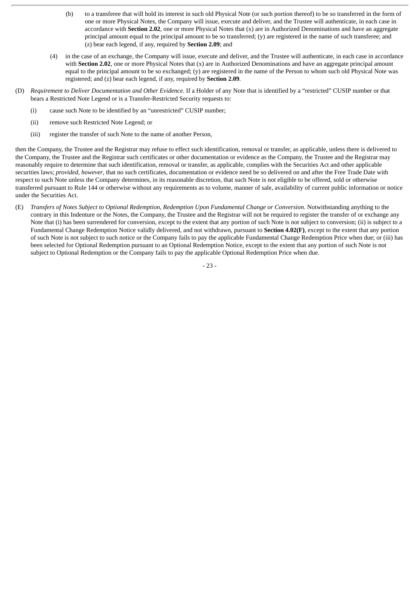- (b) to a transferee that will hold its interest in such old Physical Note (or such portion thereof) to be so transferred in the form of one or more Physical Notes, the Company will issue, execute and deliver, and the Trustee will authenticate, in each case in accordance with **Section 2.02**, one or more Physical Notes that (x) are in Authorized Denominations and have an aggregate principal amount equal to the principal amount to be so transferred; (y) are registered in the name of such transferee; and (z) bear each legend, if any, required by **Section 2.09**; and
- (4) in the case of an exchange, the Company will issue, execute and deliver, and the Trustee will authenticate, in each case in accordance with **Section 2.02**, one or more Physical Notes that (x) are in Authorized Denominations and have an aggregate principal amount equal to the principal amount to be so exchanged; (y) are registered in the name of the Person to whom such old Physical Note was registered; and (z) bear each legend, if any, required by **Section 2.09**.
- (D) *Requirement to Deliver Documentation and Other Evidence*. If a Holder of any Note that is identified by a "restricted" CUSIP number or that bears a Restricted Note Legend or is a Transfer-Restricted Security requests to:
	- (i) cause such Note to be identified by an "unrestricted" CUSIP number;
	- (ii) remove such Restricted Note Legend; or
	- (iii) register the transfer of such Note to the name of another Person,

then the Company, the Trustee and the Registrar may refuse to effect such identification, removal or transfer, as applicable, unless there is delivered to the Company, the Trustee and the Registrar such certificates or other documentation or evidence as the Company, the Trustee and the Registrar may reasonably require to determine that such identification, removal or transfer, as applicable, complies with the Securities Act and other applicable securities laws; *provided*, *however*, that no such certificates, documentation or evidence need be so delivered on and after the Free Trade Date with respect to such Note unless the Company determines, in its reasonable discretion, that such Note is not eligible to be offered, sold or otherwise transferred pursuant to Rule 144 or otherwise without any requirements as to volume, manner of sale, availability of current public information or notice under the Securities Act.

(E) Transfers of Notes Subject to Optional Redemption, Redemption Upon Fundamental Change or Conversion. Notwithstanding anything to the contrary in this Indenture or the Notes, the Company, the Trustee and the Registrar will not be required to register the transfer of or exchange any Note that (i) has been surrendered for conversion, except to the extent that any portion of such Note is not subject to conversion; (ii) is subject to a Fundamental Change Redemption Notice validly delivered, and not withdrawn, pursuant to **Section 4.02(F)**, except to the extent that any portion of such Note is not subject to such notice or the Company fails to pay the applicable Fundamental Change Redemption Price when due; or (iii) has been selected for Optional Redemption pursuant to an Optional Redemption Notice, except to the extent that any portion of such Note is not subject to Optional Redemption or the Company fails to pay the applicable Optional Redemption Price when due.

- 23 -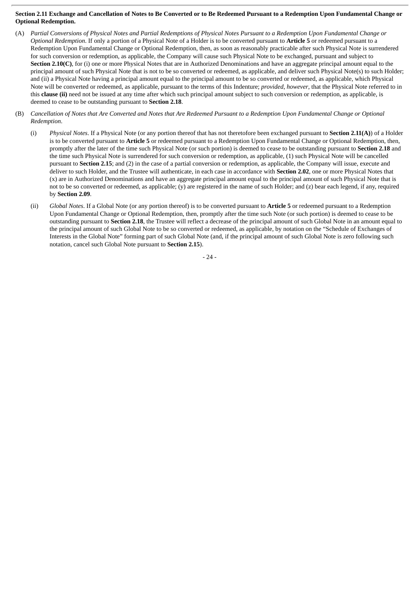## Section 2.11 Exchange and Cancellation of Notes to Be Converted or to Be Redeemed Pursuant to a Redemption Upon Fundamental Change or **Optional Redemption.**

- (A) Partial Conversions of Physical Notes and Partial Redemptions of Physical Notes Pursuant to a Redemption Upon Fundamental Change or *Optional Redemption*. If only a portion of a Physical Note of a Holder is to be converted pursuant to **Article 5** or redeemed pursuant to a Redemption Upon Fundamental Change or Optional Redemption, then, as soon as reasonably practicable after such Physical Note is surrendered for such conversion or redemption, as applicable, the Company will cause such Physical Note to be exchanged, pursuant and subject to **Section 2.10(C)**, for (i) one or more Physical Notes that are in Authorized Denominations and have an aggregate principal amount equal to the principal amount of such Physical Note that is not to be so converted or redeemed, as applicable, and deliver such Physical Note(s) to such Holder; and (ii) a Physical Note having a principal amount equal to the principal amount to be so converted or redeemed, as applicable, which Physical Note will be converted or redeemed, as applicable, pursuant to the terms of this Indenture; *provided*, *however*, that the Physical Note referred to in this **clause (ii)** need not be issued at any time after which such principal amount subject to such conversion or redemption, as applicable, is deemed to cease to be outstanding pursuant to **Section 2.18**.
- (B) Cancellation of Notes that Are Converted and Notes that Are Redeemed Pursuant to a Redemption Upon Fundamental Change or Optional *Redemption*.
	- (i) *Physical Notes*. If a Physical Note (or any portion thereof that has not theretofore been exchanged pursuant to **Section 2.11(A)**) of a Holder is to be converted pursuant to **Article 5** or redeemed pursuant to a Redemption Upon Fundamental Change or Optional Redemption, then, promptly after the later of the time such Physical Note (or such portion) is deemed to cease to be outstanding pursuant to **Section 2.18** and the time such Physical Note is surrendered for such conversion or redemption, as applicable, (1) such Physical Note will be cancelled pursuant to **Section 2.15**; and (2) in the case of a partial conversion or redemption, as applicable, the Company will issue, execute and deliver to such Holder, and the Trustee will authenticate, in each case in accordance with **Section 2.02**, one or more Physical Notes that (x) are in Authorized Denominations and have an aggregate principal amount equal to the principal amount of such Physical Note that is not to be so converted or redeemed, as applicable; (y) are registered in the name of such Holder; and (z) bear each legend, if any, required by **Section 2.09**.
	- (ii) *Global Notes*. If a Global Note (or any portion thereof) is to be converted pursuant to **Article 5** or redeemed pursuant to a Redemption Upon Fundamental Change or Optional Redemption, then, promptly after the time such Note (or such portion) is deemed to cease to be outstanding pursuant to **Section 2.18**, the Trustee will reflect a decrease of the principal amount of such Global Note in an amount equal to the principal amount of such Global Note to be so converted or redeemed, as applicable, by notation on the "Schedule of Exchanges of Interests in the Global Note" forming part of such Global Note (and, if the principal amount of such Global Note is zero following such notation, cancel such Global Note pursuant to **Section 2.15**).

- 24 -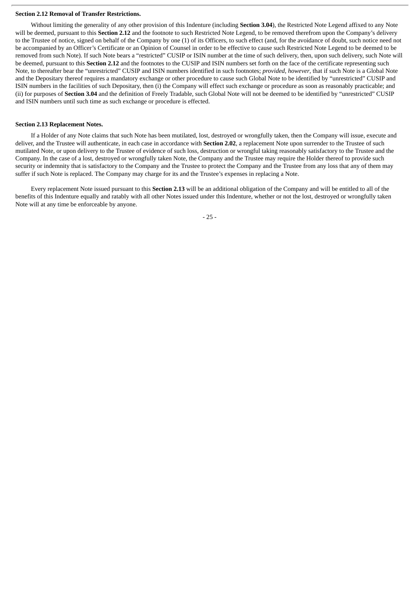### **Section 2.12 Removal of Transfer Restrictions.**

Without limiting the generality of any other provision of this Indenture (including **Section 3.04**), the Restricted Note Legend affixed to any Note will be deemed, pursuant to this **Section 2.12** and the footnote to such Restricted Note Legend, to be removed therefrom upon the Company's delivery to the Trustee of notice, signed on behalf of the Company by one (1) of its Officers, to such effect (and, for the avoidance of doubt, such notice need not be accompanied by an Officer's Certificate or an Opinion of Counsel in order to be effective to cause such Restricted Note Legend to be deemed to be removed from such Note). If such Note bears a "restricted" CUSIP or ISIN number at the time of such delivery, then, upon such delivery, such Note will be deemed, pursuant to this **Section 2.12** and the footnotes to the CUSIP and ISIN numbers set forth on the face of the certificate representing such Note, to thereafter bear the "unrestricted" CUSIP and ISIN numbers identified in such footnotes; *provided*, *however*, that if such Note is a Global Note and the Depositary thereof requires a mandatory exchange or other procedure to cause such Global Note to be identified by "unrestricted" CUSIP and ISIN numbers in the facilities of such Depositary, then (i) the Company will effect such exchange or procedure as soon as reasonably practicable; and (ii) for purposes of **Section 3.04** and the definition of Freely Tradable, such Global Note will not be deemed to be identified by "unrestricted" CUSIP and ISIN numbers until such time as such exchange or procedure is effected.

#### **Section 2.13 Replacement Notes.**

If a Holder of any Note claims that such Note has been mutilated, lost, destroyed or wrongfully taken, then the Company will issue, execute and deliver, and the Trustee will authenticate, in each case in accordance with **Section 2.02**, a replacement Note upon surrender to the Trustee of such mutilated Note, or upon delivery to the Trustee of evidence of such loss, destruction or wrongful taking reasonably satisfactory to the Trustee and the Company. In the case of a lost, destroyed or wrongfully taken Note, the Company and the Trustee may require the Holder thereof to provide such security or indemnity that is satisfactory to the Company and the Trustee to protect the Company and the Trustee from any loss that any of them may suffer if such Note is replaced. The Company may charge for its and the Trustee's expenses in replacing a Note.

Every replacement Note issued pursuant to this **Section 2.13** will be an additional obligation of the Company and will be entitled to all of the benefits of this Indenture equally and ratably with all other Notes issued under this Indenture, whether or not the lost, destroyed or wrongfully taken Note will at any time be enforceable by anyone.

- 25 -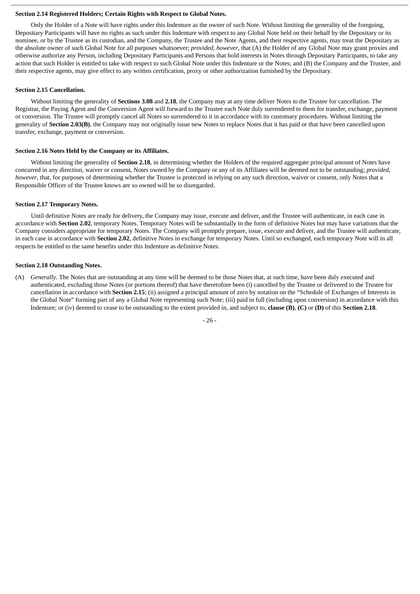### **Section 2.14 Registered Holders; Certain Rights with Respect to Global Notes.**

Only the Holder of a Note will have rights under this Indenture as the owner of such Note. Without limiting the generality of the foregoing, Depositary Participants will have no rights as such under this Indenture with respect to any Global Note held on their behalf by the Depositary or its nominee, or by the Trustee as its custodian, and the Company, the Trustee and the Note Agents, and their respective agents, may treat the Depositary as the absolute owner of such Global Note for all purposes whatsoever; *provided*, *however*, that (A) the Holder of any Global Note may grant proxies and otherwise authorize any Person, including Depositary Participants and Persons that hold interests in Notes through Depositary Participants, to take any action that such Holder is entitled to take with respect to such Global Note under this Indenture or the Notes; and (B) the Company and the Trustee, and their respective agents, may give effect to any written certification, proxy or other authorization furnished by the Depositary.

#### **Section 2.15 Cancellation.**

Without limiting the generality of **Sections 3.08** and **2.18**, the Company may at any time deliver Notes to the Trustee for cancellation. The Registrar, the Paying Agent and the Conversion Agent will forward to the Trustee each Note duly surrendered to them for transfer, exchange, payment or conversion. The Trustee will promptly cancel all Notes so surrendered to it in accordance with its customary procedures. Without limiting the generality of **Section 2.03(B)**, the Company may not originally issue new Notes to replace Notes that it has paid or that have been cancelled upon transfer, exchange, payment or conversion.

## **Section 2.16 Notes Held by the Company or its Affiliates.**

Without limiting the generality of **Section 2.18**, in determining whether the Holders of the required aggregate principal amount of Notes have concurred in any direction, waiver or consent, Notes owned by the Company or any of its Affiliates will be deemed not to be outstanding; *provided*, *however*, that, for purposes of determining whether the Trustee is protected in relying on any such direction, waiver or consent, only Notes that a Responsible Officer of the Trustee knows are so owned will be so disregarded.

#### **Section 2.17 Temporary Notes.**

Until definitive Notes are ready for delivery, the Company may issue, execute and deliver, and the Trustee will authenticate, in each case in accordance with **Section 2.02**, temporary Notes. Temporary Notes will be substantially in the form of definitive Notes but may have variations that the Company considers appropriate for temporary Notes. The Company will promptly prepare, issue, execute and deliver, and the Trustee will authenticate, in each case in accordance with **Section 2.02**, definitive Notes in exchange for temporary Notes. Until so exchanged, each temporary Note will in all respects be entitled to the same benefits under this Indenture as definitive Notes.

#### **Section 2.18 Outstanding Notes.**

(A) *Generally*. The Notes that are outstanding at any time will be deemed to be those Notes that, at such time, have been duly executed and authenticated, excluding those Notes (or portions thereof) that have theretofore been (i) cancelled by the Trustee or delivered to the Trustee for cancellation in accordance with **Section 2.15**; (ii) assigned a principal amount of zero by notation on the "Schedule of Exchanges of Interests in the Global Note" forming part of any a Global Note representing such Note; (iii) paid in full (including upon conversion) in accordance with this Indenture; or (iv) deemed to cease to be outstanding to the extent provided in, and subject to, **clause (B)**, **(C)** or **(D)** of this **Section 2.18**.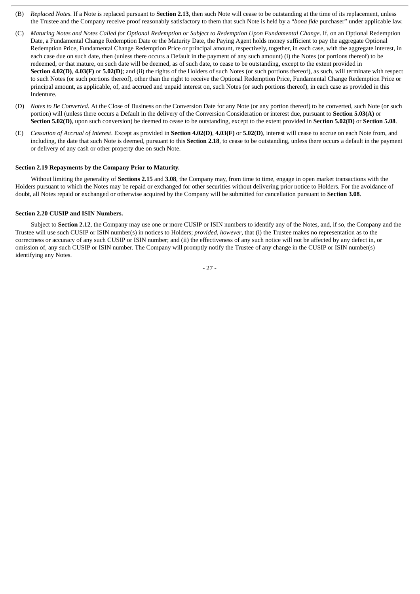- (B) *Replaced Notes*. If a Note is replaced pursuant to **Section 2.13**, then such Note will cease to be outstanding at the time of its replacement, unless the Trustee and the Company receive proof reasonably satisfactory to them that such Note is held by a "*bona fide* purchaser" under applicable law.
- (C) Maturing Notes and Notes Called for Optional Redemption or Subject to Redemption Upon Fundamental Change. If, on an Optional Redemption Date, a Fundamental Change Redemption Date or the Maturity Date, the Paying Agent holds money sufficient to pay the aggregate Optional Redemption Price, Fundamental Change Redemption Price or principal amount, respectively, together, in each case, with the aggregate interest, in each case due on such date, then (unless there occurs a Default in the payment of any such amount) (i) the Notes (or portions thereof) to be redeemed, or that mature, on such date will be deemed, as of such date, to cease to be outstanding, except to the extent provided in **Section 4.02(D)**, **4.03(F)** or **5.02(D)**; and (ii) the rights of the Holders of such Notes (or such portions thereof), as such, will terminate with respect to such Notes (or such portions thereof), other than the right to receive the Optional Redemption Price, Fundamental Change Redemption Price or principal amount, as applicable, of, and accrued and unpaid interest on, such Notes (or such portions thereof), in each case as provided in this Indenture.
- (D) *Notes to Be Converted*. At the Close of Business on the Conversion Date for any Note (or any portion thereof) to be converted, such Note (or such portion) will (unless there occurs a Default in the delivery of the Conversion Consideration or interest due, pursuant to **Section 5.03(A)** or **Section 5.02(D)**, upon such conversion) be deemed to cease to be outstanding, except to the extent provided in **Section 5.02(D)** or **Section 5.08**.
- (E) *Cessation of Accrual of Interest*. Except as provided in **Section 4.02(D)**, **4.03(F)** or **5.02(D)**, interest will cease to accrue on each Note from, and including, the date that such Note is deemed, pursuant to this **Section 2.18**, to cease to be outstanding, unless there occurs a default in the payment or delivery of any cash or other property due on such Note.

### **Section 2.19 Repayments by the Company Prior to Maturity.**

Without limiting the generality of **Sections 2.15** and **3.08**, the Company may, from time to time, engage in open market transactions with the Holders pursuant to which the Notes may be repaid or exchanged for other securities without delivering prior notice to Holders. For the avoidance of doubt, all Notes repaid or exchanged or otherwise acquired by the Company will be submitted for cancellation pursuant to **Section 3.08**.

### **Section 2.20 CUSIP and ISIN Numbers.**

Subject to **Section 2.12**, the Company may use one or more CUSIP or ISIN numbers to identify any of the Notes, and, if so, the Company and the Trustee will use such CUSIP or ISIN number(s) in notices to Holders; *provided*, *however*, that (i) the Trustee makes no representation as to the correctness or accuracy of any such CUSIP or ISIN number; and (ii) the effectiveness of any such notice will not be affected by any defect in, or omission of, any such CUSIP or ISIN number. The Company will promptly notify the Trustee of any change in the CUSIP or ISIN number(s) identifying any Notes.

- 27 -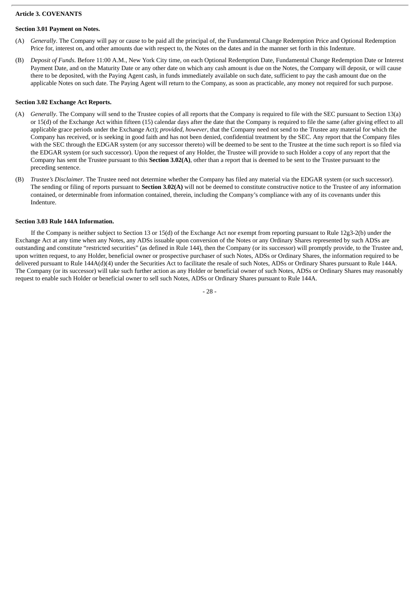## **Article 3. COVENANTS**

# **Section 3.01 Payment on Notes.**

- (A) *Generally*. The Company will pay or cause to be paid all the principal of, the Fundamental Change Redemption Price and Optional Redemption Price for, interest on, and other amounts due with respect to, the Notes on the dates and in the manner set forth in this Indenture.
- (B) *Deposit of Funds*. Before 11:00 A.M., New York City time, on each Optional Redemption Date, Fundamental Change Redemption Date or Interest Payment Date, and on the Maturity Date or any other date on which any cash amount is due on the Notes, the Company will deposit, or will cause there to be deposited, with the Paying Agent cash, in funds immediately available on such date, sufficient to pay the cash amount due on the applicable Notes on such date. The Paying Agent will return to the Company, as soon as practicable, any money not required for such purpose.

# **Section 3.02 Exchange Act Reports.**

- (A) *Generally*. The Company will send to the Trustee copies of all reports that the Company is required to file with the SEC pursuant to Section 13(a) or 15(d) of the Exchange Act within fifteen (15) calendar days after the date that the Company is required to file the same (after giving effect to all applicable grace periods under the Exchange Act); *provided*, *however*, that the Company need not send to the Trustee any material for which the Company has received, or is seeking in good faith and has not been denied, confidential treatment by the SEC. Any report that the Company files with the SEC through the EDGAR system (or any successor thereto) will be deemed to be sent to the Trustee at the time such report is so filed via the EDGAR system (or such successor). Upon the request of any Holder, the Trustee will provide to such Holder a copy of any report that the Company has sent the Trustee pursuant to this **Section 3.02(A)**, other than a report that is deemed to be sent to the Trustee pursuant to the preceding sentence.
- (B) *Trustee's Disclaimer*. The Trustee need not determine whether the Company has filed any material via the EDGAR system (or such successor). The sending or filing of reports pursuant to **Section 3.02(A)** will not be deemed to constitute constructive notice to the Trustee of any information contained, or determinable from information contained, therein, including the Company's compliance with any of its covenants under this Indenture.

## **Section 3.03 Rule 144A Information.**

If the Company is neither subject to Section 13 or 15(d) of the Exchange Act nor exempt from reporting pursuant to Rule 12g3-2(b) under the Exchange Act at any time when any Notes, any ADSs issuable upon conversion of the Notes or any Ordinary Shares represented by such ADSs are outstanding and constitute "restricted securities" (as defined in Rule 144), then the Company (or its successor) will promptly provide, to the Trustee and, upon written request, to any Holder, beneficial owner or prospective purchaser of such Notes, ADSs or Ordinary Shares, the information required to be delivered pursuant to Rule 144A(d)(4) under the Securities Act to facilitate the resale of such Notes, ADSs or Ordinary Shares pursuant to Rule 144A. The Company (or its successor) will take such further action as any Holder or beneficial owner of such Notes, ADSs or Ordinary Shares may reasonably request to enable such Holder or beneficial owner to sell such Notes, ADSs or Ordinary Shares pursuant to Rule 144A.

- 28 -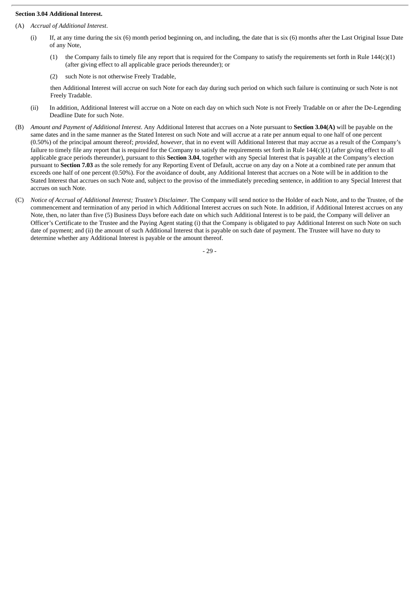## **Section 3.04 Additional Interest.**

- (A) *Accrual of Additional Interest*.
	- (i) If, at any time during the six (6) month period beginning on, and including, the date that is six (6) months after the Last Original Issue Date of any Note,
		- (1) the Company fails to timely file any report that is required for the Company to satisfy the requirements set forth in Rule  $144(c)(1)$ (after giving effect to all applicable grace periods thereunder); or
		- (2) such Note is not otherwise Freely Tradable,

then Additional Interest will accrue on such Note for each day during such period on which such failure is continuing or such Note is not Freely Tradable.

- (ii) In addition, Additional Interest will accrue on a Note on each day on which such Note is not Freely Tradable on or after the De-Legending Deadline Date for such Note.
- (B) *Amount and Payment of Additional Interest*. Any Additional Interest that accrues on a Note pursuant to **Section 3.04(A)** will be payable on the same dates and in the same manner as the Stated Interest on such Note and will accrue at a rate per annum equal to one half of one percent (0.50%) of the principal amount thereof; *provided*, *however*, that in no event will Additional Interest that may accrue as a result of the Company's failure to timely file any report that is required for the Company to satisfy the requirements set forth in Rule 144(c)(1) (after giving effect to all applicable grace periods thereunder), pursuant to this **Section 3.04**, together with any Special Interest that is payable at the Company's election pursuant to **Section 7.03** as the sole remedy for any Reporting Event of Default, accrue on any day on a Note at a combined rate per annum that exceeds one half of one percent (0.50%). For the avoidance of doubt, any Additional Interest that accrues on a Note will be in addition to the Stated Interest that accrues on such Note and, subject to the proviso of the immediately preceding sentence, in addition to any Special Interest that accrues on such Note.
- (C) *Notice of Accrual of Additional Interest; Trustee's Disclaimer*. The Company will send notice to the Holder of each Note, and to the Trustee, of the commencement and termination of any period in which Additional Interest accrues on such Note. In addition, if Additional Interest accrues on any Note, then, no later than five (5) Business Days before each date on which such Additional Interest is to be paid, the Company will deliver an Officer's Certificate to the Trustee and the Paying Agent stating (i) that the Company is obligated to pay Additional Interest on such Note on such date of payment; and (ii) the amount of such Additional Interest that is payable on such date of payment. The Trustee will have no duty to determine whether any Additional Interest is payable or the amount thereof.

- 29 -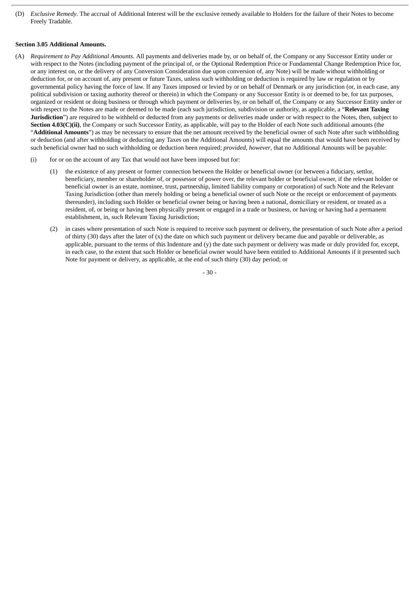(D) *Exclusive Remedy*. The accrual of Additional Interest will be the exclusive remedy available to Holders for the failure of their Notes to become Freely Tradable.

### **Section 3.05 Additional Amounts.**

- (A) *Requirement to Pay Additional Amounts*. All payments and deliveries made by, or on behalf of, the Company or any Successor Entity under or with respect to the Notes (including payment of the principal of, or the Optional Redemption Price or Fundamental Change Redemption Price for, or any interest on, or the delivery of any Conversion Consideration due upon conversion of, any Note) will be made without withholding or deduction for, or on account of, any present or future Taxes, unless such withholding or deduction is required by law or regulation or by governmental policy having the force of law. If any Taxes imposed or levied by or on behalf of Denmark or any jurisdiction (or, in each case, any political subdivision or taxing authority thereof or therein) in which the Company or any Successor Entity is or deemed to be, for tax purposes, organized or resident or doing business or through which payment or deliveries by, or on behalf of, the Company or any Successor Entity under or with respect to the Notes are made or deemed to be made (each such jurisdiction, subdivision or authority, as applicable, a "**Relevant Taxing Jurisdiction**") are required to be withheld or deducted from any payments or deliveries made under or with respect to the Notes, then, subject to **Section 4.03(C)(ii)**, the Company or such Successor Entity, as applicable, will pay to the Holder of each Note such additional amounts (the "**Additional Amounts**") as may be necessary to ensure that the net amount received by the beneficial owner of such Note after such withholding or deduction (and after withholding or deducting any Taxes on the Additional Amounts) will equal the amounts that would have been received by such beneficial owner had no such withholding or deduction been required; *provided*, *however*, that no Additional Amounts will be payable:
	- (i) for or on the account of any Tax that would not have been imposed but for:
		- (1) the existence of any present or former connection between the Holder or beneficial owner (or between a fiduciary, settlor, beneficiary, member or shareholder of, or possessor of power over, the relevant holder or beneficial owner, if the relevant holder or beneficial owner is an estate, nominee, trust, partnership, limited liability company or corporation) of such Note and the Relevant Taxing Jurisdiction (other than merely holding or being a beneficial owner of such Note or the receipt or enforcement of payments thereunder), including such Holder or beneficial owner being or having been a national, domiciliary or resident, or treated as a resident, of, or being or having been physically present or engaged in a trade or business, or having or having had a permanent establishment, in, such Relevant Taxing Jurisdiction;
		- (2) in cases where presentation of such Note is required to receive such payment or delivery, the presentation of such Note after a period of thirty (30) days after the later of (x) the date on which such payment or delivery became due and payable or deliverable, as applicable, pursuant to the terms of this Indenture and (y) the date such payment or delivery was made or duly provided for, except, in each case, to the extent that such Holder or beneficial owner would have been entitled to Additional Amounts if it presented such Note for payment or delivery, as applicable, at the end of such thirty (30) day period; or

- 30 -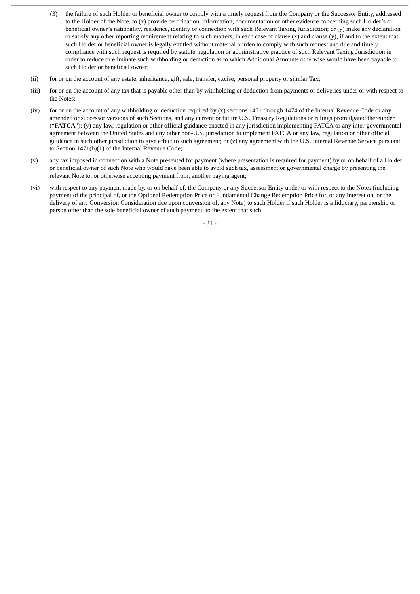- (3) the failure of such Holder or beneficial owner to comply with a timely request from the Company or the Successor Entity, addressed to the Holder of the Note, to (x) provide certification, information, documentation or other evidence concerning such Holder's or beneficial owner's nationality, residence, identity or connection with such Relevant Taxing Jurisdiction; or (y) make any declaration or satisfy any other reporting requirement relating to such matters, in each case of clause  $(x)$  and clause  $(y)$ , if and to the extent that such Holder or beneficial owner is legally entitled without material burden to comply with such request and due and timely compliance with such request is required by statute, regulation or administrative practice of such Relevant Taxing Jurisdiction in order to reduce or eliminate such withholding or deduction as to which Additional Amounts otherwise would have been payable to such Holder or beneficial owner;
- (ii) for or on the account of any estate, inheritance, gift, sale, transfer, excise, personal property or similar Tax;
- (iii) for or on the account of any tax that is payable other than by withholding or deduction from payments or deliveries under or with respect to the Notes;
- (iv) for or on the account of any withholding or deduction required by (x) sections 1471 through 1474 of the Internal Revenue Code or any amended or successor versions of such Sections, and any current or future U.S. Treasury Regulations or rulings promulgated thereunder ("**FATCA**"); (y) any law, regulation or other official guidance enacted in any jurisdiction implementing FATCA or any inter-governmental agreement between the United States and any other non-U.S. jurisdiction to implement FATCA or any law, regulation or other official guidance in such other jurisdiction to give effect to such agreement; or (z) any agreement with the U.S. Internal Revenue Service pursuant to Section 1471(b)(1) of the Internal Revenue Code;
- (v) any tax imposed in connection with a Note presented for payment (where presentation is required for payment) by or on behalf of a Holder or beneficial owner of such Note who would have been able to avoid such tax, assessment or governmental charge by presenting the relevant Note to, or otherwise accepting payment from, another paying agent;
- (vi) with respect to any payment made by, or on behalf of, the Company or any Successor Entity under or with respect to the Notes (including payment of the principal of, or the Optional Redemption Price or Fundamental Change Redemption Price for, or any interest on, or the delivery of any Conversion Consideration due upon conversion of, any Note) to such Holder if such Holder is a fiduciary, partnership or person other than the sole beneficial owner of such payment, to the extent that such

- 31 -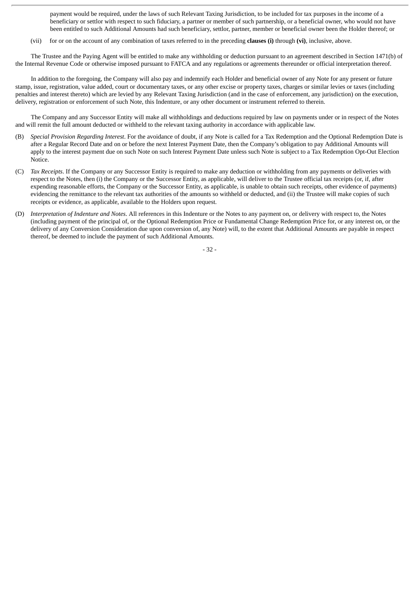payment would be required, under the laws of such Relevant Taxing Jurisdiction, to be included for tax purposes in the income of a beneficiary or settlor with respect to such fiduciary, a partner or member of such partnership, or a beneficial owner, who would not have been entitled to such Additional Amounts had such beneficiary, settlor, partner, member or beneficial owner been the Holder thereof; or

(vii) for or on the account of any combination of taxes referred to in the preceding **clauses (i)** through **(vi)**, inclusive, above.

The Trustee and the Paying Agent will be entitled to make any withholding or deduction pursuant to an agreement described in Section 1471(b) of the Internal Revenue Code or otherwise imposed pursuant to FATCA and any regulations or agreements thereunder or official interpretation thereof.

In addition to the foregoing, the Company will also pay and indemnify each Holder and beneficial owner of any Note for any present or future stamp, issue, registration, value added, court or documentary taxes, or any other excise or property taxes, charges or similar levies or taxes (including penalties and interest thereto) which are levied by any Relevant Taxing Jurisdiction (and in the case of enforcement, any jurisdiction) on the execution, delivery, registration or enforcement of such Note, this Indenture, or any other document or instrument referred to therein.

The Company and any Successor Entity will make all withholdings and deductions required by law on payments under or in respect of the Notes and will remit the full amount deducted or withheld to the relevant taxing authority in accordance with applicable law.

- (B) *Special Provision Regarding Interest*. For the avoidance of doubt, if any Note is called for a Tax Redemption and the Optional Redemption Date is after a Regular Record Date and on or before the next Interest Payment Date, then the Company's obligation to pay Additional Amounts will apply to the interest payment due on such Note on such Interest Payment Date unless such Note is subject to a Tax Redemption Opt-Out Election Notice.
- (C) *Tax Receipts*. If the Company or any Successor Entity is required to make any deduction or withholding from any payments or deliveries with respect to the Notes, then (i) the Company or the Successor Entity, as applicable, will deliver to the Trustee official tax receipts (or, if, after expending reasonable efforts, the Company or the Successor Entity, as applicable, is unable to obtain such receipts, other evidence of payments) evidencing the remittance to the relevant tax authorities of the amounts so withheld or deducted, and (ii) the Trustee will make copies of such receipts or evidence, as applicable, available to the Holders upon request.
- (D) *Interpretation of Indenture and Notes*. All references in this Indenture or the Notes to any payment on, or delivery with respect to, the Notes (including payment of the principal of, or the Optional Redemption Price or Fundamental Change Redemption Price for, or any interest on, or the delivery of any Conversion Consideration due upon conversion of, any Note) will, to the extent that Additional Amounts are payable in respect thereof, be deemed to include the payment of such Additional Amounts.

- 32 -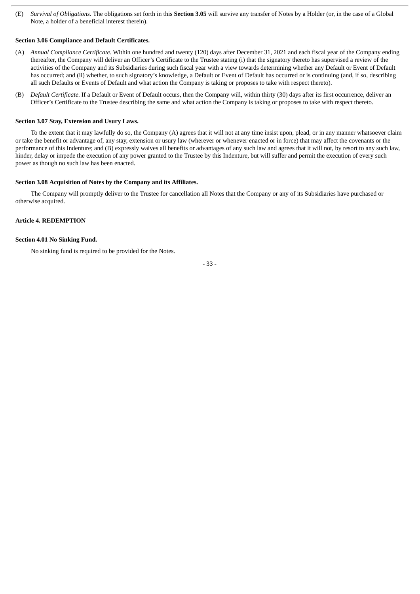(E) *Survival of Obligations*. The obligations set forth in this **Section 3.05** will survive any transfer of Notes by a Holder (or, in the case of a Global Note, a holder of a beneficial interest therein).

## **Section 3.06 Compliance and Default Certificates.**

- (A) *Annual Compliance Certificate*. Within one hundred and twenty (120) days after December 31, 2021 and each fiscal year of the Company ending thereafter, the Company will deliver an Officer's Certificate to the Trustee stating (i) that the signatory thereto has supervised a review of the activities of the Company and its Subsidiaries during such fiscal year with a view towards determining whether any Default or Event of Default has occurred; and (ii) whether, to such signatory's knowledge, a Default or Event of Default has occurred or is continuing (and, if so, describing all such Defaults or Events of Default and what action the Company is taking or proposes to take with respect thereto).
- (B) *Default Certificate*. If a Default or Event of Default occurs, then the Company will, within thirty (30) days after its first occurrence, deliver an Officer's Certificate to the Trustee describing the same and what action the Company is taking or proposes to take with respect thereto.

#### **Section 3.07 Stay, Extension and Usury Laws.**

To the extent that it may lawfully do so, the Company (A) agrees that it will not at any time insist upon, plead, or in any manner whatsoever claim or take the benefit or advantage of, any stay, extension or usury law (wherever or whenever enacted or in force) that may affect the covenants or the performance of this Indenture; and (B) expressly waives all benefits or advantages of any such law and agrees that it will not, by resort to any such law, hinder, delay or impede the execution of any power granted to the Trustee by this Indenture, but will suffer and permit the execution of every such power as though no such law has been enacted.

## **Section 3.08 Acquisition of Notes by the Company and its Affiliates.**

The Company will promptly deliver to the Trustee for cancellation all Notes that the Company or any of its Subsidiaries have purchased or otherwise acquired.

## **Article 4. REDEMPTION**

## **Section 4.01 No Sinking Fund.**

No sinking fund is required to be provided for the Notes.

- 33 -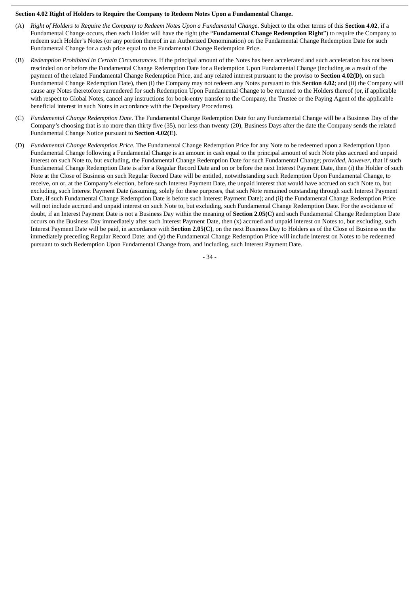### **Section 4.02 Right of Holders to Require the Company to Redeem Notes Upon a Fundamental Change.**

- (A) Right of Holders to Require the Company to Redeem Notes Upon a Fundamental Change. Subject to the other terms of this Section 4.02, if a Fundamental Change occurs, then each Holder will have the right (the "**Fundamental Change Redemption Right**") to require the Company to redeem such Holder's Notes (or any portion thereof in an Authorized Denomination) on the Fundamental Change Redemption Date for such Fundamental Change for a cash price equal to the Fundamental Change Redemption Price.
- (B) *Redemption Prohibited in Certain Circumstances*. If the principal amount of the Notes has been accelerated and such acceleration has not been rescinded on or before the Fundamental Change Redemption Date for a Redemption Upon Fundamental Change (including as a result of the payment of the related Fundamental Change Redemption Price, and any related interest pursuant to the proviso to **Section 4.02(D)**, on such Fundamental Change Redemption Date), then (i) the Company may not redeem any Notes pursuant to this **Section 4.02**; and (ii) the Company will cause any Notes theretofore surrendered for such Redemption Upon Fundamental Change to be returned to the Holders thereof (or, if applicable with respect to Global Notes, cancel any instructions for book-entry transfer to the Company, the Trustee or the Paying Agent of the applicable beneficial interest in such Notes in accordance with the Depositary Procedures).
- (C) *Fundamental Change Redemption Date*. The Fundamental Change Redemption Date for any Fundamental Change will be a Business Day of the Company's choosing that is no more than thirty five (35), nor less than twenty (20), Business Days after the date the Company sends the related Fundamental Change Notice pursuant to **Section 4.02(E)**.
- (D) *Fundamental Change Redemption Price*. The Fundamental Change Redemption Price for any Note to be redeemed upon a Redemption Upon Fundamental Change following a Fundamental Change is an amount in cash equal to the principal amount of such Note plus accrued and unpaid interest on such Note to, but excluding, the Fundamental Change Redemption Date for such Fundamental Change; *provided*, *however*, that if such Fundamental Change Redemption Date is after a Regular Record Date and on or before the next Interest Payment Date, then (i) the Holder of such Note at the Close of Business on such Regular Record Date will be entitled, notwithstanding such Redemption Upon Fundamental Change, to receive, on or, at the Company's election, before such Interest Payment Date, the unpaid interest that would have accrued on such Note to, but excluding, such Interest Payment Date (assuming, solely for these purposes, that such Note remained outstanding through such Interest Payment Date, if such Fundamental Change Redemption Date is before such Interest Payment Date); and (ii) the Fundamental Change Redemption Price will not include accrued and unpaid interest on such Note to, but excluding, such Fundamental Change Redemption Date. For the avoidance of doubt, if an Interest Payment Date is not a Business Day within the meaning of **Section 2.05(C)** and such Fundamental Change Redemption Date occurs on the Business Day immediately after such Interest Payment Date, then (x) accrued and unpaid interest on Notes to, but excluding, such Interest Payment Date will be paid, in accordance with **Section 2.05(C)**, on the next Business Day to Holders as of the Close of Business on the immediately preceding Regular Record Date; and (y) the Fundamental Change Redemption Price will include interest on Notes to be redeemed pursuant to such Redemption Upon Fundamental Change from, and including, such Interest Payment Date.

- 34 -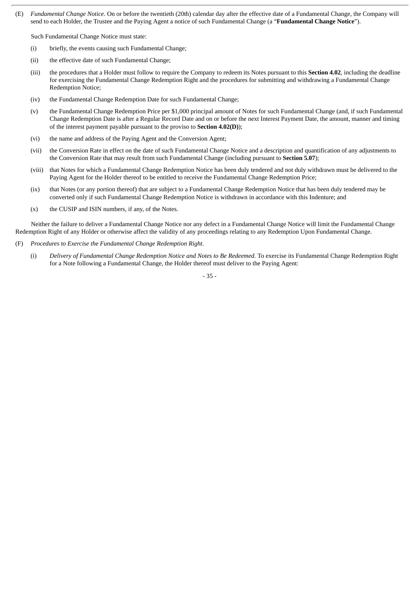(E) *Fundamental Change Notice*. On or before the twentieth (20th) calendar day after the effective date of a Fundamental Change, the Company will send to each Holder, the Trustee and the Paying Agent a notice of such Fundamental Change (a "**Fundamental Change Notice**").

Such Fundamental Change Notice must state:

- (i) briefly, the events causing such Fundamental Change;
- (ii) the effective date of such Fundamental Change;
- (iii) the procedures that a Holder must follow to require the Company to redeem its Notes pursuant to this **Section 4.02**, including the deadline for exercising the Fundamental Change Redemption Right and the procedures for submitting and withdrawing a Fundamental Change Redemption Notice;
- (iv) the Fundamental Change Redemption Date for such Fundamental Change;
- (v) the Fundamental Change Redemption Price per \$1,000 principal amount of Notes for such Fundamental Change (and, if such Fundamental Change Redemption Date is after a Regular Record Date and on or before the next Interest Payment Date, the amount, manner and timing of the interest payment payable pursuant to the proviso to **Section 4.02(D)**);
- (vi) the name and address of the Paying Agent and the Conversion Agent;
- (vii) the Conversion Rate in effect on the date of such Fundamental Change Notice and a description and quantification of any adjustments to the Conversion Rate that may result from such Fundamental Change (including pursuant to **Section 5.07**);
- (viii) that Notes for which a Fundamental Change Redemption Notice has been duly tendered and not duly withdrawn must be delivered to the Paying Agent for the Holder thereof to be entitled to receive the Fundamental Change Redemption Price;
- (ix) that Notes (or any portion thereof) that are subject to a Fundamental Change Redemption Notice that has been duly tendered may be converted only if such Fundamental Change Redemption Notice is withdrawn in accordance with this Indenture; and
- (x) the CUSIP and ISIN numbers, if any, of the Notes.

Neither the failure to deliver a Fundamental Change Notice nor any defect in a Fundamental Change Notice will limit the Fundamental Change Redemption Right of any Holder or otherwise affect the validity of any proceedings relating to any Redemption Upon Fundamental Change.

- (F) *Procedures to Exercise the Fundamental Change Redemption Right*.
	- (i) *Delivery of Fundamental Change Redemption Notice and Notes to Be Redeemed*. To exercise its Fundamental Change Redemption Right for a Note following a Fundamental Change, the Holder thereof must deliver to the Paying Agent:

- 35 -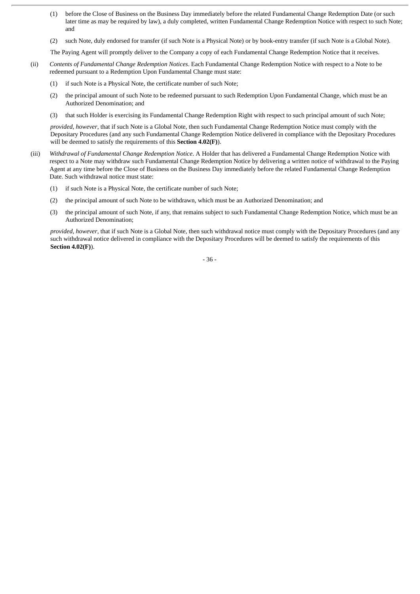- (1) before the Close of Business on the Business Day immediately before the related Fundamental Change Redemption Date (or such later time as may be required by law), a duly completed, written Fundamental Change Redemption Notice with respect to such Note; and
- (2) such Note, duly endorsed for transfer (if such Note is a Physical Note) or by book-entry transfer (if such Note is a Global Note).

The Paying Agent will promptly deliver to the Company a copy of each Fundamental Change Redemption Notice that it receives.

- (ii) *Contents of Fundamental Change Redemption Notices*. Each Fundamental Change Redemption Notice with respect to a Note to be redeemed pursuant to a Redemption Upon Fundamental Change must state:
	- (1) if such Note is a Physical Note, the certificate number of such Note;
	- (2) the principal amount of such Note to be redeemed pursuant to such Redemption Upon Fundamental Change, which must be an Authorized Denomination; and
	- (3) that such Holder is exercising its Fundamental Change Redemption Right with respect to such principal amount of such Note;

*provided*, *however*, that if such Note is a Global Note, then such Fundamental Change Redemption Notice must comply with the Depositary Procedures (and any such Fundamental Change Redemption Notice delivered in compliance with the Depositary Procedures will be deemed to satisfy the requirements of this **Section 4.02(F)**).

- (iii) *Withdrawal of Fundamental Change Redemption Notice*. A Holder that has delivered a Fundamental Change Redemption Notice with respect to a Note may withdraw such Fundamental Change Redemption Notice by delivering a written notice of withdrawal to the Paying Agent at any time before the Close of Business on the Business Day immediately before the related Fundamental Change Redemption Date. Such withdrawal notice must state:
	- (1) if such Note is a Physical Note, the certificate number of such Note;
	- (2) the principal amount of such Note to be withdrawn, which must be an Authorized Denomination; and
	- (3) the principal amount of such Note, if any, that remains subject to such Fundamental Change Redemption Notice, which must be an Authorized Denomination;

*provided*, *however*, that if such Note is a Global Note, then such withdrawal notice must comply with the Depositary Procedures (and any such withdrawal notice delivered in compliance with the Depositary Procedures will be deemed to satisfy the requirements of this **Section 4.02(F)**).

- 36 -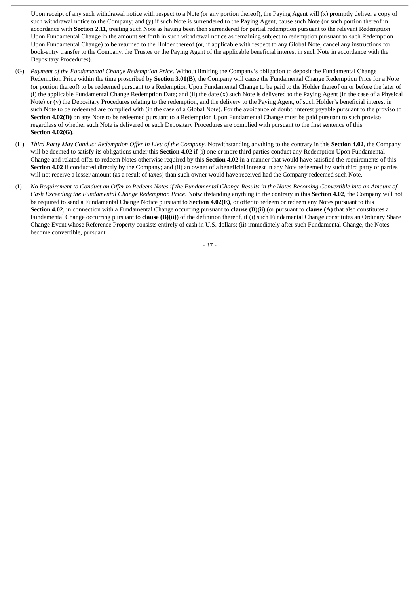Upon receipt of any such withdrawal notice with respect to a Note (or any portion thereof), the Paying Agent will (x) promptly deliver a copy of such withdrawal notice to the Company; and (y) if such Note is surrendered to the Paying Agent, cause such Note (or such portion thereof in accordance with **Section 2.11**, treating such Note as having been then surrendered for partial redemption pursuant to the relevant Redemption Upon Fundamental Change in the amount set forth in such withdrawal notice as remaining subject to redemption pursuant to such Redemption Upon Fundamental Change) to be returned to the Holder thereof (or, if applicable with respect to any Global Note, cancel any instructions for book-entry transfer to the Company, the Trustee or the Paying Agent of the applicable beneficial interest in such Note in accordance with the Depositary Procedures).

- (G) *Payment of the Fundamental Change Redemption Price*. Without limiting the Company's obligation to deposit the Fundamental Change Redemption Price within the time proscribed by **Section 3.01(B)**, the Company will cause the Fundamental Change Redemption Price for a Note (or portion thereof) to be redeemed pursuant to a Redemption Upon Fundamental Change to be paid to the Holder thereof on or before the later of (i) the applicable Fundamental Change Redemption Date; and (ii) the date (x) such Note is delivered to the Paying Agent (in the case of a Physical Note) or (y) the Depositary Procedures relating to the redemption, and the delivery to the Paying Agent, of such Holder's beneficial interest in such Note to be redeemed are complied with (in the case of a Global Note). For the avoidance of doubt, interest payable pursuant to the proviso to **Section 4.02(D)** on any Note to be redeemed pursuant to a Redemption Upon Fundamental Change must be paid pursuant to such proviso regardless of whether such Note is delivered or such Depositary Procedures are complied with pursuant to the first sentence of this **Section 4.02(G)**.
- (H) Third Party May Conduct Redemption Offer In Lieu of the Company. Notwithstanding anything to the contrary in this Section 4.02, the Company will be deemed to satisfy its obligations under this **Section 4.02** if (i) one or more third parties conduct any Redemption Upon Fundamental Change and related offer to redeem Notes otherwise required by this **Section 4.02** in a manner that would have satisfied the requirements of this **Section 4.02** if conducted directly by the Company; and (ii) an owner of a beneficial interest in any Note redeemed by such third party or parties will not receive a lesser amount (as a result of taxes) than such owner would have received had the Company redeemed such Note.
- (I) No Requirement to Conduct an Offer to Redeem Notes if the Fundamental Change Results in the Notes Becoming Convertible into an Amount of *Cash Exceeding the Fundamental Change Redemption Price*. Notwithstanding anything to the contrary in this **Section 4.02**, the Company will not be required to send a Fundamental Change Notice pursuant to **Section 4.02(E)**, or offer to redeem or redeem any Notes pursuant to this **Section 4.02**, in connection with a Fundamental Change occurring pursuant to **clause (B)(ii)** (or pursuant to **clause (A)** that also constitutes a Fundamental Change occurring pursuant to **clause (B)(ii)**) of the definition thereof, if (i) such Fundamental Change constitutes an Ordinary Share Change Event whose Reference Property consists entirely of cash in U.S. dollars; (ii) immediately after such Fundamental Change, the Notes become convertible, pursuant

- 37 -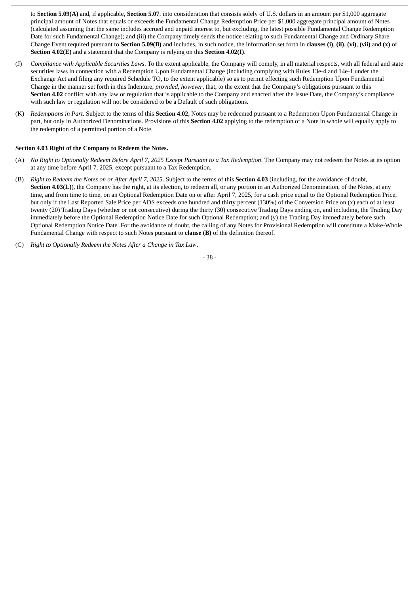to **Section 5.09(A)** and, if applicable, **Section 5.07**, into consideration that consists solely of U.S. dollars in an amount per \$1,000 aggregate principal amount of Notes that equals or exceeds the Fundamental Change Redemption Price per \$1,000 aggregate principal amount of Notes (calculated assuming that the same includes accrued and unpaid interest to, but excluding, the latest possible Fundamental Change Redemption Date for such Fundamental Change); and (iii) the Company timely sends the notice relating to such Fundamental Change and Ordinary Share Change Event required pursuant to **Section 5.09(B)** and includes, in such notice, the information set forth in **clauses (i)**, **(ii)**, **(vi)**, **(vii)** and **(x)** of **Section 4.02(E)** and a statement that the Company is relying on this **Section 4.02(I)**.

- (J) *Compliance with Applicable Securities Laws*. To the extent applicable, the Company will comply, in all material respects, with all federal and state securities laws in connection with a Redemption Upon Fundamental Change (including complying with Rules 13e-4 and 14e-1 under the Exchange Act and filing any required Schedule TO, to the extent applicable) so as to permit effecting such Redemption Upon Fundamental Change in the manner set forth in this Indenture; *provided*, *however*, that, to the extent that the Company's obligations pursuant to this **Section 4.02** conflict with any law or regulation that is applicable to the Company and enacted after the Issue Date, the Company's compliance with such law or regulation will not be considered to be a Default of such obligations.
- (K) *Redemptions in Part*. Subject to the terms of this **Section 4.02**, Notes may be redeemed pursuant to a Redemption Upon Fundamental Change in part, but only in Authorized Denominations. Provisions of this **Section 4.02** applying to the redemption of a Note in whole will equally apply to the redemption of a permitted portion of a Note.

## **Section 4.03 Right of the Company to Redeem the Notes.**

- (A) No Right to Optionally Redeem Before April 7, 2025 Except Pursuant to a Tax Redemption. The Company may not redeem the Notes at its option at any time before April 7, 2025, except pursuant to a Tax Redemption.
- (B) Right to Redeem the Notes on or After April 7, 2025. Subject to the terms of this Section 4.03 (including, for the avoidance of doubt, **Section 4.03(L)**), the Company has the right, at its election, to redeem all, or any portion in an Authorized Denomination, of the Notes, at any time, and from time to time, on an Optional Redemption Date on or after April 7, 2025, for a cash price equal to the Optional Redemption Price, but only if the Last Reported Sale Price per ADS exceeds one hundred and thirty percent (130%) of the Conversion Price on (x) each of at least twenty (20) Trading Days (whether or not consecutive) during the thirty (30) consecutive Trading Days ending on, and including, the Trading Day immediately before the Optional Redemption Notice Date for such Optional Redemption; and (y) the Trading Day immediately before such Optional Redemption Notice Date. For the avoidance of doubt, the calling of any Notes for Provisional Redemption will constitute a Make-Whole Fundamental Change with respect to such Notes pursuant to **clause (B)** of the definition thereof.
- (C) *Right to Optionally Redeem the Notes After a Change in Tax Law*.

- 38 -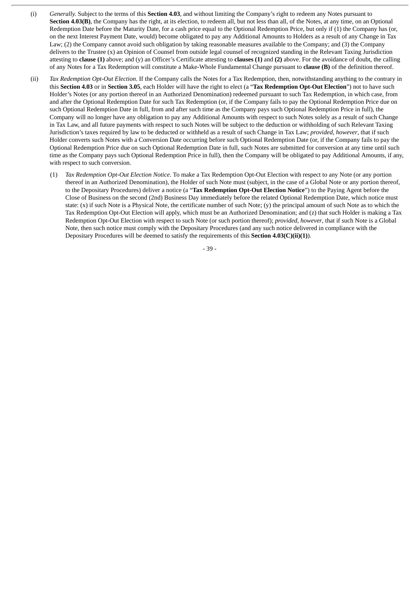- (i) *Generally.* Subject to the terms of this **Section 4.03**, and without limiting the Company's right to redeem any Notes pursuant to **Section 4.03(B)**, the Company has the right, at its election, to redeem all, but not less than all, of the Notes, at any time, on an Optional Redemption Date before the Maturity Date, for a cash price equal to the Optional Redemption Price, but only if (1) the Company has (or, on the next Interest Payment Date, would) become obligated to pay any Additional Amounts to Holders as a result of any Change in Tax Law; (2) the Company cannot avoid such obligation by taking reasonable measures available to the Company; and (3) the Company delivers to the Trustee (x) an Opinion of Counsel from outside legal counsel of recognized standing in the Relevant Taxing Jurisdiction attesting to **clause (1)** above; and (y) an Officer's Certificate attesting to **clauses (1)** and **(2)** above. For the avoidance of doubt, the calling of any Notes for a Tax Redemption will constitute a Make-Whole Fundamental Change pursuant to **clause (B)** of the definition thereof.
- (ii) *Tax Redemption Opt-Out Election*. If the Company calls the Notes for a Tax Redemption, then, notwithstanding anything to the contrary in this **Section 4.03** or in **Section 3.05**, each Holder will have the right to elect (a "**Tax Redemption Opt-Out Election**") not to have such Holder's Notes (or any portion thereof in an Authorized Denomination) redeemed pursuant to such Tax Redemption, in which case, from and after the Optional Redemption Date for such Tax Redemption (or, if the Company fails to pay the Optional Redemption Price due on such Optional Redemption Date in full, from and after such time as the Company pays such Optional Redemption Price in full), the Company will no longer have any obligation to pay any Additional Amounts with respect to such Notes solely as a result of such Change in Tax Law, and all future payments with respect to such Notes will be subject to the deduction or withholding of such Relevant Taxing Jurisdiction's taxes required by law to be deducted or withheld as a result of such Change in Tax Law; *provided*, *however*, that if such Holder converts such Notes with a Conversion Date occurring before such Optional Redemption Date (or, if the Company fails to pay the Optional Redemption Price due on such Optional Redemption Date in full, such Notes are submitted for conversion at any time until such time as the Company pays such Optional Redemption Price in full), then the Company will be obligated to pay Additional Amounts, if any, with respect to such conversion.
	- (1) *Tax Redemption Opt-Out Election Notice*. To make a Tax Redemption Opt-Out Election with respect to any Note (or any portion thereof in an Authorized Denomination), the Holder of such Note must (subject, in the case of a Global Note or any portion thereof, to the Depositary Procedures) deliver a notice (a "**Tax Redemption Opt-Out Election Notice**") to the Paying Agent before the Close of Business on the second (2nd) Business Day immediately before the related Optional Redemption Date, which notice must state: (x) if such Note is a Physical Note, the certificate number of such Note; (y) the principal amount of such Note as to which the Tax Redemption Opt-Out Election will apply, which must be an Authorized Denomination; and (z) that such Holder is making a Tax Redemption Opt-Out Election with respect to such Note (or such portion thereof); *provided*, *however*, that if such Note is a Global Note, then such notice must comply with the Depositary Procedures (and any such notice delivered in compliance with the Depositary Procedures will be deemed to satisfy the requirements of this **Section 4.03(C)(ii)(1)**).

- 39 -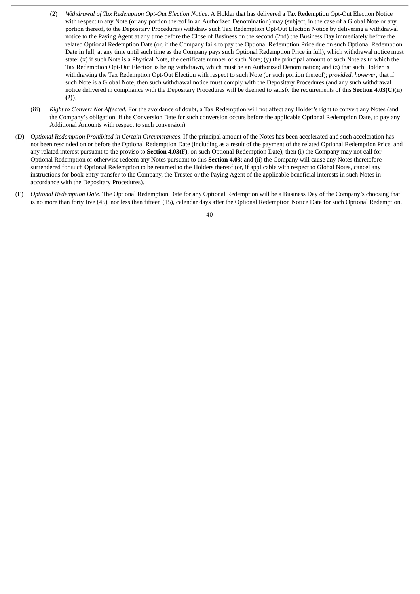- (2) *Withdrawal of Tax Redemption Opt-Out Election Notice*. A Holder that has delivered a Tax Redemption Opt-Out Election Notice with respect to any Note (or any portion thereof in an Authorized Denomination) may (subject, in the case of a Global Note or any portion thereof, to the Depositary Procedures) withdraw such Tax Redemption Opt-Out Election Notice by delivering a withdrawal notice to the Paying Agent at any time before the Close of Business on the second (2nd) the Business Day immediately before the related Optional Redemption Date (or, if the Company fails to pay the Optional Redemption Price due on such Optional Redemption Date in full, at any time until such time as the Company pays such Optional Redemption Price in full), which withdrawal notice must state: (x) if such Note is a Physical Note, the certificate number of such Note; (y) the principal amount of such Note as to which the Tax Redemption Opt-Out Election is being withdrawn, which must be an Authorized Denomination; and (z) that such Holder is withdrawing the Tax Redemption Opt-Out Election with respect to such Note (or such portion thereof); *provided*, *however*, that if such Note is a Global Note, then such withdrawal notice must comply with the Depositary Procedures (and any such withdrawal notice delivered in compliance with the Depositary Procedures will be deemed to satisfy the requirements of this **Section 4.03(C)(ii) (2)**).
- (iii) *Right to Convert Not Affected*. For the avoidance of doubt, a Tax Redemption will not affect any Holder's right to convert any Notes (and the Company's obligation, if the Conversion Date for such conversion occurs before the applicable Optional Redemption Date, to pay any Additional Amounts with respect to such conversion).
- (D) *Optional Redemption Prohibited in Certain Circumstances*. If the principal amount of the Notes has been accelerated and such acceleration has not been rescinded on or before the Optional Redemption Date (including as a result of the payment of the related Optional Redemption Price, and any related interest pursuant to the proviso to **Section 4.03(F)**, on such Optional Redemption Date), then (i) the Company may not call for Optional Redemption or otherwise redeem any Notes pursuant to this **Section 4.03**; and (ii) the Company will cause any Notes theretofore surrendered for such Optional Redemption to be returned to the Holders thereof (or, if applicable with respect to Global Notes, cancel any instructions for book-entry transfer to the Company, the Trustee or the Paying Agent of the applicable beneficial interests in such Notes in accordance with the Depositary Procedures).
- (E) *Optional Redemption Date*. The Optional Redemption Date for any Optional Redemption will be a Business Day of the Company's choosing that is no more than forty five (45), nor less than fifteen (15), calendar days after the Optional Redemption Notice Date for such Optional Redemption.

 $-40 -$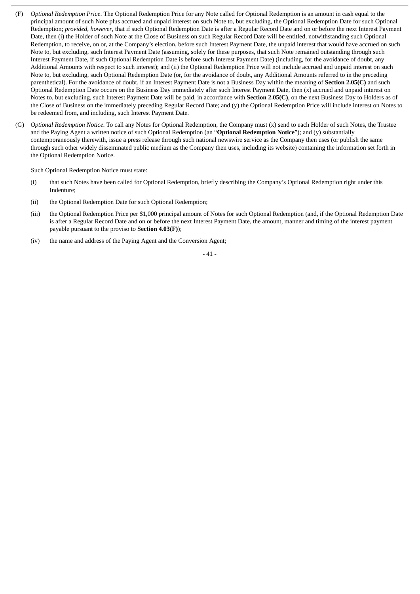- (F) *Optional Redemption Price*. The Optional Redemption Price for any Note called for Optional Redemption is an amount in cash equal to the principal amount of such Note plus accrued and unpaid interest on such Note to, but excluding, the Optional Redemption Date for such Optional Redemption; *provided*, *however*, that if such Optional Redemption Date is after a Regular Record Date and on or before the next Interest Payment Date, then (i) the Holder of such Note at the Close of Business on such Regular Record Date will be entitled, notwithstanding such Optional Redemption, to receive, on or, at the Company's election, before such Interest Payment Date, the unpaid interest that would have accrued on such Note to, but excluding, such Interest Payment Date (assuming, solely for these purposes, that such Note remained outstanding through such Interest Payment Date, if such Optional Redemption Date is before such Interest Payment Date) (including, for the avoidance of doubt, any Additional Amounts with respect to such interest); and (ii) the Optional Redemption Price will not include accrued and unpaid interest on such Note to, but excluding, such Optional Redemption Date (or, for the avoidance of doubt, any Additional Amounts referred to in the preceding parenthetical). For the avoidance of doubt, if an Interest Payment Date is not a Business Day within the meaning of **Section 2.05(C)** and such Optional Redemption Date occurs on the Business Day immediately after such Interest Payment Date, then (x) accrued and unpaid interest on Notes to, but excluding, such Interest Payment Date will be paid, in accordance with **Section 2.05(C)**, on the next Business Day to Holders as of the Close of Business on the immediately preceding Regular Record Date; and (y) the Optional Redemption Price will include interest on Notes to be redeemed from, and including, such Interest Payment Date.
- (G) *Optional Redemption Notice*. To call any Notes for Optional Redemption, the Company must (x) send to each Holder of such Notes, the Trustee and the Paying Agent a written notice of such Optional Redemption (an "**Optional Redemption Notice**"); and (y) substantially contemporaneously therewith, issue a press release through such national newswire service as the Company then uses (or publish the same through such other widely disseminated public medium as the Company then uses, including its website) containing the information set forth in the Optional Redemption Notice.

Such Optional Redemption Notice must state:

- (i) that such Notes have been called for Optional Redemption, briefly describing the Company's Optional Redemption right under this Indenture;
- (ii) the Optional Redemption Date for such Optional Redemption;
- (iii) the Optional Redemption Price per \$1,000 principal amount of Notes for such Optional Redemption (and, if the Optional Redemption Date is after a Regular Record Date and on or before the next Interest Payment Date, the amount, manner and timing of the interest payment payable pursuant to the proviso to **Section 4.03(F)**);
- (iv) the name and address of the Paying Agent and the Conversion Agent;

## - 41 -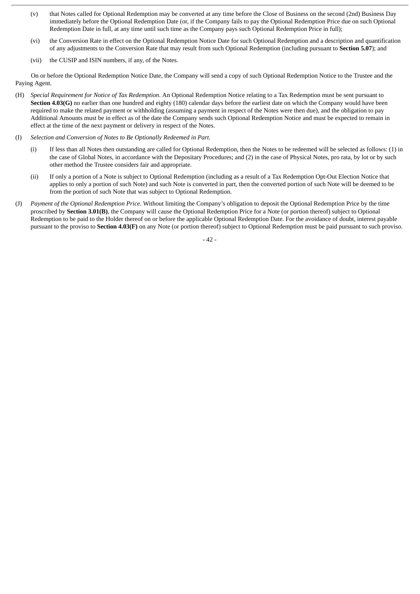- (v) that Notes called for Optional Redemption may be converted at any time before the Close of Business on the second (2nd) Business Day immediately before the Optional Redemption Date (or, if the Company fails to pay the Optional Redemption Price due on such Optional Redemption Date in full, at any time until such time as the Company pays such Optional Redemption Price in full);
- (vi) the Conversion Rate in effect on the Optional Redemption Notice Date for such Optional Redemption and a description and quantification of any adjustments to the Conversion Rate that may result from such Optional Redemption (including pursuant to **Section 5.07**); and
- (vii) the CUSIP and ISIN numbers, if any, of the Notes.

On or before the Optional Redemption Notice Date, the Company will send a copy of such Optional Redemption Notice to the Trustee and the Paying Agent.

- (H) *Special Requirement for Notice of Tax Redemption*. An Optional Redemption Notice relating to a Tax Redemption must be sent pursuant to **Section 4.03(G)** no earlier than one hundred and eighty (180) calendar days before the earliest date on which the Company would have been required to make the related payment or withholding (assuming a payment in respect of the Notes were then due), and the obligation to pay Additional Amounts must be in effect as of the date the Company sends such Optional Redemption Notice and must be expected to remain in effect at the time of the next payment or delivery in respect of the Notes.
- (I) *Selection and Conversion of Notes to Be Optionally Redeemed in Part*.
	- (i) If less than all Notes then outstanding are called for Optional Redemption, then the Notes to be redeemed will be selected as follows: (1) in the case of Global Notes, in accordance with the Depositary Procedures; and (2) in the case of Physical Notes, pro rata, by lot or by such other method the Trustee considers fair and appropriate.
	- (ii) If only a portion of a Note is subject to Optional Redemption (including as a result of a Tax Redemption Opt-Out Election Notice that applies to only a portion of such Note) and such Note is converted in part, then the converted portion of such Note will be deemed to be from the portion of such Note that was subject to Optional Redemption.
- (J) *Payment of the Optional Redemption Price*. Without limiting the Company's obligation to deposit the Optional Redemption Price by the time proscribed by **Section 3.01(B)**, the Company will cause the Optional Redemption Price for a Note (or portion thereof) subject to Optional Redemption to be paid to the Holder thereof on or before the applicable Optional Redemption Date. For the avoidance of doubt, interest payable pursuant to the proviso to **Section 4.03(F)** on any Note (or portion thereof) subject to Optional Redemption must be paid pursuant to such proviso.

- 42 -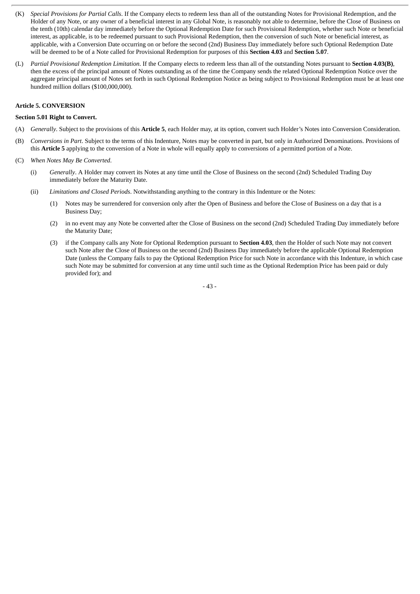- (K) *Special Provisions for Partial Calls*. If the Company elects to redeem less than all of the outstanding Notes for Provisional Redemption, and the Holder of any Note, or any owner of a beneficial interest in any Global Note, is reasonably not able to determine, before the Close of Business on the tenth (10th) calendar day immediately before the Optional Redemption Date for such Provisional Redemption, whether such Note or beneficial interest, as applicable, is to be redeemed pursuant to such Provisional Redemption, then the conversion of such Note or beneficial interest, as applicable, with a Conversion Date occurring on or before the second (2nd) Business Day immediately before such Optional Redemption Date will be deemed to be of a Note called for Provisional Redemption for purposes of this **Section 4.03** and **Section 5.07**.
- (L) *Partial Provisional Redemption Limitation*. If the Company elects to redeem less than all of the outstanding Notes pursuant to **Section 4.03(B)**, then the excess of the principal amount of Notes outstanding as of the time the Company sends the related Optional Redemption Notice over the aggregate principal amount of Notes set forth in such Optional Redemption Notice as being subject to Provisional Redemption must be at least one hundred million dollars (\$100,000,000).

# **Article 5. CONVERSION**

### **Section 5.01 Right to Convert.**

- (A) *Generally*. Subject to the provisions of this **Article 5**, each Holder may, at its option, convert such Holder's Notes into Conversion Consideration.
- (B) *Conversions in Part*. Subject to the terms of this Indenture, Notes may be converted in part, but only in Authorized Denominations. Provisions of this **Article 5** applying to the conversion of a Note in whole will equally apply to conversions of a permitted portion of a Note.
- (C) *When Notes May Be Converted*.
	- (i) *Generally*. A Holder may convert its Notes at any time until the Close of Business on the second (2nd) Scheduled Trading Day immediately before the Maturity Date.
	- (ii) *Limitations and Closed Periods*. Notwithstanding anything to the contrary in this Indenture or the Notes:
		- (1) Notes may be surrendered for conversion only after the Open of Business and before the Close of Business on a day that is a Business Day;
		- (2) in no event may any Note be converted after the Close of Business on the second (2nd) Scheduled Trading Day immediately before the Maturity Date;
		- (3) if the Company calls any Note for Optional Redemption pursuant to **Section 4.03**, then the Holder of such Note may not convert such Note after the Close of Business on the second (2nd) Business Day immediately before the applicable Optional Redemption Date (unless the Company fails to pay the Optional Redemption Price for such Note in accordance with this Indenture, in which case such Note may be submitted for conversion at any time until such time as the Optional Redemption Price has been paid or duly provided for); and

- 43 -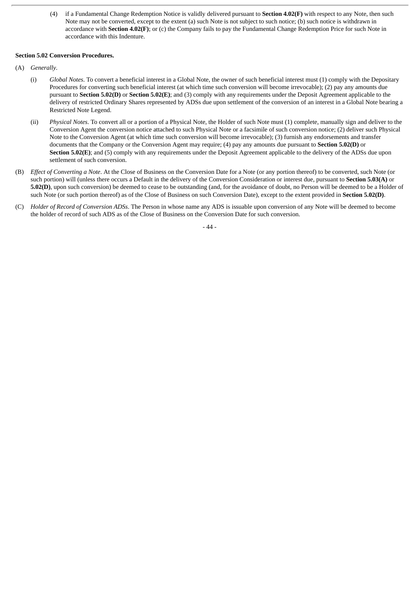(4) if a Fundamental Change Redemption Notice is validly delivered pursuant to **Section 4.02(F)** with respect to any Note, then such Note may not be converted, except to the extent (a) such Note is not subject to such notice; (b) such notice is withdrawn in accordance with **Section 4.02(F)**; or (c) the Company fails to pay the Fundamental Change Redemption Price for such Note in accordance with this Indenture.

# **Section 5.02 Conversion Procedures.**

- (A) *Generally*.
	- (i) *Global Notes*. To convert a beneficial interest in a Global Note, the owner of such beneficial interest must (1) comply with the Depositary Procedures for converting such beneficial interest (at which time such conversion will become irrevocable); (2) pay any amounts due pursuant to **Section 5.02(D)** or **Section 5.02(E)**; and (3) comply with any requirements under the Deposit Agreement applicable to the delivery of restricted Ordinary Shares represented by ADSs due upon settlement of the conversion of an interest in a Global Note bearing a Restricted Note Legend.
	- (ii) *Physical Notes*. To convert all or a portion of a Physical Note, the Holder of such Note must (1) complete, manually sign and deliver to the Conversion Agent the conversion notice attached to such Physical Note or a facsimile of such conversion notice; (2) deliver such Physical Note to the Conversion Agent (at which time such conversion will become irrevocable); (3) furnish any endorsements and transfer documents that the Company or the Conversion Agent may require; (4) pay any amounts due pursuant to **Section 5.02(D)** or **Section 5.02(E)**; and (5) comply with any requirements under the Deposit Agreement applicable to the delivery of the ADSs due upon settlement of such conversion.
- (B) *Effect of Converting a Note*. At the Close of Business on the Conversion Date for a Note (or any portion thereof) to be converted, such Note (or such portion) will (unless there occurs a Default in the delivery of the Conversion Consideration or interest due, pursuant to **Section 5.03(A)** or **5.02(D)**, upon such conversion) be deemed to cease to be outstanding (and, for the avoidance of doubt, no Person will be deemed to be a Holder of such Note (or such portion thereof) as of the Close of Business on such Conversion Date), except to the extent provided in **Section 5.02(D)**.
- (C) *Holder of Record of Conversion ADSs*. The Person in whose name any ADS is issuable upon conversion of any Note will be deemed to become the holder of record of such ADS as of the Close of Business on the Conversion Date for such conversion.

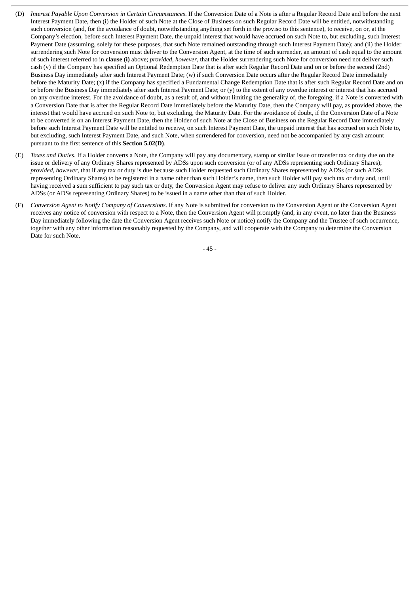- (D) *Interest Payable Upon Conversion in Certain Circumstances*. If the Conversion Date of a Note is after a Regular Record Date and before the next Interest Payment Date, then (i) the Holder of such Note at the Close of Business on such Regular Record Date will be entitled, notwithstanding such conversion (and, for the avoidance of doubt, notwithstanding anything set forth in the proviso to this sentence), to receive, on or, at the Company's election, before such Interest Payment Date, the unpaid interest that would have accrued on such Note to, but excluding, such Interest Payment Date (assuming, solely for these purposes, that such Note remained outstanding through such Interest Payment Date); and (ii) the Holder surrendering such Note for conversion must deliver to the Conversion Agent, at the time of such surrender, an amount of cash equal to the amount of such interest referred to in **clause (i)** above; *provided*, *however*, that the Holder surrendering such Note for conversion need not deliver such cash (v) if the Company has specified an Optional Redemption Date that is after such Regular Record Date and on or before the second (2nd) Business Day immediately after such Interest Payment Date; (w) if such Conversion Date occurs after the Regular Record Date immediately before the Maturity Date; (x) if the Company has specified a Fundamental Change Redemption Date that is after such Regular Record Date and on or before the Business Day immediately after such Interest Payment Date; or (y) to the extent of any overdue interest or interest that has accrued on any overdue interest. For the avoidance of doubt, as a result of, and without limiting the generality of, the foregoing, if a Note is converted with a Conversion Date that is after the Regular Record Date immediately before the Maturity Date, then the Company will pay, as provided above, the interest that would have accrued on such Note to, but excluding, the Maturity Date. For the avoidance of doubt, if the Conversion Date of a Note to be converted is on an Interest Payment Date, then the Holder of such Note at the Close of Business on the Regular Record Date immediately before such Interest Payment Date will be entitled to receive, on such Interest Payment Date, the unpaid interest that has accrued on such Note to, but excluding, such Interest Payment Date, and such Note, when surrendered for conversion, need not be accompanied by any cash amount pursuant to the first sentence of this **Section 5.02(D)**.
- (E) *Taxes and Duties*. If a Holder converts a Note, the Company will pay any documentary, stamp or similar issue or transfer tax or duty due on the issue or delivery of any Ordinary Shares represented by ADSs upon such conversion (or of any ADSs representing such Ordinary Shares); *provided*, *however*, that if any tax or duty is due because such Holder requested such Ordinary Shares represented by ADSs (or such ADSs representing Ordinary Shares) to be registered in a name other than such Holder's name, then such Holder will pay such tax or duty and, until having received a sum sufficient to pay such tax or duty, the Conversion Agent may refuse to deliver any such Ordinary Shares represented by ADSs (or ADSs representing Ordinary Shares) to be issued in a name other than that of such Holder.
- (F) *Conversion Agent to Notify Company of Conversions*. If any Note is submitted for conversion to the Conversion Agent or the Conversion Agent receives any notice of conversion with respect to a Note, then the Conversion Agent will promptly (and, in any event, no later than the Business Day immediately following the date the Conversion Agent receives such Note or notice) notify the Company and the Trustee of such occurrence, together with any other information reasonably requested by the Company, and will cooperate with the Company to determine the Conversion Date for such Note.

- 45 -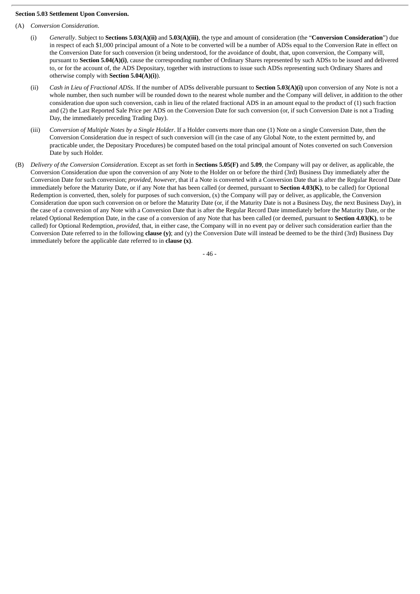## **Section 5.03 Settlement Upon Conversion.**

- (A) *Conversion Consideration*.
	- (i) *Generally*. Subject to **Sections 5.03(A)(ii)** and **5.03(A)(iii)**, the type and amount of consideration (the "**Conversion Consideration**") due in respect of each \$1,000 principal amount of a Note to be converted will be a number of ADSs equal to the Conversion Rate in effect on the Conversion Date for such conversion (it being understood, for the avoidance of doubt, that, upon conversion, the Company will, pursuant to **Section 5.04(A)(i)**, cause the corresponding number of Ordinary Shares represented by such ADSs to be issued and delivered to, or for the account of, the ADS Depositary, together with instructions to issue such ADSs representing such Ordinary Shares and otherwise comply with **Section 5.04(A)(i)**).
	- (ii) *Cash in Lieu of Fractional ADSs*. If the number of ADSs deliverable pursuant to **Section 5.03(A)(i)** upon conversion of any Note is not a whole number, then such number will be rounded down to the nearest whole number and the Company will deliver, in addition to the other consideration due upon such conversion, cash in lieu of the related fractional ADS in an amount equal to the product of (1) such fraction and (2) the Last Reported Sale Price per ADS on the Conversion Date for such conversion (or, if such Conversion Date is not a Trading Day, the immediately preceding Trading Day).
	- (iii) *Conversion of Multiple Notes by a Single Holder*. If a Holder converts more than one (1) Note on a single Conversion Date, then the Conversion Consideration due in respect of such conversion will (in the case of any Global Note, to the extent permitted by, and practicable under, the Depositary Procedures) be computed based on the total principal amount of Notes converted on such Conversion Date by such Holder.
- (B) *Delivery of the Conversion Consideration*. Except as set forth in **Sections 5.05(F)** and **5.09**, the Company will pay or deliver, as applicable, the Conversion Consideration due upon the conversion of any Note to the Holder on or before the third (3rd) Business Day immediately after the Conversion Date for such conversion; *provided*, *however*, that if a Note is converted with a Conversion Date that is after the Regular Record Date immediately before the Maturity Date, or if any Note that has been called (or deemed, pursuant to **Section 4.03(K)**, to be called) for Optional Redemption is converted, then, solely for purposes of such conversion, (x) the Company will pay or deliver, as applicable, the Conversion Consideration due upon such conversion on or before the Maturity Date (or, if the Maturity Date is not a Business Day, the next Business Day), in the case of a conversion of any Note with a Conversion Date that is after the Regular Record Date immediately before the Maturity Date, or the related Optional Redemption Date, in the case of a conversion of any Note that has been called (or deemed, pursuant to **Section 4.03(K)**, to be called) for Optional Redemption, *provided*, that, in either case, the Company will in no event pay or deliver such consideration earlier than the Conversion Date referred to in the following **clause (y)**; and (y) the Conversion Date will instead be deemed to be the third (3rd) Business Day immediately before the applicable date referred to in **clause (x)**.

- 46 -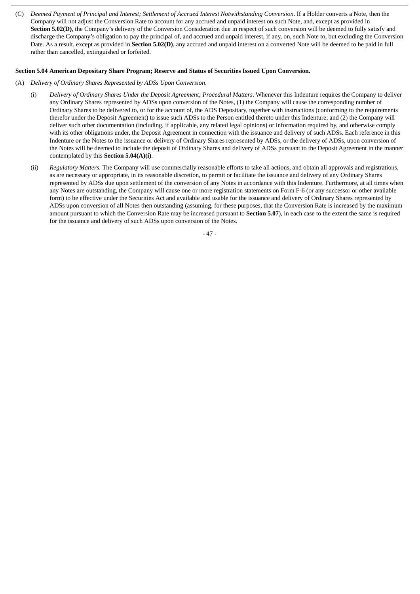(C) Deemed Payment of Principal and Interest; Settlement of Accrued Interest Notwithstanding Conversion. If a Holder converts a Note, then the Company will not adjust the Conversion Rate to account for any accrued and unpaid interest on such Note, and, except as provided in **Section 5.02(D)**, the Company's delivery of the Conversion Consideration due in respect of such conversion will be deemed to fully satisfy and discharge the Company's obligation to pay the principal of, and accrued and unpaid interest, if any, on, such Note to, but excluding the Conversion Date. As a result, except as provided in **Section 5.02(D)**, any accrued and unpaid interest on a converted Note will be deemed to be paid in full rather than cancelled, extinguished or forfeited.

# **Section 5.04 American Depositary Share Program; Reserve and Status of Securities Issued Upon Conversion.**

- (A) *Delivery of Ordinary Shares Represented by ADSs Upon Conversion*.
	- (i) *Delivery of Ordinary Shares Under the Deposit Agreement; Procedural Matters*. Whenever this Indenture requires the Company to deliver any Ordinary Shares represented by ADSs upon conversion of the Notes, (1) the Company will cause the corresponding number of Ordinary Shares to be delivered to, or for the account of, the ADS Depositary, together with instructions (conforming to the requirements therefor under the Deposit Agreement) to issue such ADSs to the Person entitled thereto under this Indenture; and (2) the Company will deliver such other documentation (including, if applicable, any related legal opinions) or information required by, and otherwise comply with its other obligations under, the Deposit Agreement in connection with the issuance and delivery of such ADSs. Each reference in this Indenture or the Notes to the issuance or delivery of Ordinary Shares represented by ADSs, or the delivery of ADSs, upon conversion of the Notes will be deemed to include the deposit of Ordinary Shares and delivery of ADSs pursuant to the Deposit Agreement in the manner contemplated by this **Section 5.04(A)(i)**.
	- (ii) *Regulatory Matters*. The Company will use commercially reasonable efforts to take all actions, and obtain all approvals and registrations, as are necessary or appropriate, in its reasonable discretion, to permit or facilitate the issuance and delivery of any Ordinary Shares represented by ADSs due upon settlement of the conversion of any Notes in accordance with this Indenture. Furthermore, at all times when any Notes are outstanding, the Company will cause one or more registration statements on Form F-6 (or any successor or other available form) to be effective under the Securities Act and available and usable for the issuance and delivery of Ordinary Shares represented by ADSs upon conversion of all Notes then outstanding (assuming, for these purposes, that the Conversion Rate is increased by the maximum amount pursuant to which the Conversion Rate may be increased pursuant to **Section 5.07**), in each case to the extent the same is required for the issuance and delivery of such ADSs upon conversion of the Notes.

- 47 -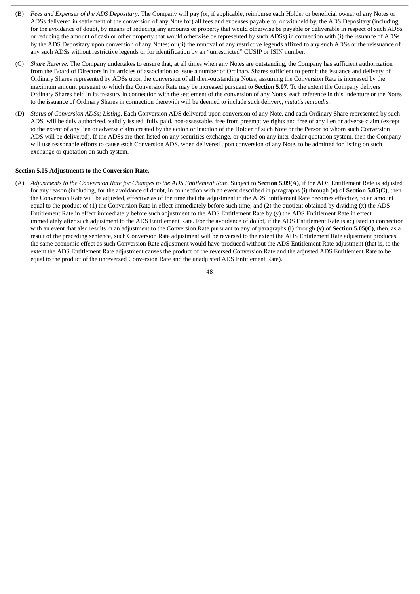- (B) *Fees and Expenses of the ADS Depositary*. The Company will pay (or, if applicable, reimburse each Holder or beneficial owner of any Notes or ADSs delivered in settlement of the conversion of any Note for) all fees and expenses payable to, or withheld by, the ADS Depositary (including, for the avoidance of doubt, by means of reducing any amounts or property that would otherwise be payable or deliverable in respect of such ADSs or reducing the amount of cash or other property that would otherwise be represented by such ADSs) in connection with (i) the issuance of ADSs by the ADS Depositary upon conversion of any Notes; or (ii) the removal of any restrictive legends affixed to any such ADSs or the reissuance of any such ADSs without restrictive legends or for identification by an "unrestricted" CUSIP or ISIN number.
- (C) *Share Reserve*. The Company undertakes to ensure that, at all times when any Notes are outstanding, the Company has sufficient authorization from the Board of Directors in its articles of association to issue a number of Ordinary Shares sufficient to permit the issuance and delivery of Ordinary Shares represented by ADSs upon the conversion of all then-outstanding Notes, assuming the Conversion Rate is increased by the maximum amount pursuant to which the Conversion Rate may be increased pursuant to **Section 5.07**. To the extent the Company delivers Ordinary Shares held in its treasury in connection with the settlement of the conversion of any Notes, each reference in this Indenture or the Notes to the issuance of Ordinary Shares in connection therewith will be deemed to include such delivery, *mutatis mutandis*.
- (D) *Status of Conversion ADSs; Listing*. Each Conversion ADS delivered upon conversion of any Note, and each Ordinary Share represented by such ADS, will be duly authorized, validly issued, fully paid, non-assessable, free from preemptive rights and free of any lien or adverse claim (except to the extent of any lien or adverse claim created by the action or inaction of the Holder of such Note or the Person to whom such Conversion ADS will be delivered). If the ADSs are then listed on any securities exchange, or quoted on any inter-dealer quotation system, then the Company will use reasonable efforts to cause each Conversion ADS, when delivered upon conversion of any Note, to be admitted for listing on such exchange or quotation on such system.

## **Section 5.05 Adjustments to the Conversion Rate.**

(A) Adjustments to the Conversion Rate for Changes to the ADS Entitlement Rate. Subject to Section 5.09(A), if the ADS Entitlement Rate is adjusted for any reason (including, for the avoidance of doubt, in connection with an event described in paragraphs **(i)** through **(v)** of **Section 5.05(C)**, then the Conversion Rate will be adjusted, effective as of the time that the adjustment to the ADS Entitlement Rate becomes effective, to an amount equal to the product of (1) the Conversion Rate in effect immediately before such time; and (2) the quotient obtained by dividing (x) the ADS Entitlement Rate in effect immediately before such adjustment to the ADS Entitlement Rate by (y) the ADS Entitlement Rate in effect immediately after such adjustment to the ADS Entitlement Rate. For the avoidance of doubt, if the ADS Entitlement Rate is adjusted in connection with an event that also results in an adjustment to the Conversion Rate pursuant to any of paragraphs **(i)** through **(v)** of **Section 5.05(C)**, then, as a result of the preceding sentence, such Conversion Rate adjustment will be reversed to the extent the ADS Entitlement Rate adjustment produces the same economic effect as such Conversion Rate adjustment would have produced without the ADS Entitlement Rate adjustment (that is, to the extent the ADS Entitlement Rate adjustment causes the product of the reversed Conversion Rate and the adjusted ADS Entitlement Rate to be equal to the product of the unreversed Conversion Rate and the unadjusted ADS Entitlement Rate).

- 48 -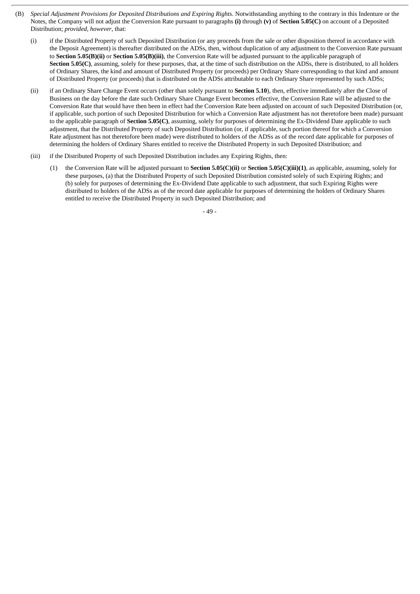- (B) *Special Adjustment Provisions for Deposited Distributions and Expiring Rights*. Notwithstanding anything to the contrary in this Indenture or the Notes, the Company will not adjust the Conversion Rate pursuant to paragraphs **(i)** through **(v)** of **Section 5.05(C)** on account of a Deposited Distribution; *provided*, *however*, that:
	- (i) if the Distributed Property of such Deposited Distribution (or any proceeds from the sale or other disposition thereof in accordance with the Deposit Agreement) is thereafter distributed on the ADSs, then, without duplication of any adjustment to the Conversion Rate pursuant to **Section 5.05(B)(ii)** or **Section 5.05(B)(iii)**, the Conversion Rate will be adjusted pursuant to the applicable paragraph of **Section 5.05(C)**, assuming, solely for these purposes, that, at the time of such distribution on the ADSs, there is distributed, to all holders of Ordinary Shares, the kind and amount of Distributed Property (or proceeds) per Ordinary Share corresponding to that kind and amount of Distributed Property (or proceeds) that is distributed on the ADSs attributable to each Ordinary Share represented by such ADSs;
	- (ii) if an Ordinary Share Change Event occurs (other than solely pursuant to **Section 5.10**), then, effective immediately after the Close of Business on the day before the date such Ordinary Share Change Event becomes effective, the Conversion Rate will be adjusted to the Conversion Rate that would have then been in effect had the Conversion Rate been adjusted on account of such Deposited Distribution (or, if applicable, such portion of such Deposited Distribution for which a Conversion Rate adjustment has not theretofore been made) pursuant to the applicable paragraph of **Section 5.05(C)**, assuming, solely for purposes of determining the Ex-Dividend Date applicable to such adjustment, that the Distributed Property of such Deposited Distribution (or, if applicable, such portion thereof for which a Conversion Rate adjustment has not theretofore been made) were distributed to holders of the ADSs as of the record date applicable for purposes of determining the holders of Ordinary Shares entitled to receive the Distributed Property in such Deposited Distribution; and
	- (iii) if the Distributed Property of such Deposited Distribution includes any Expiring Rights, then:
		- (1) the Conversion Rate will be adjusted pursuant to **Section 5.05(C)(ii)** or **Section 5.05(C)(iii)(1)**, as applicable, assuming, solely for these purposes, (a) that the Distributed Property of such Deposited Distribution consisted solely of such Expiring Rights; and (b) solely for purposes of determining the Ex-Dividend Date applicable to such adjustment, that such Expiring Rights were distributed to holders of the ADSs as of the record date applicable for purposes of determining the holders of Ordinary Shares entitled to receive the Distributed Property in such Deposited Distribution; and

- 49 -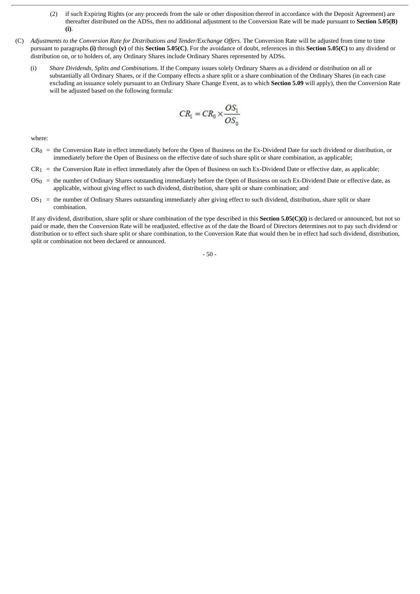- (2) if such Expiring Rights (or any proceeds from the sale or other disposition thereof in accordance with the Deposit Agreement) are thereafter distributed on the ADSs, then no additional adjustment to the Conversion Rate will be made pursuant to **Section 5.05(B) (i)**.
- (C) *Adjustments to the Conversion Rate for Distributions and Tender/Exchange Offers*. The Conversion Rate will be adjusted from time to time pursuant to paragraphs **(i)** through **(v)** of this **Section 5.05(C)**. For the avoidance of doubt, references in this **Section 5.05(C)** to any dividend or distribution on, or to holders of, any Ordinary Shares include Ordinary Shares represented by ADSs.
	- (i) *Share Dividends, Splits and Combinations*. If the Company issues solely Ordinary Shares as a dividend or distribution on all or substantially all Ordinary Shares, or if the Company effects a share split or a share combination of the Ordinary Shares (in each case excluding an issuance solely pursuant to an Ordinary Share Change Event, as to which **Section 5.09** will apply), then the Conversion Rate will be adjusted based on the following formula:

$$
CR_1 = CR_0 \times \frac{OS_1}{OS_0}
$$

where:

- $CR<sub>0</sub>$  = the Conversion Rate in effect immediately before the Open of Business on the Ex-Dividend Date for such dividend or distribution, or immediately before the Open of Business on the effective date of such share split or share combination, as applicable;
- $CR_1$  = the Conversion Rate in effect immediately after the Open of Business on such Ex-Dividend Date or effective date, as applicable;
- $OS<sub>0</sub>$  = the number of Ordinary Shares outstanding immediately before the Open of Business on such Ex-Dividend Date or effective date, as applicable, without giving effect to such dividend, distribution, share split or share combination; and
- $OS<sub>1</sub>$  = the number of Ordinary Shares outstanding immediately after giving effect to such dividend, distribution, share split or share combination.

If any dividend, distribution, share split or share combination of the type described in this **Section 5.05(C)(i)** is declared or announced, but not so paid or made, then the Conversion Rate will be readjusted, effective as of the date the Board of Directors determines not to pay such dividend or distribution or to effect such share split or share combination, to the Conversion Rate that would then be in effect had such dividend, distribution, split or combination not been declared or announced.

- 50 -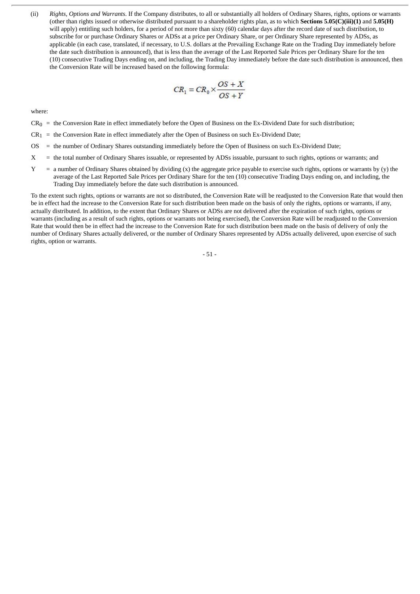(ii) *Rights, Options and Warrants*. If the Company distributes, to all or substantially all holders of Ordinary Shares, rights, options or warrants (other than rights issued or otherwise distributed pursuant to a shareholder rights plan, as to which **Sections 5.05(C)(iii)(1)** and **5.05(H)** will apply) entitling such holders, for a period of not more than sixty (60) calendar days after the record date of such distribution, to subscribe for or purchase Ordinary Shares or ADSs at a price per Ordinary Share, or per Ordinary Share represented by ADSs, as applicable (in each case, translated, if necessary, to U.S. dollars at the Prevailing Exchange Rate on the Trading Day immediately before the date such distribution is announced), that is less than the average of the Last Reported Sale Prices per Ordinary Share for the ten (10) consecutive Trading Days ending on, and including, the Trading Day immediately before the date such distribution is announced, then the Conversion Rate will be increased based on the following formula:

$$
CR_1 = CR_0 \times \frac{OS + X}{OS + Y}
$$

where:

- $CR_0$  = the Conversion Rate in effect immediately before the Open of Business on the Ex-Dividend Date for such distribution;
- $CR_1$  = the Conversion Rate in effect immediately after the Open of Business on such Ex-Dividend Date;
- OS = the number of Ordinary Shares outstanding immediately before the Open of Business on such Ex-Dividend Date;
- X = the total number of Ordinary Shares issuable, or represented by ADSs issuable, pursuant to such rights, options or warrants; and
- Y = a number of Ordinary Shares obtained by dividing (x) the aggregate price payable to exercise such rights, options or warrants by (y) the average of the Last Reported Sale Prices per Ordinary Share for the ten (10) consecutive Trading Days ending on, and including, the Trading Day immediately before the date such distribution is announced.

To the extent such rights, options or warrants are not so distributed, the Conversion Rate will be readjusted to the Conversion Rate that would then be in effect had the increase to the Conversion Rate for such distribution been made on the basis of only the rights, options or warrants, if any, actually distributed. In addition, to the extent that Ordinary Shares or ADSs are not delivered after the expiration of such rights, options or warrants (including as a result of such rights, options or warrants not being exercised), the Conversion Rate will be readjusted to the Conversion Rate that would then be in effect had the increase to the Conversion Rate for such distribution been made on the basis of delivery of only the number of Ordinary Shares actually delivered, or the number of Ordinary Shares represented by ADSs actually delivered, upon exercise of such rights, option or warrants.

- 51 -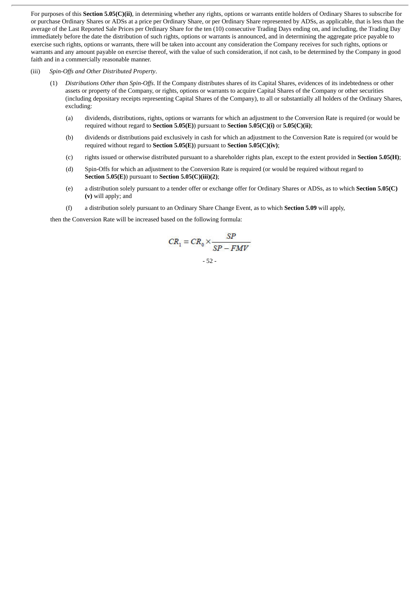For purposes of this **Section 5.05(C)(ii)**, in determining whether any rights, options or warrants entitle holders of Ordinary Shares to subscribe for or purchase Ordinary Shares or ADSs at a price per Ordinary Share, or per Ordinary Share represented by ADSs, as applicable, that is less than the average of the Last Reported Sale Prices per Ordinary Share for the ten (10) consecutive Trading Days ending on, and including, the Trading Day immediately before the date the distribution of such rights, options or warrants is announced, and in determining the aggregate price payable to exercise such rights, options or warrants, there will be taken into account any consideration the Company receives for such rights, options or warrants and any amount payable on exercise thereof, with the value of such consideration, if not cash, to be determined by the Company in good faith and in a commercially reasonable manner.

### (iii) *Spin-Offs and Other Distributed Property*.

- (1) *Distributions Other than Spin-Offs*. If the Company distributes shares of its Capital Shares, evidences of its indebtedness or other assets or property of the Company, or rights, options or warrants to acquire Capital Shares of the Company or other securities (including depositary receipts representing Capital Shares of the Company), to all or substantially all holders of the Ordinary Shares, excluding:
	- (a) dividends, distributions, rights, options or warrants for which an adjustment to the Conversion Rate is required (or would be required without regard to **Section 5.05(E)**) pursuant to **Section 5.05(C)(i)** or **5.05(C)(ii)**;
	- (b) dividends or distributions paid exclusively in cash for which an adjustment to the Conversion Rate is required (or would be required without regard to **Section 5.05(E)**) pursuant to **Section 5.05(C)(iv)**;
	- (c) rights issued or otherwise distributed pursuant to a shareholder rights plan, except to the extent provided in **Section 5.05(H)**;
	- (d) Spin-Offs for which an adjustment to the Conversion Rate is required (or would be required without regard to **Section 5.05(E)**) pursuant to **Section 5.05(C)(iii)(2)**;
	- (e) a distribution solely pursuant to a tender offer or exchange offer for Ordinary Shares or ADSs, as to which **Section 5.05(C) (v)** will apply; and
	- (f) a distribution solely pursuant to an Ordinary Share Change Event, as to which **Section 5.09** will apply,

then the Conversion Rate will be increased based on the following formula:

$$
CR_1 = CR_0 \times \frac{SP}{SP - FMV}
$$
  
- 52 -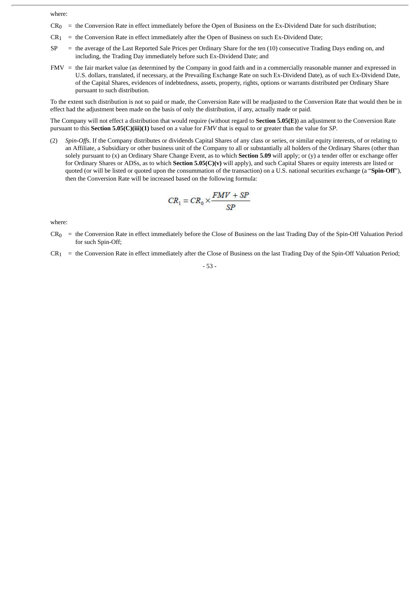where:

- $CR<sub>0</sub>$  = the Conversion Rate in effect immediately before the Open of Business on the Ex-Dividend Date for such distribution;
- $CR<sub>1</sub>$  = the Conversion Rate in effect immediately after the Open of Business on such Ex-Dividend Date;
- SP = the average of the Last Reported Sale Prices per Ordinary Share for the ten (10) consecutive Trading Days ending on, and including, the Trading Day immediately before such Ex-Dividend Date; and
- FMV = the fair market value (as determined by the Company in good faith and in a commercially reasonable manner and expressed in U.S. dollars, translated, if necessary, at the Prevailing Exchange Rate on such Ex-Dividend Date), as of such Ex-Dividend Date, of the Capital Shares, evidences of indebtedness, assets, property, rights, options or warrants distributed per Ordinary Share pursuant to such distribution.

To the extent such distribution is not so paid or made, the Conversion Rate will be readjusted to the Conversion Rate that would then be in effect had the adjustment been made on the basis of only the distribution, if any, actually made or paid.

The Company will not effect a distribution that would require (without regard to **Section 5.05(E)**) an adjustment to the Conversion Rate pursuant to this **Section 5.05(C)(iii)(1)** based on a value for *FMV* that is equal to or greater than the value for *SP*.

(2) *Spin-Offs*. If the Company distributes or dividends Capital Shares of any class or series, or similar equity interests, of or relating to an Affiliate, a Subsidiary or other business unit of the Company to all or substantially all holders of the Ordinary Shares (other than solely pursuant to (x) an Ordinary Share Change Event, as to which **Section 5.09** will apply; or (y) a tender offer or exchange offer for Ordinary Shares or ADSs, as to which **Section 5.05(C)(v)** will apply), and such Capital Shares or equity interests are listed or quoted (or will be listed or quoted upon the consummation of the transaction) on a U.S. national securities exchange (a "**Spin-Off**"), then the Conversion Rate will be increased based on the following formula:

$$
CR_1 = CR_0 \times \frac{FMV + SP}{SP}
$$

where:

- CR0 = the Conversion Rate in effect immediately before the Close of Business on the last Trading Day of the Spin-Off Valuation Period for such Spin-Off;
- $CR_1$  = the Conversion Rate in effect immediately after the Close of Business on the last Trading Day of the Spin-Off Valuation Period;

$$
-53 -
$$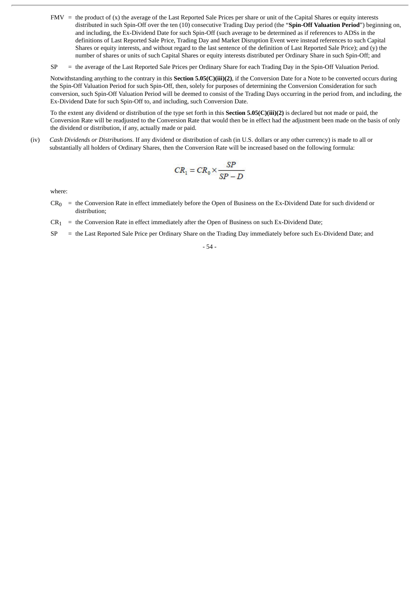$FMV =$  the product of  $(x)$  the average of the Last Reported Sale Prices per share or unit of the Capital Shares or equity interests distributed in such Spin-Off over the ten (10) consecutive Trading Day period (the "**Spin-Off Valuation Period**") beginning on, and including, the Ex-Dividend Date for such Spin-Off (such average to be determined as if references to ADSs in the definitions of Last Reported Sale Price, Trading Day and Market Disruption Event were instead references to such Capital Shares or equity interests, and without regard to the last sentence of the definition of Last Reported Sale Price); and (y) the number of shares or units of such Capital Shares or equity interests distributed per Ordinary Share in such Spin-Off; and

SP = the average of the Last Reported Sale Prices per Ordinary Share for each Trading Day in the Spin-Off Valuation Period.

Notwithstanding anything to the contrary in this **Section 5.05(C)(iii)(2)**, if the Conversion Date for a Note to be converted occurs during the Spin-Off Valuation Period for such Spin-Off, then, solely for purposes of determining the Conversion Consideration for such conversion, such Spin-Off Valuation Period will be deemed to consist of the Trading Days occurring in the period from, and including, the Ex-Dividend Date for such Spin-Off to, and including, such Conversion Date.

To the extent any dividend or distribution of the type set forth in this **Section 5.05(C)(iii)(2)** is declared but not made or paid, the Conversion Rate will be readjusted to the Conversion Rate that would then be in effect had the adjustment been made on the basis of only the dividend or distribution, if any, actually made or paid.

(iv) *Cash Dividends or Distributions*. If any dividend or distribution of cash (in U.S. dollars or any other currency) is made to all or substantially all holders of Ordinary Shares, then the Conversion Rate will be increased based on the following formula:

$$
CR_1 = CR_0 \times \frac{SP}{SP - D}
$$

where:

- $CR<sub>0</sub>$  = the Conversion Rate in effect immediately before the Open of Business on the Ex-Dividend Date for such dividend or distribution;
- $CR_1$  = the Conversion Rate in effect immediately after the Open of Business on such Ex-Dividend Date;
- SP = the Last Reported Sale Price per Ordinary Share on the Trading Day immediately before such Ex-Dividend Date; and

- 54 -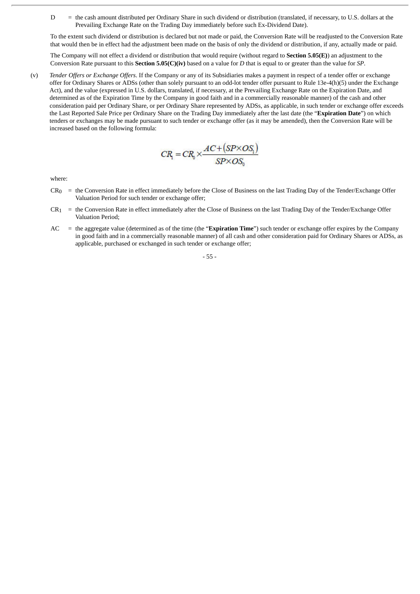D = the cash amount distributed per Ordinary Share in such dividend or distribution (translated, if necessary, to U.S. dollars at the Prevailing Exchange Rate on the Trading Day immediately before such Ex-Dividend Date).

To the extent such dividend or distribution is declared but not made or paid, the Conversion Rate will be readjusted to the Conversion Rate that would then be in effect had the adjustment been made on the basis of only the dividend or distribution, if any, actually made or paid.

The Company will not effect a dividend or distribution that would require (without regard to **Section 5.05(E)**) an adjustment to the Conversion Rate pursuant to this **Section 5.05(C)(iv)** based on a value for *D* that is equal to or greater than the value for *SP*.

(v) *Tender Offers or Exchange Offers*. If the Company or any of its Subsidiaries makes a payment in respect of a tender offer or exchange offer for Ordinary Shares or ADSs (other than solely pursuant to an odd-lot tender offer pursuant to Rule 13e-4(h)(5) under the Exchange Act), and the value (expressed in U.S. dollars, translated, if necessary, at the Prevailing Exchange Rate on the Expiration Date, and determined as of the Expiration Time by the Company in good faith and in a commercially reasonable manner) of the cash and other consideration paid per Ordinary Share, or per Ordinary Share represented by ADSs, as applicable, in such tender or exchange offer exceeds the Last Reported Sale Price per Ordinary Share on the Trading Day immediately after the last date (the "**Expiration Date**") on which tenders or exchanges may be made pursuant to such tender or exchange offer (as it may be amended), then the Conversion Rate will be increased based on the following formula:

$$
CR_{1} = CR_{0} \times \frac{AC + (SP \times OS_{1})}{SP \times OS_{0}}
$$

where:

- $CR<sub>0</sub>$  = the Conversion Rate in effect immediately before the Close of Business on the last Trading Day of the Tender/Exchange Offer Valuation Period for such tender or exchange offer;
- $CR_1$  = the Conversion Rate in effect immediately after the Close of Business on the last Trading Day of the Tender/Exchange Offer Valuation Period;
- AC = the aggregate value (determined as of the time (the "**Expiration Time**") such tender or exchange offer expires by the Company in good faith and in a commercially reasonable manner) of all cash and other consideration paid for Ordinary Shares or ADSs, as applicable, purchased or exchanged in such tender or exchange offer;

- 55 -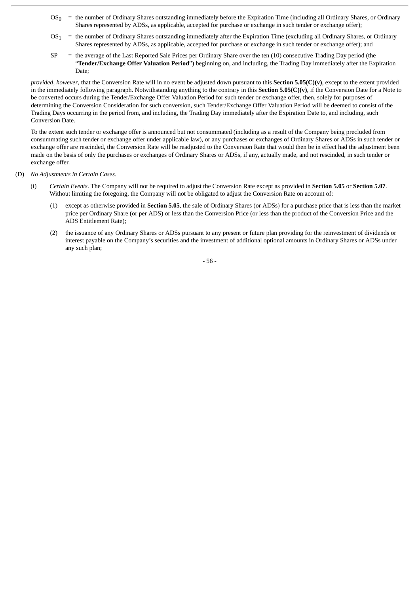- OS0 = the number of Ordinary Shares outstanding immediately before the Expiration Time (including all Ordinary Shares, or Ordinary Shares represented by ADSs, as applicable, accepted for purchase or exchange in such tender or exchange offer);
- OS1 = the number of Ordinary Shares outstanding immediately after the Expiration Time (excluding all Ordinary Shares, or Ordinary Shares represented by ADSs, as applicable, accepted for purchase or exchange in such tender or exchange offer); and
- $SP$  = the average of the Last Reported Sale Prices per Ordinary Share over the ten (10) consecutive Trading Day period (the "**Tender/Exchange Offer Valuation Period**") beginning on, and including, the Trading Day immediately after the Expiration Date;

*provided*, *however*, that the Conversion Rate will in no event be adjusted down pursuant to this **Section 5.05(C)(v)**, except to the extent provided in the immediately following paragraph. Notwithstanding anything to the contrary in this **Section 5.05(C)(v)**, if the Conversion Date for a Note to be converted occurs during the Tender/Exchange Offer Valuation Period for such tender or exchange offer, then, solely for purposes of determining the Conversion Consideration for such conversion, such Tender/Exchange Offer Valuation Period will be deemed to consist of the Trading Days occurring in the period from, and including, the Trading Day immediately after the Expiration Date to, and including, such Conversion Date.

To the extent such tender or exchange offer is announced but not consummated (including as a result of the Company being precluded from consummating such tender or exchange offer under applicable law), or any purchases or exchanges of Ordinary Shares or ADSs in such tender or exchange offer are rescinded, the Conversion Rate will be readjusted to the Conversion Rate that would then be in effect had the adjustment been made on the basis of only the purchases or exchanges of Ordinary Shares or ADSs, if any, actually made, and not rescinded, in such tender or exchange offer.

# (D) *No Adjustments in Certain Cases*.

- (i) *Certain Events*. The Company will not be required to adjust the Conversion Rate except as provided in **Section 5.05** or **Section 5.07**. Without limiting the foregoing, the Company will not be obligated to adjust the Conversion Rate on account of:
	- (1) except as otherwise provided in **Section 5.05**, the sale of Ordinary Shares (or ADSs) for a purchase price that is less than the market price per Ordinary Share (or per ADS) or less than the Conversion Price (or less than the product of the Conversion Price and the ADS Entitlement Rate);
	- (2) the issuance of any Ordinary Shares or ADSs pursuant to any present or future plan providing for the reinvestment of dividends or interest payable on the Company's securities and the investment of additional optional amounts in Ordinary Shares or ADSs under any such plan;

- 56 -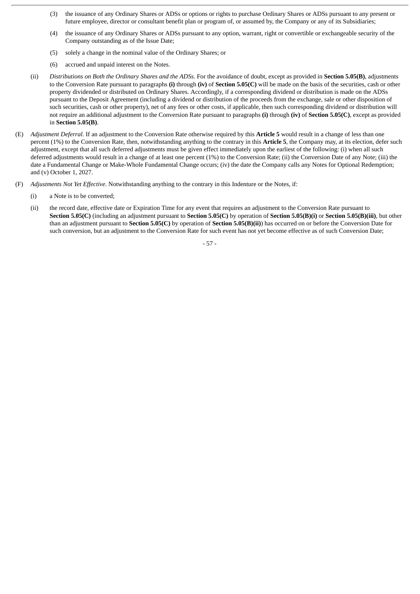- (3) the issuance of any Ordinary Shares or ADSs or options or rights to purchase Ordinary Shares or ADSs pursuant to any present or future employee, director or consultant benefit plan or program of, or assumed by, the Company or any of its Subsidiaries;
- (4) the issuance of any Ordinary Shares or ADSs pursuant to any option, warrant, right or convertible or exchangeable security of the Company outstanding as of the Issue Date;
- (5) solely a change in the nominal value of the Ordinary Shares; or
- (6) accrued and unpaid interest on the Notes.
- (ii) *Distributions on Both the Ordinary Shares and the ADSs*. For the avoidance of doubt, except as provided in **Section 5.05(B)**, adjustments to the Conversion Rate pursuant to paragraphs **(i)** through **(iv)** of **Section 5.05(C)** will be made on the basis of the securities, cash or other property dividended or distributed on Ordinary Shares. Accordingly, if a corresponding dividend or distribution is made on the ADSs pursuant to the Deposit Agreement (including a dividend or distribution of the proceeds from the exchange, sale or other disposition of such securities, cash or other property), net of any fees or other costs, if applicable, then such corresponding dividend or distribution will not require an additional adjustment to the Conversion Rate pursuant to paragraphs **(i)** through **(iv)** of **Section 5.05(C)**, except as provided in **Section 5.05(B)**.
- (E) *Adjustment Deferral*. If an adjustment to the Conversion Rate otherwise required by this **Article 5** would result in a change of less than one percent (1%) to the Conversion Rate, then, notwithstanding anything to the contrary in this **Article 5**, the Company may, at its election, defer such adjustment, except that all such deferred adjustments must be given effect immediately upon the earliest of the following: (i) when all such deferred adjustments would result in a change of at least one percent (1%) to the Conversion Rate; (ii) the Conversion Date of any Note; (iii) the date a Fundamental Change or Make-Whole Fundamental Change occurs; (iv) the date the Company calls any Notes for Optional Redemption; and (v) October 1, 2027.
- (F) *Adjustments Not Yet Effective*. Notwithstanding anything to the contrary in this Indenture or the Notes, if:
	- (i) a Note is to be converted;
	- (ii) the record date, effective date or Expiration Time for any event that requires an adjustment to the Conversion Rate pursuant to **Section 5.05(C)** (including an adjustment pursuant to **Section 5.05(C)** by operation of **Section 5.05(B)(i)** or **Section 5.05(B)(iii)**, but other than an adjustment pursuant to **Section 5.05(C)** by operation of **Section 5.05(B)(ii)**) has occurred on or before the Conversion Date for such conversion, but an adjustment to the Conversion Rate for such event has not yet become effective as of such Conversion Date;

- 57 -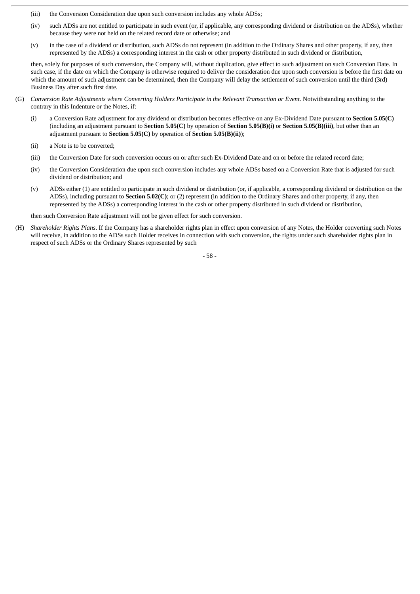- (iii) the Conversion Consideration due upon such conversion includes any whole ADSs;
- (iv) such ADSs are not entitled to participate in such event (or, if applicable, any corresponding dividend or distribution on the ADSs), whether because they were not held on the related record date or otherwise; and
- (v) in the case of a dividend or distribution, such ADSs do not represent (in addition to the Ordinary Shares and other property, if any, then represented by the ADSs) a corresponding interest in the cash or other property distributed in such dividend or distribution,

then, solely for purposes of such conversion, the Company will, without duplication, give effect to such adjustment on such Conversion Date. In such case, if the date on which the Company is otherwise required to deliver the consideration due upon such conversion is before the first date on which the amount of such adjustment can be determined, then the Company will delay the settlement of such conversion until the third (3rd) Business Day after such first date.

- (G) Conversion Rate Adjustments where Converting Holders Participate in the Relevant Transaction or Event. Notwithstanding anything to the contrary in this Indenture or the Notes, if:
	- (i) a Conversion Rate adjustment for any dividend or distribution becomes effective on any Ex-Dividend Date pursuant to **Section 5.05(C)** (including an adjustment pursuant to **Section 5.05(C)** by operation of **Section 5.05(B)(i)** or **Section 5.05(B)(iii)**, but other than an adjustment pursuant to **Section 5.05(C)** by operation of **Section 5.05(B)(ii)**);
	- (ii) a Note is to be converted;
	- (iii) the Conversion Date for such conversion occurs on or after such Ex-Dividend Date and on or before the related record date;
	- (iv) the Conversion Consideration due upon such conversion includes any whole ADSs based on a Conversion Rate that is adjusted for such dividend or distribution; and
	- (v) ADSs either (1) are entitled to participate in such dividend or distribution (or, if applicable, a corresponding dividend or distribution on the ADSs), including pursuant to **Section 5.02(C)**; or (2) represent (in addition to the Ordinary Shares and other property, if any, then represented by the ADSs) a corresponding interest in the cash or other property distributed in such dividend or distribution,

then such Conversion Rate adjustment will not be given effect for such conversion.

(H) *Shareholder Rights Plans*. If the Company has a shareholder rights plan in effect upon conversion of any Notes, the Holder converting such Notes will receive, in addition to the ADSs such Holder receives in connection with such conversion, the rights under such shareholder rights plan in respect of such ADSs or the Ordinary Shares represented by such

- 58 -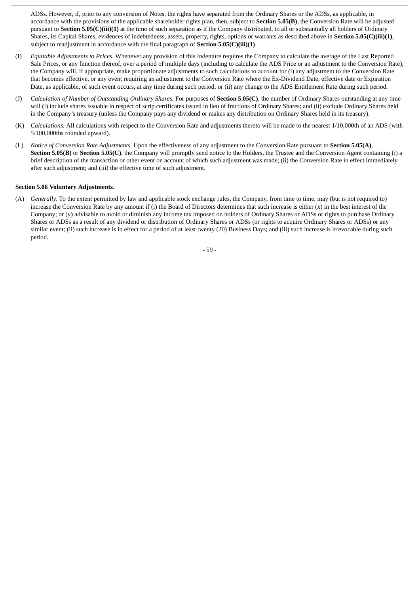ADSs. However, if, prior to any conversion of Notes, the rights have separated from the Ordinary Shares or the ADSs, as applicable, in accordance with the provisions of the applicable shareholder rights plan, then, subject to **Section 5.05(B)**, the Conversion Rate will be adjusted pursuant to **Section 5.05(C)(iii)(1)** at the time of such separation as if the Company distributed, to all or substantially all holders of Ordinary Shares, its Capital Shares, evidences of indebtedness, assets, property, rights, options or warrants as described above in **Section 5.05(C)(iii)(1)**, subject to readjustment in accordance with the final paragraph of **Section 5.05(C)(iii)(1)**.

- (I) *Equitable Adjustments to Prices*. Whenever any provision of this Indenture requires the Company to calculate the average of the Last Reported Sale Prices, or any function thereof, over a period of multiple days (including to calculate the ADS Price or an adjustment to the Conversion Rate), the Company will, if appropriate, make proportionate adjustments to such calculations to account for (i) any adjustment to the Conversion Rate that becomes effective, or any event requiring an adjustment to the Conversion Rate where the Ex-Dividend Date, effective date or Expiration Date, as applicable, of such event occurs, at any time during such period; or (ii) any change to the ADS Entitlement Rate during such period.
- (J) *Calculation of Number of Outstanding Ordinary Shares*. For purposes of **Section 5.05(C)**, the number of Ordinary Shares outstanding at any time will (i) include shares issuable in respect of scrip certificates issued in lieu of fractions of Ordinary Shares; and (ii) exclude Ordinary Shares held in the Company's treasury (unless the Company pays any dividend or makes any distribution on Ordinary Shares held in its treasury).
- (K) *Calculations*. All calculations with respect to the Conversion Rate and adjustments thereto will be made to the nearest 1/10,000th of an ADS (with 5/100,000ths rounded upward).
- (L) *Notice of Conversion Rate Adjustments*. Upon the effectiveness of any adjustment to the Conversion Rate pursuant to **Section 5.05(A)**, **Section <b>5.05(B)** or **Section 5.05(C)**, the Company will promptly send notice to the Holders, the Trustee and the Conversion Agent containing (i) a brief description of the transaction or other event on account of which such adjustment was made; (ii) the Conversion Rate in effect immediately after such adjustment; and (iii) the effective time of such adjustment.

## **Section 5.06 Voluntary Adjustments.**

(A) *Generally*. To the extent permitted by law and applicable stock exchange rules, the Company, from time to time, may (but is not required to) increase the Conversion Rate by any amount if (i) the Board of Directors determines that such increase is either  $(x)$  in the best interest of the Company; or (y) advisable to avoid or diminish any income tax imposed on holders of Ordinary Shares or ADSs or rights to purchase Ordinary Shares or ADSs as a result of any dividend or distribution of Ordinary Shares or ADSs (or rights to acquire Ordinary Shares or ADSs) or any similar event; (ii) such increase is in effect for a period of at least twenty (20) Business Days; and (iii) such increase is irrevocable during such period.

- 59 -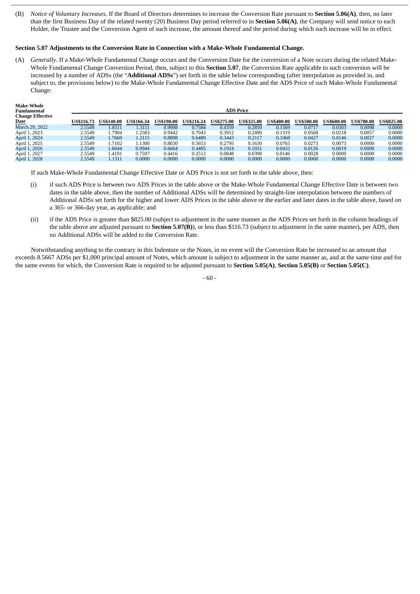(B) *Notice of Voluntary Increases*. If the Board of Directors determines to increase the Conversion Rate pursuant to **Section 5.06(A)**, then, no later than the first Business Day of the related twenty (20) Business Day period referred to in **Section 5.06(A)**, the Company will send notice to each Holder, the Trustee and the Conversion Agent of such increase, the amount thereof and the period during which such increase will be in effect.

## **Section 5.07 Adjustments to the Conversion Rate in Connection with a Make-Whole Fundamental Change.**

(A) *Generally*. If a Make-Whole Fundamental Change occurs and the Conversion Date for the conversion of a Note occurs during the related Make-Whole Fundamental Change Conversion Period, then, subject to this **Section 5.07**, the Conversion Rate applicable to such conversion will be increased by a number of ADSs (the "**Additional ADSs**") set forth in the table below corresponding (after interpolation as provided in, and subject to, the provisions below) to the Make-Whole Fundamental Change Effective Date and the ADS Price of such Make-Whole Fundamental Change:

| <b>Make-Whole</b><br>Fundamental<br><b>Change Effective</b> | <b>ADS Price</b>  |                   |                   |                   |                   |                   |                   |                   |                   |                   |                   |                   |
|-------------------------------------------------------------|-------------------|-------------------|-------------------|-------------------|-------------------|-------------------|-------------------|-------------------|-------------------|-------------------|-------------------|-------------------|
| Date                                                        | <b>US\$116.73</b> | <b>US\$140.00</b> | <b>US\$166.34</b> | <b>US\$190.00</b> | <b>US\$216.24</b> | <b>US\$275.00</b> | <b>US\$325.00</b> | <b>US\$400.00</b> | <b>US\$500.00</b> | <b>US\$600.00</b> | <b>US\$700.00</b> | <b>US\$825.00</b> |
| March 29, 2022                                              | 2.5549            | 1.8311            | 3111              | 0.9998            | 0.7584            | 0.4359            | 0.2850            | 0.1569            | 0.0717            | 0.0303            | 0.0098            | 0.0000            |
| April 1, 2023                                               | 2.5549            | 1.7904            | 1.2583            | 0.9442            | 0.7043            | 0.3912            | 0.2490            | 0.1319            | 0.0568            | 0.0218            | 0.0057            | 0.0000            |
| April 1, 2024                                               | 2.5549            | L.7669            | 1.2115            | 0.8898            | 0.6489            | 0.3443            | 0.2117            | 0.1068            | 0.0427            | 0.0146            | 0.0027            | 0.0000            |
| April 1, 2025                                               | 2.5549            | 1.7102            | 1.1300            | 0.8030            | 0.5653            | 0.2795            | 0.1630            | 0.0765            | 0.0273            | 0.0073            | 0.0000            | 0.0000            |
| April 1, 2026                                               | 2.5549            | 1.6044            | 0.9944            | 0.6664            | 0.4405            | 0.1924            | 0.1031            | 0.0432            | 0.0126            | 0.0019            | 0.0000            | 0.0000            |
| April 1, 2027                                               | 2.5549            | 1.4191            | 0.7597            | 0.4416            | 0.2512            | 0.0848            | 0.0398            | 0.0146            | 0.0028            | 0.0000            | 0.0000            | 0.0000            |
| April 1, 2028                                               | 2.5549            | 1.1311            | 0.0000            | 0.0000            | 0.0000            | 0.0000            | 0.0000            | 0.0000            | 0.0000            | 0.0000            | 0.0000            | 0.0000            |

If such Make-Whole Fundamental Change Effective Date or ADS Price is not set forth in the table above, then:

- (i) if such ADS Price is between two ADS Prices in the table above or the Make-Whole Fundamental Change Effective Date is between two dates in the table above, then the number of Additional ADSs will be determined by straight-line interpolation between the numbers of Additional ADSs set forth for the higher and lower ADS Prices in the table above or the earlier and later dates in the table above, based on a 365- or 366-day year, as applicable; and
- (ii) if the ADS Price is greater than \$825.00 (subject to adjustment in the same manner as the ADS Prices set forth in the column headings of the table above are adjusted pursuant to **Section 5.07(B)**), or less than \$116.73 (subject to adjustment in the same manner), per ADS, then no Additional ADSs will be added to the Conversion Rate.

Notwithstanding anything to the contrary in this Indenture or the Notes, in no event will the Conversion Rate be increased to an amount that exceeds 8.5667 ADSs per \$1,000 principal amount of Notes, which amount is subject to adjustment in the same manner as, and at the same time and for the same events for which, the Conversion Rate is required to be adjusted pursuant to **Section 5.05(A)**, **Section 5.05(B)** or **Section 5.05(C)**.

- 60 -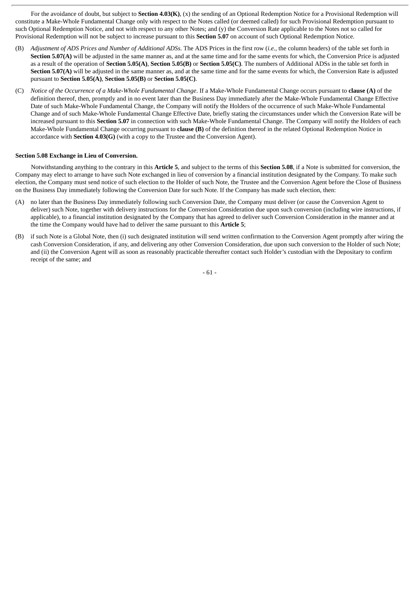For the avoidance of doubt, but subject to **Section 4.03(K)**, (x) the sending of an Optional Redemption Notice for a Provisional Redemption will constitute a Make-Whole Fundamental Change only with respect to the Notes called (or deemed called) for such Provisional Redemption pursuant to such Optional Redemption Notice, and not with respect to any other Notes; and (y) the Conversion Rate applicable to the Notes not so called for Provisional Redemption will not be subject to increase pursuant to this **Section 5.07** on account of such Optional Redemption Notice.

- (B) *Adjustment of ADS Prices and Number of Additional ADSs*. The ADS Prices in the first row (*i.e.*, the column headers) of the table set forth in **Section 5.07(A)** will be adjusted in the same manner as, and at the same time and for the same events for which, the Conversion Price is adjusted as a result of the operation of **Section 5.05(A)**, **Section 5.05(B)** or **Section 5.05(C)**. The numbers of Additional ADSs in the table set forth in **Section 5.07(A)** will be adjusted in the same manner as, and at the same time and for the same events for which, the Conversion Rate is adjusted pursuant to **Section 5.05(A)**, **Section 5.05(B)** or **Section 5.05(C)**.
- (C) *Notice of the Occurrence of a Make-Whole Fundamental Change*. If a Make-Whole Fundamental Change occurs pursuant to **clause (A)** of the definition thereof, then, promptly and in no event later than the Business Day immediately after the Make-Whole Fundamental Change Effective Date of such Make-Whole Fundamental Change, the Company will notify the Holders of the occurrence of such Make-Whole Fundamental Change and of such Make-Whole Fundamental Change Effective Date, briefly stating the circumstances under which the Conversion Rate will be increased pursuant to this **Section 5.07** in connection with such Make-Whole Fundamental Change. The Company will notify the Holders of each Make-Whole Fundamental Change occurring pursuant to **clause (B)** of the definition thereof in the related Optional Redemption Notice in accordance with **Section 4.03(G)** (with a copy to the Trustee and the Conversion Agent).

## **Section 5.08 Exchange in Lieu of Conversion.**

Notwithstanding anything to the contrary in this **Article 5**, and subject to the terms of this **Section 5.08**, if a Note is submitted for conversion, the Company may elect to arrange to have such Note exchanged in lieu of conversion by a financial institution designated by the Company. To make such election, the Company must send notice of such election to the Holder of such Note, the Trustee and the Conversion Agent before the Close of Business on the Business Day immediately following the Conversion Date for such Note. If the Company has made such election, then:

- (A) no later than the Business Day immediately following such Conversion Date, the Company must deliver (or cause the Conversion Agent to deliver) such Note, together with delivery instructions for the Conversion Consideration due upon such conversion (including wire instructions, if applicable), to a financial institution designated by the Company that has agreed to deliver such Conversion Consideration in the manner and at the time the Company would have had to deliver the same pursuant to this **Article 5**;
- (B) if such Note is a Global Note, then (i) such designated institution will send written confirmation to the Conversion Agent promptly after wiring the cash Conversion Consideration, if any, and delivering any other Conversion Consideration, due upon such conversion to the Holder of such Note; and (ii) the Conversion Agent will as soon as reasonably practicable thereafter contact such Holder's custodian with the Depositary to confirm receipt of the same; and

- 61 -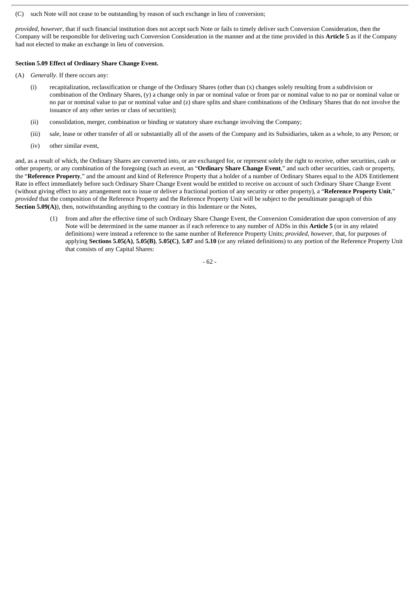(C) such Note will not cease to be outstanding by reason of such exchange in lieu of conversion;

*provided*, *however*, that if such financial institution does not accept such Note or fails to timely deliver such Conversion Consideration, then the Company will be responsible for delivering such Conversion Consideration in the manner and at the time provided in this **Article 5** as if the Company had not elected to make an exchange in lieu of conversion.

## **Section 5.09 Effect of Ordinary Share Change Event.**

- (A) *Generally*. If there occurs any:
	- (i) recapitalization, reclassification or change of the Ordinary Shares (other than (x) changes solely resulting from a subdivision or combination of the Ordinary Shares, (y) a change only in par or nominal value or from par or nominal value to no par or nominal value or no par or nominal value to par or nominal value and (z) share splits and share combinations of the Ordinary Shares that do not involve the issuance of any other series or class of securities);
	- (ii) consolidation, merger, combination or binding or statutory share exchange involving the Company;
	- (iii) sale, lease or other transfer of all or substantially all of the assets of the Company and its Subsidiaries, taken as a whole, to any Person; or
	- (iv) other similar event,

and, as a result of which, the Ordinary Shares are converted into, or are exchanged for, or represent solely the right to receive, other securities, cash or other property, or any combination of the foregoing (such an event, an "**Ordinary Share Change Event**," and such other securities, cash or property, the "**Reference Property**," and the amount and kind of Reference Property that a holder of a number of Ordinary Shares equal to the ADS Entitlement Rate in effect immediately before such Ordinary Share Change Event would be entitled to receive on account of such Ordinary Share Change Event (without giving effect to any arrangement not to issue or deliver a fractional portion of any security or other property), a "**Reference Property Unit**," *provided* that the composition of the Reference Property and the Reference Property Unit will be subject to the penultimate paragraph of this **Section 5.09(A)**), then, notwithstanding anything to the contrary in this Indenture or the Notes,

(1) from and after the effective time of such Ordinary Share Change Event, the Conversion Consideration due upon conversion of any Note will be determined in the same manner as if each reference to any number of ADSs in this **Article 5** (or in any related definitions) were instead a reference to the same number of Reference Property Units; *provided*, *however*, that, for purposes of applying **Sections 5.05(A)**, **5.05(B)**, **5.05(C)**, **5.07** and **5.10** (or any related definitions) to any portion of the Reference Property Unit that consists of any Capital Shares: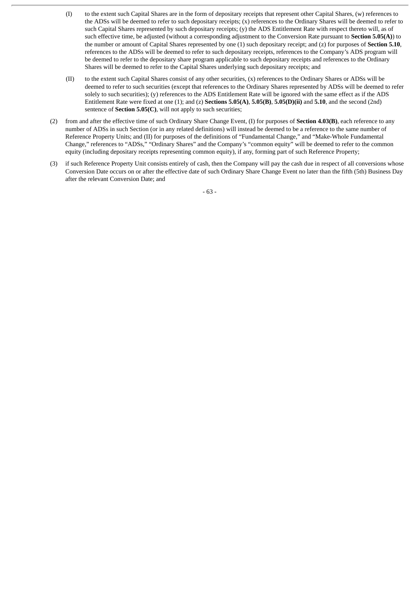- (I) to the extent such Capital Shares are in the form of depositary receipts that represent other Capital Shares, (w) references to the ADSs will be deemed to refer to such depositary receipts; (x) references to the Ordinary Shares will be deemed to refer to such Capital Shares represented by such depositary receipts; (y) the ADS Entitlement Rate with respect thereto will, as of such effective time, be adjusted (without a corresponding adjustment to the Conversion Rate pursuant to **Section 5.05(A)**) to the number or amount of Capital Shares represented by one (1) such depositary receipt; and (z) for purposes of **Section 5.10**, references to the ADSs will be deemed to refer to such depositary receipts, references to the Company's ADS program will be deemed to refer to the depositary share program applicable to such depositary receipts and references to the Ordinary Shares will be deemed to refer to the Capital Shares underlying such depositary receipts; and
- (II) to the extent such Capital Shares consist of any other securities, (x) references to the Ordinary Shares or ADSs will be deemed to refer to such securities (except that references to the Ordinary Shares represented by ADSs will be deemed to refer solely to such securities); (y) references to the ADS Entitlement Rate will be ignored with the same effect as if the ADS Entitlement Rate were fixed at one (1); and (z) **Sections 5.05(A)**, **5.05(B)**, **5.05(D)(ii)** and **5.10**, and the second (2nd) sentence of **Section 5.05(C)**, will not apply to such securities;
- (2) from and after the effective time of such Ordinary Share Change Event, (I) for purposes of **Section 4.03(B)**, each reference to any number of ADSs in such Section (or in any related definitions) will instead be deemed to be a reference to the same number of Reference Property Units; and (II) for purposes of the definitions of "Fundamental Change," and "Make-Whole Fundamental Change," references to "ADSs," "Ordinary Shares" and the Company's "common equity" will be deemed to refer to the common equity (including depositary receipts representing common equity), if any, forming part of such Reference Property;
- (3) if such Reference Property Unit consists entirely of cash, then the Company will pay the cash due in respect of all conversions whose Conversion Date occurs on or after the effective date of such Ordinary Share Change Event no later than the fifth (5th) Business Day after the relevant Conversion Date; and

- 63 -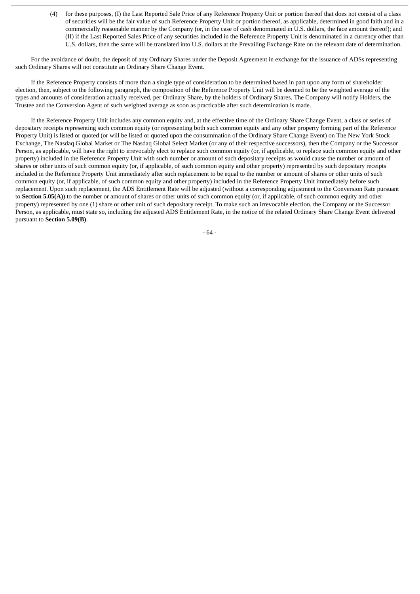(4) for these purposes, (I) the Last Reported Sale Price of any Reference Property Unit or portion thereof that does not consist of a class of securities will be the fair value of such Reference Property Unit or portion thereof, as applicable, determined in good faith and in a commercially reasonable manner by the Company (or, in the case of cash denominated in U.S. dollars, the face amount thereof); and (II) if the Last Reported Sales Price of any securities included in the Reference Property Unit is denominated in a currency other than U.S. dollars, then the same will be translated into U.S. dollars at the Prevailing Exchange Rate on the relevant date of determination.

For the avoidance of doubt, the deposit of any Ordinary Shares under the Deposit Agreement in exchange for the issuance of ADSs representing such Ordinary Shares will not constitute an Ordinary Share Change Event.

If the Reference Property consists of more than a single type of consideration to be determined based in part upon any form of shareholder election, then, subject to the following paragraph, the composition of the Reference Property Unit will be deemed to be the weighted average of the types and amounts of consideration actually received, per Ordinary Share, by the holders of Ordinary Shares. The Company will notify Holders, the Trustee and the Conversion Agent of such weighted average as soon as practicable after such determination is made.

If the Reference Property Unit includes any common equity and, at the effective time of the Ordinary Share Change Event, a class or series of depositary receipts representing such common equity (or representing both such common equity and any other property forming part of the Reference Property Unit) is listed or quoted (or will be listed or quoted upon the consummation of the Ordinary Share Change Event) on The New York Stock Exchange, The Nasdaq Global Market or The Nasdaq Global Select Market (or any of their respective successors), then the Company or the Successor Person, as applicable, will have the right to irrevocably elect to replace such common equity (or, if applicable, to replace such common equity and other property) included in the Reference Property Unit with such number or amount of such depositary receipts as would cause the number or amount of shares or other units of such common equity (or, if applicable, of such common equity and other property) represented by such depositary receipts included in the Reference Property Unit immediately after such replacement to be equal to the number or amount of shares or other units of such common equity (or, if applicable, of such common equity and other property) included in the Reference Property Unit immediately before such replacement. Upon such replacement, the ADS Entitlement Rate will be adjusted (without a corresponding adjustment to the Conversion Rate pursuant to **Section 5.05(A)**) to the number or amount of shares or other units of such common equity (or, if applicable, of such common equity and other property) represented by one (1) share or other unit of such depositary receipt. To make such an irrevocable election, the Company or the Successor Person, as applicable, must state so, including the adjusted ADS Entitlement Rate, in the notice of the related Ordinary Share Change Event delivered pursuant to **Section 5.09(B)**.

- 64 -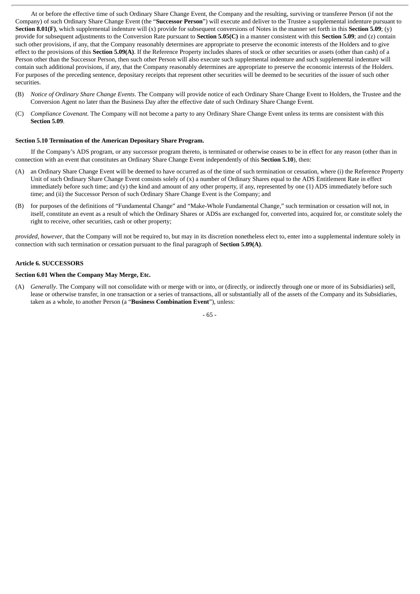At or before the effective time of such Ordinary Share Change Event, the Company and the resulting, surviving or transferee Person (if not the Company) of such Ordinary Share Change Event (the "**Successor Person**") will execute and deliver to the Trustee a supplemental indenture pursuant to **Section 8.01(F)**, which supplemental indenture will (x) provide for subsequent conversions of Notes in the manner set forth in this **Section 5.09**; (y) provide for subsequent adjustments to the Conversion Rate pursuant to **Section 5.05(C)** in a manner consistent with this **Section 5.09**; and (z) contain such other provisions, if any, that the Company reasonably determines are appropriate to preserve the economic interests of the Holders and to give effect to the provisions of this **Section 5.09(A)**. If the Reference Property includes shares of stock or other securities or assets (other than cash) of a Person other than the Successor Person, then such other Person will also execute such supplemental indenture and such supplemental indenture will contain such additional provisions, if any, that the Company reasonably determines are appropriate to preserve the economic interests of the Holders. For purposes of the preceding sentence, depositary receipts that represent other securities will be deemed to be securities of the issuer of such other securities.

- (B) *Notice of Ordinary Share Change Events*. The Company will provide notice of each Ordinary Share Change Event to Holders, the Trustee and the Conversion Agent no later than the Business Day after the effective date of such Ordinary Share Change Event.
- (C) *Compliance Covenant*. The Company will not become a party to any Ordinary Share Change Event unless its terms are consistent with this **Section 5.09**.

## **Section 5.10 Termination of the American Depositary Share Program.**

If the Company's ADS program, or any successor program thereto, is terminated or otherwise ceases to be in effect for any reason (other than in connection with an event that constitutes an Ordinary Share Change Event independently of this **Section 5.10**), then:

- (A) an Ordinary Share Change Event will be deemed to have occurred as of the time of such termination or cessation, where (i) the Reference Property Unit of such Ordinary Share Change Event consists solely of (x) a number of Ordinary Shares equal to the ADS Entitlement Rate in effect immediately before such time; and (y) the kind and amount of any other property, if any, represented by one (1) ADS immediately before such time; and (ii) the Successor Person of such Ordinary Share Change Event is the Company; and
- (B) for purposes of the definitions of "Fundamental Change" and "Make-Whole Fundamental Change," such termination or cessation will not, in itself, constitute an event as a result of which the Ordinary Shares or ADSs are exchanged for, converted into, acquired for, or constitute solely the right to receive, other securities, cash or other property;

*provided*, *however*, that the Company will not be required to, but may in its discretion nonetheless elect to, enter into a supplemental indenture solely in connection with such termination or cessation pursuant to the final paragraph of **Section 5.09(A)**.

### **Article 6. SUCCESSORS**

## **Section 6.01 When the Company May Merge, Etc.**

(A) *Generally*. The Company will not consolidate with or merge with or into, or (directly, or indirectly through one or more of its Subsidiaries) sell, lease or otherwise transfer, in one transaction or a series of transactions, all or substantially all of the assets of the Company and its Subsidiaries, taken as a whole, to another Person (a "**Business Combination Event**"), unless:

- 65 -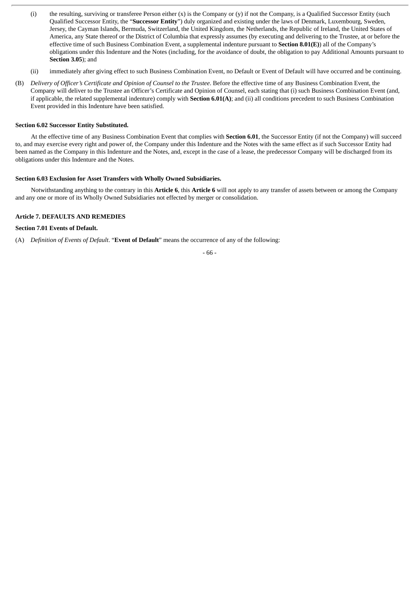- (i) the resulting, surviving or transferee Person either (x) is the Company or (y) if not the Company, is a Qualified Successor Entity (such Qualified Successor Entity, the "**Successor Entity**") duly organized and existing under the laws of Denmark, Luxembourg, Sweden, Jersey, the Cayman Islands, Bermuda, Switzerland, the United Kingdom, the Netherlands, the Republic of Ireland, the United States of America, any State thereof or the District of Columbia that expressly assumes (by executing and delivering to the Trustee, at or before the effective time of such Business Combination Event, a supplemental indenture pursuant to **Section 8.01(E)**) all of the Company's obligations under this Indenture and the Notes (including, for the avoidance of doubt, the obligation to pay Additional Amounts pursuant to **Section 3.05**); and
- (ii) immediately after giving effect to such Business Combination Event, no Default or Event of Default will have occurred and be continuing.
- (B) *Delivery of Officer's Certificate and Opinion of Counsel to the Trustee*. Before the effective time of any Business Combination Event, the Company will deliver to the Trustee an Officer's Certificate and Opinion of Counsel, each stating that (i) such Business Combination Event (and, if applicable, the related supplemental indenture) comply with **Section 6.01(A)**; and (ii) all conditions precedent to such Business Combination Event provided in this Indenture have been satisfied.

## **Section 6.02 Successor Entity Substituted.**

At the effective time of any Business Combination Event that complies with **Section 6.01**, the Successor Entity (if not the Company) will succeed to, and may exercise every right and power of, the Company under this Indenture and the Notes with the same effect as if such Successor Entity had been named as the Company in this Indenture and the Notes, and, except in the case of a lease, the predecessor Company will be discharged from its obligations under this Indenture and the Notes.

## **Section 6.03 Exclusion for Asset Transfers with Wholly Owned Subsidiaries.**

Notwithstanding anything to the contrary in this **Article 6**, this **Article 6** will not apply to any transfer of assets between or among the Company and any one or more of its Wholly Owned Subsidiaries not effected by merger or consolidation.

## **Article 7. DEFAULTS AND REMEDIES**

# **Section 7.01 Events of Default.**

(A) *Definition of Events of Default*. "**Event of Default**" means the occurrence of any of the following:

- 66 -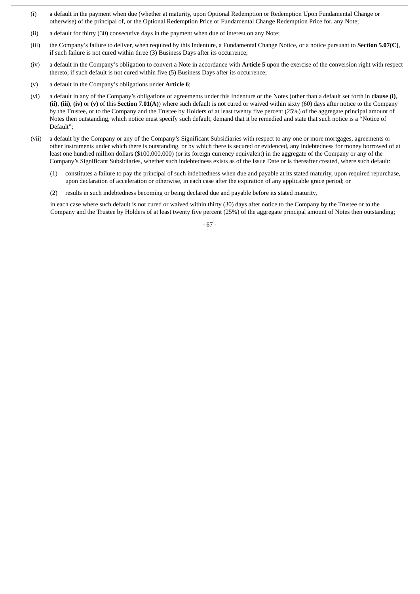- (i) a default in the payment when due (whether at maturity, upon Optional Redemption or Redemption Upon Fundamental Change or otherwise) of the principal of, or the Optional Redemption Price or Fundamental Change Redemption Price for, any Note;
- (ii) a default for thirty (30) consecutive days in the payment when due of interest on any Note;
- (iii) the Company's failure to deliver, when required by this Indenture, a Fundamental Change Notice, or a notice pursuant to **Section 5.07(C)**, if such failure is not cured within three (3) Business Days after its occurrence;
- (iv) a default in the Company's obligation to convert a Note in accordance with **Article 5** upon the exercise of the conversion right with respect thereto, if such default is not cured within five (5) Business Days after its occurrence;
- (v) a default in the Company's obligations under **Article 6**;
- (vi) a default in any of the Company's obligations or agreements under this Indenture or the Notes (other than a default set forth in **clause (i)**, **(ii)**, **(iii)**, **(iv)** or **(v)** of this **Section 7.01(A)**) where such default is not cured or waived within sixty (60) days after notice to the Company by the Trustee, or to the Company and the Trustee by Holders of at least twenty five percent (25%) of the aggregate principal amount of Notes then outstanding, which notice must specify such default, demand that it be remedied and state that such notice is a "Notice of Default";
- (vii) a default by the Company or any of the Company's Significant Subsidiaries with respect to any one or more mortgages, agreements or other instruments under which there is outstanding, or by which there is secured or evidenced, any indebtedness for money borrowed of at least one hundred million dollars (\$100,000,000) (or its foreign currency equivalent) in the aggregate of the Company or any of the Company's Significant Subsidiaries, whether such indebtedness exists as of the Issue Date or is thereafter created, where such default:
	- (1) constitutes a failure to pay the principal of such indebtedness when due and payable at its stated maturity, upon required repurchase, upon declaration of acceleration or otherwise, in each case after the expiration of any applicable grace period; or
	- (2) results in such indebtedness becoming or being declared due and payable before its stated maturity,

in each case where such default is not cured or waived within thirty (30) days after notice to the Company by the Trustee or to the Company and the Trustee by Holders of at least twenty five percent (25%) of the aggregate principal amount of Notes then outstanding;

- 67 -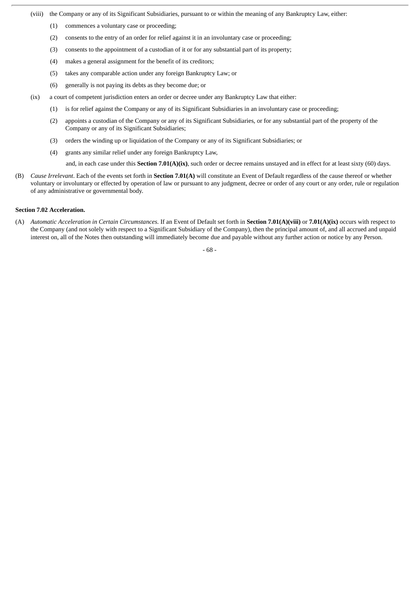- (viii) the Company or any of its Significant Subsidiaries, pursuant to or within the meaning of any Bankruptcy Law, either:
	- (1) commences a voluntary case or proceeding;
	- (2) consents to the entry of an order for relief against it in an involuntary case or proceeding;
	- (3) consents to the appointment of a custodian of it or for any substantial part of its property;
	- (4) makes a general assignment for the benefit of its creditors;
	- (5) takes any comparable action under any foreign Bankruptcy Law; or
	- (6) generally is not paying its debts as they become due; or
- (ix) a court of competent jurisdiction enters an order or decree under any Bankruptcy Law that either:
	- (1) is for relief against the Company or any of its Significant Subsidiaries in an involuntary case or proceeding;
	- (2) appoints a custodian of the Company or any of its Significant Subsidiaries, or for any substantial part of the property of the Company or any of its Significant Subsidiaries;
	- (3) orders the winding up or liquidation of the Company or any of its Significant Subsidiaries; or
	- (4) grants any similar relief under any foreign Bankruptcy Law,

and, in each case under this **Section 7.01(A)(ix)**, such order or decree remains unstayed and in effect for at least sixty (60) days.

(B) *Cause Irrelevant*. Each of the events set forth in **Section 7.01(A)** will constitute an Event of Default regardless of the cause thereof or whether voluntary or involuntary or effected by operation of law or pursuant to any judgment, decree or order of any court or any order, rule or regulation of any administrative or governmental body.

#### **Section 7.02 Acceleration.**

(A) *Automatic Acceleration in Certain Circumstances*. If an Event of Default set forth in **Section 7.01(A)(viii)** or **7.01(A)(ix)** occurs with respect to the Company (and not solely with respect to a Significant Subsidiary of the Company), then the principal amount of, and all accrued and unpaid interest on, all of the Notes then outstanding will immediately become due and payable without any further action or notice by any Person.

- 68 -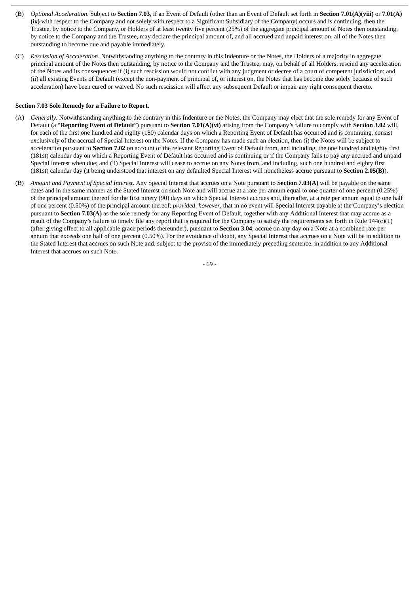- (B) *Optional Acceleration*. Subject to **Section 7.03**, if an Event of Default (other than an Event of Default set forth in **Section 7.01(A)(viii)** or **7.01(A) (ix)** with respect to the Company and not solely with respect to a Significant Subsidiary of the Company) occurs and is continuing, then the Trustee, by notice to the Company, or Holders of at least twenty five percent (25%) of the aggregate principal amount of Notes then outstanding, by notice to the Company and the Trustee, may declare the principal amount of, and all accrued and unpaid interest on, all of the Notes then outstanding to become due and payable immediately.
- (C) *Rescission of Acceleration*. Notwithstanding anything to the contrary in this Indenture or the Notes, the Holders of a majority in aggregate principal amount of the Notes then outstanding, by notice to the Company and the Trustee, may, on behalf of all Holders, rescind any acceleration of the Notes and its consequences if (i) such rescission would not conflict with any judgment or decree of a court of competent jurisdiction; and (ii) all existing Events of Default (except the non-payment of principal of, or interest on, the Notes that has become due solely because of such acceleration) have been cured or waived. No such rescission will affect any subsequent Default or impair any right consequent thereto.

## **Section 7.03 Sole Remedy for a Failure to Report.**

- (A) *Generally*. Notwithstanding anything to the contrary in this Indenture or the Notes, the Company may elect that the sole remedy for any Event of Default (a "**Reporting Event of Default**") pursuant to **Section 7.01(A)(vi)** arising from the Company's failure to comply with **Section 3.02** will, for each of the first one hundred and eighty (180) calendar days on which a Reporting Event of Default has occurred and is continuing, consist exclusively of the accrual of Special Interest on the Notes. If the Company has made such an election, then (i) the Notes will be subject to acceleration pursuant to **Section 7.02** on account of the relevant Reporting Event of Default from, and including, the one hundred and eighty first (181st) calendar day on which a Reporting Event of Default has occurred and is continuing or if the Company fails to pay any accrued and unpaid Special Interest when due; and (ii) Special Interest will cease to accrue on any Notes from, and including, such one hundred and eighty first (181st) calendar day (it being understood that interest on any defaulted Special Interest will nonetheless accrue pursuant to **Section 2.05(B)**).
- (B) *Amount and Payment of Special Interest*. Any Special Interest that accrues on a Note pursuant to **Section 7.03(A)** will be payable on the same dates and in the same manner as the Stated Interest on such Note and will accrue at a rate per annum equal to one quarter of one percent (0.25%) of the principal amount thereof for the first ninety (90) days on which Special Interest accrues and, thereafter, at a rate per annum equal to one half of one percent (0.50%) of the principal amount thereof; *provided*, *however*, that in no event will Special Interest payable at the Company's election pursuant to **Section 7.03(A)** as the sole remedy for any Reporting Event of Default, together with any Additional Interest that may accrue as a result of the Company's failure to timely file any report that is required for the Company to satisfy the requirements set forth in Rule 144(c)(1) (after giving effect to all applicable grace periods thereunder), pursuant to **Section 3.04**, accrue on any day on a Note at a combined rate per annum that exceeds one half of one percent (0.50%). For the avoidance of doubt, any Special Interest that accrues on a Note will be in addition to the Stated Interest that accrues on such Note and, subject to the proviso of the immediately preceding sentence, in addition to any Additional Interest that accrues on such Note.

- 69 -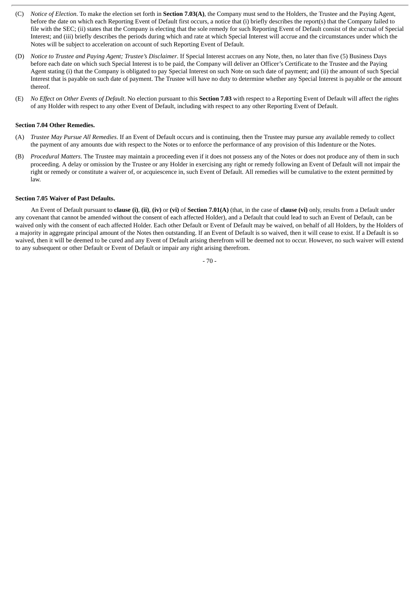- (C) *Notice of Election*. To make the election set forth in **Section 7.03(A)**, the Company must send to the Holders, the Trustee and the Paying Agent, before the date on which each Reporting Event of Default first occurs, a notice that (i) briefly describes the report(s) that the Company failed to file with the SEC; (ii) states that the Company is electing that the sole remedy for such Reporting Event of Default consist of the accrual of Special Interest; and (iii) briefly describes the periods during which and rate at which Special Interest will accrue and the circumstances under which the Notes will be subject to acceleration on account of such Reporting Event of Default.
- (D) *Notice to Trustee and Paying Agent; Trustee's Disclaimer*. If Special Interest accrues on any Note, then, no later than five (5) Business Days before each date on which such Special Interest is to be paid, the Company will deliver an Officer's Certificate to the Trustee and the Paying Agent stating (i) that the Company is obligated to pay Special Interest on such Note on such date of payment; and (ii) the amount of such Special Interest that is payable on such date of payment. The Trustee will have no duty to determine whether any Special Interest is payable or the amount thereof.
- (E) *No Effect on Other Events of Default*. No election pursuant to this **Section 7.03** with respect to a Reporting Event of Default will affect the rights of any Holder with respect to any other Event of Default, including with respect to any other Reporting Event of Default.

## **Section 7.04 Other Remedies.**

- (A) *Trustee May Pursue All Remedies*. If an Event of Default occurs and is continuing, then the Trustee may pursue any available remedy to collect the payment of any amounts due with respect to the Notes or to enforce the performance of any provision of this Indenture or the Notes.
- (B) *Procedural Matters*. The Trustee may maintain a proceeding even if it does not possess any of the Notes or does not produce any of them in such proceeding. A delay or omission by the Trustee or any Holder in exercising any right or remedy following an Event of Default will not impair the right or remedy or constitute a waiver of, or acquiescence in, such Event of Default. All remedies will be cumulative to the extent permitted by law.

#### **Section 7.05 Waiver of Past Defaults.**

An Event of Default pursuant to **clause (i)**, **(ii)**, **(iv)** or **(vi)** of **Section 7.01(A)** (that, in the case of **clause (vi)** only, results from a Default under any covenant that cannot be amended without the consent of each affected Holder), and a Default that could lead to such an Event of Default, can be waived only with the consent of each affected Holder. Each other Default or Event of Default may be waived, on behalf of all Holders, by the Holders of a majority in aggregate principal amount of the Notes then outstanding. If an Event of Default is so waived, then it will cease to exist. If a Default is so waived, then it will be deemed to be cured and any Event of Default arising therefrom will be deemed not to occur. However, no such waiver will extend to any subsequent or other Default or Event of Default or impair any right arising therefrom.

 $-70 -$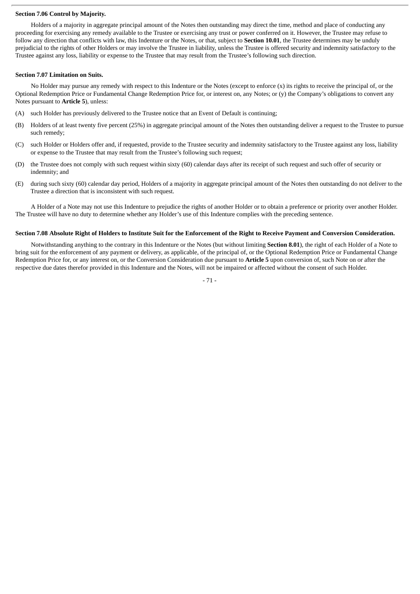#### **Section 7.06 Control by Majority.**

Holders of a majority in aggregate principal amount of the Notes then outstanding may direct the time, method and place of conducting any proceeding for exercising any remedy available to the Trustee or exercising any trust or power conferred on it. However, the Trustee may refuse to follow any direction that conflicts with law, this Indenture or the Notes, or that, subject to **Section 10.01**, the Trustee determines may be unduly prejudicial to the rights of other Holders or may involve the Trustee in liability, unless the Trustee is offered security and indemnity satisfactory to the Trustee against any loss, liability or expense to the Trustee that may result from the Trustee's following such direction.

### **Section 7.07 Limitation on Suits.**

No Holder may pursue any remedy with respect to this Indenture or the Notes (except to enforce  $(x)$ ) its rights to receive the principal of, or the Optional Redemption Price or Fundamental Change Redemption Price for, or interest on, any Notes; or (y) the Company's obligations to convert any Notes pursuant to **Article 5**), unless:

- (A) such Holder has previously delivered to the Trustee notice that an Event of Default is continuing;
- (B) Holders of at least twenty five percent (25%) in aggregate principal amount of the Notes then outstanding deliver a request to the Trustee to pursue such remedy;
- (C) such Holder or Holders offer and, if requested, provide to the Trustee security and indemnity satisfactory to the Trustee against any loss, liability or expense to the Trustee that may result from the Trustee's following such request;
- (D) the Trustee does not comply with such request within sixty (60) calendar days after its receipt of such request and such offer of security or indemnity; and
- (E) during such sixty (60) calendar day period, Holders of a majority in aggregate principal amount of the Notes then outstanding do not deliver to the Trustee a direction that is inconsistent with such request.

A Holder of a Note may not use this Indenture to prejudice the rights of another Holder or to obtain a preference or priority over another Holder. The Trustee will have no duty to determine whether any Holder's use of this Indenture complies with the preceding sentence.

## Section 7.08 Absolute Right of Holders to Institute Suit for the Enforcement of the Right to Receive Payment and Conversion Consideration.

Notwithstanding anything to the contrary in this Indenture or the Notes (but without limiting **Section 8.01**), the right of each Holder of a Note to bring suit for the enforcement of any payment or delivery, as applicable, of the principal of, or the Optional Redemption Price or Fundamental Change Redemption Price for, or any interest on, or the Conversion Consideration due pursuant to **Article 5** upon conversion of, such Note on or after the respective due dates therefor provided in this Indenture and the Notes, will not be impaired or affected without the consent of such Holder.

- 71 -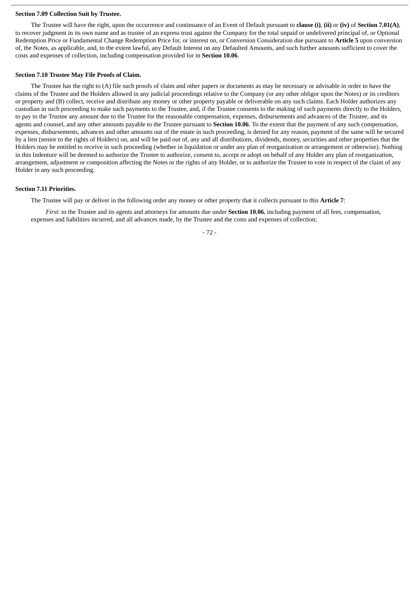#### **Section 7.09 Collection Suit by Trustee.**

The Trustee will have the right, upon the occurrence and continuance of an Event of Default pursuant to **clause (i)**, **(ii)** or **(iv)** of **Section 7.01(A)**, to recover judgment in its own name and as trustee of an express trust against the Company for the total unpaid or undelivered principal of, or Optional Redemption Price or Fundamental Change Redemption Price for, or interest on, or Conversion Consideration due pursuant to **Article 5** upon conversion of, the Notes, as applicable, and, to the extent lawful, any Default Interest on any Defaulted Amounts, and such further amounts sufficient to cover the costs and expenses of collection, including compensation provided for in **Section 10.06**.

#### **Section 7.10 Trustee May File Proofs of Claim.**

The Trustee has the right to (A) file such proofs of claim and other papers or documents as may be necessary or advisable in order to have the claims of the Trustee and the Holders allowed in any judicial proceedings relative to the Company (or any other obligor upon the Notes) or its creditors or property and (B) collect, receive and distribute any money or other property payable or deliverable on any such claims. Each Holder authorizes any custodian in such proceeding to make such payments to the Trustee, and, if the Trustee consents to the making of such payments directly to the Holders, to pay to the Trustee any amount due to the Trustee for the reasonable compensation, expenses, disbursements and advances of the Trustee, and its agents and counsel, and any other amounts payable to the Trustee pursuant to **Section 10.06**. To the extent that the payment of any such compensation, expenses, disbursements, advances and other amounts out of the estate in such proceeding, is denied for any reason, payment of the same will be secured by a lien (senior to the rights of Holders) on, and will be paid out of, any and all distributions, dividends, money, securities and other properties that the Holders may be entitled to receive in such proceeding (whether in liquidation or under any plan of reorganization or arrangement or otherwise). Nothing in this Indenture will be deemed to authorize the Trustee to authorize, consent to, accept or adopt on behalf of any Holder any plan of reorganization, arrangement, adjustment or composition affecting the Notes or the rights of any Holder, or to authorize the Trustee to vote in respect of the claim of any Holder in any such proceeding.

#### **Section 7.11 Priorities.**

The Trustee will pay or deliver in the following order any money or other property that it collects pursuant to this **Article 7**:

*First*: to the Trustee and its agents and attorneys for amounts due under **Section 10.06**, including payment of all fees, compensation, expenses and liabilities incurred, and all advances made, by the Trustee and the costs and expenses of collection;

- 72 -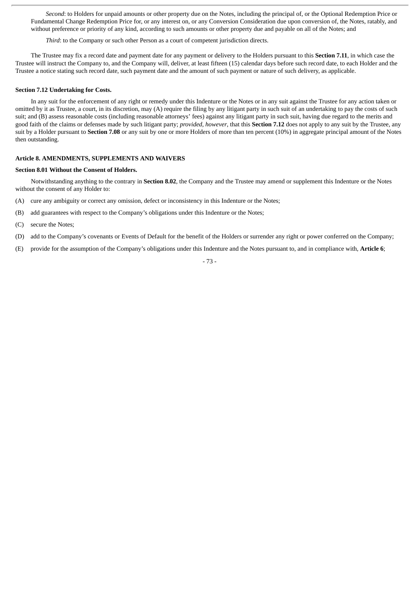*Second*: to Holders for unpaid amounts or other property due on the Notes, including the principal of, or the Optional Redemption Price or Fundamental Change Redemption Price for, or any interest on, or any Conversion Consideration due upon conversion of, the Notes, ratably, and without preference or priority of any kind, according to such amounts or other property due and payable on all of the Notes; and

*Third*: to the Company or such other Person as a court of competent jurisdiction directs.

The Trustee may fix a record date and payment date for any payment or delivery to the Holders pursuant to this **Section 7.11**, in which case the Trustee will instruct the Company to, and the Company will, deliver, at least fifteen (15) calendar days before such record date, to each Holder and the Trustee a notice stating such record date, such payment date and the amount of such payment or nature of such delivery, as applicable.

### **Section 7.12 Undertaking for Costs.**

In any suit for the enforcement of any right or remedy under this Indenture or the Notes or in any suit against the Trustee for any action taken or omitted by it as Trustee, a court, in its discretion, may (A) require the filing by any litigant party in such suit of an undertaking to pay the costs of such suit; and (B) assess reasonable costs (including reasonable attorneys' fees) against any litigant party in such suit, having due regard to the merits and good faith of the claims or defenses made by such litigant party; *provided*, *however*, that this **Section 7.12** does not apply to any suit by the Trustee, any suit by a Holder pursuant to **Section 7.08** or any suit by one or more Holders of more than ten percent (10%) in aggregate principal amount of the Notes then outstanding.

# **Article 8. AMENDMENTS, SUPPLEMENTS AND WAIVERS**

#### **Section 8.01 Without the Consent of Holders.**

Notwithstanding anything to the contrary in **Section 8.02**, the Company and the Trustee may amend or supplement this Indenture or the Notes without the consent of any Holder to:

- (A) cure any ambiguity or correct any omission, defect or inconsistency in this Indenture or the Notes;
- (B) add guarantees with respect to the Company's obligations under this Indenture or the Notes;
- (C) secure the Notes;
- (D) add to the Company's covenants or Events of Default for the benefit of the Holders or surrender any right or power conferred on the Company;
- (E) provide for the assumption of the Company's obligations under this Indenture and the Notes pursuant to, and in compliance with, **Article 6**;

## - 73 -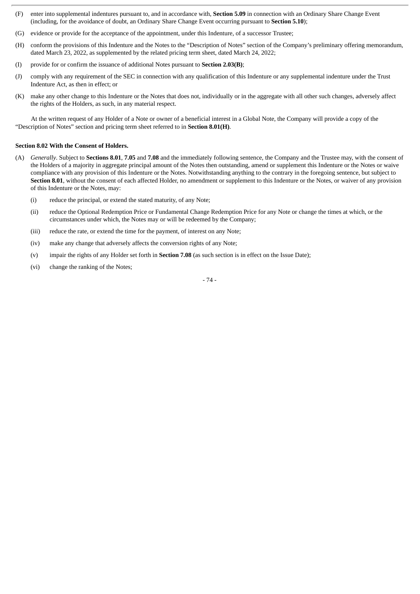- (F) enter into supplemental indentures pursuant to, and in accordance with, **Section 5.09** in connection with an Ordinary Share Change Event (including, for the avoidance of doubt, an Ordinary Share Change Event occurring pursuant to **Section 5.10**);
- (G) evidence or provide for the acceptance of the appointment, under this Indenture, of a successor Trustee;
- (H) conform the provisions of this Indenture and the Notes to the "Description of Notes" section of the Company's preliminary offering memorandum, dated March 23, 2022, as supplemented by the related pricing term sheet, dated March 24, 2022;
- (I) provide for or confirm the issuance of additional Notes pursuant to **Section 2.03(B)**;
- (J) comply with any requirement of the SEC in connection with any qualification of this Indenture or any supplemental indenture under the Trust Indenture Act, as then in effect; or
- (K) make any other change to this Indenture or the Notes that does not, individually or in the aggregate with all other such changes, adversely affect the rights of the Holders, as such, in any material respect.

At the written request of any Holder of a Note or owner of a beneficial interest in a Global Note, the Company will provide a copy of the "Description of Notes" section and pricing term sheet referred to in **Section 8.01(H)**.

## **Section 8.02 With the Consent of Holders.**

- (A) *Generally*. Subject to **Sections 8.01**, **7.05** and **7.08** and the immediately following sentence, the Company and the Trustee may, with the consent of the Holders of a majority in aggregate principal amount of the Notes then outstanding, amend or supplement this Indenture or the Notes or waive compliance with any provision of this Indenture or the Notes. Notwithstanding anything to the contrary in the foregoing sentence, but subject to **Section 8.01**, without the consent of each affected Holder, no amendment or supplement to this Indenture or the Notes, or waiver of any provision of this Indenture or the Notes, may:
	- (i) reduce the principal, or extend the stated maturity, of any Note;
	- (ii) reduce the Optional Redemption Price or Fundamental Change Redemption Price for any Note or change the times at which, or the circumstances under which, the Notes may or will be redeemed by the Company;
	- (iii) reduce the rate, or extend the time for the payment, of interest on any Note;
	- (iv) make any change that adversely affects the conversion rights of any Note;
	- (v) impair the rights of any Holder set forth in **Section 7.08** (as such section is in effect on the Issue Date);
	- (vi) change the ranking of the Notes;

- 74 -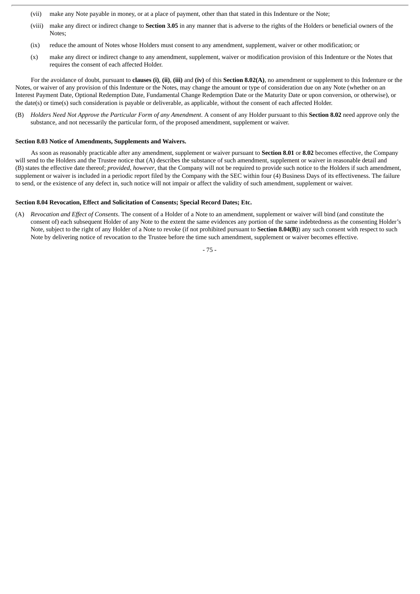- (vii) make any Note payable in money, or at a place of payment, other than that stated in this Indenture or the Note;
- (viii) make any direct or indirect change to **Section 3.05** in any manner that is adverse to the rights of the Holders or beneficial owners of the Notes;
- (ix) reduce the amount of Notes whose Holders must consent to any amendment, supplement, waiver or other modification; or
- (x) make any direct or indirect change to any amendment, supplement, waiver or modification provision of this Indenture or the Notes that requires the consent of each affected Holder.

For the avoidance of doubt, pursuant to **clauses (i)**, **(ii)**, **(iii)** and **(iv)** of this **Section 8.02(A)**, no amendment or supplement to this Indenture or the Notes, or waiver of any provision of this Indenture or the Notes, may change the amount or type of consideration due on any Note (whether on an Interest Payment Date, Optional Redemption Date, Fundamental Change Redemption Date or the Maturity Date or upon conversion, or otherwise), or the date(s) or time(s) such consideration is payable or deliverable, as applicable, without the consent of each affected Holder.

(B) Holders Need Not Approve the Particular Form of any Amendment. A consent of any Holder pursuant to this Section 8.02 need approve only the substance, and not necessarily the particular form, of the proposed amendment, supplement or waiver.

### **Section 8.03 Notice of Amendments, Supplements and Waivers.**

As soon as reasonably practicable after any amendment, supplement or waiver pursuant to **Section 8.01** or **8.02** becomes effective, the Company will send to the Holders and the Trustee notice that (A) describes the substance of such amendment, supplement or waiver in reasonable detail and (B) states the effective date thereof; *provided*, *however*, that the Company will not be required to provide such notice to the Holders if such amendment, supplement or waiver is included in a periodic report filed by the Company with the SEC within four (4) Business Days of its effectiveness. The failure to send, or the existence of any defect in, such notice will not impair or affect the validity of such amendment, supplement or waiver.

# **Section 8.04 Revocation, Effect and Solicitation of Consents; Special Record Dates; Etc.**

(A) *Revocation and Effect of Consents*. The consent of a Holder of a Note to an amendment, supplement or waiver will bind (and constitute the consent of) each subsequent Holder of any Note to the extent the same evidences any portion of the same indebtedness as the consenting Holder's Note, subject to the right of any Holder of a Note to revoke (if not prohibited pursuant to **Section 8.04(B)**) any such consent with respect to such Note by delivering notice of revocation to the Trustee before the time such amendment, supplement or waiver becomes effective.

- 75 -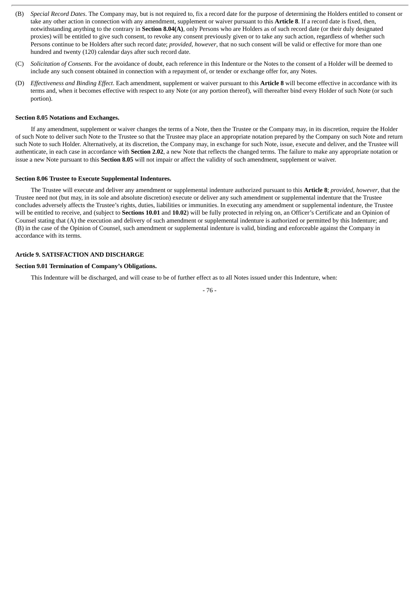- (B) *Special Record Dates*. The Company may, but is not required to, fix a record date for the purpose of determining the Holders entitled to consent or take any other action in connection with any amendment, supplement or waiver pursuant to this **Article 8**. If a record date is fixed, then, notwithstanding anything to the contrary in **Section 8.04(A)**, only Persons who are Holders as of such record date (or their duly designated proxies) will be entitled to give such consent, to revoke any consent previously given or to take any such action, regardless of whether such Persons continue to be Holders after such record date; *provided*, *however*, that no such consent will be valid or effective for more than one hundred and twenty (120) calendar days after such record date.
- (C) *Solicitation of Consents*. For the avoidance of doubt, each reference in this Indenture or the Notes to the consent of a Holder will be deemed to include any such consent obtained in connection with a repayment of, or tender or exchange offer for, any Notes.
- (D) *Effectiveness and Binding Effect*. Each amendment, supplement or waiver pursuant to this **Article 8** will become effective in accordance with its terms and, when it becomes effective with respect to any Note (or any portion thereof), will thereafter bind every Holder of such Note (or such portion).

#### **Section 8.05 Notations and Exchanges.**

If any amendment, supplement or waiver changes the terms of a Note, then the Trustee or the Company may, in its discretion, require the Holder of such Note to deliver such Note to the Trustee so that the Trustee may place an appropriate notation prepared by the Company on such Note and return such Note to such Holder. Alternatively, at its discretion, the Company may, in exchange for such Note, issue, execute and deliver, and the Trustee will authenticate, in each case in accordance with **Section 2.02**, a new Note that reflects the changed terms. The failure to make any appropriate notation or issue a new Note pursuant to this **Section 8.05** will not impair or affect the validity of such amendment, supplement or waiver.

## **Section 8.06 Trustee to Execute Supplemental Indentures.**

The Trustee will execute and deliver any amendment or supplemental indenture authorized pursuant to this **Article 8**; *provided*, *however*, that the Trustee need not (but may, in its sole and absolute discretion) execute or deliver any such amendment or supplemental indenture that the Trustee concludes adversely affects the Trustee's rights, duties, liabilities or immunities. In executing any amendment or supplemental indenture, the Trustee will be entitled to receive, and (subject to **Sections 10.01** and **10.02**) will be fully protected in relying on, an Officer's Certificate and an Opinion of Counsel stating that (A) the execution and delivery of such amendment or supplemental indenture is authorized or permitted by this Indenture; and (B) in the case of the Opinion of Counsel, such amendment or supplemental indenture is valid, binding and enforceable against the Company in accordance with its terms.

## **Article 9. SATISFACTION AND DISCHARGE**

## **Section 9.01 Termination of Company's Obligations.**

This Indenture will be discharged, and will cease to be of further effect as to all Notes issued under this Indenture, when:

- 76 -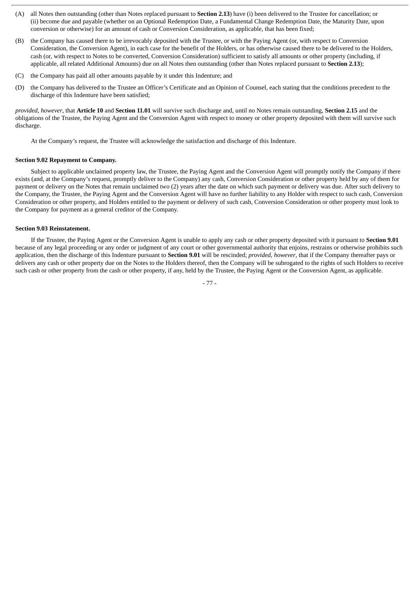- (A) all Notes then outstanding (other than Notes replaced pursuant to **Section 2.13**) have (i) been delivered to the Trustee for cancellation; or (ii) become due and payable (whether on an Optional Redemption Date, a Fundamental Change Redemption Date, the Maturity Date, upon conversion or otherwise) for an amount of cash or Conversion Consideration, as applicable, that has been fixed;
- (B) the Company has caused there to be irrevocably deposited with the Trustee, or with the Paying Agent (or, with respect to Conversion Consideration, the Conversion Agent), in each case for the benefit of the Holders, or has otherwise caused there to be delivered to the Holders, cash (or, with respect to Notes to be converted, Conversion Consideration) sufficient to satisfy all amounts or other property (including, if applicable, all related Additional Amounts) due on all Notes then outstanding (other than Notes replaced pursuant to **Section 2.13**);
- (C) the Company has paid all other amounts payable by it under this Indenture; and
- (D) the Company has delivered to the Trustee an Officer's Certificate and an Opinion of Counsel, each stating that the conditions precedent to the discharge of this Indenture have been satisfied;

*provided*, *however*, that **Article 10** and **Section 11.01** will survive such discharge and, until no Notes remain outstanding, **Section 2.15** and the obligations of the Trustee, the Paying Agent and the Conversion Agent with respect to money or other property deposited with them will survive such discharge.

At the Company's request, the Trustee will acknowledge the satisfaction and discharge of this Indenture.

#### **Section 9.02 Repayment to Company.**

Subject to applicable unclaimed property law, the Trustee, the Paying Agent and the Conversion Agent will promptly notify the Company if there exists (and, at the Company's request, promptly deliver to the Company) any cash, Conversion Consideration or other property held by any of them for payment or delivery on the Notes that remain unclaimed two (2) years after the date on which such payment or delivery was due. After such delivery to the Company, the Trustee, the Paying Agent and the Conversion Agent will have no further liability to any Holder with respect to such cash, Conversion Consideration or other property, and Holders entitled to the payment or delivery of such cash, Conversion Consideration or other property must look to the Company for payment as a general creditor of the Company.

# **Section 9.03 Reinstatement.**

If the Trustee, the Paying Agent or the Conversion Agent is unable to apply any cash or other property deposited with it pursuant to **Section 9.01** because of any legal proceeding or any order or judgment of any court or other governmental authority that enjoins, restrains or otherwise prohibits such application, then the discharge of this Indenture pursuant to **Section 9.01** will be rescinded; *provided*, *however*, that if the Company thereafter pays or delivers any cash or other property due on the Notes to the Holders thereof, then the Company will be subrogated to the rights of such Holders to receive such cash or other property from the cash or other property, if any, held by the Trustee, the Paying Agent or the Conversion Agent, as applicable.

- 77 -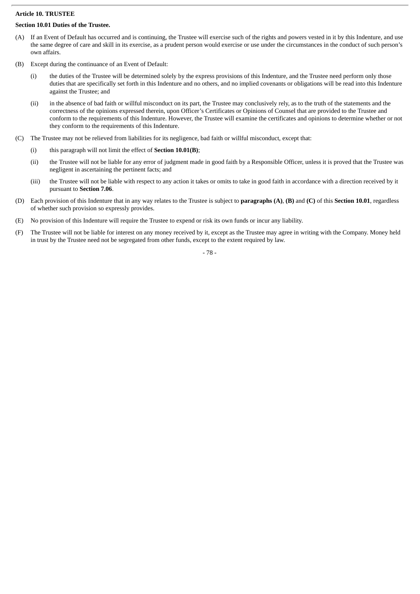## **Article 10. TRUSTEE**

# **Section 10.01 Duties of the Trustee.**

- (A) If an Event of Default has occurred and is continuing, the Trustee will exercise such of the rights and powers vested in it by this Indenture, and use the same degree of care and skill in its exercise, as a prudent person would exercise or use under the circumstances in the conduct of such person's own affairs.
- (B) Except during the continuance of an Event of Default:
	- (i) the duties of the Trustee will be determined solely by the express provisions of this Indenture, and the Trustee need perform only those duties that are specifically set forth in this Indenture and no others, and no implied covenants or obligations will be read into this Indenture against the Trustee; and
	- (ii) in the absence of bad faith or willful misconduct on its part, the Trustee may conclusively rely, as to the truth of the statements and the correctness of the opinions expressed therein, upon Officer's Certificates or Opinions of Counsel that are provided to the Trustee and conform to the requirements of this Indenture. However, the Trustee will examine the certificates and opinions to determine whether or not they conform to the requirements of this Indenture.
- (C) The Trustee may not be relieved from liabilities for its negligence, bad faith or willful misconduct, except that:
	- (i) this paragraph will not limit the effect of **Section 10.01(B)**;
	- (ii) the Trustee will not be liable for any error of judgment made in good faith by a Responsible Officer, unless it is proved that the Trustee was negligent in ascertaining the pertinent facts; and
	- (iii) the Trustee will not be liable with respect to any action it takes or omits to take in good faith in accordance with a direction received by it pursuant to **Section 7.06**.
- (D) Each provision of this Indenture that in any way relates to the Trustee is subject to **paragraphs (A)**, **(B)** and **(C)** of this **Section 10.01**, regardless of whether such provision so expressly provides.
- (E) No provision of this Indenture will require the Trustee to expend or risk its own funds or incur any liability.
- (F) The Trustee will not be liable for interest on any money received by it, except as the Trustee may agree in writing with the Company. Money held in trust by the Trustee need not be segregated from other funds, except to the extent required by law.

- 78 -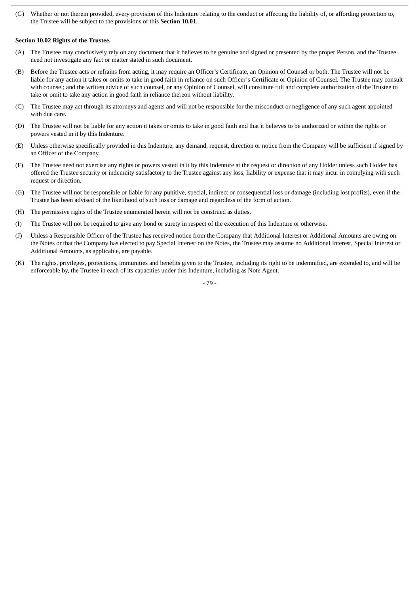(G) Whether or not therein provided, every provision of this Indenture relating to the conduct or affecting the liability of, or affording protection to, the Trustee will be subject to the provisions of this **Section 10.01**.

## **Section 10.02 Rights of the Trustee.**

- (A) The Trustee may conclusively rely on any document that it believes to be genuine and signed or presented by the proper Person, and the Trustee need not investigate any fact or matter stated in such document.
- (B) Before the Trustee acts or refrains from acting, it may require an Officer's Certificate, an Opinion of Counsel or both. The Trustee will not be liable for any action it takes or omits to take in good faith in reliance on such Officer's Certificate or Opinion of Counsel. The Trustee may consult with counsel; and the written advice of such counsel, or any Opinion of Counsel, will constitute full and complete authorization of the Trustee to take or omit to take any action in good faith in reliance thereon without liability.
- (C) The Trustee may act through its attorneys and agents and will not be responsible for the misconduct or negligence of any such agent appointed with due care.
- (D) The Trustee will not be liable for any action it takes or omits to take in good faith and that it believes to be authorized or within the rights or powers vested in it by this Indenture.
- (E) Unless otherwise specifically provided in this Indenture, any demand, request, direction or notice from the Company will be sufficient if signed by an Officer of the Company.
- (F) The Trustee need not exercise any rights or powers vested in it by this Indenture at the request or direction of any Holder unless such Holder has offered the Trustee security or indemnity satisfactory to the Trustee against any loss, liability or expense that it may incur in complying with such request or direction.
- (G) The Trustee will not be responsible or liable for any punitive, special, indirect or consequential loss or damage (including lost profits), even if the Trustee has been advised of the likelihood of such loss or damage and regardless of the form of action.
- (H) The permissive rights of the Trustee enumerated herein will not be construed as duties.
- (I) The Trustee will not be required to give any bond or surety in respect of the execution of this Indenture or otherwise.
- (J) Unless a Responsible Officer of the Trustee has received notice from the Company that Additional Interest or Additional Amounts are owing on the Notes or that the Company has elected to pay Special Interest on the Notes, the Trustee may assume no Additional Interest, Special Interest or Additional Amounts, as applicable, are payable.
- (K) The rights, privileges, protections, immunities and benefits given to the Trustee, including its right to be indemnified, are extended to, and will be enforceable by, the Trustee in each of its capacities under this Indenture, including as Note Agent.

- 79 -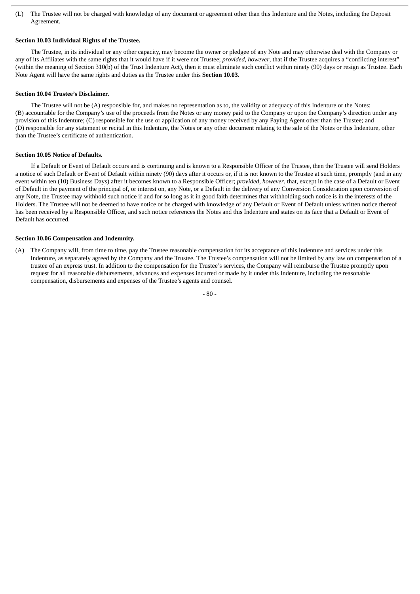(L) The Trustee will not be charged with knowledge of any document or agreement other than this Indenture and the Notes, including the Deposit Agreement.

## **Section 10.03 Individual Rights of the Trustee.**

The Trustee, in its individual or any other capacity, may become the owner or pledgee of any Note and may otherwise deal with the Company or any of its Affiliates with the same rights that it would have if it were not Trustee; *provided*, *however*, that if the Trustee acquires a "conflicting interest" (within the meaning of Section 310(b) of the Trust Indenture Act), then it must eliminate such conflict within ninety (90) days or resign as Trustee. Each Note Agent will have the same rights and duties as the Trustee under this **Section 10.03**.

## **Section 10.04 Trustee's Disclaimer.**

The Trustee will not be (A) responsible for, and makes no representation as to, the validity or adequacy of this Indenture or the Notes; (B) accountable for the Company's use of the proceeds from the Notes or any money paid to the Company or upon the Company's direction under any provision of this Indenture; (C) responsible for the use or application of any money received by any Paying Agent other than the Trustee; and (D) responsible for any statement or recital in this Indenture, the Notes or any other document relating to the sale of the Notes or this Indenture, other than the Trustee's certificate of authentication.

## **Section 10.05 Notice of Defaults.**

If a Default or Event of Default occurs and is continuing and is known to a Responsible Officer of the Trustee, then the Trustee will send Holders a notice of such Default or Event of Default within ninety (90) days after it occurs or, if it is not known to the Trustee at such time, promptly (and in any event within ten (10) Business Days) after it becomes known to a Responsible Officer; *provided*, *however*, that, except in the case of a Default or Event of Default in the payment of the principal of, or interest on, any Note, or a Default in the delivery of any Conversion Consideration upon conversion of any Note, the Trustee may withhold such notice if and for so long as it in good faith determines that withholding such notice is in the interests of the Holders. The Trustee will not be deemed to have notice or be charged with knowledge of any Default or Event of Default unless written notice thereof has been received by a Responsible Officer, and such notice references the Notes and this Indenture and states on its face that a Default or Event of Default has occurred.

## **Section 10.06 Compensation and Indemnity.**

(A) The Company will, from time to time, pay the Trustee reasonable compensation for its acceptance of this Indenture and services under this Indenture, as separately agreed by the Company and the Trustee. The Trustee's compensation will not be limited by any law on compensation of a trustee of an express trust. In addition to the compensation for the Trustee's services, the Company will reimburse the Trustee promptly upon request for all reasonable disbursements, advances and expenses incurred or made by it under this Indenture, including the reasonable compensation, disbursements and expenses of the Trustee's agents and counsel.

- 80 -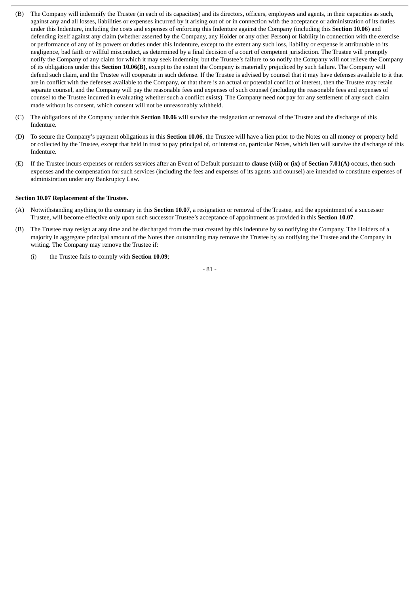- (B) The Company will indemnify the Trustee (in each of its capacities) and its directors, officers, employees and agents, in their capacities as such, against any and all losses, liabilities or expenses incurred by it arising out of or in connection with the acceptance or administration of its duties under this Indenture, including the costs and expenses of enforcing this Indenture against the Company (including this **Section 10.06**) and defending itself against any claim (whether asserted by the Company, any Holder or any other Person) or liability in connection with the exercise or performance of any of its powers or duties under this Indenture, except to the extent any such loss, liability or expense is attributable to its negligence, bad faith or willful misconduct, as determined by a final decision of a court of competent jurisdiction. The Trustee will promptly notify the Company of any claim for which it may seek indemnity, but the Trustee's failure to so notify the Company will not relieve the Company of its obligations under this **Section 10.06(B)**, except to the extent the Company is materially prejudiced by such failure. The Company will defend such claim, and the Trustee will cooperate in such defense. If the Trustee is advised by counsel that it may have defenses available to it that are in conflict with the defenses available to the Company, or that there is an actual or potential conflict of interest, then the Trustee may retain separate counsel, and the Company will pay the reasonable fees and expenses of such counsel (including the reasonable fees and expenses of counsel to the Trustee incurred in evaluating whether such a conflict exists). The Company need not pay for any settlement of any such claim made without its consent, which consent will not be unreasonably withheld.
- (C) The obligations of the Company under this **Section 10.06** will survive the resignation or removal of the Trustee and the discharge of this Indenture.
- (D) To secure the Company's payment obligations in this **Section 10.06**, the Trustee will have a lien prior to the Notes on all money or property held or collected by the Trustee, except that held in trust to pay principal of, or interest on, particular Notes, which lien will survive the discharge of this Indenture.
- (E) If the Trustee incurs expenses or renders services after an Event of Default pursuant to **clause (viii)** or **(ix)** of **Section 7.01(A)** occurs, then such expenses and the compensation for such services (including the fees and expenses of its agents and counsel) are intended to constitute expenses of administration under any Bankruptcy Law.

## **Section 10.07 Replacement of the Trustee.**

- (A) Notwithstanding anything to the contrary in this **Section 10.07**, a resignation or removal of the Trustee, and the appointment of a successor Trustee, will become effective only upon such successor Trustee's acceptance of appointment as provided in this **Section 10.07**.
- (B) The Trustee may resign at any time and be discharged from the trust created by this Indenture by so notifying the Company. The Holders of a majority in aggregate principal amount of the Notes then outstanding may remove the Trustee by so notifying the Trustee and the Company in writing. The Company may remove the Trustee if:
	- (i) the Trustee fails to comply with **Section 10.09**;

- 81 -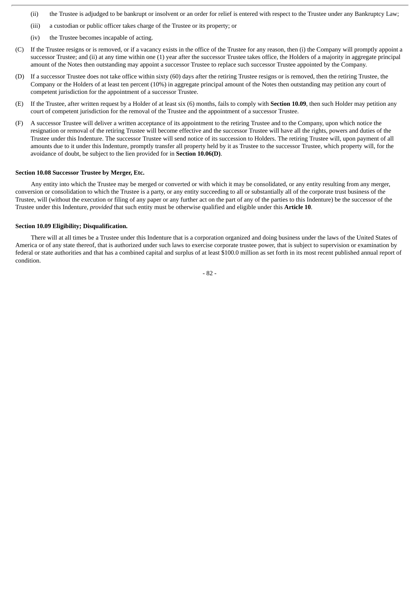- (ii) the Trustee is adjudged to be bankrupt or insolvent or an order for relief is entered with respect to the Trustee under any Bankruptcy Law;
- (iii) a custodian or public officer takes charge of the Trustee or its property; or
- (iv) the Trustee becomes incapable of acting.
- (C) If the Trustee resigns or is removed, or if a vacancy exists in the office of the Trustee for any reason, then (i) the Company will promptly appoint a successor Trustee; and (ii) at any time within one (1) year after the successor Trustee takes office, the Holders of a majority in aggregate principal amount of the Notes then outstanding may appoint a successor Trustee to replace such successor Trustee appointed by the Company.
- (D) If a successor Trustee does not take office within sixty (60) days after the retiring Trustee resigns or is removed, then the retiring Trustee, the Company or the Holders of at least ten percent (10%) in aggregate principal amount of the Notes then outstanding may petition any court of competent jurisdiction for the appointment of a successor Trustee.
- (E) If the Trustee, after written request by a Holder of at least six (6) months, fails to comply with **Section 10.09**, then such Holder may petition any court of competent jurisdiction for the removal of the Trustee and the appointment of a successor Trustee.
- (F) A successor Trustee will deliver a written acceptance of its appointment to the retiring Trustee and to the Company, upon which notice the resignation or removal of the retiring Trustee will become effective and the successor Trustee will have all the rights, powers and duties of the Trustee under this Indenture. The successor Trustee will send notice of its succession to Holders. The retiring Trustee will, upon payment of all amounts due to it under this Indenture, promptly transfer all property held by it as Trustee to the successor Trustee, which property will, for the avoidance of doubt, be subject to the lien provided for in **Section 10.06(D)**.

#### **Section 10.08 Successor Trustee by Merger, Etc.**

Any entity into which the Trustee may be merged or converted or with which it may be consolidated, or any entity resulting from any merger, conversion or consolidation to which the Trustee is a party, or any entity succeeding to all or substantially all of the corporate trust business of the Trustee, will (without the execution or filing of any paper or any further act on the part of any of the parties to this Indenture) be the successor of the Trustee under this Indenture, *provided* that such entity must be otherwise qualified and eligible under this **Article 10**.

## **Section 10.09 Eligibility; Disqualification.**

There will at all times be a Trustee under this Indenture that is a corporation organized and doing business under the laws of the United States of America or of any state thereof, that is authorized under such laws to exercise corporate trustee power, that is subject to supervision or examination by federal or state authorities and that has a combined capital and surplus of at least \$100.0 million as set forth in its most recent published annual report of condition.

- 82 -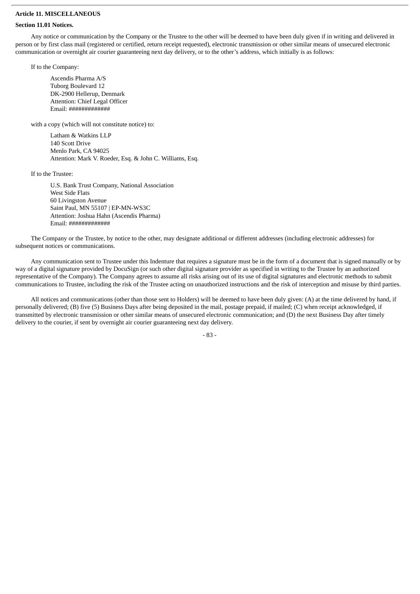## **Article 11. MISCELLANEOUS**

## **Section 11.01 Notices.**

Any notice or communication by the Company or the Trustee to the other will be deemed to have been duly given if in writing and delivered in person or by first class mail (registered or certified, return receipt requested), electronic transmission or other similar means of unsecured electronic communication or overnight air courier guaranteeing next day delivery, or to the other's address, which initially is as follows:

If to the Company:

Ascendis Pharma A/S Tuborg Boulevard 12 DK-2900 Hellerup, Denmark Attention: Chief Legal Officer Email: #############

with a copy (which will not constitute notice) to:

Latham & Watkins LLP 140 Scott Drive Menlo Park, CA 94025 Attention: Mark V. Roeder, Esq. & John C. Williams, Esq.

If to the Trustee:

U.S. Bank Trust Company, National Association West Side Flats 60 Livingston Avenue Saint Paul, MN 55107 | EP-MN-WS3C Attention: Joshua Hahn (Ascendis Pharma) Email: #############

The Company or the Trustee, by notice to the other, may designate additional or different addresses (including electronic addresses) for subsequent notices or communications.

Any communication sent to Trustee under this Indenture that requires a signature must be in the form of a document that is signed manually or by way of a digital signature provided by DocuSign (or such other digital signature provider as specified in writing to the Trustee by an authorized representative of the Company). The Company agrees to assume all risks arising out of its use of digital signatures and electronic methods to submit communications to Trustee, including the risk of the Trustee acting on unauthorized instructions and the risk of interception and misuse by third parties.

All notices and communications (other than those sent to Holders) will be deemed to have been duly given: (A) at the time delivered by hand, if personally delivered; (B) five (5) Business Days after being deposited in the mail, postage prepaid, if mailed; (C) when receipt acknowledged, if transmitted by electronic transmission or other similar means of unsecured electronic communication; and (D) the next Business Day after timely delivery to the courier, if sent by overnight air courier guaranteeing next day delivery.

- 83 -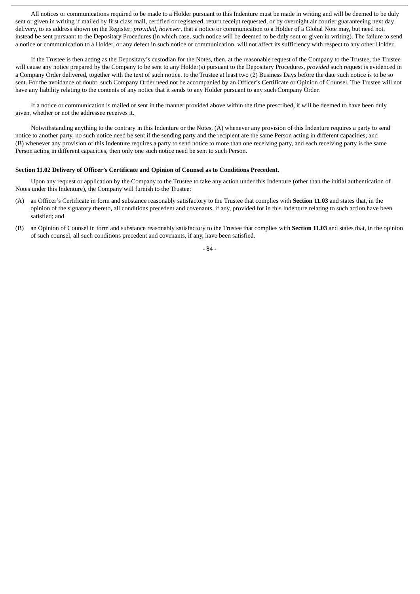All notices or communications required to be made to a Holder pursuant to this Indenture must be made in writing and will be deemed to be duly sent or given in writing if mailed by first class mail, certified or registered, return receipt requested, or by overnight air courier guaranteeing next day delivery, to its address shown on the Register; *provided*, *however*, that a notice or communication to a Holder of a Global Note may, but need not, instead be sent pursuant to the Depositary Procedures (in which case, such notice will be deemed to be duly sent or given in writing). The failure to send a notice or communication to a Holder, or any defect in such notice or communication, will not affect its sufficiency with respect to any other Holder.

If the Trustee is then acting as the Depositary's custodian for the Notes, then, at the reasonable request of the Company to the Trustee, the Trustee will cause any notice prepared by the Company to be sent to any Holder(s) pursuant to the Depositary Procedures, *provided* such request is evidenced in a Company Order delivered, together with the text of such notice, to the Trustee at least two (2) Business Days before the date such notice is to be so sent. For the avoidance of doubt, such Company Order need not be accompanied by an Officer's Certificate or Opinion of Counsel. The Trustee will not have any liability relating to the contents of any notice that it sends to any Holder pursuant to any such Company Order.

If a notice or communication is mailed or sent in the manner provided above within the time prescribed, it will be deemed to have been duly given, whether or not the addressee receives it.

Notwithstanding anything to the contrary in this Indenture or the Notes, (A) whenever any provision of this Indenture requires a party to send notice to another party, no such notice need be sent if the sending party and the recipient are the same Person acting in different capacities; and (B) whenever any provision of this Indenture requires a party to send notice to more than one receiving party, and each receiving party is the same Person acting in different capacities, then only one such notice need be sent to such Person.

#### **Section 11.02 Delivery of Officer's Certificate and Opinion of Counsel as to Conditions Precedent.**

Upon any request or application by the Company to the Trustee to take any action under this Indenture (other than the initial authentication of Notes under this Indenture), the Company will furnish to the Trustee:

- (A) an Officer's Certificate in form and substance reasonably satisfactory to the Trustee that complies with **Section 11.03** and states that, in the opinion of the signatory thereto, all conditions precedent and covenants, if any, provided for in this Indenture relating to such action have been satisfied; and
- (B) an Opinion of Counsel in form and substance reasonably satisfactory to the Trustee that complies with **Section 11.03** and states that, in the opinion of such counsel, all such conditions precedent and covenants, if any, have been satisfied.

- 84 -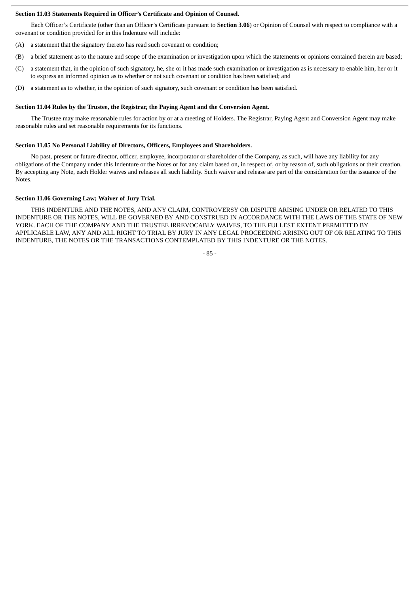## **Section 11.03 Statements Required in Officer's Certificate and Opinion of Counsel.**

Each Officer's Certificate (other than an Officer's Certificate pursuant to **Section 3.06**) or Opinion of Counsel with respect to compliance with a covenant or condition provided for in this Indenture will include:

- (A) a statement that the signatory thereto has read such covenant or condition;
- (B) a brief statement as to the nature and scope of the examination or investigation upon which the statements or opinions contained therein are based;
- (C) a statement that, in the opinion of such signatory, he, she or it has made such examination or investigation as is necessary to enable him, her or it to express an informed opinion as to whether or not such covenant or condition has been satisfied; and
- (D) a statement as to whether, in the opinion of such signatory, such covenant or condition has been satisfied.

#### **Section 11.04 Rules by the Trustee, the Registrar, the Paying Agent and the Conversion Agent.**

The Trustee may make reasonable rules for action by or at a meeting of Holders. The Registrar, Paying Agent and Conversion Agent may make reasonable rules and set reasonable requirements for its functions.

#### **Section 11.05 No Personal Liability of Directors, Officers, Employees and Shareholders.**

No past, present or future director, officer, employee, incorporator or shareholder of the Company, as such, will have any liability for any obligations of the Company under this Indenture or the Notes or for any claim based on, in respect of, or by reason of, such obligations or their creation. By accepting any Note, each Holder waives and releases all such liability. Such waiver and release are part of the consideration for the issuance of the Notes.

### **Section 11.06 Governing Law; Waiver of Jury Trial.**

THIS INDENTURE AND THE NOTES, AND ANY CLAIM, CONTROVERSY OR DISPUTE ARISING UNDER OR RELATED TO THIS INDENTURE OR THE NOTES, WILL BE GOVERNED BY AND CONSTRUED IN ACCORDANCE WITH THE LAWS OF THE STATE OF NEW YORK. EACH OF THE COMPANY AND THE TRUSTEE IRREVOCABLY WAIVES, TO THE FULLEST EXTENT PERMITTED BY APPLICABLE LAW, ANY AND ALL RIGHT TO TRIAL BY JURY IN ANY LEGAL PROCEEDING ARISING OUT OF OR RELATING TO THIS INDENTURE, THE NOTES OR THE TRANSACTIONS CONTEMPLATED BY THIS INDENTURE OR THE NOTES.

- 85 -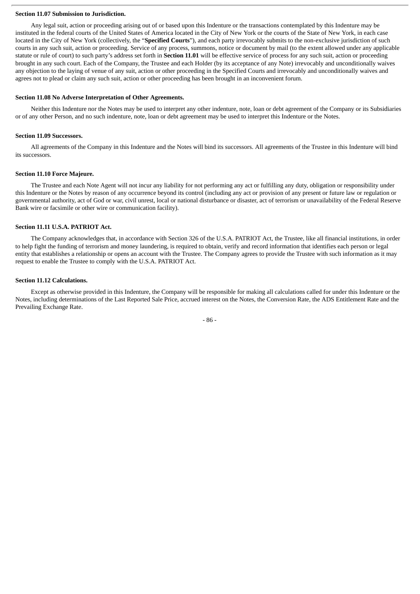#### **Section 11.07 Submission to Jurisdiction.**

Any legal suit, action or proceeding arising out of or based upon this Indenture or the transactions contemplated by this Indenture may be instituted in the federal courts of the United States of America located in the City of New York or the courts of the State of New York, in each case located in the City of New York (collectively, the "**Specified Courts**"), and each party irrevocably submits to the non-exclusive jurisdiction of such courts in any such suit, action or proceeding. Service of any process, summons, notice or document by mail (to the extent allowed under any applicable statute or rule of court) to such party's address set forth in **Section 11.01** will be effective service of process for any such suit, action or proceeding brought in any such court. Each of the Company, the Trustee and each Holder (by its acceptance of any Note) irrevocably and unconditionally waives any objection to the laying of venue of any suit, action or other proceeding in the Specified Courts and irrevocably and unconditionally waives and agrees not to plead or claim any such suit, action or other proceeding has been brought in an inconvenient forum.

### **Section 11.08 No Adverse Interpretation of Other Agreements.**

Neither this Indenture nor the Notes may be used to interpret any other indenture, note, loan or debt agreement of the Company or its Subsidiaries or of any other Person, and no such indenture, note, loan or debt agreement may be used to interpret this Indenture or the Notes.

#### **Section 11.09 Successors.**

All agreements of the Company in this Indenture and the Notes will bind its successors. All agreements of the Trustee in this Indenture will bind its successors.

### **Section 11.10 Force Majeure.**

The Trustee and each Note Agent will not incur any liability for not performing any act or fulfilling any duty, obligation or responsibility under this Indenture or the Notes by reason of any occurrence beyond its control (including any act or provision of any present or future law or regulation or governmental authority, act of God or war, civil unrest, local or national disturbance or disaster, act of terrorism or unavailability of the Federal Reserve Bank wire or facsimile or other wire or communication facility).

### **Section 11.11 U.S.A. PATRIOT Act.**

The Company acknowledges that, in accordance with Section 326 of the U.S.A. PATRIOT Act, the Trustee, like all financial institutions, in order to help fight the funding of terrorism and money laundering, is required to obtain, verify and record information that identifies each person or legal entity that establishes a relationship or opens an account with the Trustee. The Company agrees to provide the Trustee with such information as it may request to enable the Trustee to comply with the U.S.A. PATRIOT Act.

#### **Section 11.12 Calculations.**

Except as otherwise provided in this Indenture, the Company will be responsible for making all calculations called for under this Indenture or the Notes, including determinations of the Last Reported Sale Price, accrued interest on the Notes, the Conversion Rate, the ADS Entitlement Rate and the Prevailing Exchange Rate.

- 86 -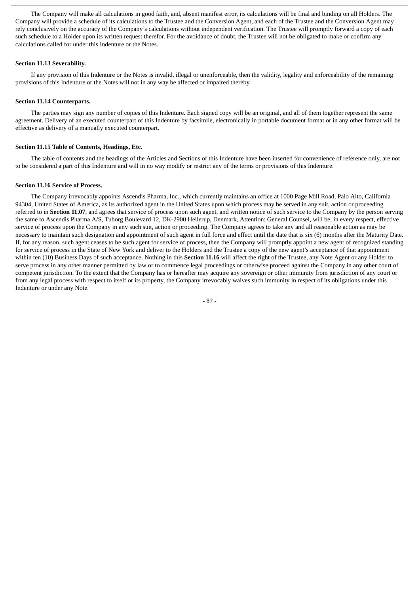The Company will make all calculations in good faith, and, absent manifest error, its calculations will be final and binding on all Holders. The Company will provide a schedule of its calculations to the Trustee and the Conversion Agent, and each of the Trustee and the Conversion Agent may rely conclusively on the accuracy of the Company's calculations without independent verification. The Trustee will promptly forward a copy of each such schedule to a Holder upon its written request therefor. For the avoidance of doubt, the Trustee will not be obligated to make or confirm any calculations called for under this Indenture or the Notes.

## **Section 11.13 Severability.**

If any provision of this Indenture or the Notes is invalid, illegal or unenforceable, then the validity, legality and enforceability of the remaining provisions of this Indenture or the Notes will not in any way be affected or impaired thereby.

#### **Section 11.14 Counterparts.**

The parties may sign any number of copies of this Indenture. Each signed copy will be an original, and all of them together represent the same agreement. Delivery of an executed counterpart of this Indenture by facsimile, electronically in portable document format or in any other format will be effective as delivery of a manually executed counterpart.

## **Section 11.15 Table of Contents, Headings, Etc.**

The table of contents and the headings of the Articles and Sections of this Indenture have been inserted for convenience of reference only, are not to be considered a part of this Indenture and will in no way modify or restrict any of the terms or provisions of this Indenture.

#### **Section 11.16 Service of Process.**

The Company irrevocably appoints Ascendis Pharma, Inc., which currently maintains an office at 1000 Page Mill Road, Palo Alto, California 94304, United States of America, as its authorized agent in the United States upon which process may be served in any suit, action or proceeding referred to in **Section 11.07**, and agrees that service of process upon such agent, and written notice of such service to the Company by the person serving the same to Ascendis Pharma A/S, Tuborg Boulevard 12, DK-2900 Hellerup, Denmark, Attention: General Counsel, will be, in every respect, effective service of process upon the Company in any such suit, action or proceeding. The Company agrees to take any and all reasonable action as may be necessary to maintain such designation and appointment of such agent in full force and effect until the date that is six (6) months after the Maturity Date. If, for any reason, such agent ceases to be such agent for service of process, then the Company will promptly appoint a new agent of recognized standing for service of process in the State of New York and deliver to the Holders and the Trustee a copy of the new agent's acceptance of that appointment within ten (10) Business Days of such acceptance. Nothing in this **Section 11.16** will affect the right of the Trustee, any Note Agent or any Holder to serve process in any other manner permitted by law or to commence legal proceedings or otherwise proceed against the Company in any other court of competent jurisdiction. To the extent that the Company has or hereafter may acquire any sovereign or other immunity from jurisdiction of any court or from any legal process with respect to itself or its property, the Company irrevocably waives such immunity in respect of its obligations under this Indenture or under any Note.

- 87 -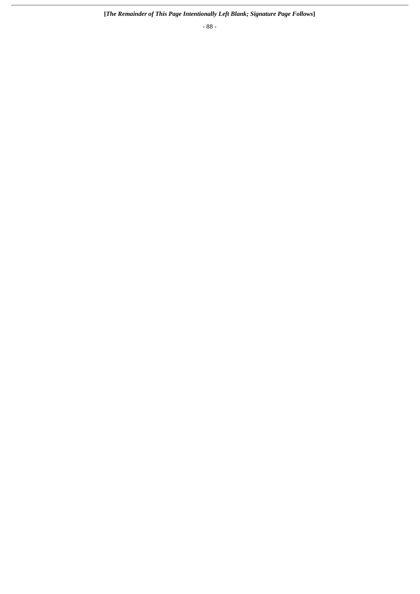- 88 -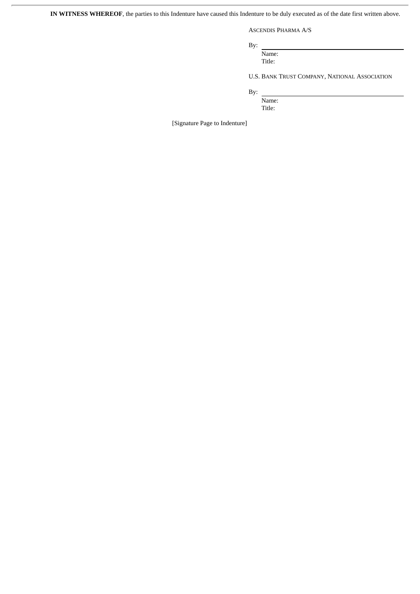**IN WITNESS WHEREOF**, the parties to this Indenture have caused this Indenture to be duly executed as of the date first written above.

ASCENDIS PHARMA A/S

By:

Name: Title:

U.S. BANK TRUST COMPANY, NATIONAL ASSOCIATION

By:

Name: Title:

[Signature Page to Indenture]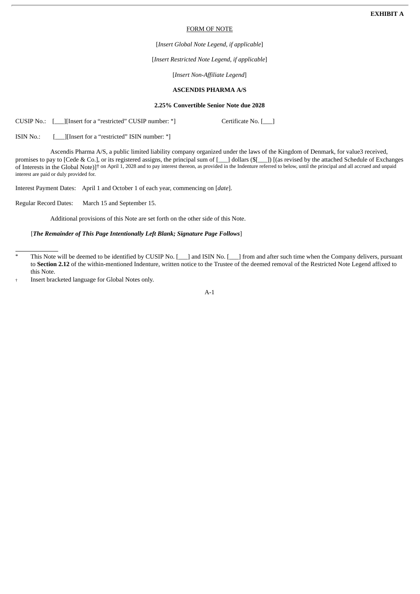#### FORM OF NOTE

[*Insert Global Note Legend, if applicable*]

[*Insert Restricted Note Legend, if applicable*]

[*Insert Non-Affiliate Legend*]

## **ASCENDIS PHARMA A/S**

## **2.25% Convertible Senior Note due 2028**

CUSIP No.: [\_\_\_][Insert for a "restricted" CUSIP number:  $*$ ] Certificate No. [\_\_\_]

ISIN No.: [ ][Insert for a "restricted" ISIN number: \*]

Ascendis Pharma A/S, a public limited liability company organized under the laws of the Kingdom of Denmark, for value3 received, promises to pay to [Cede & Co.], or its registered assigns, the principal sum of [\_\_\_] dollars (\$[\_\_\_]) [(as revised by the attached Schedule of Exchanges of Interests in the Global Note)]† on April 1, 2028 and to pay interest thereon, as provided in the Indenture referred to below, until the principal and all accrued and unpaid interest are paid or duly provided for.

Interest Payment Dates: April 1 and October 1 of each year, commencing on [*date*].

Regular Record Dates: March 15 and September 15.

Additional provisions of this Note are set forth on the other side of this Note.

## [*The Remainder of This Page Intentionally Left Blank; Signature Page Follows*]

This Note will be deemed to be identified by CUSIP No. [\_\_\_] and ISIN No. [\_\_\_] from and after such time when the Company delivers, pursuant to **Section 2.12** of the within-mentioned Indenture, written notice to the Trustee of the deemed removal of the Restricted Note Legend affixed to this Note.

<sup>†</sup> Insert bracketed language for Global Notes only.

A-1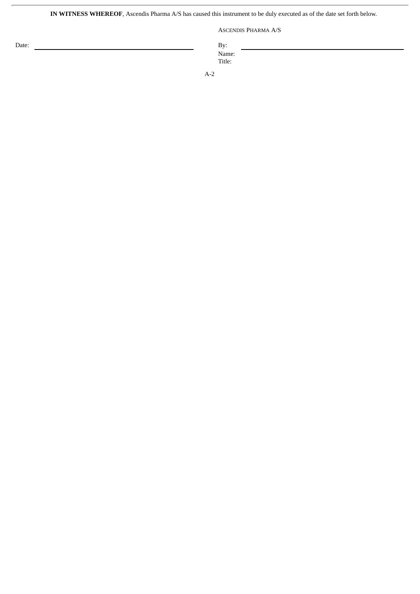**IN WITNESS WHEREOF**, Ascendis Pharma A/S has caused this instrument to be duly executed as of the date set forth below.

ASCENDIS PHARMA A/S

Date: By: Name: Title:

A-2

ł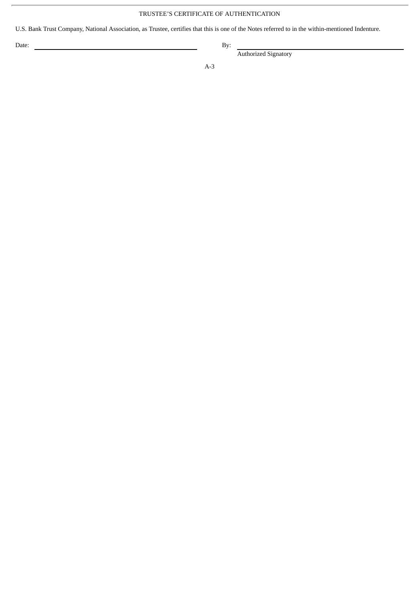# TRUSTEE'S CERTIFICATE OF AUTHENTICATION

U.S. Bank Trust Company, National Association, as Trustee, certifies that this is one of the Notes referred to in the within-mentioned Indenture.

Date: By:

Authorized Signatory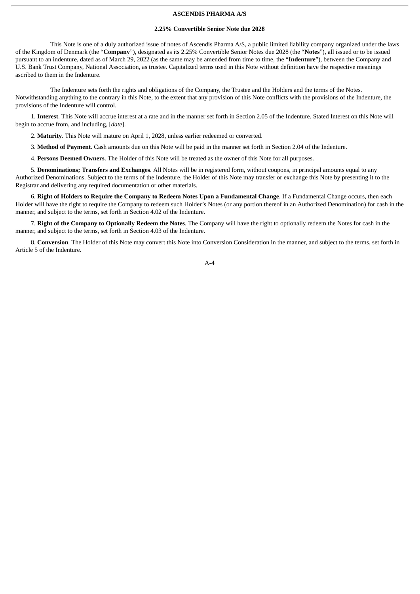## **ASCENDIS PHARMA A/S**

#### **2.25% Convertible Senior Note due 2028**

This Note is one of a duly authorized issue of notes of Ascendis Pharma A/S, a public limited liability company organized under the laws of the Kingdom of Denmark (the "**Company**"), designated as its 2.25% Convertible Senior Notes due 2028 (the "**Notes**"), all issued or to be issued pursuant to an indenture, dated as of March 29, 2022 (as the same may be amended from time to time, the "**Indenture**"), between the Company and U.S. Bank Trust Company, National Association, as trustee. Capitalized terms used in this Note without definition have the respective meanings ascribed to them in the Indenture.

The Indenture sets forth the rights and obligations of the Company, the Trustee and the Holders and the terms of the Notes. Notwithstanding anything to the contrary in this Note, to the extent that any provision of this Note conflicts with the provisions of the Indenture, the provisions of the Indenture will control.

1. **Interest**. This Note will accrue interest at a rate and in the manner set forth in Section 2.05 of the Indenture. Stated Interest on this Note will begin to accrue from, and including, [*date*].

2. **Maturity**. This Note will mature on April 1, 2028, unless earlier redeemed or converted.

3. **Method of Payment**. Cash amounts due on this Note will be paid in the manner set forth in Section 2.04 of the Indenture.

4. **Persons Deemed Owners**. The Holder of this Note will be treated as the owner of this Note for all purposes.

5. **Denominations; Transfers and Exchanges**. All Notes will be in registered form, without coupons, in principal amounts equal to any Authorized Denominations. Subject to the terms of the Indenture, the Holder of this Note may transfer or exchange this Note by presenting it to the Registrar and delivering any required documentation or other materials.

6. Right of Holders to Require the Company to Redeem Notes Upon a Fundamental Change. If a Fundamental Change occurs, then each Holder will have the right to require the Company to redeem such Holder's Notes (or any portion thereof in an Authorized Denomination) for cash in the manner, and subject to the terms, set forth in Section 4.02 of the Indenture.

7. **Right of the Company to Optionally Redeem the Notes**. The Company will have the right to optionally redeem the Notes for cash in the manner, and subject to the terms, set forth in Section 4.03 of the Indenture.

8. **Conversion**. The Holder of this Note may convert this Note into Conversion Consideration in the manner, and subject to the terms, set forth in Article 5 of the Indenture.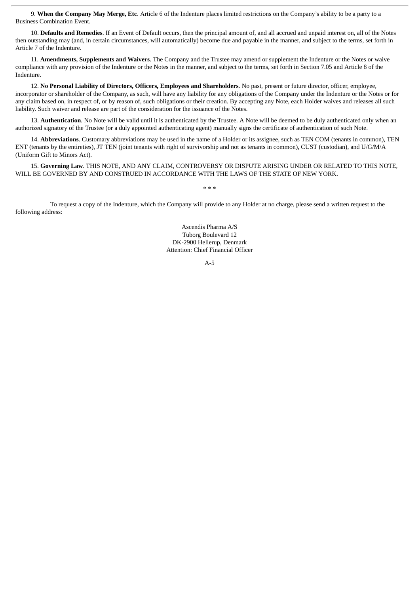9. **When the Company May Merge, Etc**. Article 6 of the Indenture places limited restrictions on the Company's ability to be a party to a Business Combination Event.

10. **Defaults and Remedies**. If an Event of Default occurs, then the principal amount of, and all accrued and unpaid interest on, all of the Notes then outstanding may (and, in certain circumstances, will automatically) become due and payable in the manner, and subject to the terms, set forth in Article 7 of the Indenture.

11. **Amendments, Supplements and Waivers**. The Company and the Trustee may amend or supplement the Indenture or the Notes or waive compliance with any provision of the Indenture or the Notes in the manner, and subject to the terms, set forth in Section 7.05 and Article 8 of the Indenture.

12. **No Personal Liability of Directors, Officers, Employees and Shareholders**. No past, present or future director, officer, employee, incorporator or shareholder of the Company, as such, will have any liability for any obligations of the Company under the Indenture or the Notes or for any claim based on, in respect of, or by reason of, such obligations or their creation. By accepting any Note, each Holder waives and releases all such liability. Such waiver and release are part of the consideration for the issuance of the Notes.

13. **Authentication**. No Note will be valid until it is authenticated by the Trustee. A Note will be deemed to be duly authenticated only when an authorized signatory of the Trustee (or a duly appointed authenticating agent) manually signs the certificate of authentication of such Note.

14. **Abbreviations**. Customary abbreviations may be used in the name of a Holder or its assignee, such as TEN COM (tenants in common), TEN ENT (tenants by the entireties), JT TEN (joint tenants with right of survivorship and not as tenants in common), CUST (custodian), and U/G/M/A (Uniform Gift to Minors Act).

15. **Governing Law**. THIS NOTE, AND ANY CLAIM, CONTROVERSY OR DISPUTE ARISING UNDER OR RELATED TO THIS NOTE, WILL BE GOVERNED BY AND CONSTRUED IN ACCORDANCE WITH THE LAWS OF THE STATE OF NEW YORK.

\* \* \*

To request a copy of the Indenture, which the Company will provide to any Holder at no charge, please send a written request to the following address:

> Ascendis Pharma A/S Tuborg Boulevard 12 DK-2900 Hellerup, Denmark Attention: Chief Financial Officer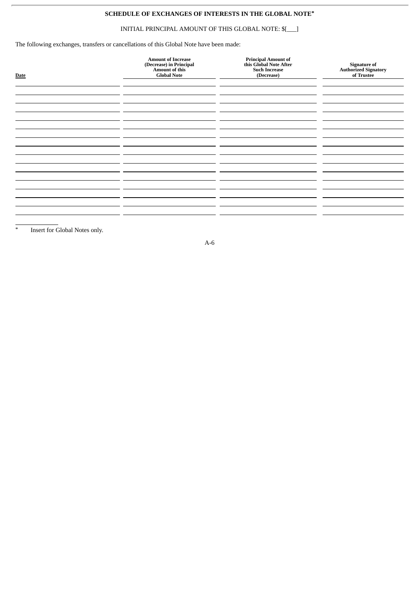# **SCHEDULE OF EXCHANGES OF INTERESTS IN THE GLOBAL NOTE\***

# INITIAL PRINCIPAL AMOUNT OF THIS GLOBAL NOTE: \$[\_\_\_]

The following exchanges, transfers or cancellations of this Global Note have been made:

| <b>Date</b> | <b>Amount of Increase</b><br>(Decrease) in Principal<br>Amount of this<br><b>Global Note</b> | <b>Principal Amount of<br/>this Global Note After</b><br><b>Such Increase</b><br>(Decrease) | Signature of<br>Authorized Signatory<br>of Trustee |
|-------------|----------------------------------------------------------------------------------------------|---------------------------------------------------------------------------------------------|----------------------------------------------------|
|             |                                                                                              |                                                                                             |                                                    |
|             |                                                                                              |                                                                                             |                                                    |
|             |                                                                                              |                                                                                             |                                                    |
|             |                                                                                              |                                                                                             |                                                    |
|             |                                                                                              |                                                                                             |                                                    |
|             |                                                                                              |                                                                                             |                                                    |

\* Insert for Global Notes only.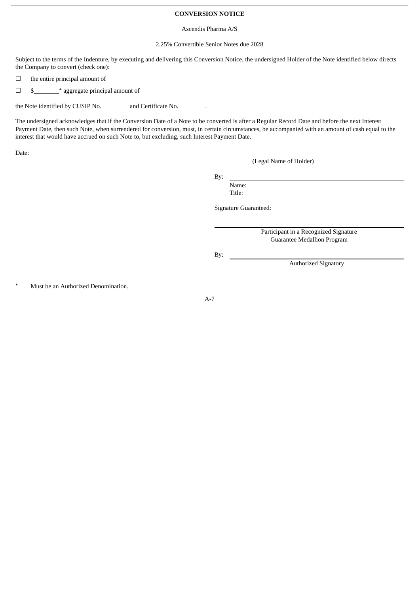## **CONVERSION NOTICE**

#### Ascendis Pharma A/S

## 2.25% Convertible Senior Notes due 2028

Subject to the terms of the Indenture, by executing and delivering this Conversion Notice, the undersigned Holder of the Note identified below directs the Company to convert (check one):

 $\Box$  the entire principal amount of

□ \$ \* \* aggregate principal amount of

the Note identified by CUSIP No. \_\_\_\_\_\_\_\_\_ and Certificate No. \_\_\_\_\_\_\_\_\_.

The undersigned acknowledges that if the Conversion Date of a Note to be converted is after a Regular Record Date and before the next Interest Payment Date, then such Note, when surrendered for conversion, must, in certain circumstances, be accompanied with an amount of cash equal to the interest that would have accrued on such Note to, but excluding, such Interest Payment Date.

Date:

(Legal Name of Holder)

By:

Name: Title:

Signature Guaranteed:

Participant in a Recognized Signature Guarantee Medallion Program

Authorized Signatory

By:

Must be an Authorized Denomination.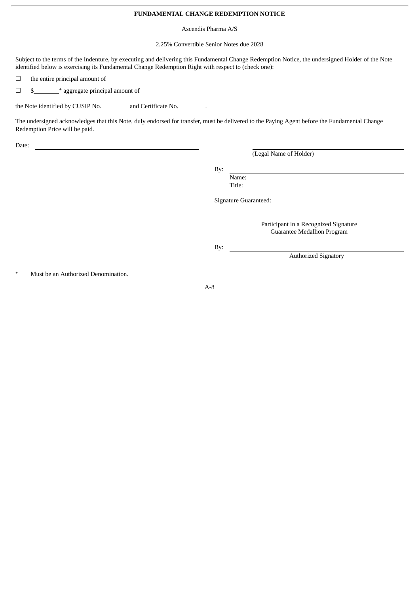## **FUNDAMENTAL CHANGE REDEMPTION NOTICE**

Ascendis Pharma A/S

2.25% Convertible Senior Notes due 2028

Subject to the terms of the Indenture, by executing and delivering this Fundamental Change Redemption Notice, the undersigned Holder of the Note identified below is exercising its Fundamental Change Redemption Right with respect to (check one):

 $\Box$  the entire principal amount of

□ \$ \* \* aggregate principal amount of

the Note identified by CUSIP No. \_\_\_\_\_\_\_\_\_ and Certificate No.

The undersigned acknowledges that this Note, duly endorsed for transfer, must be delivered to the Paying Agent before the Fundamental Change Redemption Price will be paid.

Date:

(Legal Name of Holder)

By:

Name: Title:

Signature Guaranteed:

Participant in a Recognized Signature Guarantee Medallion Program

Authorized Signatory

By:

Must be an Authorized Denomination.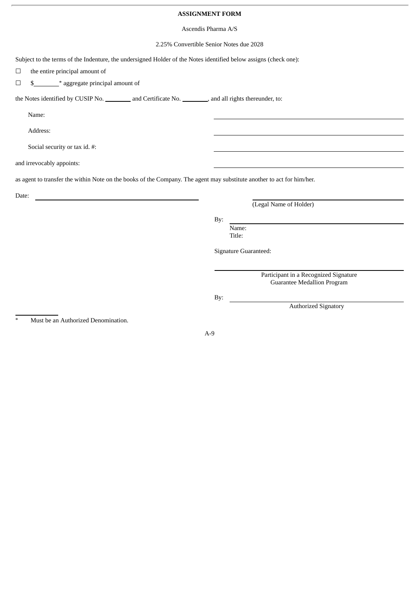## **ASSIGNMENT FORM**

#### Ascendis Pharma A/S

## 2.25% Convertible Senior Notes due 2028

Subject to the terms of the Indenture, the undersigned Holder of the Notes identified below assigns (check one):  $\Box$  the entire principal amount of  $\Box$  \$\_\_\_\_\_\_\_\_\_\_\_\_\_\_\_\_\* aggregate principal amount of the Notes identified by CUSIP No. and Certificate No. 3. And all rights thereunder, to: Name: Address: Social security or tax id. #: and irrevocably appoints: as agent to transfer the within Note on the books of the Company. The agent may substitute another to act for him/her. Date: (Legal Name of Holder) By: Name: Title: Signature Guaranteed: Participant in a Recognized Signature Guarantee Medallion Program By: Authorized Signatory

Must be an Authorized Denomination.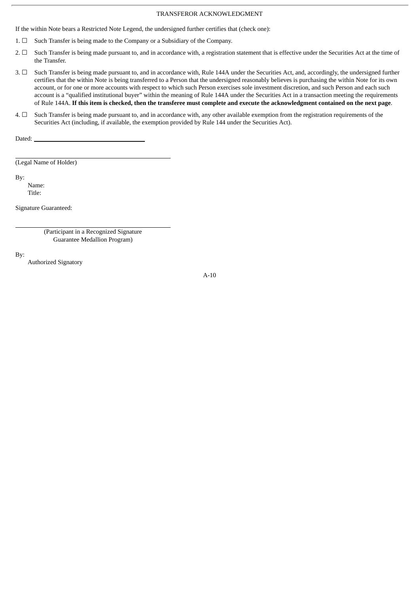## TRANSFEROR ACKNOWLEDGMENT

If the within Note bears a Restricted Note Legend, the undersigned further certifies that (check one):

- 1. ☐ Such Transfer is being made to the Company or a Subsidiary of the Company.
- 2.  $\Box$  Such Transfer is being made pursuant to, and in accordance with, a registration statement that is effective under the Securities Act at the time of the Transfer.
- 3. ☐ Such Transfer is being made pursuant to, and in accordance with, Rule 144A under the Securities Act, and, accordingly, the undersigned further certifies that the within Note is being transferred to a Person that the undersigned reasonably believes is purchasing the within Note for its own account, or for one or more accounts with respect to which such Person exercises sole investment discretion, and such Person and each such account is a "qualified institutional buyer" within the meaning of Rule 144A under the Securities Act in a transaction meeting the requirements of Rule 144A. If this item is checked, then the transferee must complete and execute the acknowledgment contained on the next page.
- $4. \Box$  Such Transfer is being made pursuant to, and in accordance with, any other available exemption from the registration requirements of the Securities Act (including, if available, the exemption provided by Rule 144 under the Securities Act).

Dated:

(Legal Name of Holder)

By:

Name: Title:

Signature Guaranteed:

(Participant in a Recognized Signature Guarantee Medallion Program)

By:

Authorized Signatory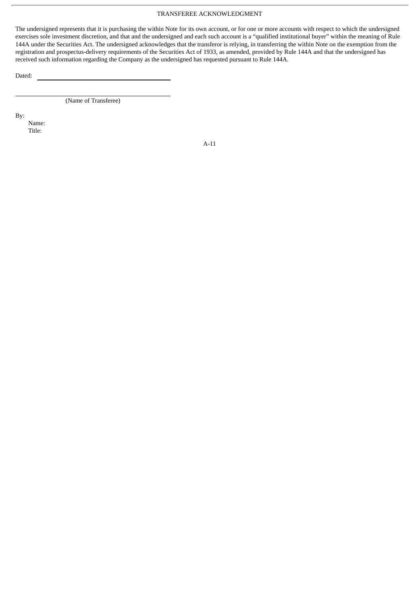## TRANSFEREE ACKNOWLEDGMENT

The undersigned represents that it is purchasing the within Note for its own account, or for one or more accounts with respect to which the undersigned exercises sole investment discretion, and that and the undersigned and each such account is a "qualified institutional buyer" within the meaning of Rule 144A under the Securities Act. The undersigned acknowledges that the transferor is relying, in transferring the within Note on the exemption from the registration and prospectus-delivery requirements of the Securities Act of 1933, as amended, provided by Rule 144A and that the undersigned has received such information regarding the Company as the undersigned has requested pursuant to Rule 144A.

Dated:

(Name of Transferee)

By:

Name: Title: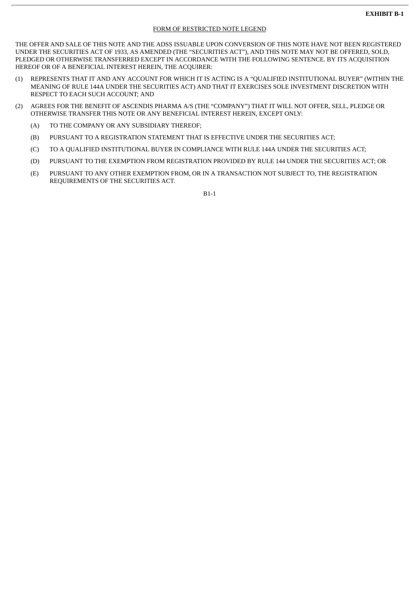## **EXHIBIT B-1**

## FORM OF RESTRICTED NOTE LEGEND

THE OFFER AND SALE OF THIS NOTE AND THE ADSS ISSUABLE UPON CONVERSION OF THIS NOTE HAVE NOT BEEN REGISTERED UNDER THE SECURITIES ACT OF 1933, AS AMENDED (THE "SECURITIES ACT"), AND THIS NOTE MAY NOT BE OFFERED, SOLD, PLEDGED OR OTHERWISE TRANSFERRED EXCEPT IN ACCORDANCE WITH THE FOLLOWING SENTENCE. BY ITS ACQUISITION HEREOF OR OF A BENEFICIAL INTEREST HEREIN, THE ACQUIRER:

- (1) REPRESENTS THAT IT AND ANY ACCOUNT FOR WHICH IT IS ACTING IS A "QUALIFIED INSTITUTIONAL BUYER" (WITHIN THE MEANING OF RULE 144A UNDER THE SECURITIES ACT) AND THAT IT EXERCISES SOLE INVESTMENT DISCRETION WITH RESPECT TO EACH SUCH ACCOUNT; AND
- (2) AGREES FOR THE BENEFIT OF ASCENDIS PHARMA A/S (THE "COMPANY") THAT IT WILL NOT OFFER, SELL, PLEDGE OR OTHERWISE TRANSFER THIS NOTE OR ANY BENEFICIAL INTEREST HEREIN, EXCEPT ONLY:
	- (A) TO THE COMPANY OR ANY SUBSIDIARY THEREOF;
	- (B) PURSUANT TO A REGISTRATION STATEMENT THAT IS EFFECTIVE UNDER THE SECURITIES ACT;
	- (C) TO A QUALIFIED INSTITUTIONAL BUYER IN COMPLIANCE WITH RULE 144A UNDER THE SECURITIES ACT;
	- (D) PURSUANT TO THE EXEMPTION FROM REGISTRATION PROVIDED BY RULE 144 UNDER THE SECURITIES ACT; OR
	- (E) PURSUANT TO ANY OTHER EXEMPTION FROM, OR IN A TRANSACTION NOT SUBJECT TO, THE REGISTRATION REQUIREMENTS OF THE SECURITIES ACT.

B1-1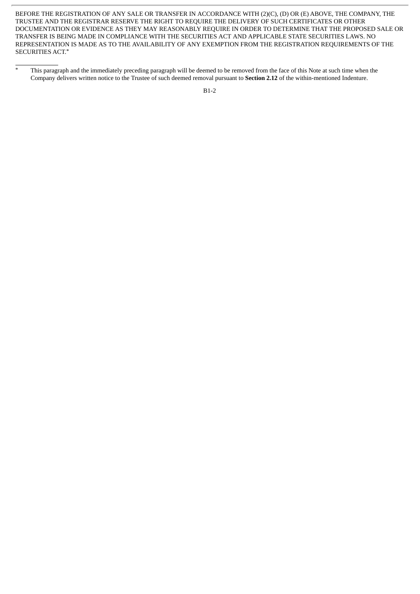BEFORE THE REGISTRATION OF ANY SALE OR TRANSFER IN ACCORDANCE WITH (2)(C), (D) OR (E) ABOVE, THE COMPANY, THE TRUSTEE AND THE REGISTRAR RESERVE THE RIGHT TO REQUIRE THE DELIVERY OF SUCH CERTIFICATES OR OTHER DOCUMENTATION OR EVIDENCE AS THEY MAY REASONABLY REQUIRE IN ORDER TO DETERMINE THAT THE PROPOSED SALE OR TRANSFER IS BEING MADE IN COMPLIANCE WITH THE SECURITIES ACT AND APPLICABLE STATE SECURITIES LAWS. NO REPRESENTATION IS MADE AS TO THE AVAILABILITY OF ANY EXEMPTION FROM THE REGISTRATION REQUIREMENTS OF THE SECURITIES ACT.\*

<sup>&</sup>lt;sup>\*</sup> This paragraph and the immediately preceding paragraph will be deemed to be removed from the face of this Note at such time when the Company delivers written notice to the Trustee of such deemed removal pursuant to **Section 2.12** of the within-mentioned Indenture.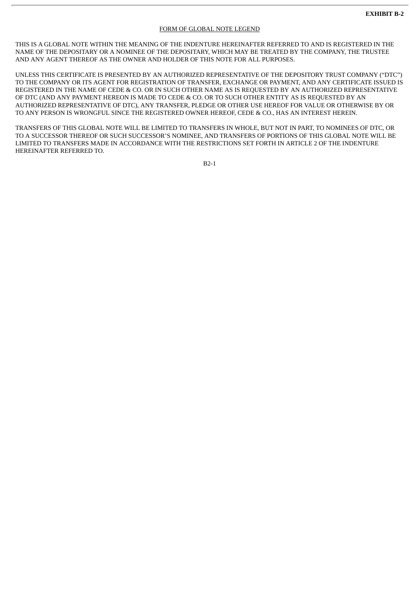## FORM OF GLOBAL NOTE LEGEND

THIS IS A GLOBAL NOTE WITHIN THE MEANING OF THE INDENTURE HEREINAFTER REFERRED TO AND IS REGISTERED IN THE NAME OF THE DEPOSITARY OR A NOMINEE OF THE DEPOSITARY, WHICH MAY BE TREATED BY THE COMPANY, THE TRUSTEE AND ANY AGENT THEREOF AS THE OWNER AND HOLDER OF THIS NOTE FOR ALL PURPOSES.

UNLESS THIS CERTIFICATE IS PRESENTED BY AN AUTHORIZED REPRESENTATIVE OF THE DEPOSITORY TRUST COMPANY ("DTC") TO THE COMPANY OR ITS AGENT FOR REGISTRATION OF TRANSFER, EXCHANGE OR PAYMENT, AND ANY CERTIFICATE ISSUED IS REGISTERED IN THE NAME OF CEDE & CO. OR IN SUCH OTHER NAME AS IS REQUESTED BY AN AUTHORIZED REPRESENTATIVE OF DTC (AND ANY PAYMENT HEREON IS MADE TO CEDE & CO. OR TO SUCH OTHER ENTITY AS IS REQUESTED BY AN AUTHORIZED REPRESENTATIVE OF DTC), ANY TRANSFER, PLEDGE OR OTHER USE HEREOF FOR VALUE OR OTHERWISE BY OR TO ANY PERSON IS WRONGFUL SINCE THE REGISTERED OWNER HEREOF, CEDE & CO., HAS AN INTEREST HEREIN.

TRANSFERS OF THIS GLOBAL NOTE WILL BE LIMITED TO TRANSFERS IN WHOLE, BUT NOT IN PART, TO NOMINEES OF DTC, OR TO A SUCCESSOR THEREOF OR SUCH SUCCESSOR'S NOMINEE, AND TRANSFERS OF PORTIONS OF THIS GLOBAL NOTE WILL BE LIMITED TO TRANSFERS MADE IN ACCORDANCE WITH THE RESTRICTIONS SET FORTH IN ARTICLE 2 OF THE INDENTURE HEREINAFTER REFERRED TO.

B2-1